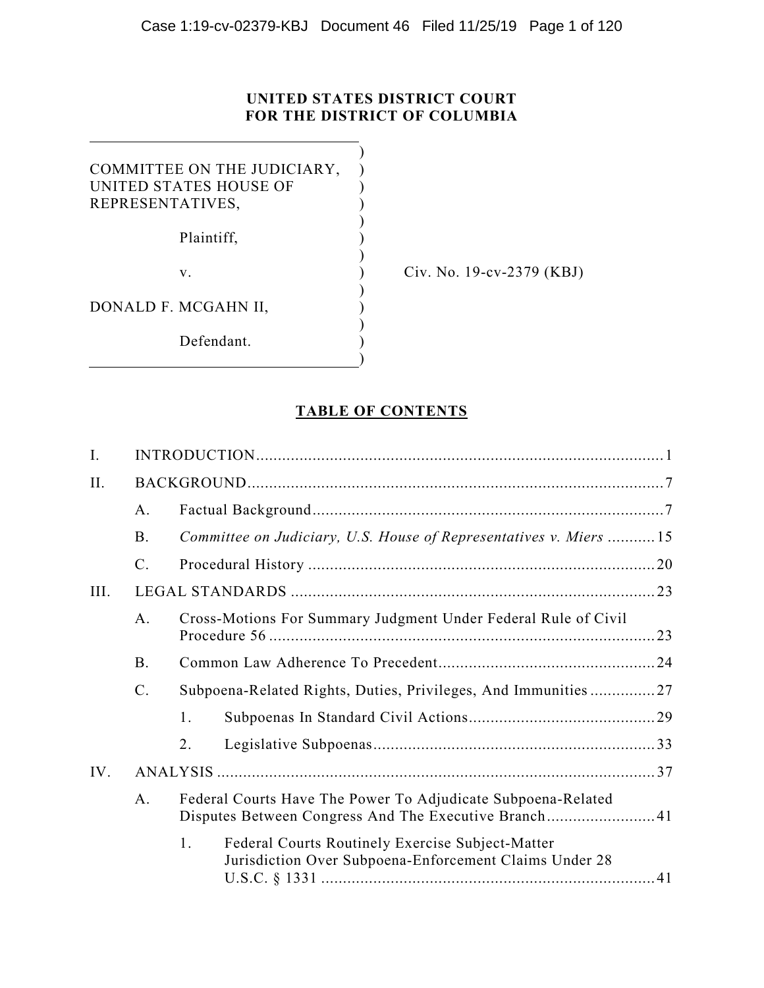## **UNITED STATES DISTRICT COURT FOR THE DISTRICT OF COLUMBIA**

| COMMITTEE ON THE JUDICIARY,<br>UNITED STATES HOUSE OF<br>REPRESENTATIVES, |  |
|---------------------------------------------------------------------------|--|
| Plaintiff,                                                                |  |
| $V_{\cdot}$                                                               |  |
| DONALD F. MCGAHN II,                                                      |  |
| Defendant.                                                                |  |
|                                                                           |  |

Civ. No. 19-cv-2379 (KBJ)

# **TABLE OF CONTENTS**

| I.   |                 |                                                                                                                         |  |  |  |
|------|-----------------|-------------------------------------------------------------------------------------------------------------------------|--|--|--|
| II.  |                 |                                                                                                                         |  |  |  |
|      | A.              |                                                                                                                         |  |  |  |
|      | <b>B.</b>       | Committee on Judiciary, U.S. House of Representatives v. Miers 15                                                       |  |  |  |
|      | $\mathcal{C}$ . |                                                                                                                         |  |  |  |
| III. |                 |                                                                                                                         |  |  |  |
|      | A.              | Cross-Motions For Summary Judgment Under Federal Rule of Civil                                                          |  |  |  |
|      | <b>B.</b>       |                                                                                                                         |  |  |  |
|      | $\mathcal{C}.$  | Subpoena-Related Rights, Duties, Privileges, And Immunities27                                                           |  |  |  |
|      |                 | 1.                                                                                                                      |  |  |  |
|      |                 | 2.                                                                                                                      |  |  |  |
| IV.  |                 |                                                                                                                         |  |  |  |
|      | A.              | Federal Courts Have The Power To Adjudicate Subpoena-Related<br>Disputes Between Congress And The Executive Branch41    |  |  |  |
|      |                 | 1.<br><b>Federal Courts Routinely Exercise Subject-Matter</b><br>Jurisdiction Over Subpoena-Enforcement Claims Under 28 |  |  |  |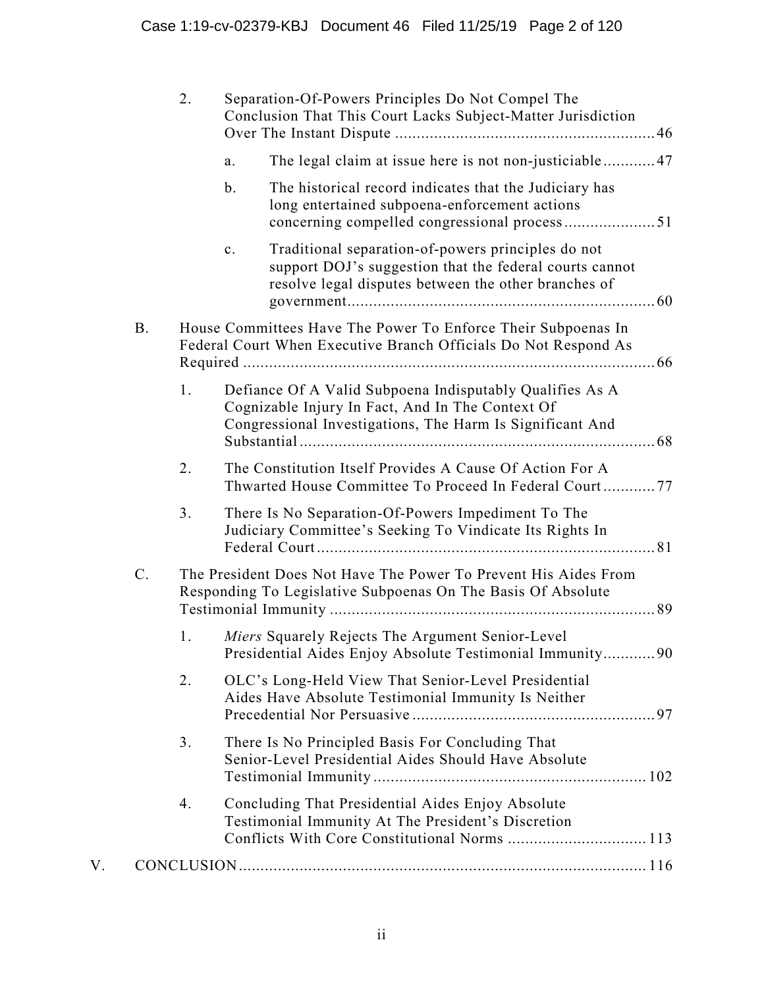|           |    | The legal claim at issue here is not non-justiciable47<br>a.                                                                                                                            |
|-----------|----|-----------------------------------------------------------------------------------------------------------------------------------------------------------------------------------------|
|           |    | $\mathbf b$ .<br>The historical record indicates that the Judiciary has<br>long entertained subpoena-enforcement actions                                                                |
|           |    | Traditional separation-of-powers principles do not<br>$\mathbf{c}$ .<br>support DOJ's suggestion that the federal courts cannot<br>resolve legal disputes between the other branches of |
| <b>B.</b> |    | House Committees Have The Power To Enforce Their Subpoenas In<br>Federal Court When Executive Branch Officials Do Not Respond As                                                        |
|           | 1. | Defiance Of A Valid Subpoena Indisputably Qualifies As A<br>Cognizable Injury In Fact, And In The Context Of<br>Congressional Investigations, The Harm Is Significant And               |
|           | 2. | The Constitution Itself Provides A Cause Of Action For A<br>Thwarted House Committee To Proceed In Federal Court77                                                                      |
|           | 3. | There Is No Separation-Of-Powers Impediment To The<br>Judiciary Committee's Seeking To Vindicate Its Rights In                                                                          |
| $C$ .     |    | The President Does Not Have The Power To Prevent His Aides From<br>Responding To Legislative Subpoenas On The Basis Of Absolute                                                         |
|           | 1. | Miers Squarely Rejects The Argument Senior-Level<br>Presidential Aides Enjoy Absolute Testimonial Immunity90                                                                            |
|           | 2. | OLC's Long-Held View That Senior-Level Presidential<br>Aides Have Absolute Testimonial Immunity Is Neither                                                                              |
|           | 3. | There Is No Principled Basis For Concluding That<br>Senior-Level Presidential Aides Should Have Absolute                                                                                |
|           | 4. | Concluding That Presidential Aides Enjoy Absolute<br>Testimonial Immunity At The President's Discretion                                                                                 |
|           |    |                                                                                                                                                                                         |
|           |    |                                                                                                                                                                                         |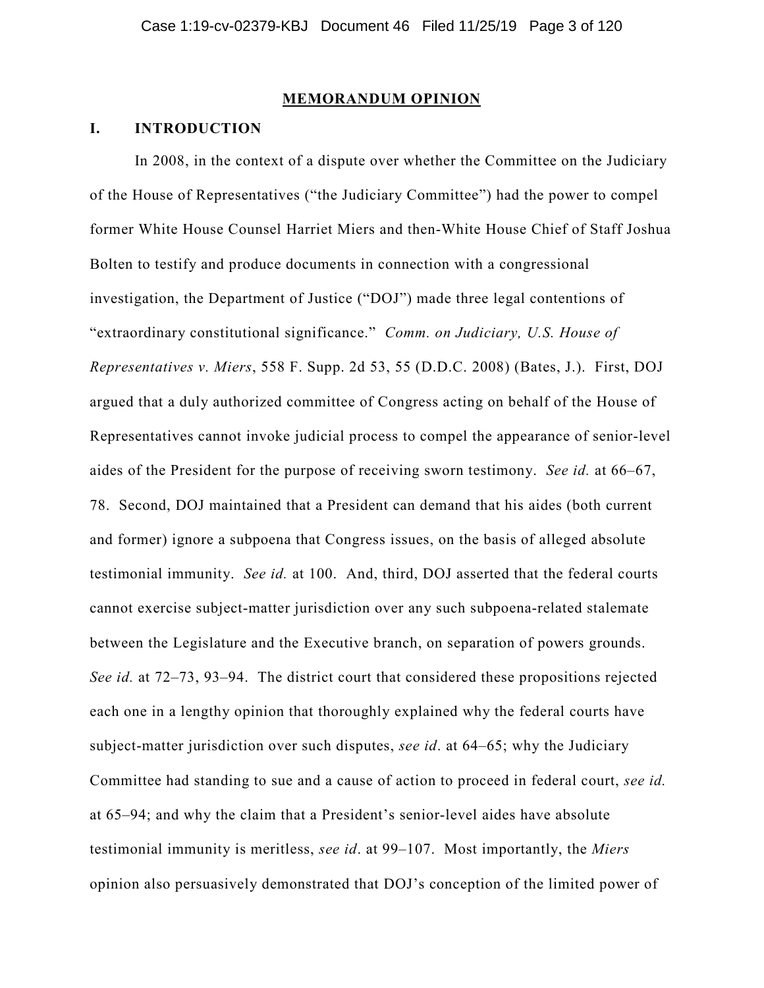### **MEMORANDUM OPINION**

### <span id="page-2-0"></span>**I. INTRODUCTION**

In 2008, in the context of a dispute over whether the Committee on the Judiciary of the House of Representatives ("the Judiciary Committee") had the power to compel former White House Counsel Harriet Miers and then-White House Chief of Staff Joshua Bolten to testify and produce documents in connection with a congressional investigation, the Department of Justice ("DOJ") made three legal contentions of "extraordinary constitutional significance." *Comm. on Judiciary, U.S. House of Representatives v. Miers*, 558 F. Supp. 2d 53, 55 (D.D.C. 2008) (Bates, J.). First, DOJ argued that a duly authorized committee of Congress acting on behalf of the House of Representatives cannot invoke judicial process to compel the appearance of senior-level aides of the President for the purpose of receiving sworn testimony. *See id.* at 66–67, 78. Second, DOJ maintained that a President can demand that his aides (both current and former) ignore a subpoena that Congress issues, on the basis of alleged absolute testimonial immunity. *See id.* at 100. And, third, DOJ asserted that the federal courts cannot exercise subject-matter jurisdiction over any such subpoena-related stalemate between the Legislature and the Executive branch, on separation of powers grounds. *See id.* at 72–73, 93–94. The district court that considered these propositions rejected each one in a lengthy opinion that thoroughly explained why the federal courts have subject-matter jurisdiction over such disputes, *see id*. at 64–65; why the Judiciary Committee had standing to sue and a cause of action to proceed in federal court, *see id.* at 65–94; and why the claim that a President's senior-level aides have absolute testimonial immunity is meritless, *see id*. at 99–107. Most importantly, the *Miers* opinion also persuasively demonstrated that DOJ's conception of the limited power of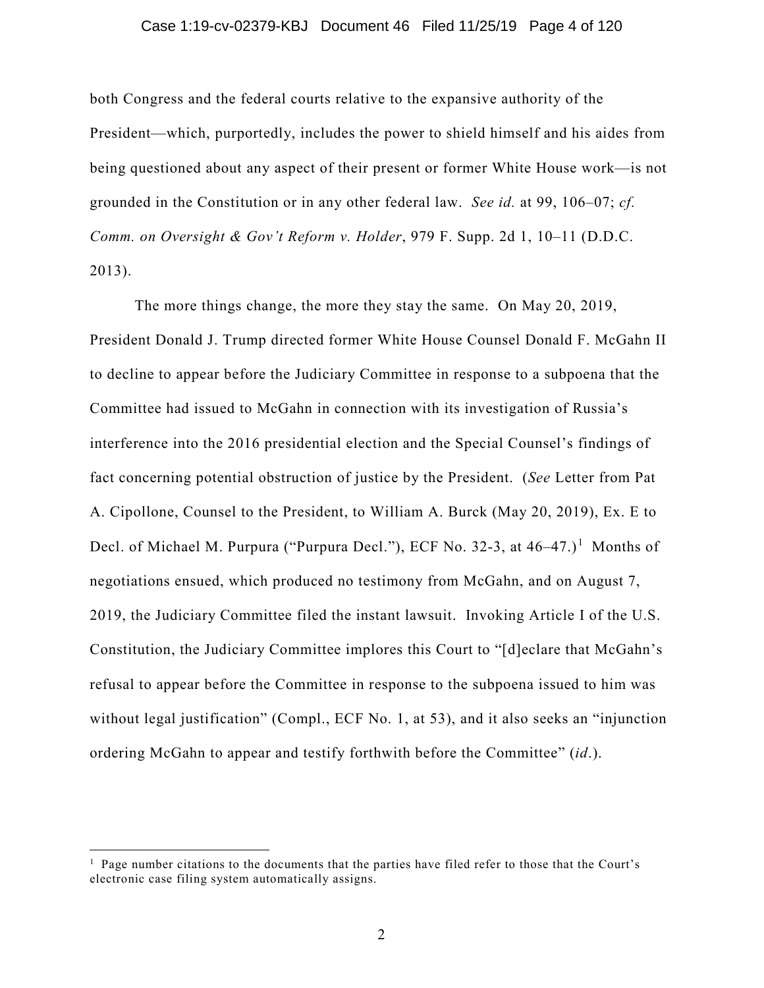#### Case 1:19-cv-02379-KBJ Document 46 Filed 11/25/19 Page 4 of 120

both Congress and the federal courts relative to the expansive authority of the President—which, purportedly, includes the power to shield himself and his aides from being questioned about any aspect of their present or former White House work—is not grounded in the Constitution or in any other federal law. *See id.* at 99, 106–07; *cf. Comm. on Oversight & Gov't Reform v. Holder*, 979 F. Supp. 2d 1, 10–11 (D.D.C. 2013).

The more things change, the more they stay the same. On May 20, 2019, President Donald J. Trump directed former White House Counsel Donald F. McGahn II to decline to appear before the Judiciary Committee in response to a subpoena that the Committee had issued to McGahn in connection with its investigation of Russia's interference into the 2016 presidential election and the Special Counsel's findings of fact concerning potential obstruction of justice by the President. (*See* Letter from Pat A. Cipollone, Counsel to the President, to William A. Burck (May 20, 2019), Ex. E to Decl. of Michael M. Purpura ("Purpura Decl."), ECF No. 32-3, at 46–47.)<sup>[1](#page-3-0)</sup> Months of negotiations ensued, which produced no testimony from McGahn, and on August 7, 2019, the Judiciary Committee filed the instant lawsuit. Invoking Article I of the U.S. Constitution, the Judiciary Committee implores this Court to "[d]eclare that McGahn's refusal to appear before the Committee in response to the subpoena issued to him was without legal justification" (Compl., ECF No. 1, at 53), and it also seeks an "injunction" ordering McGahn to appear and testify forthwith before the Committee" (*id*.).

<span id="page-3-0"></span> $\frac{1}{1}$ <sup>1</sup> Page number citations to the documents that the parties have filed refer to those that the Court's electronic case filing system automatically assigns.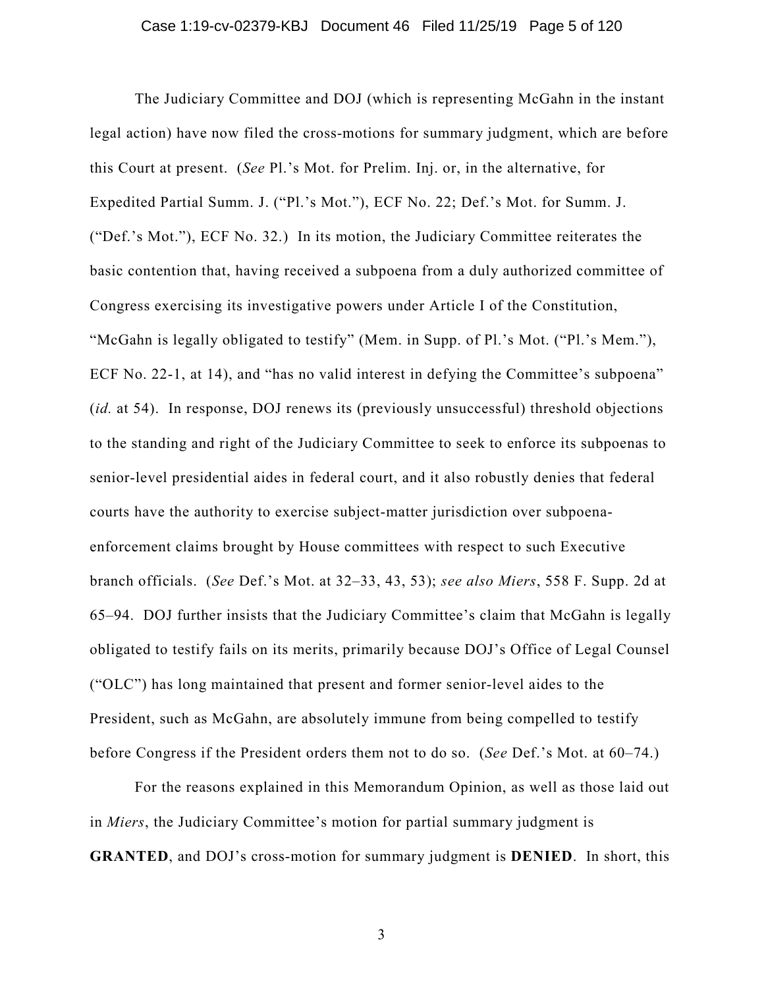The Judiciary Committee and DOJ (which is representing McGahn in the instant legal action) have now filed the cross-motions for summary judgment, which are before this Court at present. (*See* Pl.'s Mot. for Prelim. Inj. or, in the alternative, for Expedited Partial Summ. J. ("Pl.'s Mot."), ECF No. 22; Def.'s Mot. for Summ. J. ("Def.'s Mot."), ECF No. 32.) In its motion, the Judiciary Committee reiterates the basic contention that, having received a subpoena from a duly authorized committee of Congress exercising its investigative powers under Article I of the Constitution, "McGahn is legally obligated to testify" (Mem. in Supp. of Pl.'s Mot. ("Pl.'s Mem."), ECF No. 22-1, at 14), and "has no valid interest in defying the Committee's subpoena" (*id.* at 54). In response, DOJ renews its (previously unsuccessful) threshold objections to the standing and right of the Judiciary Committee to seek to enforce its subpoenas to senior-level presidential aides in federal court, and it also robustly denies that federal courts have the authority to exercise subject-matter jurisdiction over subpoenaenforcement claims brought by House committees with respect to such Executive branch officials. (*See* Def.'s Mot. at 32–33, 43, 53); *see also Miers*, 558 F. Supp. 2d at 65–94. DOJ further insists that the Judiciary Committee's claim that McGahn is legally obligated to testify fails on its merits, primarily because DOJ's Office of Legal Counsel ("OLC") has long maintained that present and former senior-level aides to the President, such as McGahn, are absolutely immune from being compelled to testify before Congress if the President orders them not to do so. (*See* Def.'s Mot. at 60–74.)

For the reasons explained in this Memorandum Opinion, as well as those laid out in *Miers*, the Judiciary Committee's motion for partial summary judgment is **GRANTED**, and DOJ's cross-motion for summary judgment is **DENIED**. In short, this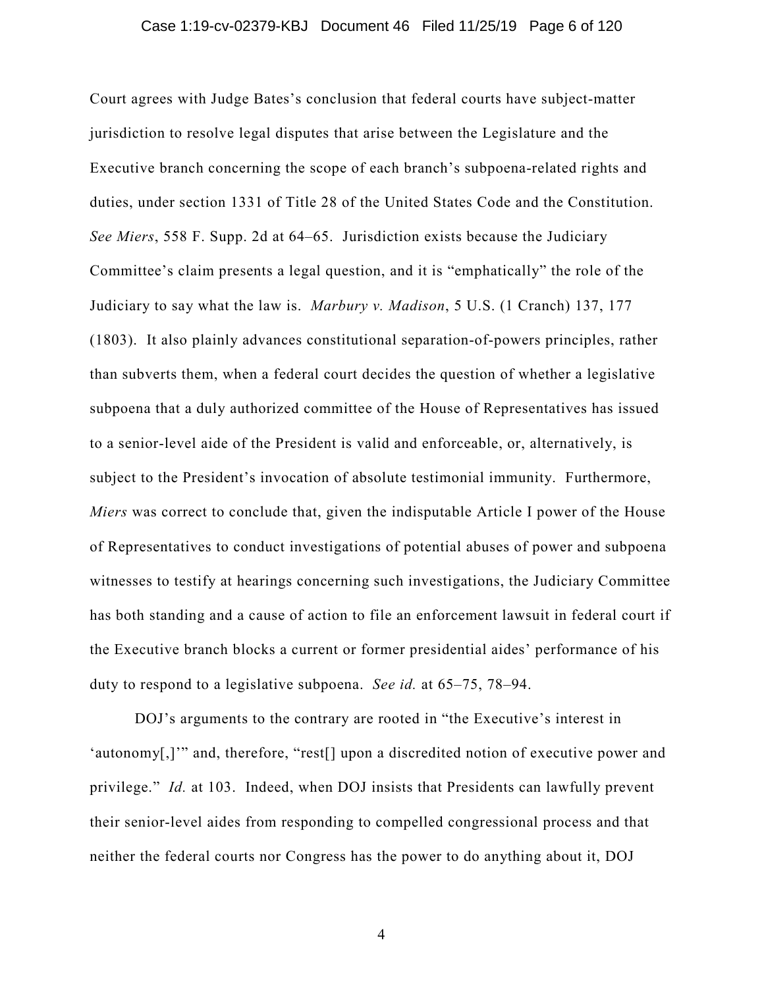#### Case 1:19-cv-02379-KBJ Document 46 Filed 11/25/19 Page 6 of 120

Court agrees with Judge Bates's conclusion that federal courts have subject-matter jurisdiction to resolve legal disputes that arise between the Legislature and the Executive branch concerning the scope of each branch's subpoena-related rights and duties, under section 1331 of Title 28 of the United States Code and the Constitution. *See Miers*, 558 F. Supp. 2d at 64–65. Jurisdiction exists because the Judiciary Committee's claim presents a legal question, and it is "emphatically" the role of the Judiciary to say what the law is. *Marbury v. Madison*, 5 U.S. (1 Cranch) 137, 177 (1803). It also plainly advances constitutional separation-of-powers principles, rather than subverts them, when a federal court decides the question of whether a legislative subpoena that a duly authorized committee of the House of Representatives has issued to a senior-level aide of the President is valid and enforceable, or, alternatively, is subject to the President's invocation of absolute testimonial immunity. Furthermore, *Miers* was correct to conclude that, given the indisputable Article I power of the House of Representatives to conduct investigations of potential abuses of power and subpoena witnesses to testify at hearings concerning such investigations, the Judiciary Committee has both standing and a cause of action to file an enforcement lawsuit in federal court if the Executive branch blocks a current or former presidential aides' performance of his duty to respond to a legislative subpoena. *See id.* at 65–75, 78–94.

DOJ's arguments to the contrary are rooted in "the Executive's interest in 'autonomy[,]'" and, therefore, "rest[] upon a discredited notion of executive power and privilege." *Id.* at 103. Indeed, when DOJ insists that Presidents can lawfully prevent their senior-level aides from responding to compelled congressional process and that neither the federal courts nor Congress has the power to do anything about it, DOJ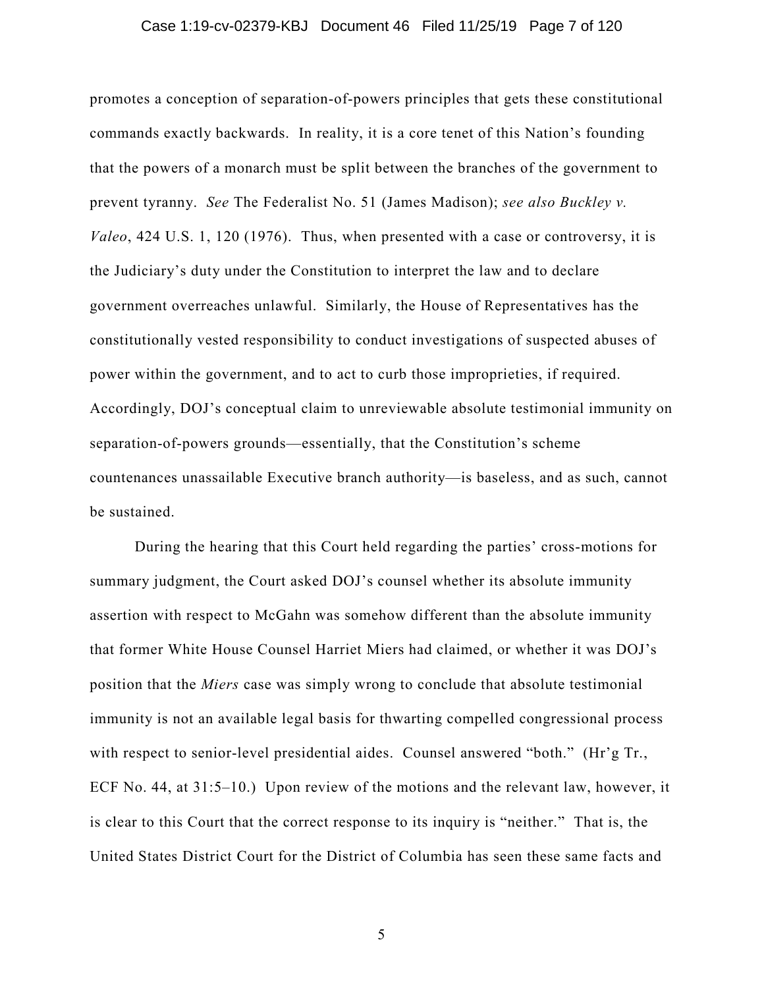#### Case 1:19-cv-02379-KBJ Document 46 Filed 11/25/19 Page 7 of 120

promotes a conception of separation-of-powers principles that gets these constitutional commands exactly backwards. In reality, it is a core tenet of this Nation's founding that the powers of a monarch must be split between the branches of the government to prevent tyranny. *See* The Federalist No. 51 (James Madison); *see also Buckley v. Valeo*, 424 U.S. 1, 120 (1976). Thus, when presented with a case or controversy, it is the Judiciary's duty under the Constitution to interpret the law and to declare government overreaches unlawful. Similarly, the House of Representatives has the constitutionally vested responsibility to conduct investigations of suspected abuses of power within the government, and to act to curb those improprieties, if required. Accordingly, DOJ's conceptual claim to unreviewable absolute testimonial immunity on separation-of-powers grounds—essentially, that the Constitution's scheme countenances unassailable Executive branch authority—is baseless, and as such, cannot be sustained.

During the hearing that this Court held regarding the parties' cross-motions for summary judgment, the Court asked DOJ's counsel whether its absolute immunity assertion with respect to McGahn was somehow different than the absolute immunity that former White House Counsel Harriet Miers had claimed, or whether it was DOJ's position that the *Miers* case was simply wrong to conclude that absolute testimonial immunity is not an available legal basis for thwarting compelled congressional process with respect to senior-level presidential aides. Counsel answered "both." (Hr'g Tr., ECF No. 44, at 31:5–10.) Upon review of the motions and the relevant law, however, it is clear to this Court that the correct response to its inquiry is "neither." That is, the United States District Court for the District of Columbia has seen these same facts and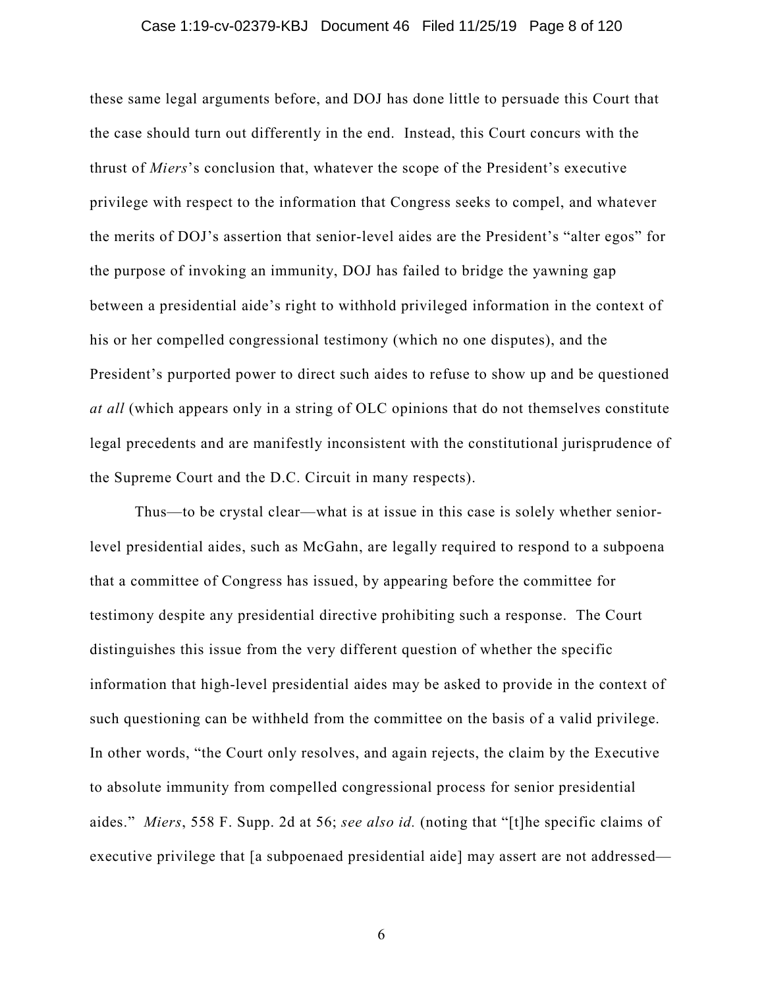#### Case 1:19-cv-02379-KBJ Document 46 Filed 11/25/19 Page 8 of 120

these same legal arguments before, and DOJ has done little to persuade this Court that the case should turn out differently in the end. Instead, this Court concurs with the thrust of *Miers*'s conclusion that, whatever the scope of the President's executive privilege with respect to the information that Congress seeks to compel, and whatever the merits of DOJ's assertion that senior-level aides are the President's "alter egos" for the purpose of invoking an immunity, DOJ has failed to bridge the yawning gap between a presidential aide's right to withhold privileged information in the context of his or her compelled congressional testimony (which no one disputes), and the President's purported power to direct such aides to refuse to show up and be questioned *at all* (which appears only in a string of OLC opinions that do not themselves constitute legal precedents and are manifestly inconsistent with the constitutional jurisprudence of the Supreme Court and the D.C. Circuit in many respects).

Thus—to be crystal clear—what is at issue in this case is solely whether seniorlevel presidential aides, such as McGahn, are legally required to respond to a subpoena that a committee of Congress has issued, by appearing before the committee for testimony despite any presidential directive prohibiting such a response. The Court distinguishes this issue from the very different question of whether the specific information that high-level presidential aides may be asked to provide in the context of such questioning can be withheld from the committee on the basis of a valid privilege. In other words, "the Court only resolves, and again rejects, the claim by the Executive to absolute immunity from compelled congressional process for senior presidential aides." *Miers*, 558 F. Supp. 2d at 56; *see also id.* (noting that "[t]he specific claims of executive privilege that [a subpoenaed presidential aide] may assert are not addressed—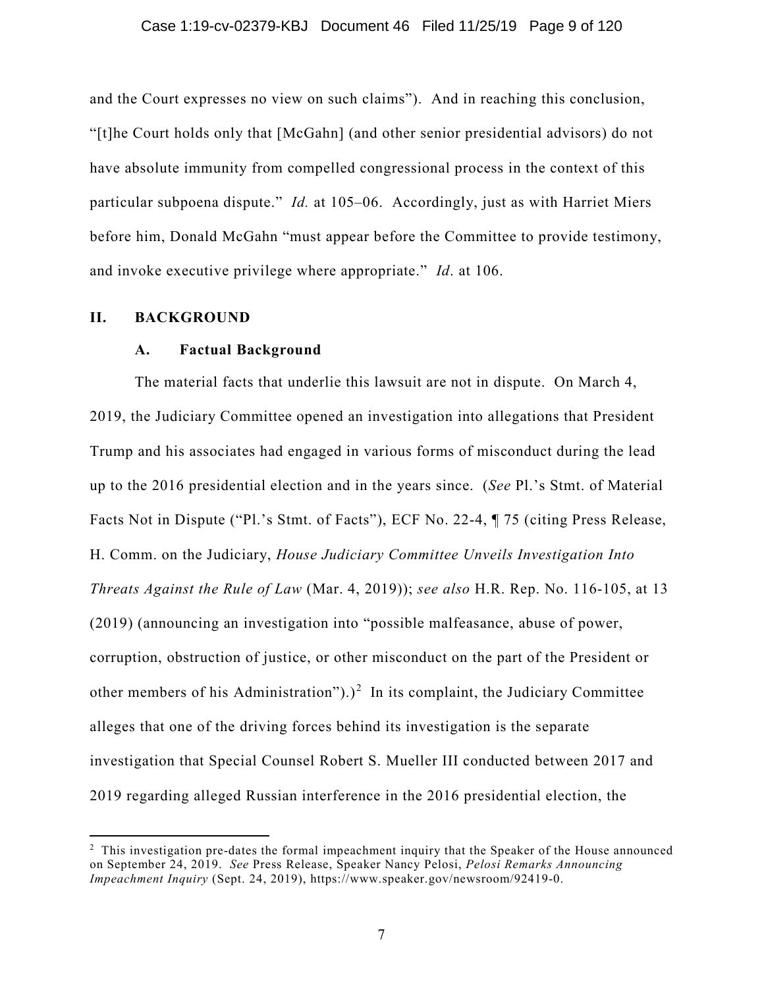and the Court expresses no view on such claims"). And in reaching this conclusion, "[t]he Court holds only that [McGahn] (and other senior presidential advisors) do not have absolute immunity from compelled congressional process in the context of this particular subpoena dispute." *Id.* at 105–06. Accordingly, just as with Harriet Miers before him, Donald McGahn "must appear before the Committee to provide testimony, and invoke executive privilege where appropriate." *Id*. at 106.

### <span id="page-8-1"></span><span id="page-8-0"></span>**II. BACKGROUND**

## **A. Factual Background**

The material facts that underlie this lawsuit are not in dispute. On March 4, 2019, the Judiciary Committee opened an investigation into allegations that President Trump and his associates had engaged in various forms of misconduct during the lead up to the 2016 presidential election and in the years since. (*See* Pl.'s Stmt. of Material Facts Not in Dispute ("Pl.'s Stmt. of Facts"), ECF No. 22-4, ¶ 75 (citing Press Release, H. Comm. on the Judiciary, *House Judiciary Committee Unveils Investigation Into Threats Against the Rule of Law* (Mar. 4, 2019)); *see also* H.R. Rep. No. 116-105, at 13 (2019) (announcing an investigation into "possible malfeasance, abuse of power, corruption, obstruction of justice, or other misconduct on the part of the President or other members of his Administration").)<sup>[2](#page-8-2)</sup> In its complaint, the Judiciary Committee alleges that one of the driving forces behind its investigation is the separate investigation that Special Counsel Robert S. Mueller III conducted between 2017 and 2019 regarding alleged Russian interference in the 2016 presidential election, the

<span id="page-8-2"></span> $\frac{1}{2}$  $<sup>2</sup>$  This investigation pre-dates the formal impeachment inquiry that the Speaker of the House announced</sup> on September 24, 2019. *See* Press Release, Speaker Nancy Pelosi, *Pelosi Remarks Announcing Impeachment Inquiry* (Sept. 24, 2019), https://www.speaker.gov/newsroom/92419-0.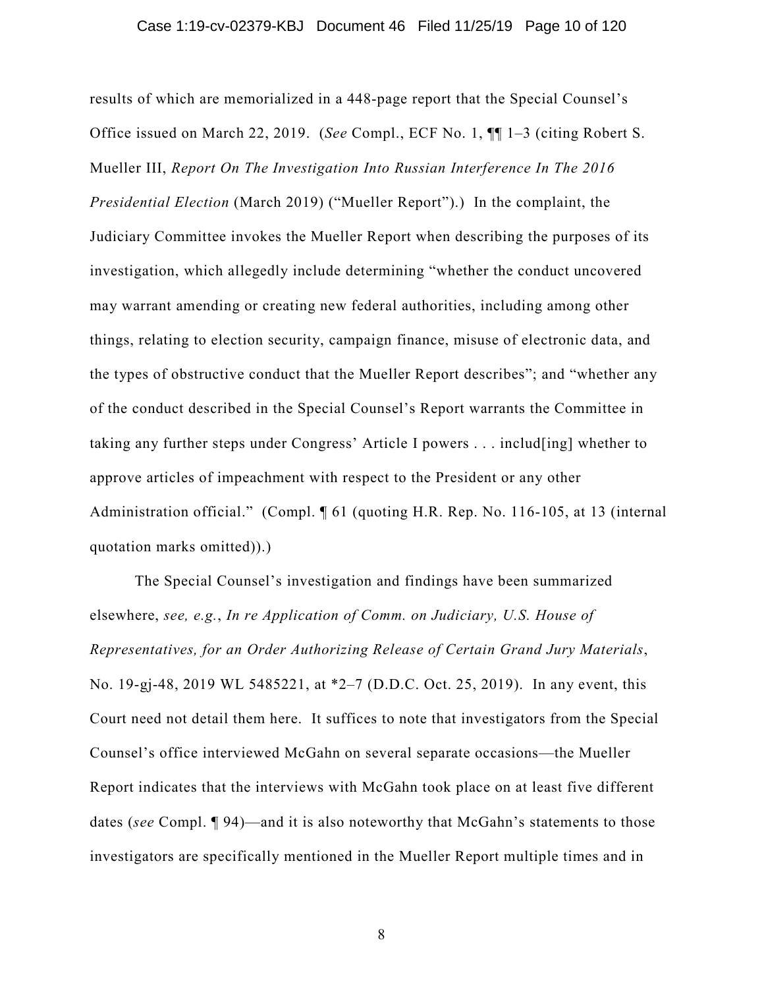results of which are memorialized in a 448-page report that the Special Counsel's Office issued on March 22, 2019. (*See* Compl., ECF No. 1, ¶¶ 1–3 (citing Robert S. Mueller III, *Report On The Investigation Into Russian Interference In The 2016 Presidential Election* (March 2019) ("Mueller Report").) In the complaint, the Judiciary Committee invokes the Mueller Report when describing the purposes of its investigation, which allegedly include determining "whether the conduct uncovered may warrant amending or creating new federal authorities, including among other things, relating to election security, campaign finance, misuse of electronic data, and the types of obstructive conduct that the Mueller Report describes"; and "whether any of the conduct described in the Special Counsel's Report warrants the Committee in taking any further steps under Congress' Article I powers . . . includ[ing] whether to approve articles of impeachment with respect to the President or any other Administration official." (Compl. ¶ 61 (quoting H.R. Rep. No. 116-105, at 13 (internal quotation marks omitted)).)

The Special Counsel's investigation and findings have been summarized elsewhere, *see, e.g.*, *In re Application of Comm. on Judiciary, U.S. House of Representatives, for an Order Authorizing Release of Certain Grand Jury Materials*, No. 19-gj-48, 2019 WL 5485221, at \*2–7 (D.D.C. Oct. 25, 2019). In any event, this Court need not detail them here. It suffices to note that investigators from the Special Counsel's office interviewed McGahn on several separate occasions—the Mueller Report indicates that the interviews with McGahn took place on at least five different dates (*see* Compl. ¶ 94)—and it is also noteworthy that McGahn's statements to those investigators are specifically mentioned in the Mueller Report multiple times and in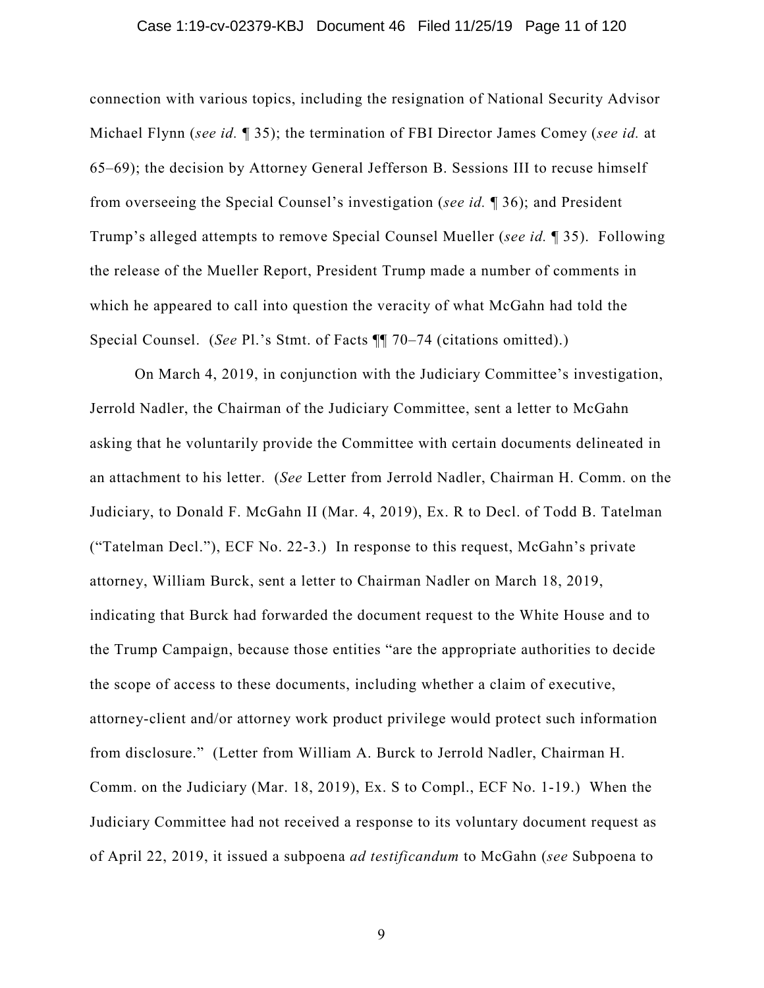#### Case 1:19-cv-02379-KBJ Document 46 Filed 11/25/19 Page 11 of 120

connection with various topics, including the resignation of National Security Advisor Michael Flynn (*see id.* ¶ 35); the termination of FBI Director James Comey (*see id.* at 65–69); the decision by Attorney General Jefferson B. Sessions III to recuse himself from overseeing the Special Counsel's investigation (*see id.* ¶ 36); and President Trump's alleged attempts to remove Special Counsel Mueller (*see id.* ¶ 35). Following the release of the Mueller Report, President Trump made a number of comments in which he appeared to call into question the veracity of what McGahn had told the Special Counsel. (*See* Pl.'s Stmt. of Facts ¶¶ 70–74 (citations omitted).)

On March 4, 2019, in conjunction with the Judiciary Committee's investigation, Jerrold Nadler, the Chairman of the Judiciary Committee, sent a letter to McGahn asking that he voluntarily provide the Committee with certain documents delineated in an attachment to his letter. (*See* Letter from Jerrold Nadler, Chairman H. Comm. on the Judiciary, to Donald F. McGahn II (Mar. 4, 2019), Ex. R to Decl. of Todd B. Tatelman ("Tatelman Decl."), ECF No. 22-3.) In response to this request, McGahn's private attorney, William Burck, sent a letter to Chairman Nadler on March 18, 2019, indicating that Burck had forwarded the document request to the White House and to the Trump Campaign, because those entities "are the appropriate authorities to decide the scope of access to these documents, including whether a claim of executive, attorney-client and/or attorney work product privilege would protect such information from disclosure." (Letter from William A. Burck to Jerrold Nadler, Chairman H. Comm. on the Judiciary (Mar. 18, 2019), Ex. S to Compl., ECF No. 1-19.) When the Judiciary Committee had not received a response to its voluntary document request as of April 22, 2019, it issued a subpoena *ad testificandum* to McGahn (*see* Subpoena to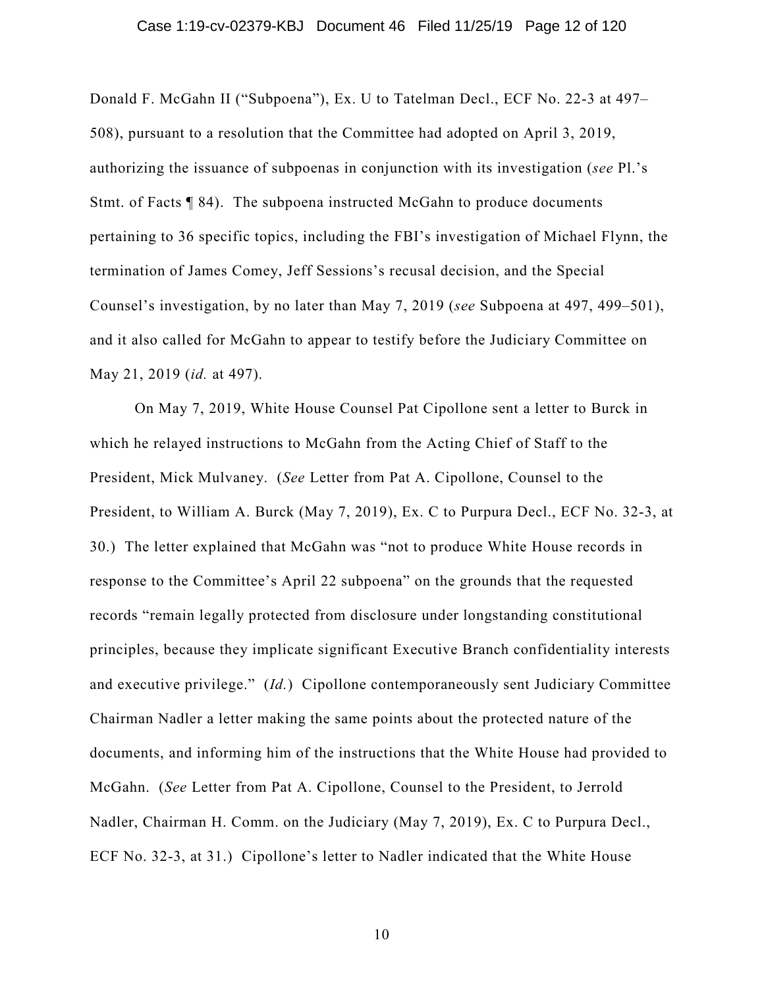Donald F. McGahn II ("Subpoena"), Ex. U to Tatelman Decl., ECF No. 22-3 at 497– 508), pursuant to a resolution that the Committee had adopted on April 3, 2019, authorizing the issuance of subpoenas in conjunction with its investigation (*see* Pl.'s Stmt. of Facts ¶ 84). The subpoena instructed McGahn to produce documents pertaining to 36 specific topics, including the FBI's investigation of Michael Flynn, the termination of James Comey, Jeff Sessions's recusal decision, and the Special Counsel's investigation, by no later than May 7, 2019 (*see* Subpoena at 497, 499–501), and it also called for McGahn to appear to testify before the Judiciary Committee on May 21, 2019 (*id.* at 497).

On May 7, 2019, White House Counsel Pat Cipollone sent a letter to Burck in which he relayed instructions to McGahn from the Acting Chief of Staff to the President, Mick Mulvaney. (*See* Letter from Pat A. Cipollone, Counsel to the President, to William A. Burck (May 7, 2019), Ex. C to Purpura Decl., ECF No. 32-3, at 30.) The letter explained that McGahn was "not to produce White House records in response to the Committee's April 22 subpoena" on the grounds that the requested records "remain legally protected from disclosure under longstanding constitutional principles, because they implicate significant Executive Branch confidentiality interests and executive privilege." (*Id.*) Cipollone contemporaneously sent Judiciary Committee Chairman Nadler a letter making the same points about the protected nature of the documents, and informing him of the instructions that the White House had provided to McGahn. (*See* Letter from Pat A. Cipollone, Counsel to the President, to Jerrold Nadler, Chairman H. Comm. on the Judiciary (May 7, 2019), Ex. C to Purpura Decl., ECF No. 32-3, at 31.) Cipollone's letter to Nadler indicated that the White House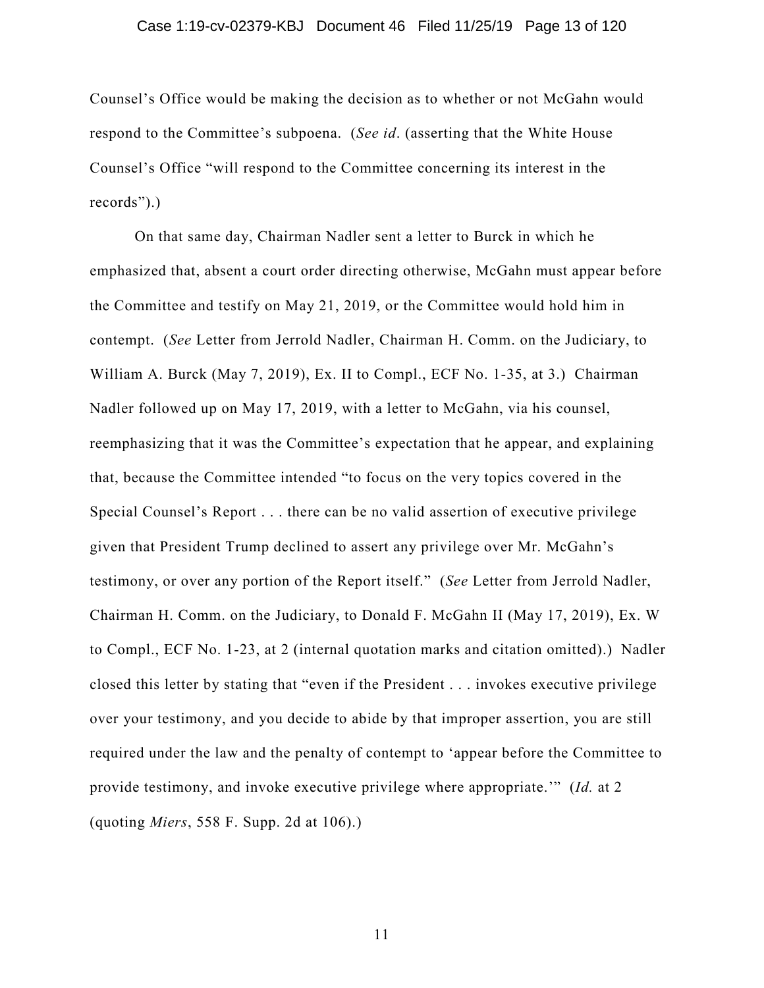#### Case 1:19-cv-02379-KBJ Document 46 Filed 11/25/19 Page 13 of 120

Counsel's Office would be making the decision as to whether or not McGahn would respond to the Committee's subpoena. (*See id*. (asserting that the White House Counsel's Office "will respond to the Committee concerning its interest in the records").)

On that same day, Chairman Nadler sent a letter to Burck in which he emphasized that, absent a court order directing otherwise, McGahn must appear before the Committee and testify on May 21, 2019, or the Committee would hold him in contempt. (*See* Letter from Jerrold Nadler, Chairman H. Comm. on the Judiciary, to William A. Burck (May 7, 2019), Ex. II to Compl., ECF No. 1-35, at 3.) Chairman Nadler followed up on May 17, 2019, with a letter to McGahn, via his counsel, reemphasizing that it was the Committee's expectation that he appear, and explaining that, because the Committee intended "to focus on the very topics covered in the Special Counsel's Report . . . there can be no valid assertion of executive privilege given that President Trump declined to assert any privilege over Mr. McGahn's testimony, or over any portion of the Report itself." (*See* Letter from Jerrold Nadler, Chairman H. Comm. on the Judiciary, to Donald F. McGahn II (May 17, 2019), Ex. W to Compl., ECF No. 1-23, at 2 (internal quotation marks and citation omitted).) Nadler closed this letter by stating that "even if the President . . . invokes executive privilege over your testimony, and you decide to abide by that improper assertion, you are still required under the law and the penalty of contempt to 'appear before the Committee to provide testimony, and invoke executive privilege where appropriate.'" (*Id.* at 2 (quoting *Miers*, 558 F. Supp. 2d at 106).)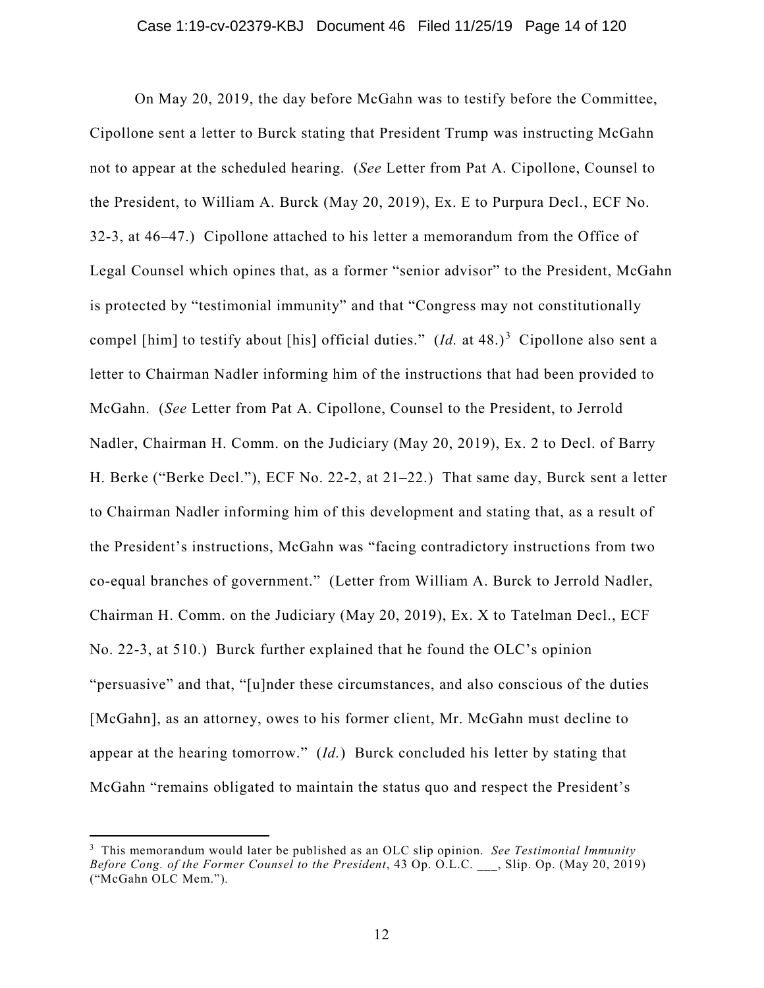On May 20, 2019, the day before McGahn was to testify before the Committee, Cipollone sent a letter to Burck stating that President Trump was instructing McGahn not to appear at the scheduled hearing. (*See* Letter from Pat A. Cipollone, Counsel to the President, to William A. Burck (May 20, 2019), Ex. E to Purpura Decl., ECF No. 32-3, at 46–47.) Cipollone attached to his letter a memorandum from the Office of Legal Counsel which opines that, as a former "senior advisor" to the President, McGahn is protected by "testimonial immunity" and that "Congress may not constitutionally compel [him] to testify about [his] official duties." (*Id.* at 48.)<sup>[3](#page-13-0)</sup> Cipollone also sent a letter to Chairman Nadler informing him of the instructions that had been provided to McGahn. (*See* Letter from Pat A. Cipollone, Counsel to the President, to Jerrold Nadler, Chairman H. Comm. on the Judiciary (May 20, 2019), Ex. 2 to Decl. of Barry H. Berke ("Berke Decl."), ECF No. 22-2, at 21–22.) That same day, Burck sent a letter to Chairman Nadler informing him of this development and stating that, as a result of the President's instructions, McGahn was "facing contradictory instructions from two co-equal branches of government." (Letter from William A. Burck to Jerrold Nadler, Chairman H. Comm. on the Judiciary (May 20, 2019), Ex. X to Tatelman Decl., ECF No. 22-3, at 510.) Burck further explained that he found the OLC's opinion "persuasive" and that, "[u]nder these circumstances, and also conscious of the duties [McGahn], as an attorney, owes to his former client, Mr. McGahn must decline to appear at the hearing tomorrow." (*Id.*) Burck concluded his letter by stating that McGahn "remains obligated to maintain the status quo and respect the President's

<span id="page-13-0"></span> $\frac{1}{3}$  This memorandum would later be published as an OLC slip opinion. *See Testimonial Immunity Before Cong. of the Former Counsel to the President*, 43 Op. O.L.C. \_\_\_, Slip. Op. (May 20, 2019) ("McGahn OLC Mem.")*.*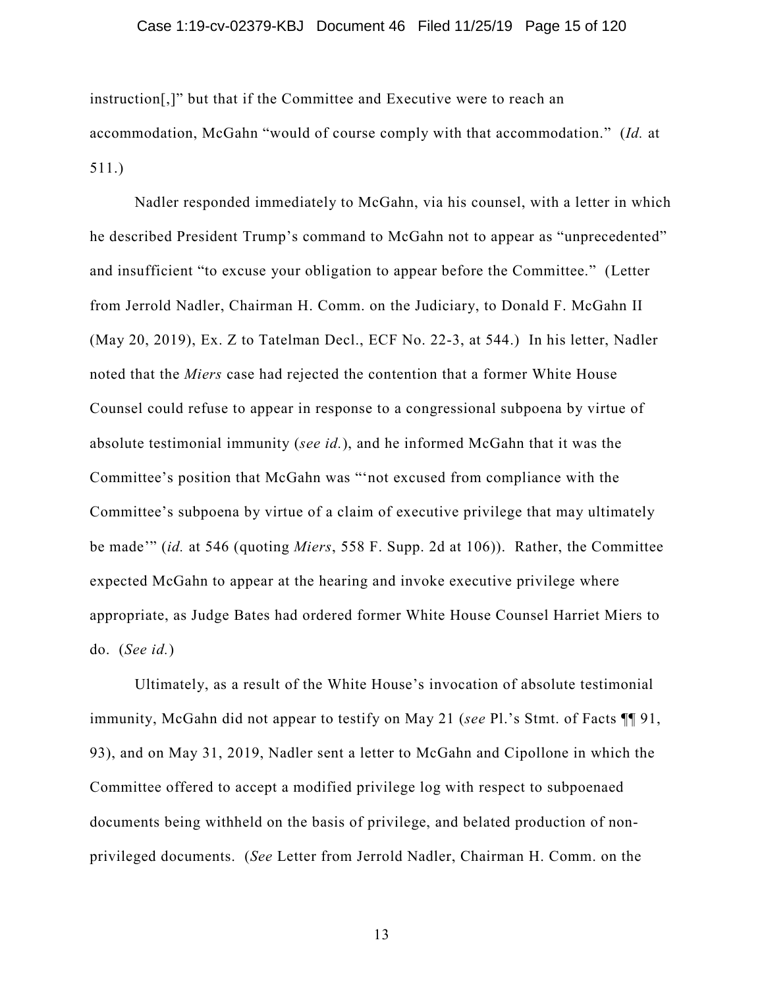#### Case 1:19-cv-02379-KBJ Document 46 Filed 11/25/19 Page 15 of 120

instruction[,]" but that if the Committee and Executive were to reach an accommodation, McGahn "would of course comply with that accommodation." (*Id.* at 511.)

Nadler responded immediately to McGahn, via his counsel, with a letter in which he described President Trump's command to McGahn not to appear as "unprecedented" and insufficient "to excuse your obligation to appear before the Committee." (Letter from Jerrold Nadler, Chairman H. Comm. on the Judiciary, to Donald F. McGahn II (May 20, 2019), Ex. Z to Tatelman Decl., ECF No. 22-3, at 544.) In his letter, Nadler noted that the *Miers* case had rejected the contention that a former White House Counsel could refuse to appear in response to a congressional subpoena by virtue of absolute testimonial immunity (*see id.*), and he informed McGahn that it was the Committee's position that McGahn was "'not excused from compliance with the Committee's subpoena by virtue of a claim of executive privilege that may ultimately be made'" (*id.* at 546 (quoting *Miers*, 558 F. Supp. 2d at 106)). Rather, the Committee expected McGahn to appear at the hearing and invoke executive privilege where appropriate, as Judge Bates had ordered former White House Counsel Harriet Miers to do. (*See id.*)

Ultimately, as a result of the White House's invocation of absolute testimonial immunity, McGahn did not appear to testify on May 21 (*see* Pl.'s Stmt. of Facts ¶¶ 91, 93), and on May 31, 2019, Nadler sent a letter to McGahn and Cipollone in which the Committee offered to accept a modified privilege log with respect to subpoenaed documents being withheld on the basis of privilege, and belated production of nonprivileged documents. (*See* Letter from Jerrold Nadler, Chairman H. Comm. on the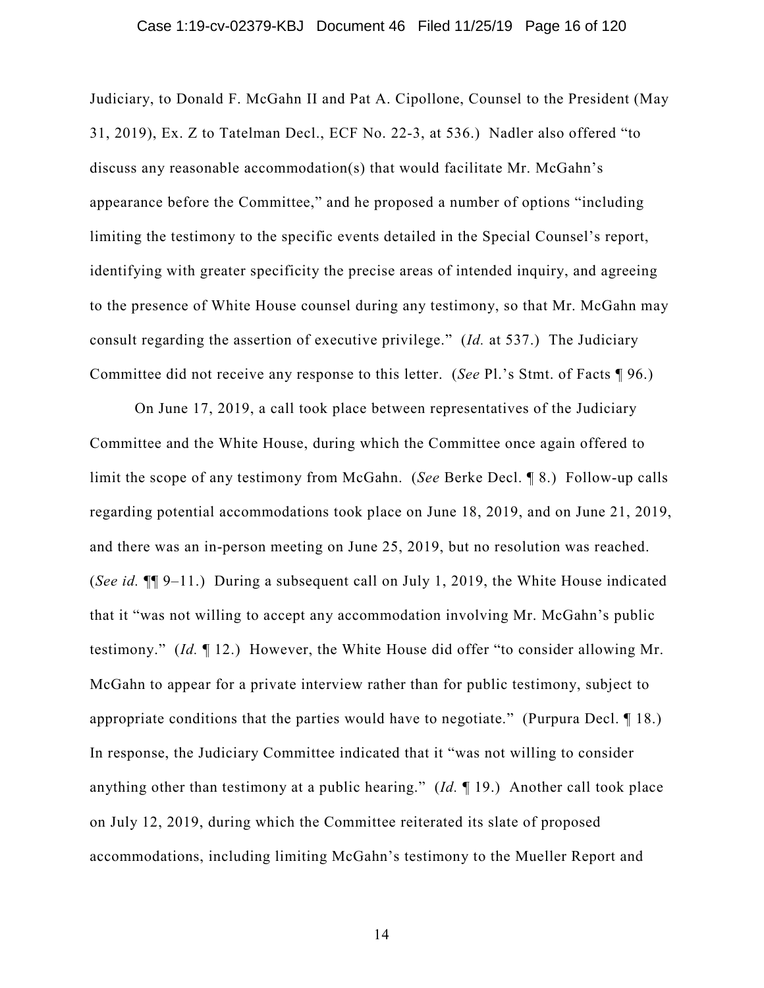#### Case 1:19-cv-02379-KBJ Document 46 Filed 11/25/19 Page 16 of 120

Judiciary, to Donald F. McGahn II and Pat A. Cipollone, Counsel to the President (May 31, 2019), Ex. Z to Tatelman Decl., ECF No. 22-3, at 536.) Nadler also offered "to discuss any reasonable accommodation(s) that would facilitate Mr. McGahn's appearance before the Committee," and he proposed a number of options "including limiting the testimony to the specific events detailed in the Special Counsel's report, identifying with greater specificity the precise areas of intended inquiry, and agreeing to the presence of White House counsel during any testimony, so that Mr. McGahn may consult regarding the assertion of executive privilege." (*Id.* at 537.) The Judiciary Committee did not receive any response to this letter. (*See* Pl.'s Stmt. of Facts ¶ 96.)

On June 17, 2019, a call took place between representatives of the Judiciary Committee and the White House, during which the Committee once again offered to limit the scope of any testimony from McGahn. (*See* Berke Decl. ¶ 8.) Follow-up calls regarding potential accommodations took place on June 18, 2019, and on June 21, 2019, and there was an in-person meeting on June 25, 2019, but no resolution was reached. (*See id.* ¶¶ 9–11.) During a subsequent call on July 1, 2019, the White House indicated that it "was not willing to accept any accommodation involving Mr. McGahn's public testimony." (*Id.* ¶ 12.) However, the White House did offer "to consider allowing Mr. McGahn to appear for a private interview rather than for public testimony, subject to appropriate conditions that the parties would have to negotiate." (Purpura Decl. ¶ 18.) In response, the Judiciary Committee indicated that it "was not willing to consider anything other than testimony at a public hearing." (*Id.* ¶ 19.) Another call took place on July 12, 2019, during which the Committee reiterated its slate of proposed accommodations, including limiting McGahn's testimony to the Mueller Report and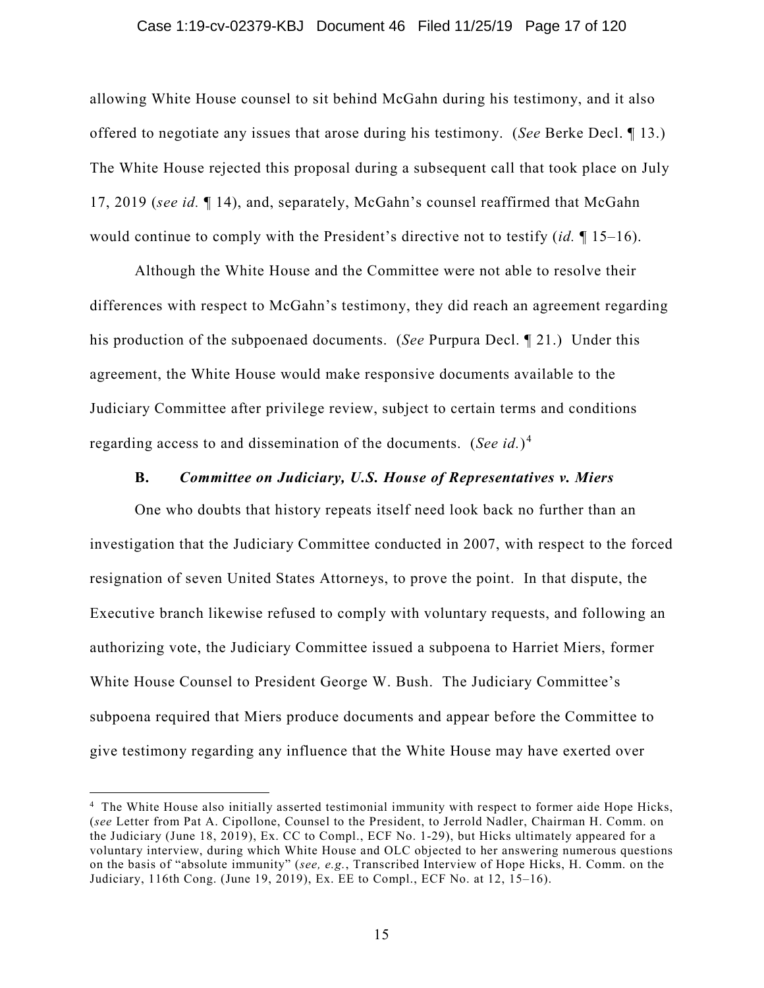#### Case 1:19-cv-02379-KBJ Document 46 Filed 11/25/19 Page 17 of 120

allowing White House counsel to sit behind McGahn during his testimony, and it also offered to negotiate any issues that arose during his testimony. (*See* Berke Decl. ¶ 13.) The White House rejected this proposal during a subsequent call that took place on July 17, 2019 (*see id.* ¶ 14), and, separately, McGahn's counsel reaffirmed that McGahn would continue to comply with the President's directive not to testify (*id.* ¶ 15–16).

Although the White House and the Committee were not able to resolve their differences with respect to McGahn's testimony, they did reach an agreement regarding his production of the subpoenaed documents. (*See* Purpura Decl. ¶ 21.) Under this agreement, the White House would make responsive documents available to the Judiciary Committee after privilege review, subject to certain terms and conditions regarding access to and dissemination of the documents. (*See id.*) [4](#page-16-1)

### **B.** *Committee on Judiciary, U.S. House of Representatives v. Miers*

<span id="page-16-0"></span>One who doubts that history repeats itself need look back no further than an investigation that the Judiciary Committee conducted in 2007, with respect to the forced resignation of seven United States Attorneys, to prove the point. In that dispute, the Executive branch likewise refused to comply with voluntary requests, and following an authorizing vote, the Judiciary Committee issued a subpoena to Harriet Miers, former White House Counsel to President George W. Bush. The Judiciary Committee's subpoena required that Miers produce documents and appear before the Committee to give testimony regarding any influence that the White House may have exerted over

<span id="page-16-1"></span> $\frac{1}{4}$  The White House also initially asserted testimonial immunity with respect to former aide Hope Hicks, (*see* Letter from Pat A. Cipollone, Counsel to the President, to Jerrold Nadler, Chairman H. Comm. on the Judiciary (June 18, 2019), Ex. CC to Compl., ECF No. 1-29), but Hicks ultimately appeared for a voluntary interview, during which White House and OLC objected to her answering numerous questions on the basis of "absolute immunity" (*see, e.g.*, Transcribed Interview of Hope Hicks, H. Comm. on the Judiciary, 116th Cong. (June 19, 2019), Ex. EE to Compl., ECF No. at 12, 15–16).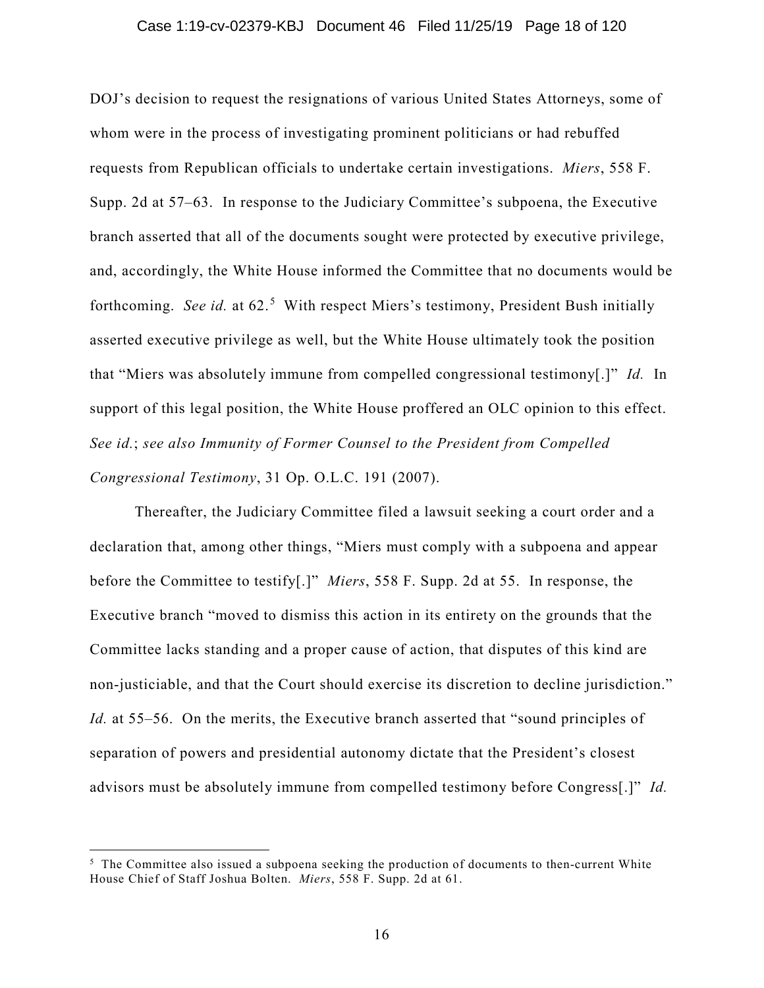#### Case 1:19-cv-02379-KBJ Document 46 Filed 11/25/19 Page 18 of 120

DOJ's decision to request the resignations of various United States Attorneys, some of whom were in the process of investigating prominent politicians or had rebuffed requests from Republican officials to undertake certain investigations. *Miers*, 558 F. Supp. 2d at 57–63. In response to the Judiciary Committee's subpoena, the Executive branch asserted that all of the documents sought were protected by executive privilege, and, accordingly, the White House informed the Committee that no documents would be forthcoming. *See id.* at 62.<sup>[5](#page-17-0)</sup> With respect Miers's testimony, President Bush initially asserted executive privilege as well, but the White House ultimately took the position that "Miers was absolutely immune from compelled congressional testimony[.]" *Id.* In support of this legal position, the White House proffered an OLC opinion to this effect. *See id.*; *see also Immunity of Former Counsel to the President from Compelled Congressional Testimony*, 31 Op. O.L.C. 191 (2007).

Thereafter, the Judiciary Committee filed a lawsuit seeking a court order and a declaration that, among other things, "Miers must comply with a subpoena and appear before the Committee to testify[.]" *Miers*, 558 F. Supp. 2d at 55. In response, the Executive branch "moved to dismiss this action in its entirety on the grounds that the Committee lacks standing and a proper cause of action, that disputes of this kind are non-justiciable, and that the Court should exercise its discretion to decline jurisdiction." *Id.* at 55–56. On the merits, the Executive branch asserted that "sound principles of separation of powers and presidential autonomy dictate that the President's closest advisors must be absolutely immune from compelled testimony before Congress[.]" *Id.* 

<span id="page-17-0"></span> <sup>5</sup>  $5$  The Committee also issued a subpoena seeking the production of documents to then-current White House Chief of Staff Joshua Bolten. *Miers*, 558 F. Supp. 2d at 61.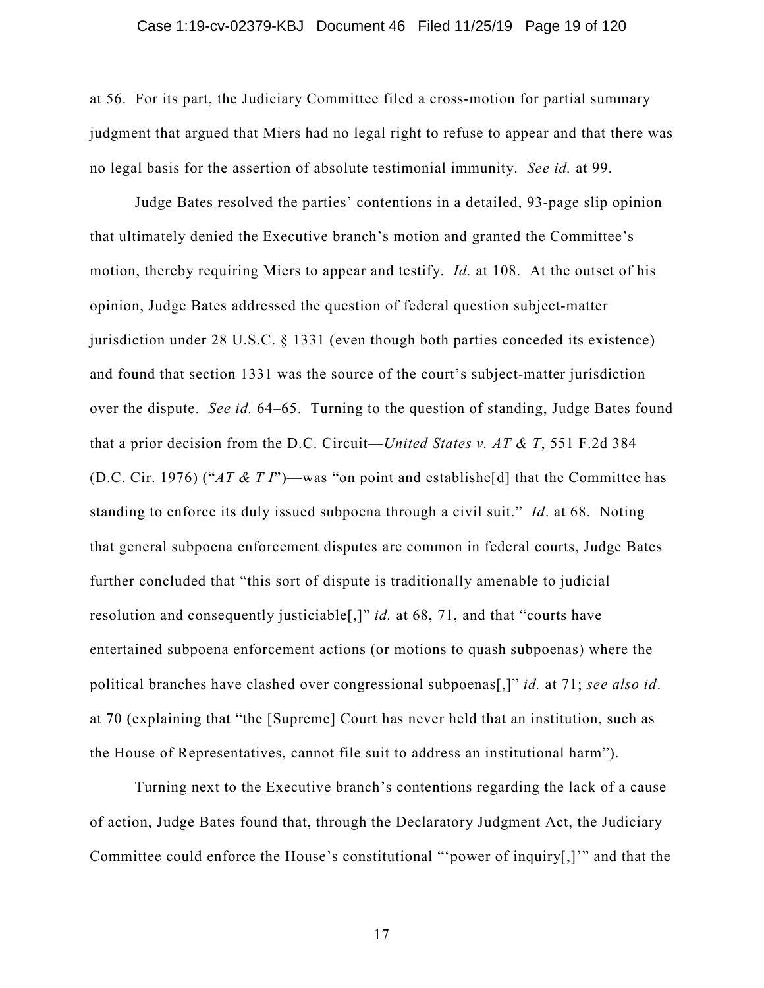#### Case 1:19-cv-02379-KBJ Document 46 Filed 11/25/19 Page 19 of 120

at 56. For its part, the Judiciary Committee filed a cross-motion for partial summary judgment that argued that Miers had no legal right to refuse to appear and that there was no legal basis for the assertion of absolute testimonial immunity. *See id.* at 99.

Judge Bates resolved the parties' contentions in a detailed, 93-page slip opinion that ultimately denied the Executive branch's motion and granted the Committee's motion, thereby requiring Miers to appear and testify. *Id.* at 108. At the outset of his opinion, Judge Bates addressed the question of federal question subject-matter jurisdiction under 28 U.S.C. § 1331 (even though both parties conceded its existence) and found that section 1331 was the source of the court's subject-matter jurisdiction over the dispute. *See id.* 64–65. Turning to the question of standing, Judge Bates found that a prior decision from the D.C. Circuit—*United States v. AT & T*, 551 F.2d 384 (D.C. Cir. 1976) ("*AT & T I*")—was "on point and establishe[d] that the Committee has standing to enforce its duly issued subpoena through a civil suit." *Id*. at 68. Noting that general subpoena enforcement disputes are common in federal courts, Judge Bates further concluded that "this sort of dispute is traditionally amenable to judicial resolution and consequently justiciable[,]" *id.* at 68, 71, and that "courts have entertained subpoena enforcement actions (or motions to quash subpoenas) where the political branches have clashed over congressional subpoenas[,]" *id.* at 71; *see also id*. at 70 (explaining that "the [Supreme] Court has never held that an institution, such as the House of Representatives, cannot file suit to address an institutional harm").

Turning next to the Executive branch's contentions regarding the lack of a cause of action, Judge Bates found that, through the Declaratory Judgment Act, the Judiciary Committee could enforce the House's constitutional "'power of inquiry[,]'" and that the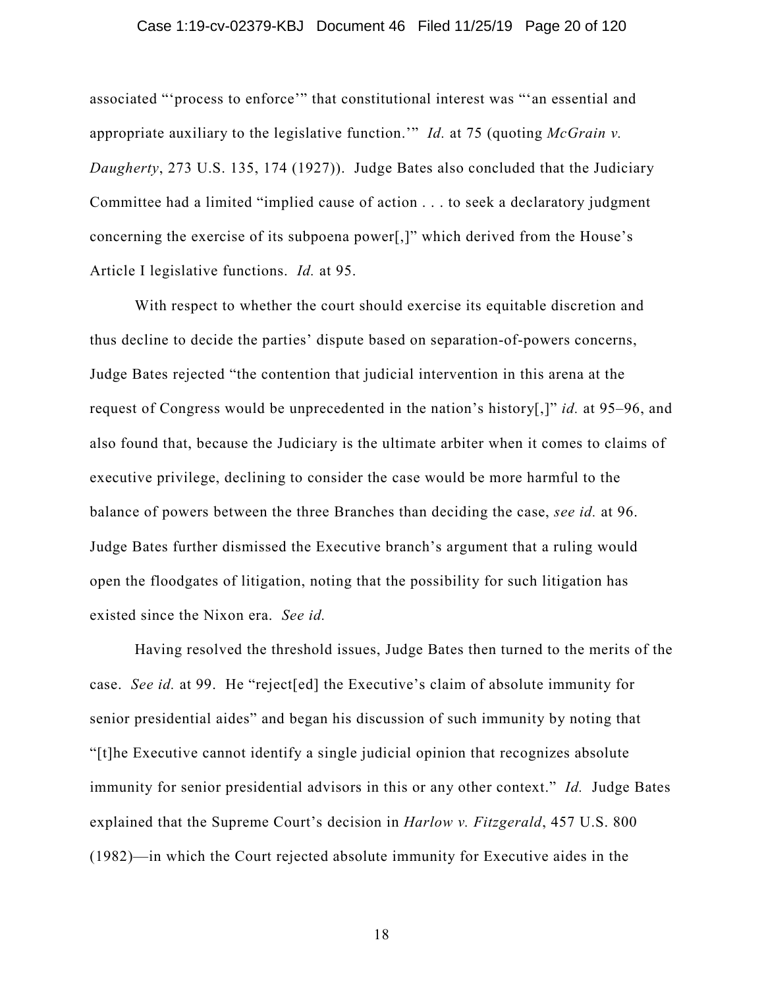#### Case 1:19-cv-02379-KBJ Document 46 Filed 11/25/19 Page 20 of 120

associated "'process to enforce'" that constitutional interest was "'an essential and appropriate auxiliary to the legislative function.'" *Id.* at 75 (quoting *McGrain v. Daugherty*, 273 U.S. 135, 174 (1927)). Judge Bates also concluded that the Judiciary Committee had a limited "implied cause of action . . . to seek a declaratory judgment concerning the exercise of its subpoena power[,]" which derived from the House's Article I legislative functions. *Id.* at 95.

With respect to whether the court should exercise its equitable discretion and thus decline to decide the parties' dispute based on separation-of-powers concerns, Judge Bates rejected "the contention that judicial intervention in this arena at the request of Congress would be unprecedented in the nation's history[,]" *id.* at 95–96, and also found that, because the Judiciary is the ultimate arbiter when it comes to claims of executive privilege, declining to consider the case would be more harmful to the balance of powers between the three Branches than deciding the case, *see id.* at 96. Judge Bates further dismissed the Executive branch's argument that a ruling would open the floodgates of litigation, noting that the possibility for such litigation has existed since the Nixon era. *See id.*

Having resolved the threshold issues, Judge Bates then turned to the merits of the case. *See id.* at 99. He "reject[ed] the Executive's claim of absolute immunity for senior presidential aides" and began his discussion of such immunity by noting that "[t]he Executive cannot identify a single judicial opinion that recognizes absolute immunity for senior presidential advisors in this or any other context." *Id.* Judge Bates explained that the Supreme Court's decision in *Harlow v. Fitzgerald*, 457 U.S. 800 (1982)—in which the Court rejected absolute immunity for Executive aides in the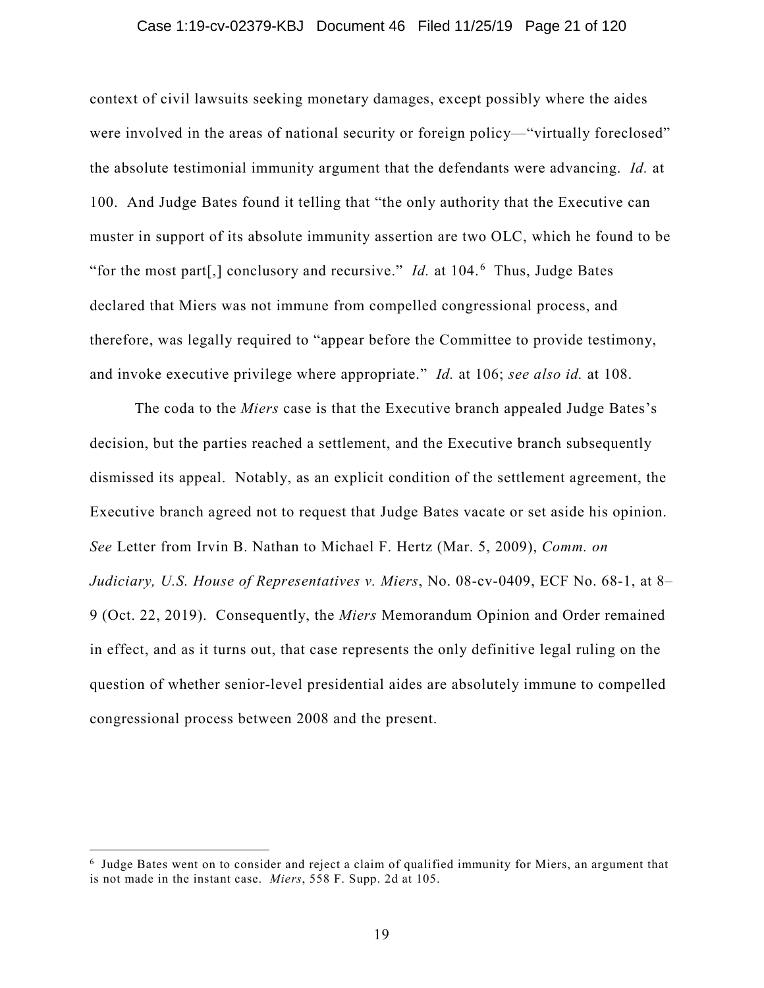#### Case 1:19-cv-02379-KBJ Document 46 Filed 11/25/19 Page 21 of 120

context of civil lawsuits seeking monetary damages, except possibly where the aides were involved in the areas of national security or foreign policy—"virtually foreclosed" the absolute testimonial immunity argument that the defendants were advancing. *Id.* at 100. And Judge Bates found it telling that "the only authority that the Executive can muster in support of its absolute immunity assertion are two OLC, which he found to be "for the most part[,] conclusory and recursive." *Id.* at 104.<sup>[6](#page-20-0)</sup> Thus, Judge Bates declared that Miers was not immune from compelled congressional process, and therefore, was legally required to "appear before the Committee to provide testimony, and invoke executive privilege where appropriate." *Id.* at 106; *see also id.* at 108.

The coda to the *Miers* case is that the Executive branch appealed Judge Bates's decision, but the parties reached a settlement, and the Executive branch subsequently dismissed its appeal. Notably, as an explicit condition of the settlement agreement, the Executive branch agreed not to request that Judge Bates vacate or set aside his opinion. *See* Letter from Irvin B. Nathan to Michael F. Hertz (Mar. 5, 2009), *Comm. on Judiciary, U.S. House of Representatives v. Miers*, No. 08-cv-0409, ECF No. 68-1, at 8– 9 (Oct. 22, 2019). Consequently, the *Miers* Memorandum Opinion and Order remained in effect, and as it turns out, that case represents the only definitive legal ruling on the question of whether senior-level presidential aides are absolutely immune to compelled congressional process between 2008 and the present.

<span id="page-20-0"></span> $\frac{1}{6}$ <sup>6</sup> Judge Bates went on to consider and reject a claim of qualified immunity for Miers, an argument that is not made in the instant case. *Miers*, 558 F. Supp. 2d at 105.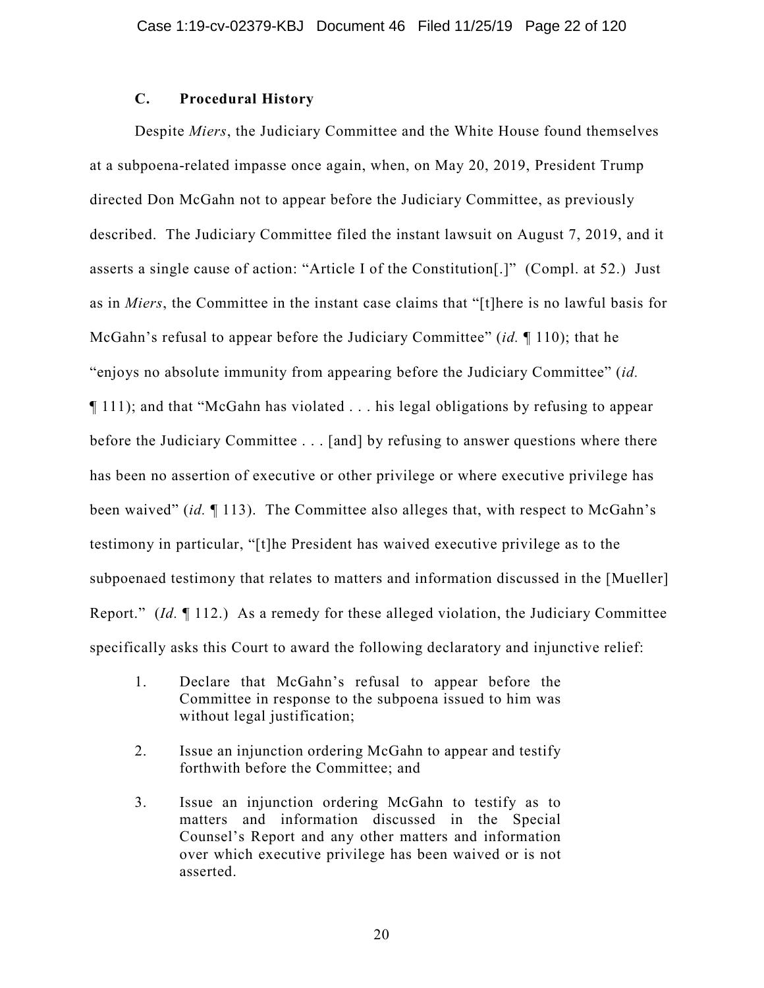## **C. Procedural History**

<span id="page-21-0"></span>Despite *Miers*, the Judiciary Committee and the White House found themselves at a subpoena-related impasse once again, when, on May 20, 2019, President Trump directed Don McGahn not to appear before the Judiciary Committee, as previously described. The Judiciary Committee filed the instant lawsuit on August 7, 2019, and it asserts a single cause of action: "Article I of the Constitution[.]" (Compl. at 52.) Just as in *Miers*, the Committee in the instant case claims that "[t]here is no lawful basis for McGahn's refusal to appear before the Judiciary Committee" (*id.* ¶ 110); that he "enjoys no absolute immunity from appearing before the Judiciary Committee" (*id.*  ¶ 111); and that "McGahn has violated . . . his legal obligations by refusing to appear before the Judiciary Committee . . . [and] by refusing to answer questions where there has been no assertion of executive or other privilege or where executive privilege has been waived" *(id.* 113). The Committee also alleges that, with respect to McGahn's testimony in particular, "[t]he President has waived executive privilege as to the subpoenaed testimony that relates to matters and information discussed in the [Mueller] Report." (*Id.* ¶ 112.) As a remedy for these alleged violation, the Judiciary Committee specifically asks this Court to award the following declaratory and injunctive relief:

- 1. Declare that McGahn's refusal to appear before the Committee in response to the subpoena issued to him was without legal justification;
- 2. Issue an injunction ordering McGahn to appear and testify forthwith before the Committee; and
- 3. Issue an injunction ordering McGahn to testify as to matters and information discussed in the Special Counsel's Report and any other matters and information over which executive privilege has been waived or is not asserted.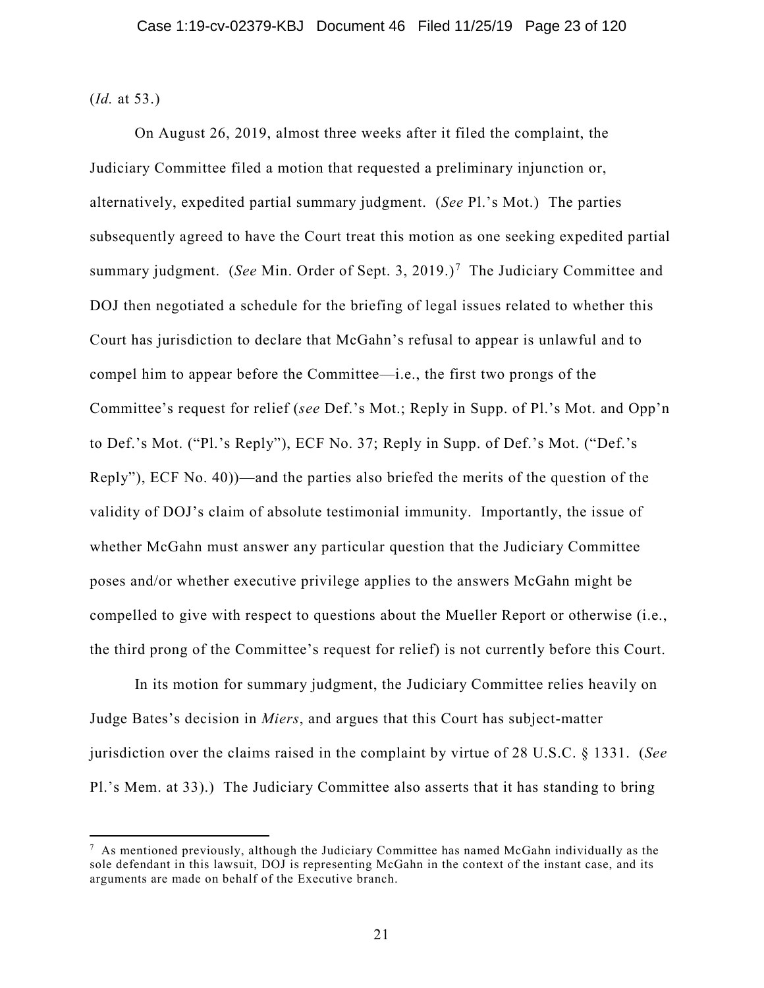(*Id.* at 53.)

On August 26, 2019, almost three weeks after it filed the complaint, the Judiciary Committee filed a motion that requested a preliminary injunction or, alternatively, expedited partial summary judgment. (*See* Pl.'s Mot.) The parties subsequently agreed to have the Court treat this motion as one seeking expedited partial summary judgment. (*See* Min. Order of Sept. 3, 2019.)<sup>[7](#page-22-0)</sup> The Judiciary Committee and DOJ then negotiated a schedule for the briefing of legal issues related to whether this Court has jurisdiction to declare that McGahn's refusal to appear is unlawful and to compel him to appear before the Committee—i.e., the first two prongs of the Committee's request for relief (*see* Def.'s Mot.; Reply in Supp. of Pl.'s Mot. and Opp'n to Def.'s Mot. ("Pl.'s Reply"), ECF No. 37; Reply in Supp. of Def.'s Mot. ("Def.'s Reply"), ECF No. 40))—and the parties also briefed the merits of the question of the validity of DOJ's claim of absolute testimonial immunity. Importantly, the issue of whether McGahn must answer any particular question that the Judiciary Committee poses and/or whether executive privilege applies to the answers McGahn might be compelled to give with respect to questions about the Mueller Report or otherwise (i.e., the third prong of the Committee's request for relief) is not currently before this Court.

In its motion for summary judgment, the Judiciary Committee relies heavily on Judge Bates's decision in *Miers*, and argues that this Court has subject-matter jurisdiction over the claims raised in the complaint by virtue of 28 U.S.C. § 1331. (*See*  Pl.'s Mem. at 33).) The Judiciary Committee also asserts that it has standing to bring

<span id="page-22-0"></span><sup>—&</sup>lt;br>7  $\frac{7}{1}$  As mentioned previously, although the Judiciary Committee has named McGahn individually as the sole defendant in this lawsuit, DOJ is representing McGahn in the context of the instant case, and its arguments are made on behalf of the Executive branch.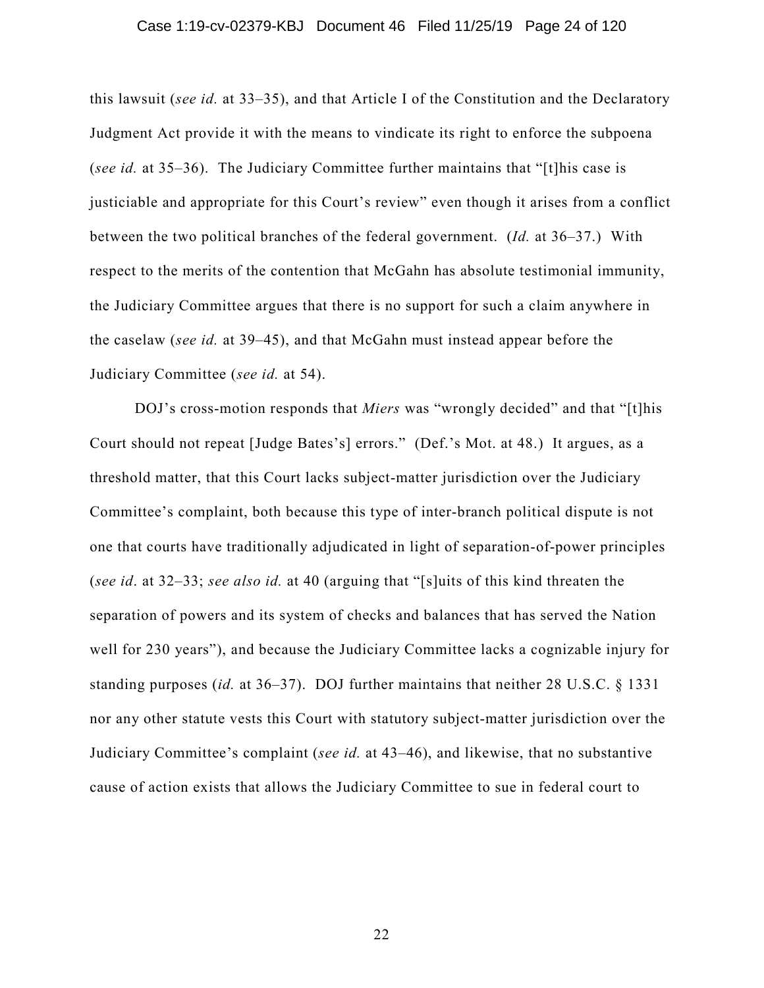#### Case 1:19-cv-02379-KBJ Document 46 Filed 11/25/19 Page 24 of 120

this lawsuit (*see id.* at 33–35), and that Article I of the Constitution and the Declaratory Judgment Act provide it with the means to vindicate its right to enforce the subpoena (*see id.* at 35–36). The Judiciary Committee further maintains that "[t]his case is justiciable and appropriate for this Court's review" even though it arises from a conflict between the two political branches of the federal government. (*Id.* at 36–37.) With respect to the merits of the contention that McGahn has absolute testimonial immunity, the Judiciary Committee argues that there is no support for such a claim anywhere in the caselaw (*see id.* at 39–45), and that McGahn must instead appear before the Judiciary Committee (*see id.* at 54).

DOJ's cross-motion responds that *Miers* was "wrongly decided" and that "[t]his Court should not repeat [Judge Bates's] errors." (Def.'s Mot. at 48.) It argues, as a threshold matter, that this Court lacks subject-matter jurisdiction over the Judiciary Committee's complaint, both because this type of inter-branch political dispute is not one that courts have traditionally adjudicated in light of separation-of-power principles (*see id*. at 32–33; *see also id.* at 40 (arguing that "[s]uits of this kind threaten the separation of powers and its system of checks and balances that has served the Nation well for 230 years"), and because the Judiciary Committee lacks a cognizable injury for standing purposes (*id.* at 36–37). DOJ further maintains that neither 28 U.S.C. § 1331 nor any other statute vests this Court with statutory subject-matter jurisdiction over the Judiciary Committee's complaint (*see id.* at 43–46), and likewise, that no substantive cause of action exists that allows the Judiciary Committee to sue in federal court to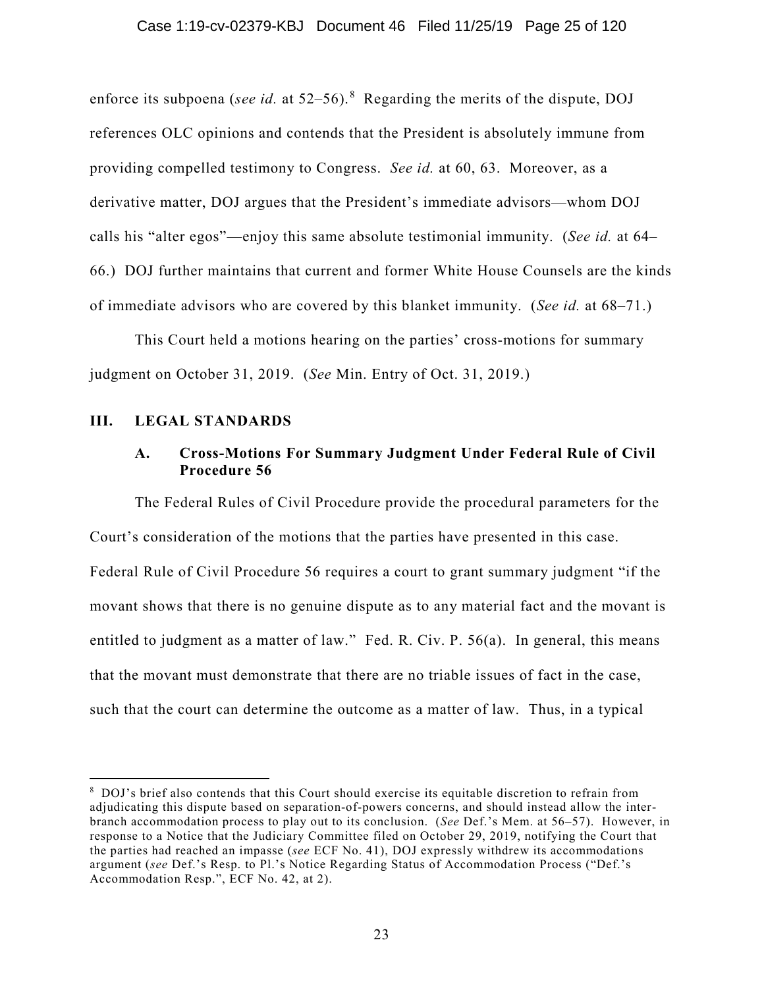enforce its subpoena (*see id.* at 52–56). [8](#page-24-2) Regarding the merits of the dispute, DOJ references OLC opinions and contends that the President is absolutely immune from providing compelled testimony to Congress. *See id.* at 60, 63. Moreover, as a derivative matter, DOJ argues that the President's immediate advisors—whom DOJ calls his "alter egos"—enjoy this same absolute testimonial immunity. (*See id.* at 64– 66.) DOJ further maintains that current and former White House Counsels are the kinds of immediate advisors who are covered by this blanket immunity. (*See id.* at 68–71.)

This Court held a motions hearing on the parties' cross-motions for summary judgment on October 31, 2019. (*See* Min. Entry of Oct. 31, 2019.)

### <span id="page-24-1"></span><span id="page-24-0"></span>**III. LEGAL STANDARDS**

## **A. Cross-Motions For Summary Judgment Under Federal Rule of Civil Procedure 56**

The Federal Rules of Civil Procedure provide the procedural parameters for the Court's consideration of the motions that the parties have presented in this case. Federal Rule of Civil Procedure 56 requires a court to grant summary judgment "if the movant shows that there is no genuine dispute as to any material fact and the movant is entitled to judgment as a matter of law." Fed. R. Civ. P. 56(a). In general, this means that the movant must demonstrate that there are no triable issues of fact in the case, such that the court can determine the outcome as a matter of law. Thus, in a typical

<span id="page-24-2"></span> $\frac{1}{8}$ <sup>8</sup> DOJ's brief also contends that this Court should exercise its equitable discretion to refrain from adjudicating this dispute based on separation-of-powers concerns, and should instead allow the interbranch accommodation process to play out to its conclusion. (*See* Def.'s Mem. at 56–57). However, in response to a Notice that the Judiciary Committee filed on October 29, 2019, notifying the Court that the parties had reached an impasse (*see* ECF No. 41), DOJ expressly withdrew its accommodations argument (*see* Def.'s Resp. to Pl.'s Notice Regarding Status of Accommodation Process ("Def.'s Accommodation Resp.", ECF No. 42, at 2).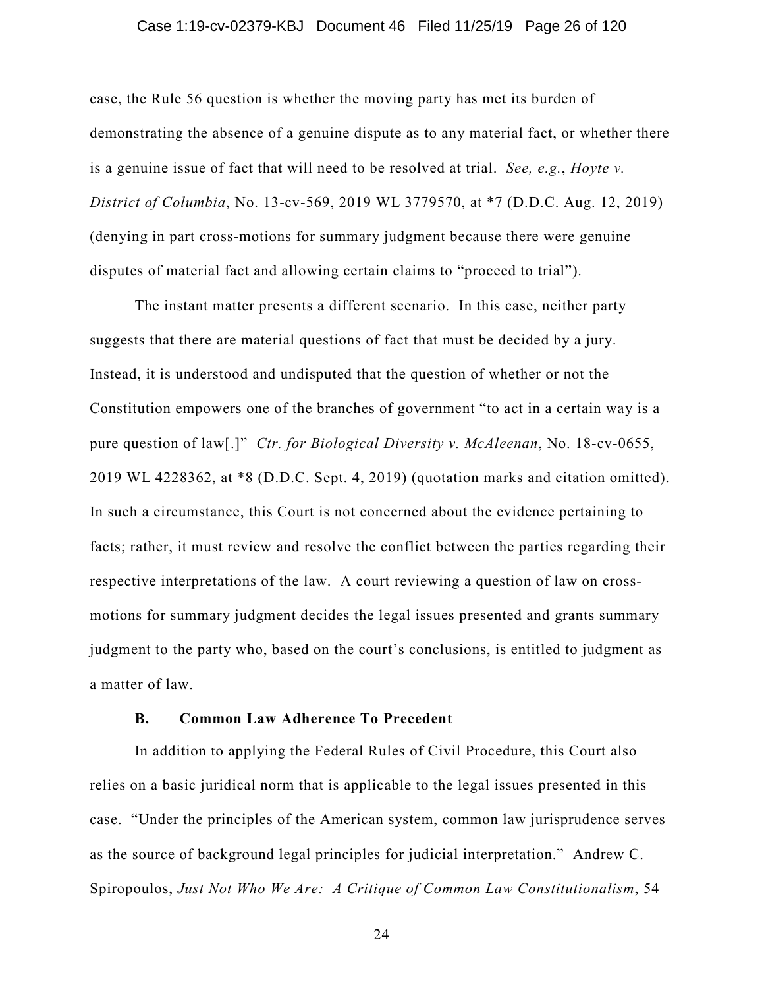#### Case 1:19-cv-02379-KBJ Document 46 Filed 11/25/19 Page 26 of 120

case, the Rule 56 question is whether the moving party has met its burden of demonstrating the absence of a genuine dispute as to any material fact, or whether there is a genuine issue of fact that will need to be resolved at trial. *See, e.g.*, *Hoyte v. District of Columbia*, No. 13-cv-569, 2019 WL 3779570, at \*7 (D.D.C. Aug. 12, 2019) (denying in part cross-motions for summary judgment because there were genuine disputes of material fact and allowing certain claims to "proceed to trial").

The instant matter presents a different scenario. In this case, neither party suggests that there are material questions of fact that must be decided by a jury. Instead, it is understood and undisputed that the question of whether or not the Constitution empowers one of the branches of government "to act in a certain way is a pure question of law[.]" *Ctr. for Biological Diversity v. McAleenan*, No. 18-cv-0655, 2019 WL 4228362, at \*8 (D.D.C. Sept. 4, 2019) (quotation marks and citation omitted). In such a circumstance, this Court is not concerned about the evidence pertaining to facts; rather, it must review and resolve the conflict between the parties regarding their respective interpretations of the law. A court reviewing a question of law on crossmotions for summary judgment decides the legal issues presented and grants summary judgment to the party who, based on the court's conclusions, is entitled to judgment as a matter of law.

## **B. Common Law Adherence To Precedent**

<span id="page-25-0"></span>In addition to applying the Federal Rules of Civil Procedure, this Court also relies on a basic juridical norm that is applicable to the legal issues presented in this case. "Under the principles of the American system, common law jurisprudence serves as the source of background legal principles for judicial interpretation." Andrew C. Spiropoulos, *Just Not Who We Are: A Critique of Common Law Constitutionalism*, 54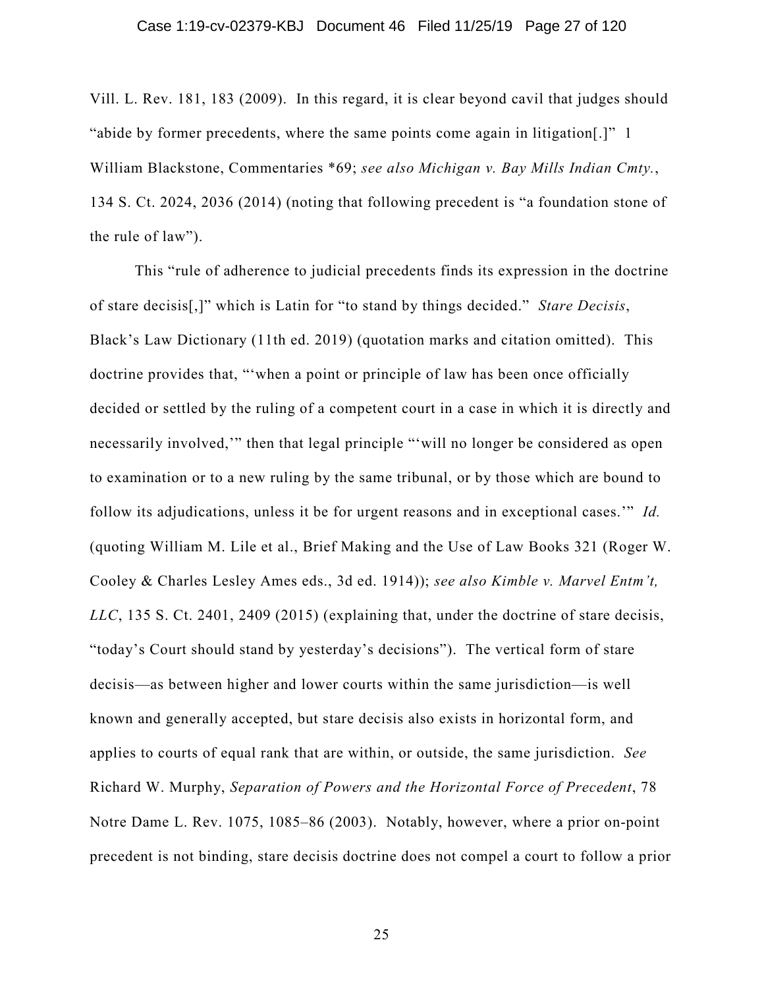Vill. L. Rev. 181, 183 (2009). In this regard, it is clear beyond cavil that judges should "abide by former precedents, where the same points come again in litigation[.]" 1 William Blackstone, Commentaries \*69; *see also Michigan v. Bay Mills Indian Cmty.*, 134 S. Ct. 2024, 2036 (2014) (noting that following precedent is "a foundation stone of the rule of law").

This "rule of adherence to judicial precedents finds its expression in the doctrine of stare decisis[,]" which is Latin for "to stand by things decided." *Stare Decisis*, Black's Law Dictionary (11th ed. 2019) (quotation marks and citation omitted). This doctrine provides that, "'when a point or principle of law has been once officially decided or settled by the ruling of a competent court in a case in which it is directly and necessarily involved,'" then that legal principle "'will no longer be considered as open to examination or to a new ruling by the same tribunal, or by those which are bound to follow its adjudications, unless it be for urgent reasons and in exceptional cases.'" *Id.*  (quoting William M. Lile et al., Brief Making and the Use of Law Books 321 (Roger W. Cooley & Charles Lesley Ames eds., 3d ed. 1914)); *see also Kimble v. Marvel Entm't, LLC*, 135 S. Ct. 2401, 2409 (2015) (explaining that, under the doctrine of stare decisis, "today's Court should stand by yesterday's decisions"). The vertical form of stare decisis—as between higher and lower courts within the same jurisdiction—is well known and generally accepted, but stare decisis also exists in horizontal form, and applies to courts of equal rank that are within, or outside, the same jurisdiction. *See*  Richard W. Murphy, *Separation of Powers and the Horizontal Force of Precedent*, 78 Notre Dame L. Rev. 1075, 1085–86 (2003). Notably, however, where a prior on-point precedent is not binding, stare decisis doctrine does not compel a court to follow a prior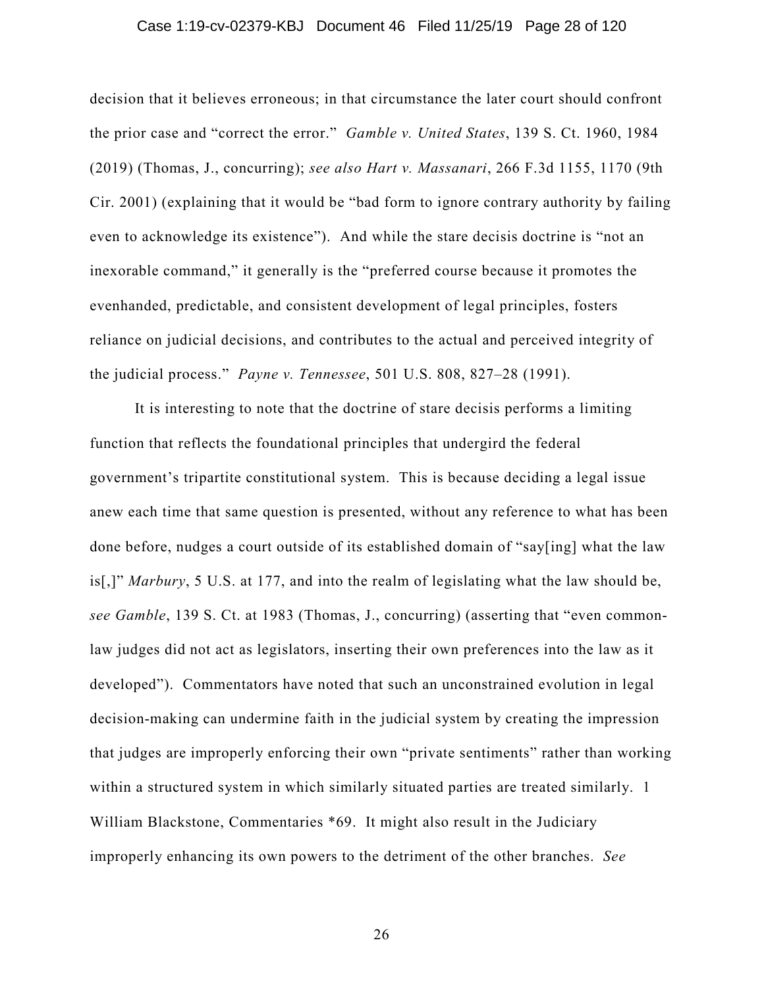#### Case 1:19-cv-02379-KBJ Document 46 Filed 11/25/19 Page 28 of 120

decision that it believes erroneous; in that circumstance the later court should confront the prior case and "correct the error." *Gamble v. United States*, 139 S. Ct. 1960, 1984 (2019) (Thomas, J., concurring); *see also Hart v. Massanari*, 266 F.3d 1155, 1170 (9th Cir. 2001) (explaining that it would be "bad form to ignore contrary authority by failing even to acknowledge its existence"). And while the stare decisis doctrine is "not an inexorable command," it generally is the "preferred course because it promotes the evenhanded, predictable, and consistent development of legal principles, fosters reliance on judicial decisions, and contributes to the actual and perceived integrity of the judicial process." *Payne v. Tennessee*, 501 U.S. 808, 827–28 (1991).

It is interesting to note that the doctrine of stare decisis performs a limiting function that reflects the foundational principles that undergird the federal government's tripartite constitutional system. This is because deciding a legal issue anew each time that same question is presented, without any reference to what has been done before, nudges a court outside of its established domain of "say[ing] what the law is[,]" *Marbury*, 5 U.S. at 177, and into the realm of legislating what the law should be, *see Gamble*, 139 S. Ct. at 1983 (Thomas, J., concurring) (asserting that "even commonlaw judges did not act as legislators, inserting their own preferences into the law as it developed"). Commentators have noted that such an unconstrained evolution in legal decision-making can undermine faith in the judicial system by creating the impression that judges are improperly enforcing their own "private sentiments" rather than working within a structured system in which similarly situated parties are treated similarly. 1 William Blackstone, Commentaries \*69. It might also result in the Judiciary improperly enhancing its own powers to the detriment of the other branches. *See*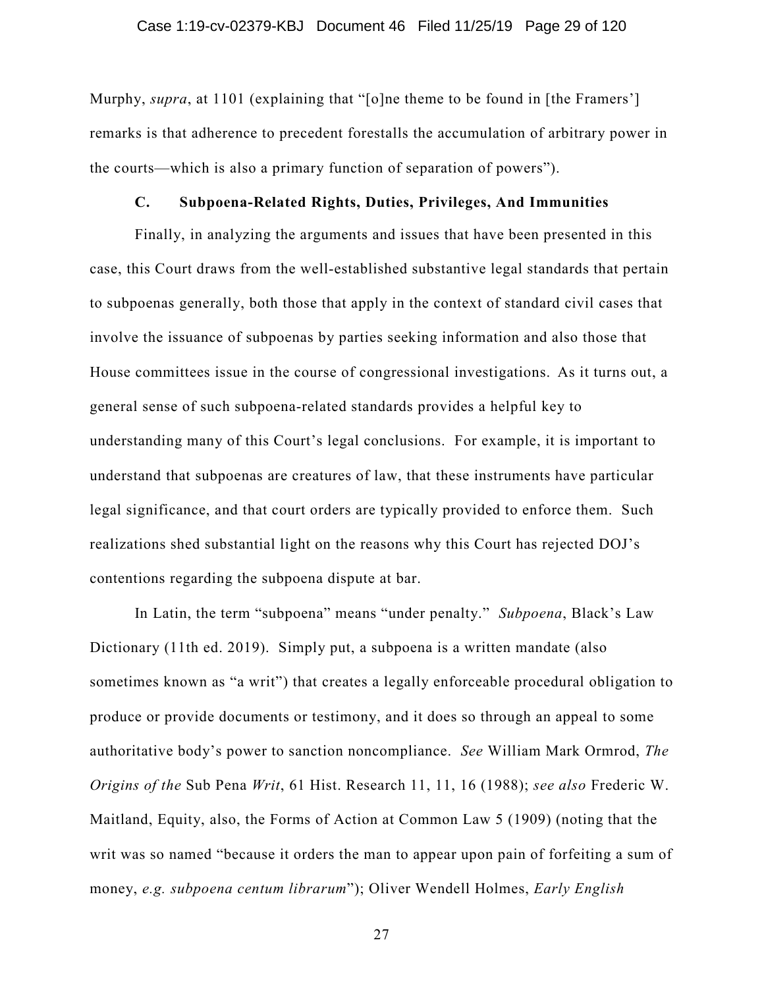Murphy, *supra*, at 1101 (explaining that "[o]ne theme to be found in [the Framers'] remarks is that adherence to precedent forestalls the accumulation of arbitrary power in the courts—which is also a primary function of separation of powers").

## **C. Subpoena-Related Rights, Duties, Privileges, And Immunities**

<span id="page-28-0"></span>Finally, in analyzing the arguments and issues that have been presented in this case, this Court draws from the well-established substantive legal standards that pertain to subpoenas generally, both those that apply in the context of standard civil cases that involve the issuance of subpoenas by parties seeking information and also those that House committees issue in the course of congressional investigations. As it turns out, a general sense of such subpoena-related standards provides a helpful key to understanding many of this Court's legal conclusions. For example, it is important to understand that subpoenas are creatures of law, that these instruments have particular legal significance, and that court orders are typically provided to enforce them. Such realizations shed substantial light on the reasons why this Court has rejected DOJ's contentions regarding the subpoena dispute at bar.

In Latin, the term "subpoena" means "under penalty." *Subpoena*, Black's Law Dictionary (11th ed. 2019). Simply put, a subpoena is a written mandate (also sometimes known as "a writ") that creates a legally enforceable procedural obligation to produce or provide documents or testimony, and it does so through an appeal to some authoritative body's power to sanction noncompliance. *See* William Mark Ormrod, *The Origins of the* Sub Pena *Writ*, 61 Hist. Research 11, 11, 16 (1988); *see also* Frederic W. Maitland, Equity, also, the Forms of Action at Common Law 5 (1909) (noting that the writ was so named "because it orders the man to appear upon pain of forfeiting a sum of money, *e.g. subpoena centum librarum*"); Oliver Wendell Holmes, *Early English*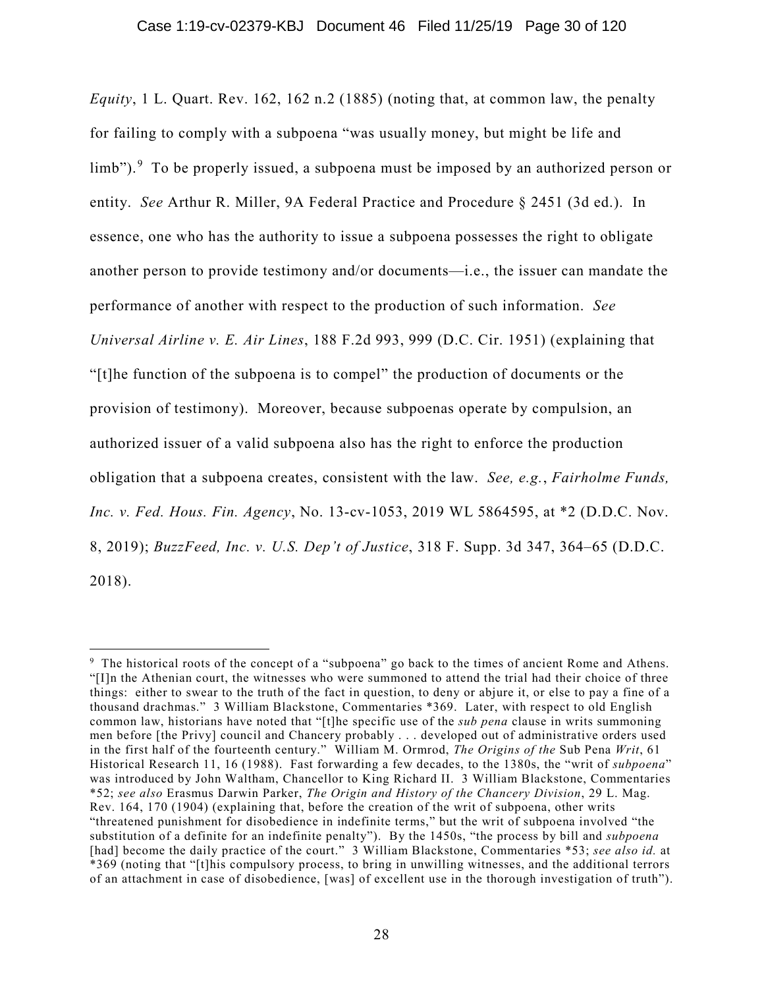*Equity*, 1 L. Quart. Rev. 162, 162 n.2 (1885) (noting that, at common law, the penalty for failing to comply with a subpoena "was usually money, but might be life and limb"). <sup>[9](#page-29-0)</sup> To be properly issued, a subpoena must be imposed by an authorized person or entity. *See* Arthur R. Miller, 9A Federal Practice and Procedure § 2451 (3d ed.). In essence, one who has the authority to issue a subpoena possesses the right to obligate another person to provide testimony and/or documents—i.e., the issuer can mandate the performance of another with respect to the production of such information. *See Universal Airline v. E. Air Lines*, 188 F.2d 993, 999 (D.C. Cir. 1951) (explaining that "[t]he function of the subpoena is to compel" the production of documents or the provision of testimony). Moreover, because subpoenas operate by compulsion, an authorized issuer of a valid subpoena also has the right to enforce the production obligation that a subpoena creates, consistent with the law. *See, e.g.*, *Fairholme Funds, Inc. v. Fed. Hous. Fin. Agency*, No. 13-cv-1053, 2019 WL 5864595, at \*2 (D.D.C. Nov. 8, 2019); *BuzzFeed, Inc. v. U.S. Dep't of Justice*, 318 F. Supp. 3d 347, 364–65 (D.D.C. 2018).

<span id="page-29-0"></span><sup>-&</sup>lt;br>9  $9\text{ The historical roots of the concept of a "subpoena" go back to the times of ancient Rome and Athens.}$ "[I]n the Athenian court, the witnesses who were summoned to attend the trial had their choice of three things: either to swear to the truth of the fact in question, to deny or abjure it, or else to pay a fine of a thousand drachmas." 3 William Blackstone, Commentaries \*369. Later, with respect to old English common law, historians have noted that "[t]he specific use of the *sub pena* clause in writs summoning men before [the Privy] council and Chancery probably . . . developed out of administrative orders used in the first half of the fourteenth century." William M. Ormrod, *The Origins of the* Sub Pena *Writ*, 61 Historical Research 11, 16 (1988). Fast forwarding a few decades, to the 1380s, the "writ of *subpoena*" was introduced by John Waltham, Chancellor to King Richard II. 3 William Blackstone, Commentaries \*52; *see also* Erasmus Darwin Parker, *The Origin and History of the Chancery Division*, 29 L. Mag. Rev. 164, 170 (1904) (explaining that, before the creation of the writ of subpoena, other writs "threatened punishment for disobedience in indefinite terms," but the writ of subpoena involved "the substitution of a definite for an indefinite penalty"). By the 1450s, "the process by bill and *subpoena*  [had] become the daily practice of the court." 3 William Blackstone, Commentaries \*53; *see also id.* at \*369 (noting that "[t]his compulsory process, to bring in unwilling witnesses, and the additional terrors of an attachment in case of disobedience, [was] of excellent use in the thorough investigation of truth").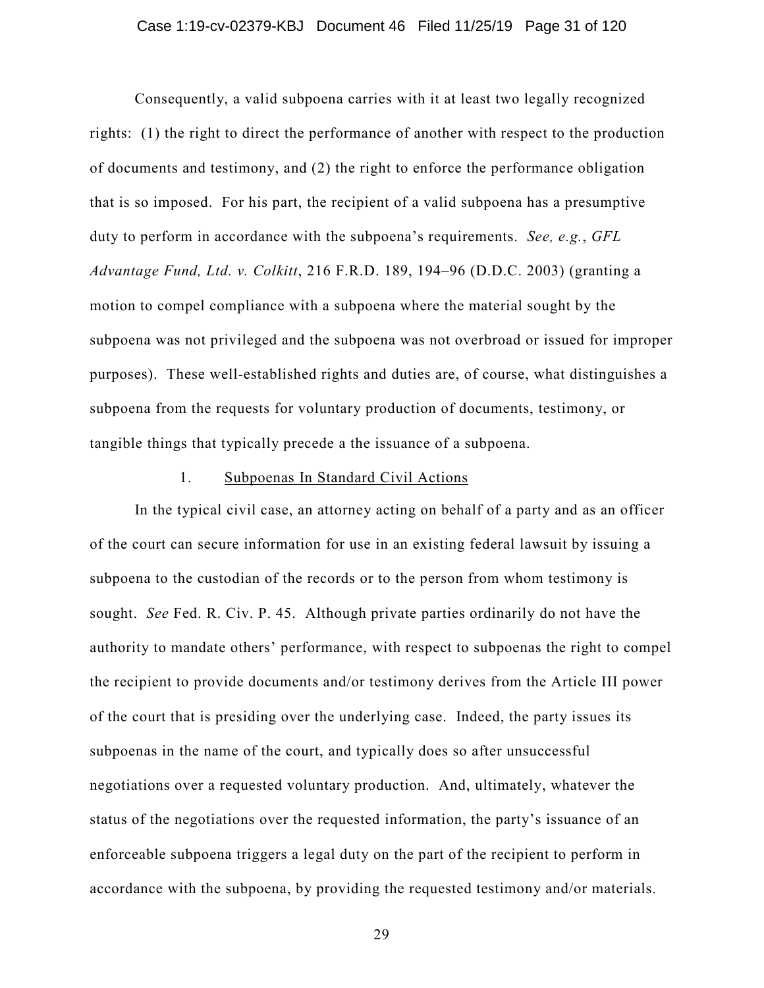#### Case 1:19-cv-02379-KBJ Document 46 Filed 11/25/19 Page 31 of 120

Consequently, a valid subpoena carries with it at least two legally recognized rights: (1) the right to direct the performance of another with respect to the production of documents and testimony, and (2) the right to enforce the performance obligation that is so imposed. For his part, the recipient of a valid subpoena has a presumptive duty to perform in accordance with the subpoena's requirements. *See, e.g.*, *GFL Advantage Fund, Ltd. v. Colkitt*, 216 F.R.D. 189, 194–96 (D.D.C. 2003) (granting a motion to compel compliance with a subpoena where the material sought by the subpoena was not privileged and the subpoena was not overbroad or issued for improper purposes). These well-established rights and duties are, of course, what distinguishes a subpoena from the requests for voluntary production of documents, testimony, or tangible things that typically precede a the issuance of a subpoena.

### 1. Subpoenas In Standard Civil Actions

<span id="page-30-0"></span>In the typical civil case, an attorney acting on behalf of a party and as an officer of the court can secure information for use in an existing federal lawsuit by issuing a subpoena to the custodian of the records or to the person from whom testimony is sought. *See* Fed. R. Civ. P. 45. Although private parties ordinarily do not have the authority to mandate others' performance, with respect to subpoenas the right to compel the recipient to provide documents and/or testimony derives from the Article III power of the court that is presiding over the underlying case. Indeed, the party issues its subpoenas in the name of the court, and typically does so after unsuccessful negotiations over a requested voluntary production. And, ultimately, whatever the status of the negotiations over the requested information, the party's issuance of an enforceable subpoena triggers a legal duty on the part of the recipient to perform in accordance with the subpoena, by providing the requested testimony and/or materials.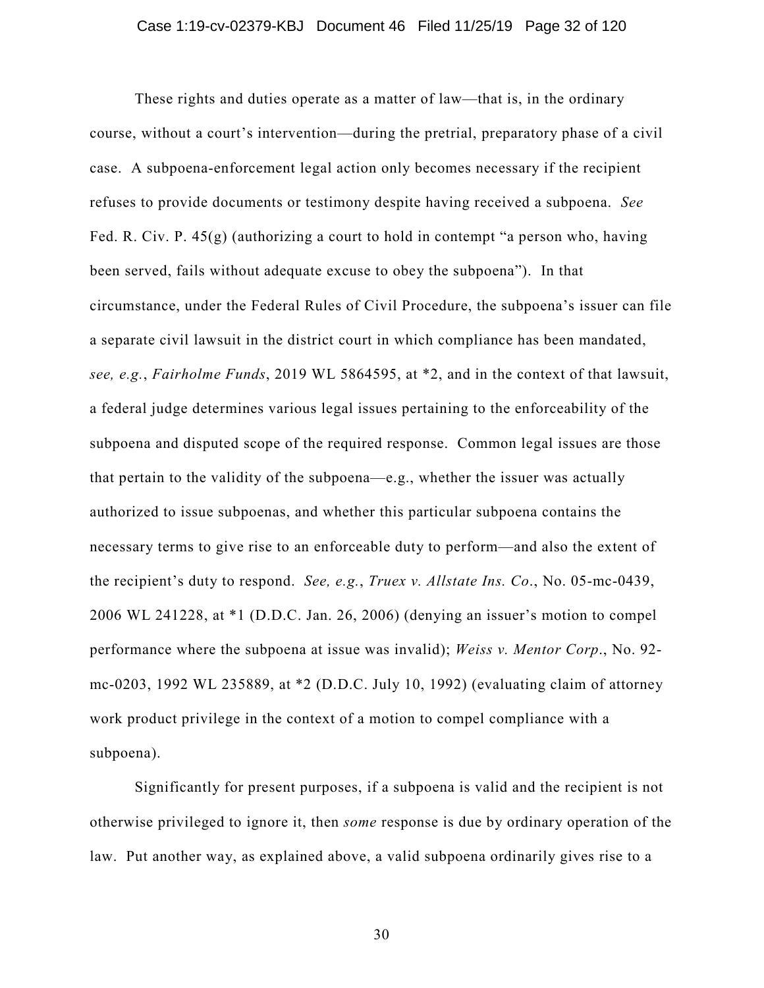These rights and duties operate as a matter of law—that is, in the ordinary course, without a court's intervention—during the pretrial, preparatory phase of a civil case. A subpoena-enforcement legal action only becomes necessary if the recipient refuses to provide documents or testimony despite having received a subpoena. *See*  Fed. R. Civ. P. 45(g) (authorizing a court to hold in contempt "a person who, having been served, fails without adequate excuse to obey the subpoena"). In that circumstance, under the Federal Rules of Civil Procedure, the subpoena's issuer can file a separate civil lawsuit in the district court in which compliance has been mandated, *see, e.g.*, *Fairholme Funds*, 2019 WL 5864595, at \*2, and in the context of that lawsuit, a federal judge determines various legal issues pertaining to the enforceability of the subpoena and disputed scope of the required response. Common legal issues are those that pertain to the validity of the subpoena—e.g., whether the issuer was actually authorized to issue subpoenas, and whether this particular subpoena contains the necessary terms to give rise to an enforceable duty to perform—and also the extent of the recipient's duty to respond. *See, e.g.*, *Truex v. Allstate Ins. Co*., No. 05-mc-0439, 2006 WL 241228, at \*1 (D.D.C. Jan. 26, 2006) (denying an issuer's motion to compel performance where the subpoena at issue was invalid); *Weiss v. Mentor Corp*., No. 92 mc-0203, 1992 WL 235889, at \*2 (D.D.C. July 10, 1992) (evaluating claim of attorney work product privilege in the context of a motion to compel compliance with a subpoena).

Significantly for present purposes, if a subpoena is valid and the recipient is not otherwise privileged to ignore it, then *some* response is due by ordinary operation of the law. Put another way, as explained above, a valid subpoena ordinarily gives rise to a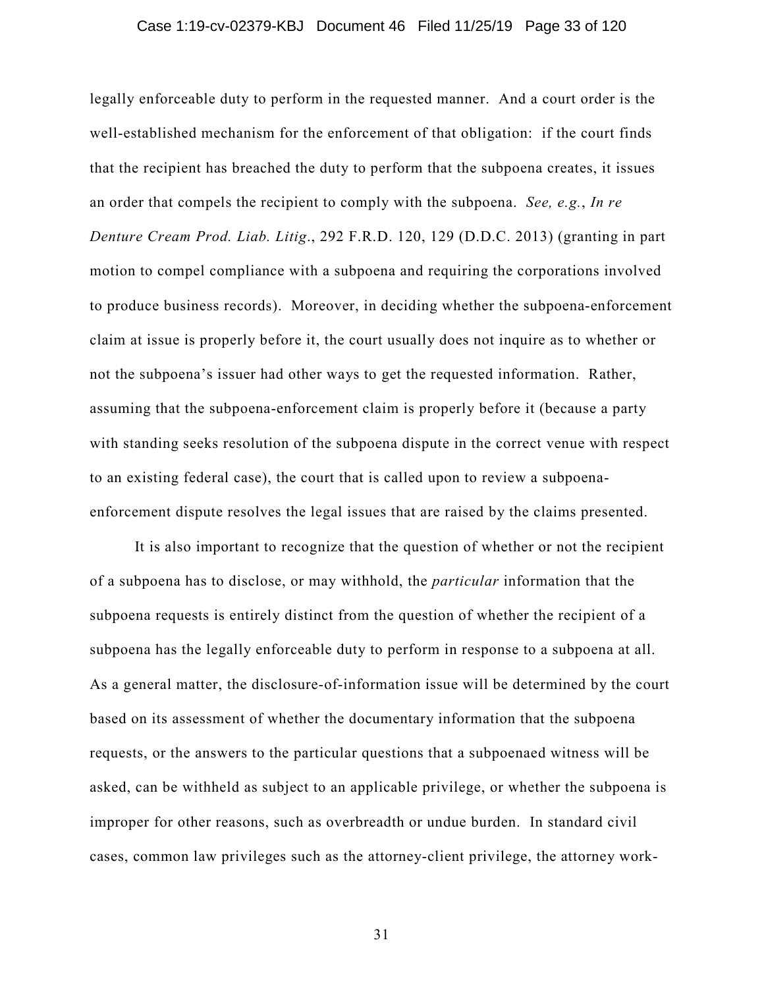#### Case 1:19-cv-02379-KBJ Document 46 Filed 11/25/19 Page 33 of 120

legally enforceable duty to perform in the requested manner. And a court order is the well-established mechanism for the enforcement of that obligation: if the court finds that the recipient has breached the duty to perform that the subpoena creates, it issues an order that compels the recipient to comply with the subpoena. *See, e.g.*, *In re Denture Cream Prod. Liab. Litig*., 292 F.R.D. 120, 129 (D.D.C. 2013) (granting in part motion to compel compliance with a subpoena and requiring the corporations involved to produce business records). Moreover, in deciding whether the subpoena-enforcement claim at issue is properly before it, the court usually does not inquire as to whether or not the subpoena's issuer had other ways to get the requested information. Rather, assuming that the subpoena-enforcement claim is properly before it (because a party with standing seeks resolution of the subpoena dispute in the correct venue with respect to an existing federal case), the court that is called upon to review a subpoenaenforcement dispute resolves the legal issues that are raised by the claims presented.

It is also important to recognize that the question of whether or not the recipient of a subpoena has to disclose, or may withhold, the *particular* information that the subpoena requests is entirely distinct from the question of whether the recipient of a subpoena has the legally enforceable duty to perform in response to a subpoena at all. As a general matter, the disclosure-of-information issue will be determined by the court based on its assessment of whether the documentary information that the subpoena requests, or the answers to the particular questions that a subpoenaed witness will be asked, can be withheld as subject to an applicable privilege, or whether the subpoena is improper for other reasons, such as overbreadth or undue burden. In standard civil cases, common law privileges such as the attorney-client privilege, the attorney work-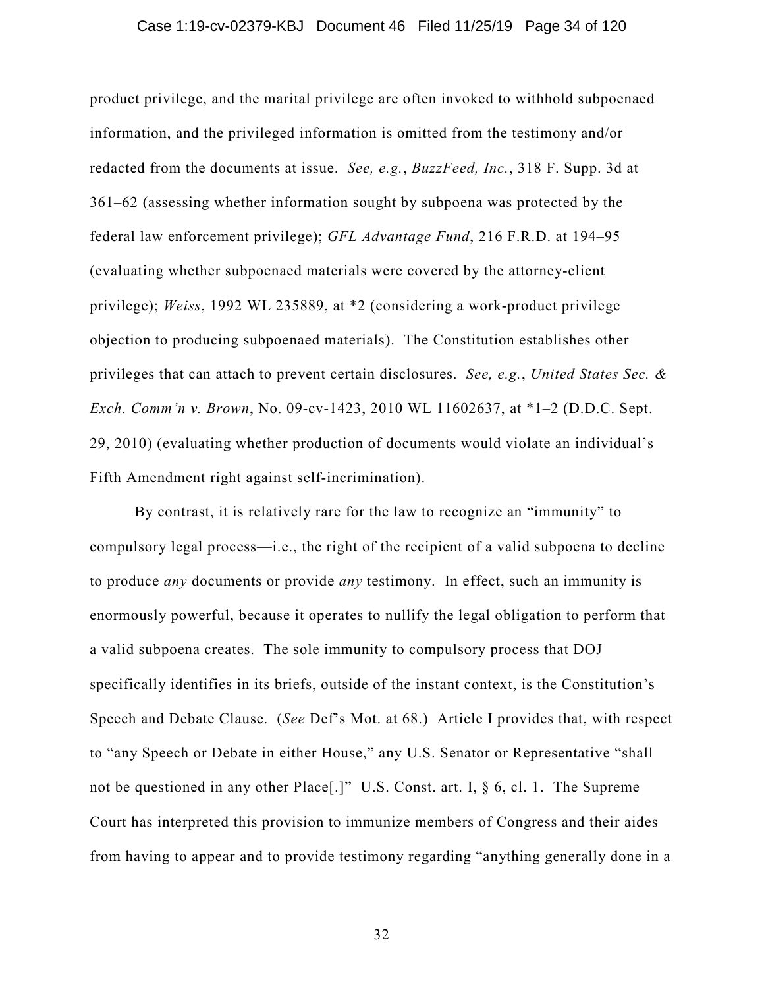#### Case 1:19-cv-02379-KBJ Document 46 Filed 11/25/19 Page 34 of 120

product privilege, and the marital privilege are often invoked to withhold subpoenaed information, and the privileged information is omitted from the testimony and/or redacted from the documents at issue. *See, e.g.*, *BuzzFeed, Inc.*, 318 F. Supp. 3d at 361–62 (assessing whether information sought by subpoena was protected by the federal law enforcement privilege); *GFL Advantage Fund*, 216 F.R.D. at 194–95 (evaluating whether subpoenaed materials were covered by the attorney-client privilege); *Weiss*, 1992 WL 235889, at \*2 (considering a work-product privilege objection to producing subpoenaed materials). The Constitution establishes other privileges that can attach to prevent certain disclosures. *See, e.g.*, *United States Sec. & Exch. Comm'n v. Brown*, No. 09-cv-1423, 2010 WL 11602637, at \*1–2 (D.D.C. Sept. 29, 2010) (evaluating whether production of documents would violate an individual's Fifth Amendment right against self-incrimination).

By contrast, it is relatively rare for the law to recognize an "immunity" to compulsory legal process—i.e., the right of the recipient of a valid subpoena to decline to produce *any* documents or provide *any* testimony. In effect, such an immunity is enormously powerful, because it operates to nullify the legal obligation to perform that a valid subpoena creates. The sole immunity to compulsory process that DOJ specifically identifies in its briefs, outside of the instant context, is the Constitution's Speech and Debate Clause. (*See* Def's Mot. at 68.) Article I provides that, with respect to "any Speech or Debate in either House," any U.S. Senator or Representative "shall not be questioned in any other Place[.]" U.S. Const. art. I, § 6, cl. 1. The Supreme Court has interpreted this provision to immunize members of Congress and their aides from having to appear and to provide testimony regarding "anything generally done in a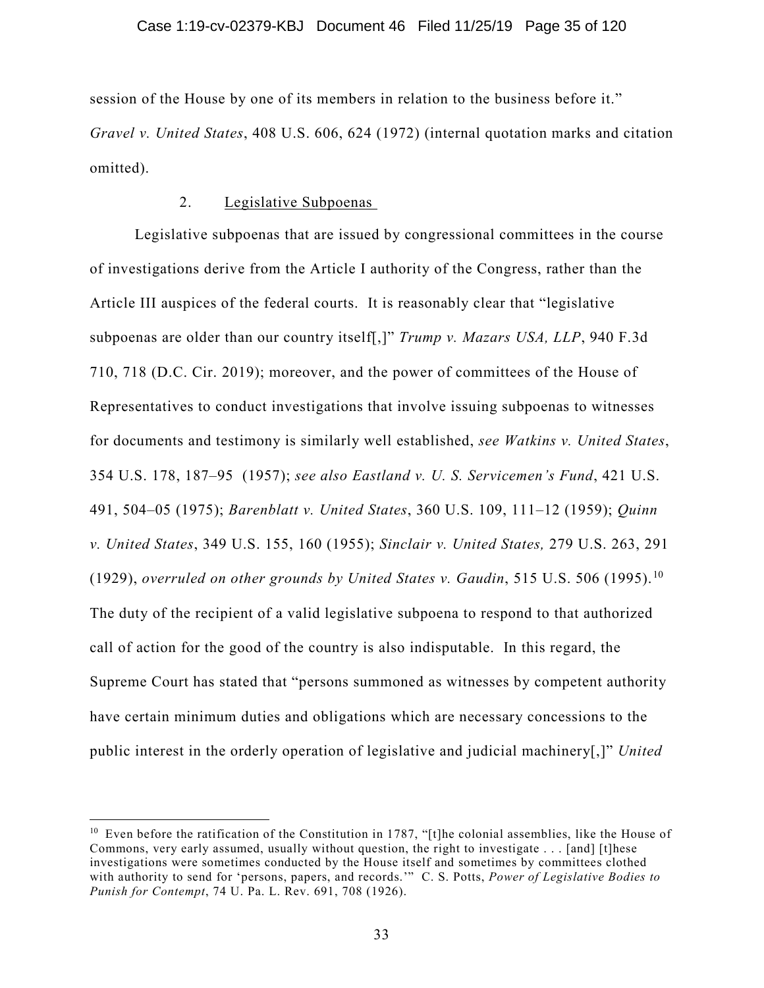session of the House by one of its members in relation to the business before it." *Gravel v. United States*, 408 U.S. 606, 624 (1972) (internal quotation marks and citation omitted).

## 2. Legislative Subpoenas

<span id="page-34-0"></span>Legislative subpoenas that are issued by congressional committees in the course of investigations derive from the Article I authority of the Congress, rather than the Article III auspices of the federal courts. It is reasonably clear that "legislative subpoenas are older than our country itself[,]" *Trump v. Mazars USA, LLP*, 940 F.3d 710, 718 (D.C. Cir. 2019); moreover, and the power of committees of the House of Representatives to conduct investigations that involve issuing subpoenas to witnesses for documents and testimony is similarly well established, *see Watkins v. United States*, 354 U.S. 178, 187–95 (1957); *see also Eastland v. U. S. Servicemen's Fund*, 421 U.S. 491, 504–05 (1975); *Barenblatt v. United States*, 360 U.S. 109, 111–12 (1959); *Quinn v. United States*, 349 U.S. 155, 160 (1955); *Sinclair v. United States,* 279 U.S. 263, 291 (1929), *overruled on other grounds by United States v. Gaudin*, 515 U.S. 506 (1995). [10](#page-34-1)  The duty of the recipient of a valid legislative subpoena to respond to that authorized call of action for the good of the country is also indisputable. In this regard, the Supreme Court has stated that "persons summoned as witnesses by competent authority have certain minimum duties and obligations which are necessary concessions to the public interest in the orderly operation of legislative and judicial machinery[,]" *United* 

<span id="page-34-1"></span> $10$  Even before the ratification of the Constitution in 1787, "[t]he colonial assemblies, like the House of Commons, very early assumed, usually without question, the right to investigate . . . [and] [t]hese investigations were sometimes conducted by the House itself and sometimes by committees clothed with authority to send for 'persons, papers, and records.'" C. S. Potts, *Power of Legislative Bodies to Punish for Contempt*, 74 U. Pa. L. Rev. 691, 708 (1926).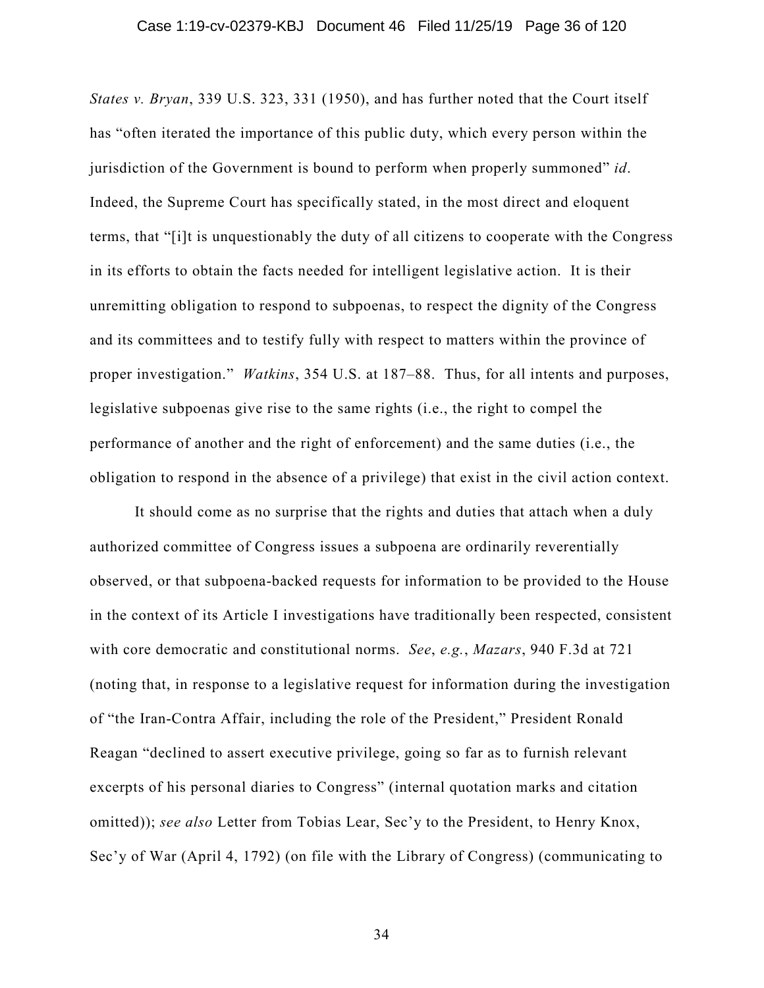*States v. Bryan*, 339 U.S. 323, 331 (1950), and has further noted that the Court itself has "often iterated the importance of this public duty, which every person within the jurisdiction of the Government is bound to perform when properly summoned" *id*. Indeed, the Supreme Court has specifically stated, in the most direct and eloquent terms, that "[i]t is unquestionably the duty of all citizens to cooperate with the Congress in its efforts to obtain the facts needed for intelligent legislative action. It is their unremitting obligation to respond to subpoenas, to respect the dignity of the Congress and its committees and to testify fully with respect to matters within the province of proper investigation." *Watkins*, 354 U.S. at 187–88. Thus, for all intents and purposes, legislative subpoenas give rise to the same rights (i.e., the right to compel the performance of another and the right of enforcement) and the same duties (i.e., the obligation to respond in the absence of a privilege) that exist in the civil action context.

It should come as no surprise that the rights and duties that attach when a duly authorized committee of Congress issues a subpoena are ordinarily reverentially observed, or that subpoena-backed requests for information to be provided to the House in the context of its Article I investigations have traditionally been respected, consistent with core democratic and constitutional norms. *See*, *e.g.*, *Mazars*, 940 F.3d at 721 (noting that, in response to a legislative request for information during the investigation of "the Iran-Contra Affair, including the role of the President," President Ronald Reagan "declined to assert executive privilege, going so far as to furnish relevant excerpts of his personal diaries to Congress" (internal quotation marks and citation omitted)); *see also* Letter from Tobias Lear, Sec'y to the President, to Henry Knox, Sec'y of War (April 4, 1792) (on file with the Library of Congress) (communicating to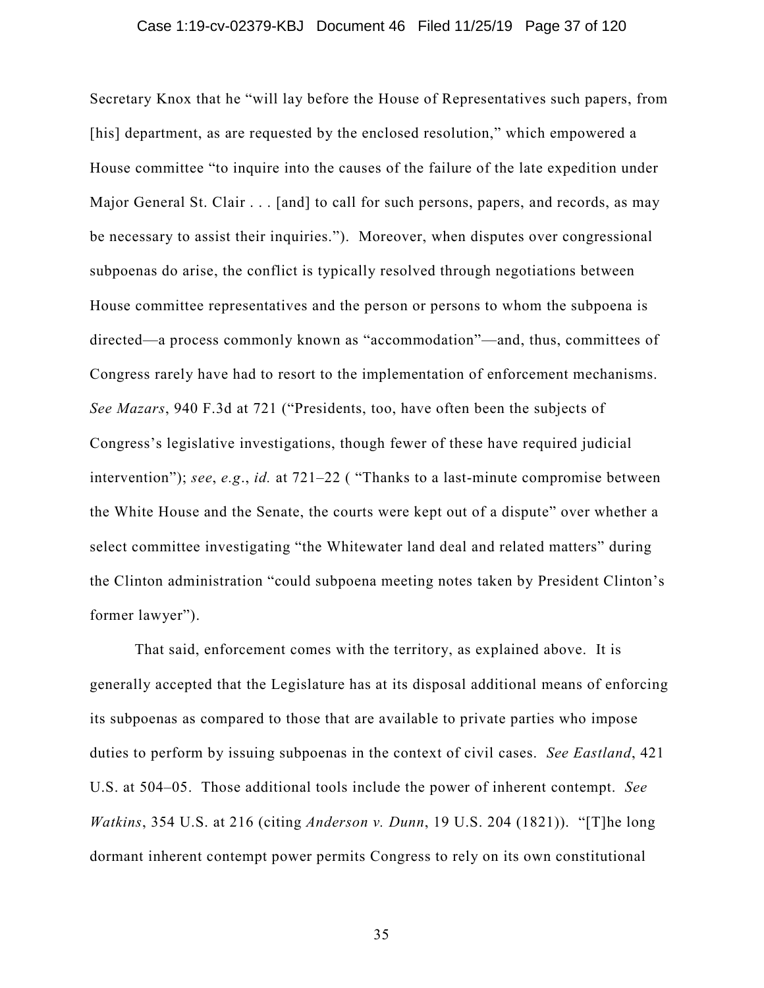## Case 1:19-cv-02379-KBJ Document 46 Filed 11/25/19 Page 37 of 120

Secretary Knox that he "will lay before the House of Representatives such papers, from [his] department, as are requested by the enclosed resolution," which empowered a House committee "to inquire into the causes of the failure of the late expedition under Major General St. Clair . . . [and] to call for such persons, papers, and records, as may be necessary to assist their inquiries."). Moreover, when disputes over congressional subpoenas do arise, the conflict is typically resolved through negotiations between House committee representatives and the person or persons to whom the subpoena is directed—a process commonly known as "accommodation"—and, thus, committees of Congress rarely have had to resort to the implementation of enforcement mechanisms. *See Mazars*, 940 F.3d at 721 ("Presidents, too, have often been the subjects of Congress's legislative investigations, though fewer of these have required judicial intervention"); *see*, *e.g*., *id.* at 721–22 ( "Thanks to a last-minute compromise between the White House and the Senate, the courts were kept out of a dispute" over whether a select committee investigating "the Whitewater land deal and related matters" during the Clinton administration "could subpoena meeting notes taken by President Clinton's former lawyer").

That said, enforcement comes with the territory, as explained above. It is generally accepted that the Legislature has at its disposal additional means of enforcing its subpoenas as compared to those that are available to private parties who impose duties to perform by issuing subpoenas in the context of civil cases. *See Eastland*, 421 U.S. at 504–05. Those additional tools include the power of inherent contempt. *See Watkins*, 354 U.S. at 216 (citing *Anderson v. Dunn*, 19 U.S. 204 (1821)). "[T]he long dormant inherent contempt power permits Congress to rely on its own constitutional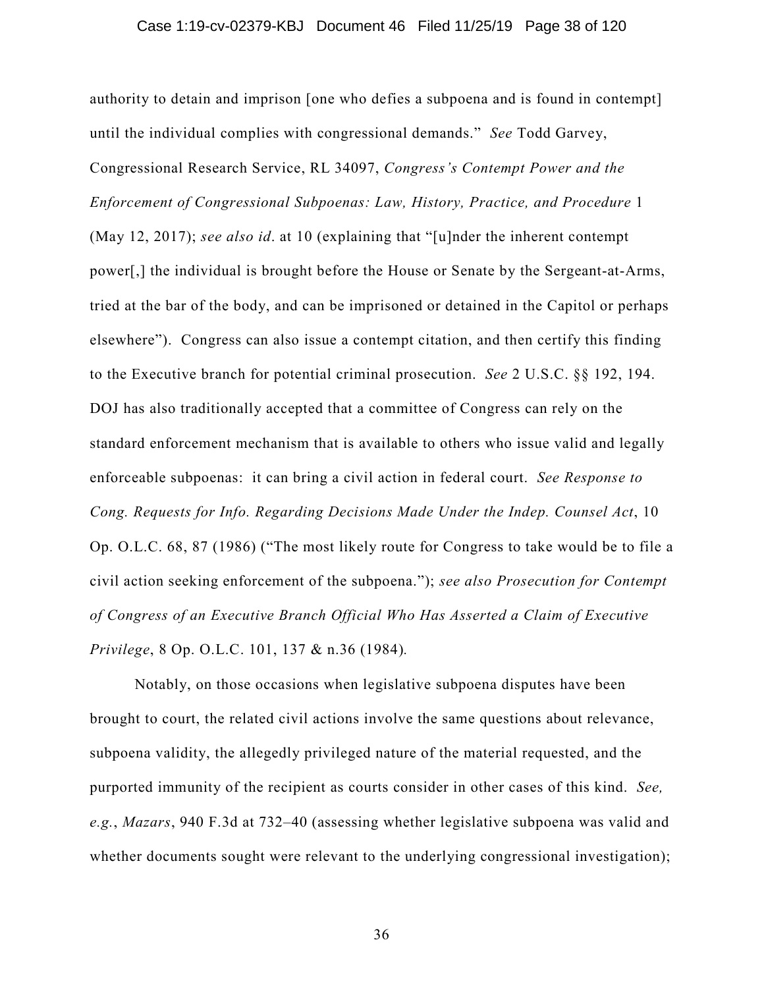#### Case 1:19-cv-02379-KBJ Document 46 Filed 11/25/19 Page 38 of 120

authority to detain and imprison [one who defies a subpoena and is found in contempt] until the individual complies with congressional demands." *See* Todd Garvey, Congressional Research Service, RL 34097, *Congress's Contempt Power and the Enforcement of Congressional Subpoenas: Law, History, Practice, and Procedure* 1 (May 12, 2017); *see also id*. at 10 (explaining that "[u]nder the inherent contempt power[,] the individual is brought before the House or Senate by the Sergeant-at-Arms, tried at the bar of the body, and can be imprisoned or detained in the Capitol or perhaps elsewhere"). Congress can also issue a contempt citation, and then certify this finding to the Executive branch for potential criminal prosecution. *See* 2 U.S.C. §§ 192, 194. DOJ has also traditionally accepted that a committee of Congress can rely on the standard enforcement mechanism that is available to others who issue valid and legally enforceable subpoenas: it can bring a civil action in federal court. *See Response to Cong. Requests for Info. Regarding Decisions Made Under the Indep. Counsel Act*, 10 Op. O.L.C. 68, 87 (1986) ("The most likely route for Congress to take would be to file a civil action seeking enforcement of the subpoena."); *see also Prosecution for Contempt of Congress of an Executive Branch Official Who Has Asserted a Claim of Executive Privilege*, 8 Op. O.L.C. 101, 137 & n.36 (1984)*.*

Notably, on those occasions when legislative subpoena disputes have been brought to court, the related civil actions involve the same questions about relevance, subpoena validity, the allegedly privileged nature of the material requested, and the purported immunity of the recipient as courts consider in other cases of this kind. *See, e.g.*, *Mazars*, 940 F.3d at 732–40 (assessing whether legislative subpoena was valid and whether documents sought were relevant to the underlying congressional investigation);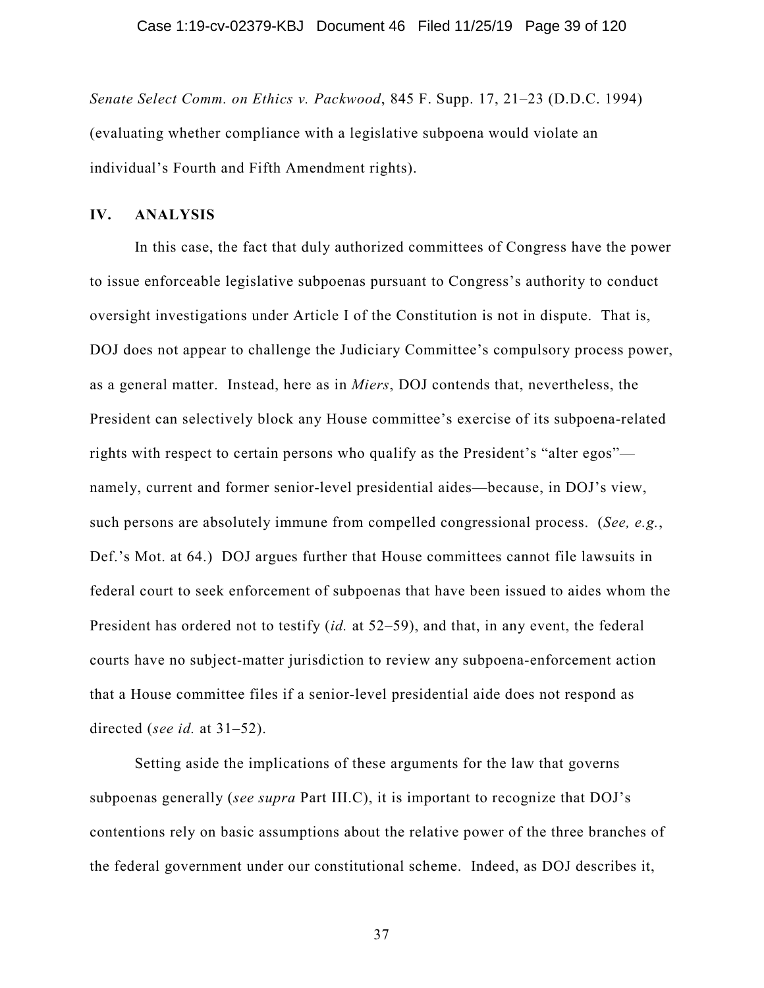*Senate Select Comm. on Ethics v. Packwood*, 845 F. Supp. 17, 21–23 (D.D.C. 1994) (evaluating whether compliance with a legislative subpoena would violate an individual's Fourth and Fifth Amendment rights).

# **IV. ANALYSIS**

In this case, the fact that duly authorized committees of Congress have the power to issue enforceable legislative subpoenas pursuant to Congress's authority to conduct oversight investigations under Article I of the Constitution is not in dispute. That is, DOJ does not appear to challenge the Judiciary Committee's compulsory process power, as a general matter. Instead, here as in *Miers*, DOJ contends that, nevertheless, the President can selectively block any House committee's exercise of its subpoena-related rights with respect to certain persons who qualify as the President's "alter egos" namely, current and former senior-level presidential aides—because, in DOJ's view, such persons are absolutely immune from compelled congressional process. (*See, e.g.*, Def.'s Mot. at 64.) DOJ argues further that House committees cannot file lawsuits in federal court to seek enforcement of subpoenas that have been issued to aides whom the President has ordered not to testify (*id.* at 52–59), and that, in any event, the federal courts have no subject-matter jurisdiction to review any subpoena-enforcement action that a House committee files if a senior-level presidential aide does not respond as directed (*see id.* at 31–52).

Setting aside the implications of these arguments for the law that governs subpoenas generally (*see supra* Part III.C), it is important to recognize that DOJ's contentions rely on basic assumptions about the relative power of the three branches of the federal government under our constitutional scheme. Indeed, as DOJ describes it,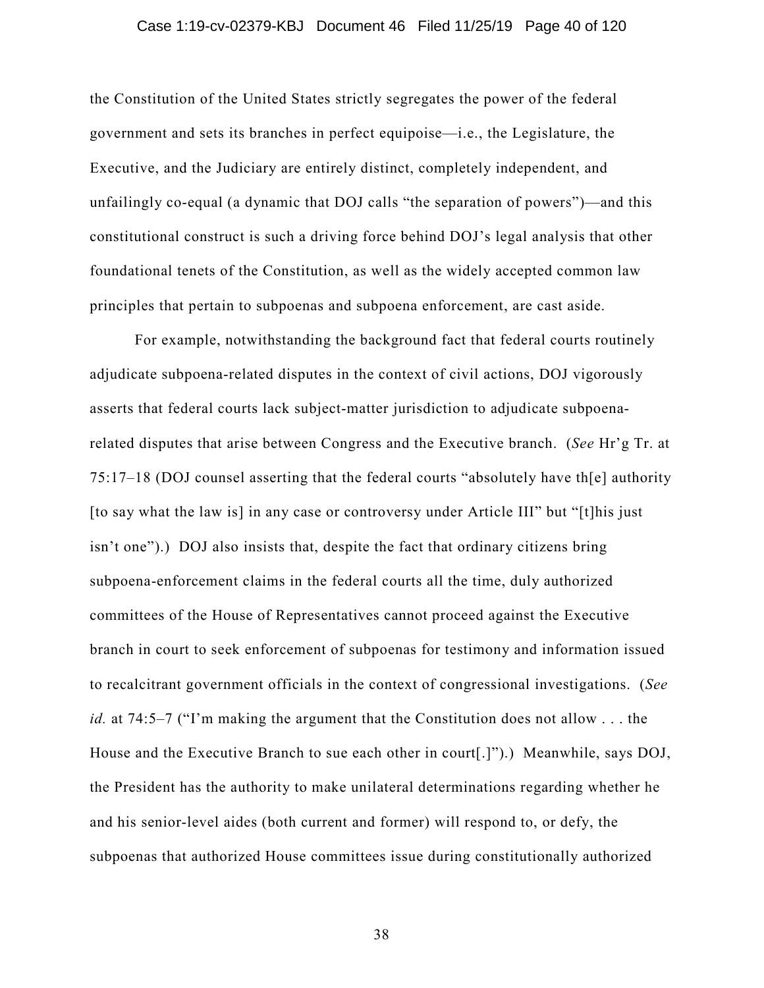#### Case 1:19-cv-02379-KBJ Document 46 Filed 11/25/19 Page 40 of 120

the Constitution of the United States strictly segregates the power of the federal government and sets its branches in perfect equipoise—i.e., the Legislature, the Executive, and the Judiciary are entirely distinct, completely independent, and unfailingly co-equal (a dynamic that DOJ calls "the separation of powers")—and this constitutional construct is such a driving force behind DOJ's legal analysis that other foundational tenets of the Constitution, as well as the widely accepted common law principles that pertain to subpoenas and subpoena enforcement, are cast aside.

For example, notwithstanding the background fact that federal courts routinely adjudicate subpoena-related disputes in the context of civil actions, DOJ vigorously asserts that federal courts lack subject-matter jurisdiction to adjudicate subpoenarelated disputes that arise between Congress and the Executive branch. (*See* Hr'g Tr. at 75:17–18 (DOJ counsel asserting that the federal courts "absolutely have th[e] authority [to say what the law is] in any case or controversy under Article III" but "[t]his just isn't one").) DOJ also insists that, despite the fact that ordinary citizens bring subpoena-enforcement claims in the federal courts all the time, duly authorized committees of the House of Representatives cannot proceed against the Executive branch in court to seek enforcement of subpoenas for testimony and information issued to recalcitrant government officials in the context of congressional investigations. (*See id.* at 74:5–7 ("I'm making the argument that the Constitution does not allow . . . the House and the Executive Branch to sue each other in court[.]").) Meanwhile, says DOJ, the President has the authority to make unilateral determinations regarding whether he and his senior-level aides (both current and former) will respond to, or defy, the subpoenas that authorized House committees issue during constitutionally authorized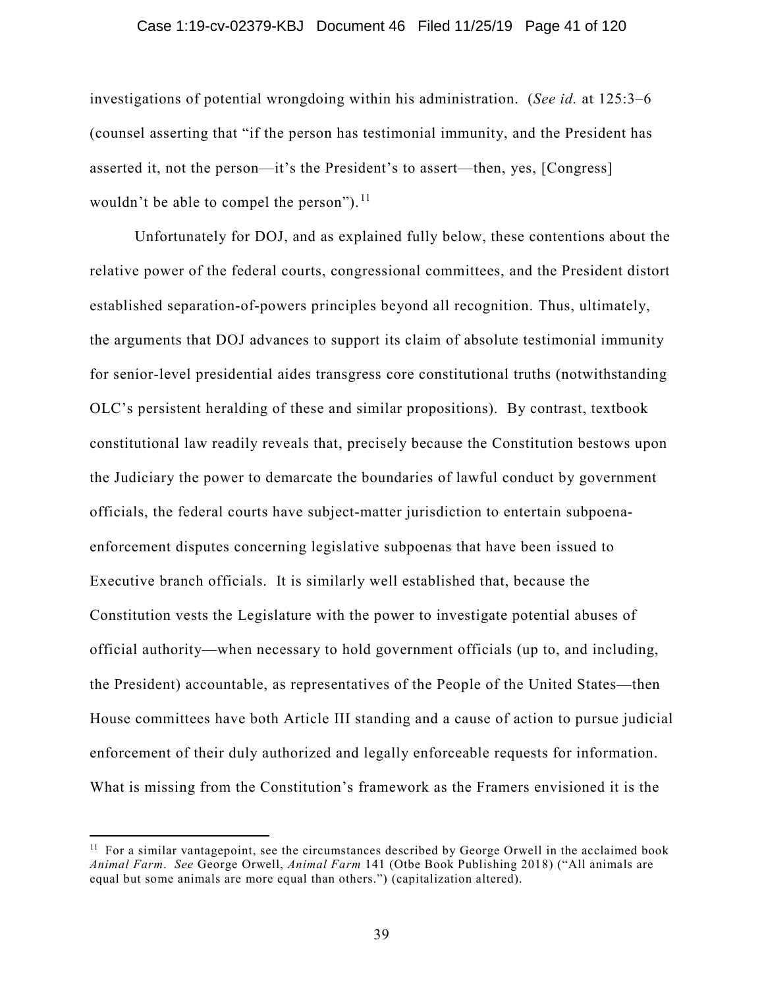#### Case 1:19-cv-02379-KBJ Document 46 Filed 11/25/19 Page 41 of 120

investigations of potential wrongdoing within his administration. (*See id.* at 125:3–6 (counsel asserting that "if the person has testimonial immunity, and the President has asserted it, not the person—it's the President's to assert—then, yes, [Congress] wouldn't be able to compel the person").  $^{11}$  $^{11}$  $^{11}$ 

Unfortunately for DOJ, and as explained fully below, these contentions about the relative power of the federal courts, congressional committees, and the President distort established separation-of-powers principles beyond all recognition. Thus, ultimately, the arguments that DOJ advances to support its claim of absolute testimonial immunity for senior-level presidential aides transgress core constitutional truths (notwithstanding OLC's persistent heralding of these and similar propositions). By contrast, textbook constitutional law readily reveals that, precisely because the Constitution bestows upon the Judiciary the power to demarcate the boundaries of lawful conduct by government officials, the federal courts have subject-matter jurisdiction to entertain subpoenaenforcement disputes concerning legislative subpoenas that have been issued to Executive branch officials. It is similarly well established that, because the Constitution vests the Legislature with the power to investigate potential abuses of official authority—when necessary to hold government officials (up to, and including, the President) accountable, as representatives of the People of the United States—then House committees have both Article III standing and a cause of action to pursue judicial enforcement of their duly authorized and legally enforceable requests for information. What is missing from the Constitution's framework as the Framers envisioned it is the

<span id="page-40-0"></span> $11$  For a similar vantagepoint, see the circumstances described by George Orwell in the acclaimed book *Animal Farm*. *See* George Orwell, *Animal Farm* 141 (Otbe Book Publishing 2018) ("All animals are equal but some animals are more equal than others.") (capitalization altered).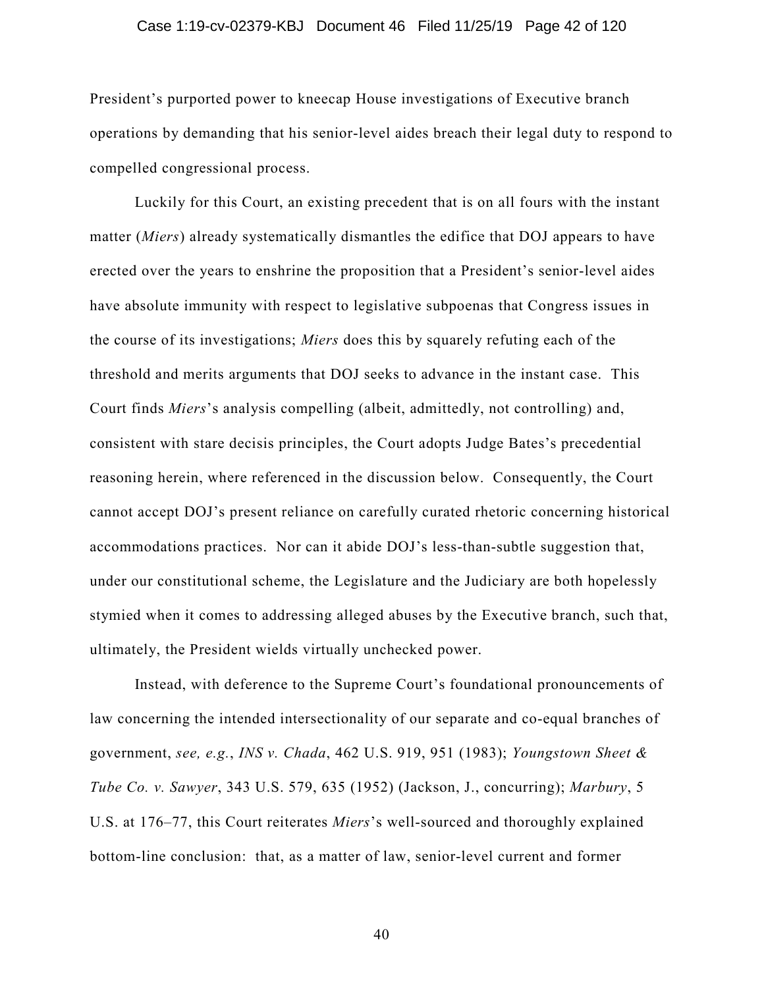#### Case 1:19-cv-02379-KBJ Document 46 Filed 11/25/19 Page 42 of 120

President's purported power to kneecap House investigations of Executive branch operations by demanding that his senior-level aides breach their legal duty to respond to compelled congressional process.

Luckily for this Court, an existing precedent that is on all fours with the instant matter (*Miers*) already systematically dismantles the edifice that DOJ appears to have erected over the years to enshrine the proposition that a President's senior-level aides have absolute immunity with respect to legislative subpoenas that Congress issues in the course of its investigations; *Miers* does this by squarely refuting each of the threshold and merits arguments that DOJ seeks to advance in the instant case. This Court finds *Miers*'s analysis compelling (albeit, admittedly, not controlling) and, consistent with stare decisis principles, the Court adopts Judge Bates's precedential reasoning herein, where referenced in the discussion below. Consequently, the Court cannot accept DOJ's present reliance on carefully curated rhetoric concerning historical accommodations practices. Nor can it abide DOJ's less-than-subtle suggestion that, under our constitutional scheme, the Legislature and the Judiciary are both hopelessly stymied when it comes to addressing alleged abuses by the Executive branch, such that, ultimately, the President wields virtually unchecked power.

Instead, with deference to the Supreme Court's foundational pronouncements of law concerning the intended intersectionality of our separate and co-equal branches of government, *see, e.g.*, *INS v. Chada*, 462 U.S. 919, 951 (1983); *Youngstown Sheet & Tube Co. v. Sawyer*, 343 U.S. 579, 635 (1952) (Jackson, J., concurring); *Marbury*, 5 U.S. at 176–77, this Court reiterates *Miers*'s well-sourced and thoroughly explained bottom-line conclusion: that, as a matter of law, senior-level current and former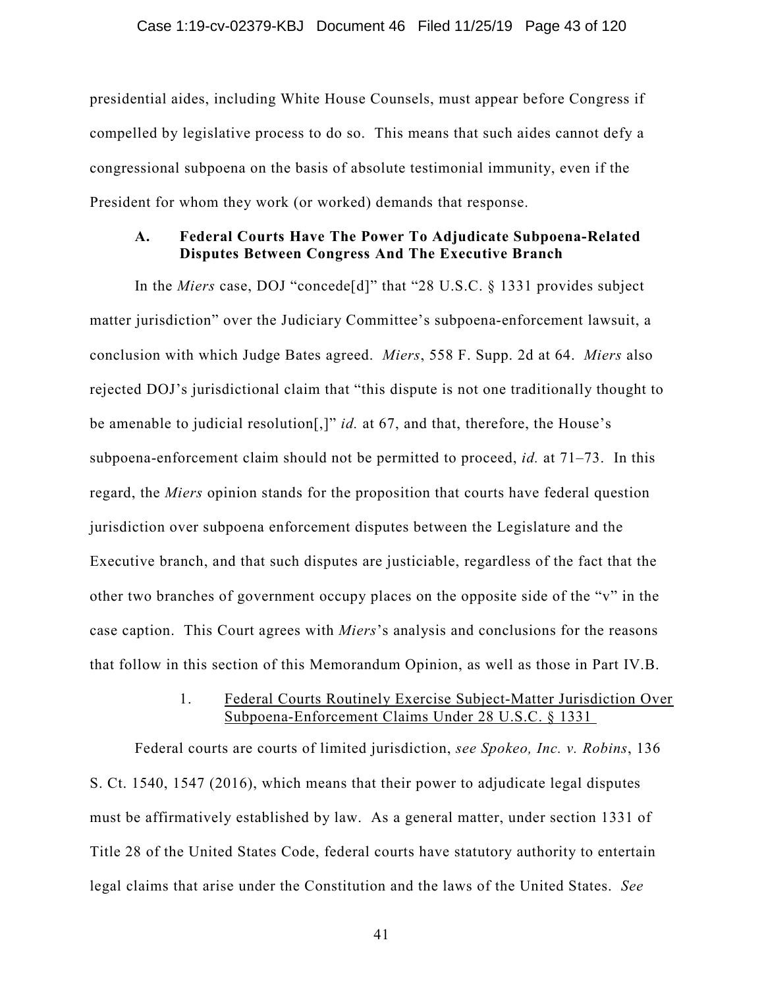#### Case 1:19-cv-02379-KBJ Document 46 Filed 11/25/19 Page 43 of 120

presidential aides, including White House Counsels, must appear before Congress if compelled by legislative process to do so. This means that such aides cannot defy a congressional subpoena on the basis of absolute testimonial immunity, even if the President for whom they work (or worked) demands that response.

# **A. Federal Courts Have The Power To Adjudicate Subpoena-Related Disputes Between Congress And The Executive Branch**

In the *Miers* case, DOJ "concede[d]" that "28 U.S.C. § 1331 provides subject matter jurisdiction" over the Judiciary Committee's subpoena-enforcement lawsuit, a conclusion with which Judge Bates agreed. *Miers*, 558 F. Supp. 2d at 64. *Miers* also rejected DOJ's jurisdictional claim that "this dispute is not one traditionally thought to be amenable to judicial resolution[,]" *id.* at 67, and that, therefore, the House's subpoena-enforcement claim should not be permitted to proceed, *id.* at 71–73. In this regard, the *Miers* opinion stands for the proposition that courts have federal question jurisdiction over subpoena enforcement disputes between the Legislature and the Executive branch, and that such disputes are justiciable, regardless of the fact that the other two branches of government occupy places on the opposite side of the "v" in the case caption. This Court agrees with *Miers*'s analysis and conclusions for the reasons that follow in this section of this Memorandum Opinion, as well as those in Part IV.B.

# 1. Federal Courts Routinely Exercise Subject-Matter Jurisdiction Over Subpoena-Enforcement Claims Under 28 U.S.C. § 1331

Federal courts are courts of limited jurisdiction, *see Spokeo, Inc. v. Robins*, 136 S. Ct. 1540, 1547 (2016), which means that their power to adjudicate legal disputes must be affirmatively established by law. As a general matter, under section 1331 of Title 28 of the United States Code, federal courts have statutory authority to entertain legal claims that arise under the Constitution and the laws of the United States. *See*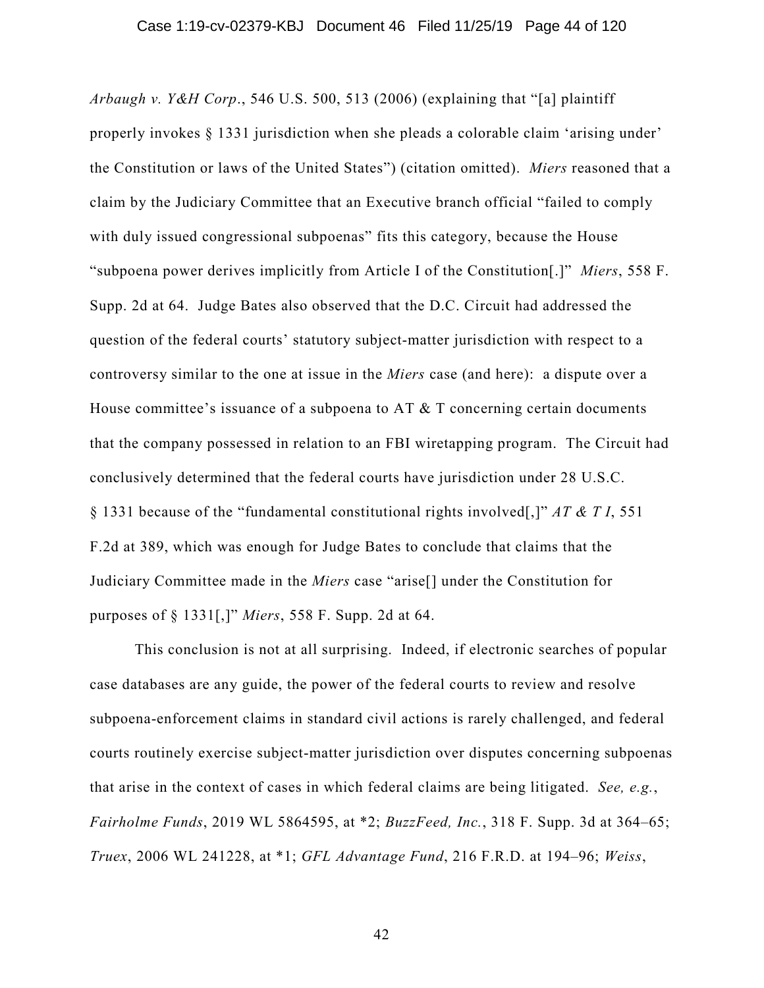*Arbaugh v. Y&H Corp*., 546 U.S. 500, 513 (2006) (explaining that "[a] plaintiff properly invokes § 1331 jurisdiction when she pleads a colorable claim 'arising under' the Constitution or laws of the United States") (citation omitted). *Miers* reasoned that a claim by the Judiciary Committee that an Executive branch official "failed to comply with duly issued congressional subpoenas" fits this category, because the House "subpoena power derives implicitly from Article I of the Constitution[.]" *Miers*, 558 F. Supp. 2d at 64. Judge Bates also observed that the D.C. Circuit had addressed the question of the federal courts' statutory subject-matter jurisdiction with respect to a controversy similar to the one at issue in the *Miers* case (and here): a dispute over a House committee's issuance of a subpoena to AT & T concerning certain documents that the company possessed in relation to an FBI wiretapping program. The Circuit had conclusively determined that the federal courts have jurisdiction under 28 U.S.C. § 1331 because of the "fundamental constitutional rights involved[,]" *AT & T I*, 551 F.2d at 389, which was enough for Judge Bates to conclude that claims that the Judiciary Committee made in the *Miers* case "arise[] under the Constitution for purposes of § 1331[,]" *Miers*, 558 F. Supp. 2d at 64.

This conclusion is not at all surprising. Indeed, if electronic searches of popular case databases are any guide, the power of the federal courts to review and resolve subpoena-enforcement claims in standard civil actions is rarely challenged, and federal courts routinely exercise subject-matter jurisdiction over disputes concerning subpoenas that arise in the context of cases in which federal claims are being litigated. *See, e.g.*, *Fairholme Funds*, 2019 WL 5864595, at \*2; *BuzzFeed, Inc.*, 318 F. Supp. 3d at 364–65; *Truex*, 2006 WL 241228, at \*1; *GFL Advantage Fund*, 216 F.R.D. at 194–96; *Weiss*,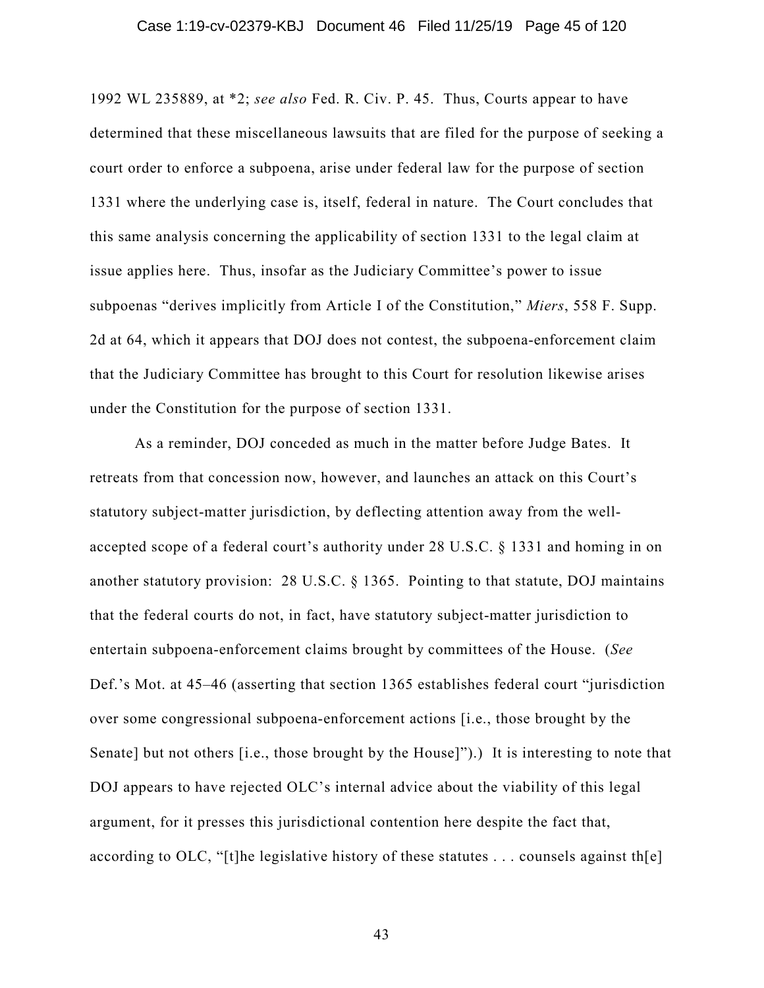#### Case 1:19-cv-02379-KBJ Document 46 Filed 11/25/19 Page 45 of 120

1992 WL 235889, at \*2; *see also* Fed. R. Civ. P. 45. Thus, Courts appear to have determined that these miscellaneous lawsuits that are filed for the purpose of seeking a court order to enforce a subpoena, arise under federal law for the purpose of section 1331 where the underlying case is, itself, federal in nature. The Court concludes that this same analysis concerning the applicability of section 1331 to the legal claim at issue applies here. Thus, insofar as the Judiciary Committee's power to issue subpoenas "derives implicitly from Article I of the Constitution," *Miers*, 558 F. Supp. 2d at 64, which it appears that DOJ does not contest, the subpoena-enforcement claim that the Judiciary Committee has brought to this Court for resolution likewise arises under the Constitution for the purpose of section 1331.

As a reminder, DOJ conceded as much in the matter before Judge Bates. It retreats from that concession now, however, and launches an attack on this Court's statutory subject-matter jurisdiction, by deflecting attention away from the wellaccepted scope of a federal court's authority under 28 U.S.C. § 1331 and homing in on another statutory provision: 28 U.S.C. § 1365. Pointing to that statute, DOJ maintains that the federal courts do not, in fact, have statutory subject-matter jurisdiction to entertain subpoena-enforcement claims brought by committees of the House. (*See*  Def.'s Mot. at 45–46 (asserting that section 1365 establishes federal court "jurisdiction over some congressional subpoena-enforcement actions [i.e., those brought by the Senate] but not others [i.e., those brought by the House]").) It is interesting to note that DOJ appears to have rejected OLC's internal advice about the viability of this legal argument, for it presses this jurisdictional contention here despite the fact that, according to OLC, "[t]he legislative history of these statutes  $\dots$  counsels against th[e]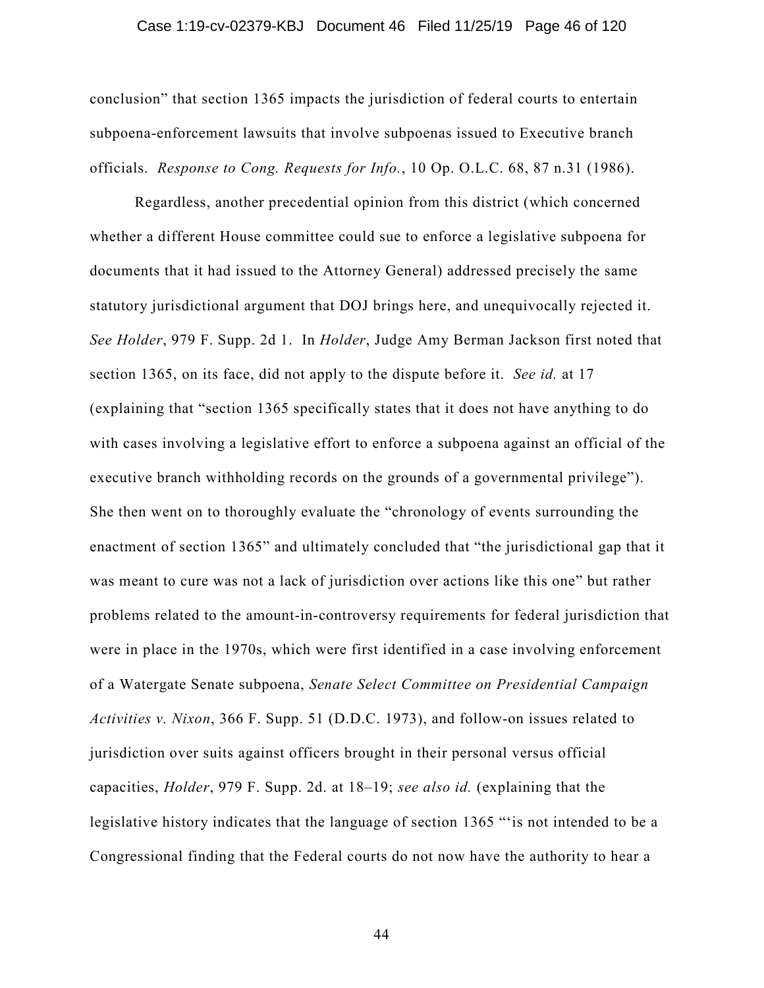#### Case 1:19-cv-02379-KBJ Document 46 Filed 11/25/19 Page 46 of 120

conclusion" that section 1365 impacts the jurisdiction of federal courts to entertain subpoena-enforcement lawsuits that involve subpoenas issued to Executive branch officials. *Response to Cong. Requests for Info.*, 10 Op. O.L.C. 68, 87 n.31 (1986).

Regardless, another precedential opinion from this district (which concerned whether a different House committee could sue to enforce a legislative subpoena for documents that it had issued to the Attorney General) addressed precisely the same statutory jurisdictional argument that DOJ brings here, and unequivocally rejected it. *See Holder*, 979 F. Supp. 2d 1. In *Holder*, Judge Amy Berman Jackson first noted that section 1365, on its face, did not apply to the dispute before it. *See id.* at 17 (explaining that "section 1365 specifically states that it does not have anything to do with cases involving a legislative effort to enforce a subpoena against an official of the executive branch withholding records on the grounds of a governmental privilege"). She then went on to thoroughly evaluate the "chronology of events surrounding the enactment of section 1365" and ultimately concluded that "the jurisdictional gap that it was meant to cure was not a lack of jurisdiction over actions like this one" but rather problems related to the amount-in-controversy requirements for federal jurisdiction that were in place in the 1970s, which were first identified in a case involving enforcement of a Watergate Senate subpoena, *Senate Select Committee on Presidential Campaign Activities v. Nixon*, 366 F. Supp. 51 (D.D.C. 1973), and follow-on issues related to jurisdiction over suits against officers brought in their personal versus official capacities, *Holder*, 979 F. Supp. 2d. at 18–19; *see also id.* (explaining that the legislative history indicates that the language of section 1365 "'is not intended to be a Congressional finding that the Federal courts do not now have the authority to hear a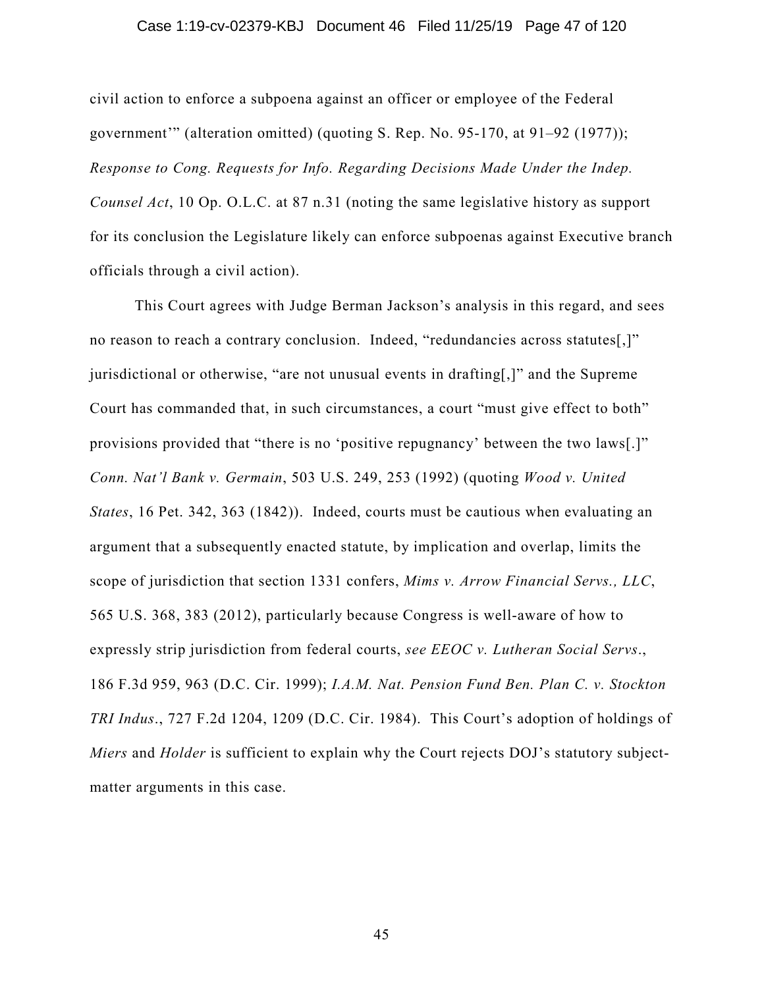## Case 1:19-cv-02379-KBJ Document 46 Filed 11/25/19 Page 47 of 120

civil action to enforce a subpoena against an officer or employee of the Federal government'" (alteration omitted) (quoting S. Rep. No. 95-170, at 91–92 (1977)); *Response to Cong. Requests for Info. Regarding Decisions Made Under the Indep. Counsel Act*, 10 Op. O.L.C. at 87 n.31 (noting the same legislative history as support for its conclusion the Legislature likely can enforce subpoenas against Executive branch officials through a civil action).

This Court agrees with Judge Berman Jackson's analysis in this regard, and sees no reason to reach a contrary conclusion. Indeed, "redundancies across statutes[,]" jurisdictional or otherwise, "are not unusual events in drafting[,]" and the Supreme Court has commanded that, in such circumstances, a court "must give effect to both" provisions provided that "there is no 'positive repugnancy' between the two laws[.]" *Conn. Nat'l Bank v. Germain*, 503 U.S. 249, 253 (1992) (quoting *Wood v. United States*, 16 Pet. 342, 363 (1842)). Indeed, courts must be cautious when evaluating an argument that a subsequently enacted statute, by implication and overlap, limits the scope of jurisdiction that section 1331 confers, *Mims v. Arrow Financial Servs., LLC*, 565 U.S. 368, 383 (2012), particularly because Congress is well-aware of how to expressly strip jurisdiction from federal courts, *see EEOC v. Lutheran Social Servs*., 186 F.3d 959, 963 (D.C. Cir. 1999); *I.A.M. Nat. Pension Fund Ben. Plan C. v. Stockton TRI Indus*., 727 F.2d 1204, 1209 (D.C. Cir. 1984). This Court's adoption of holdings of *Miers* and *Holder* is sufficient to explain why the Court rejects DOJ's statutory subjectmatter arguments in this case.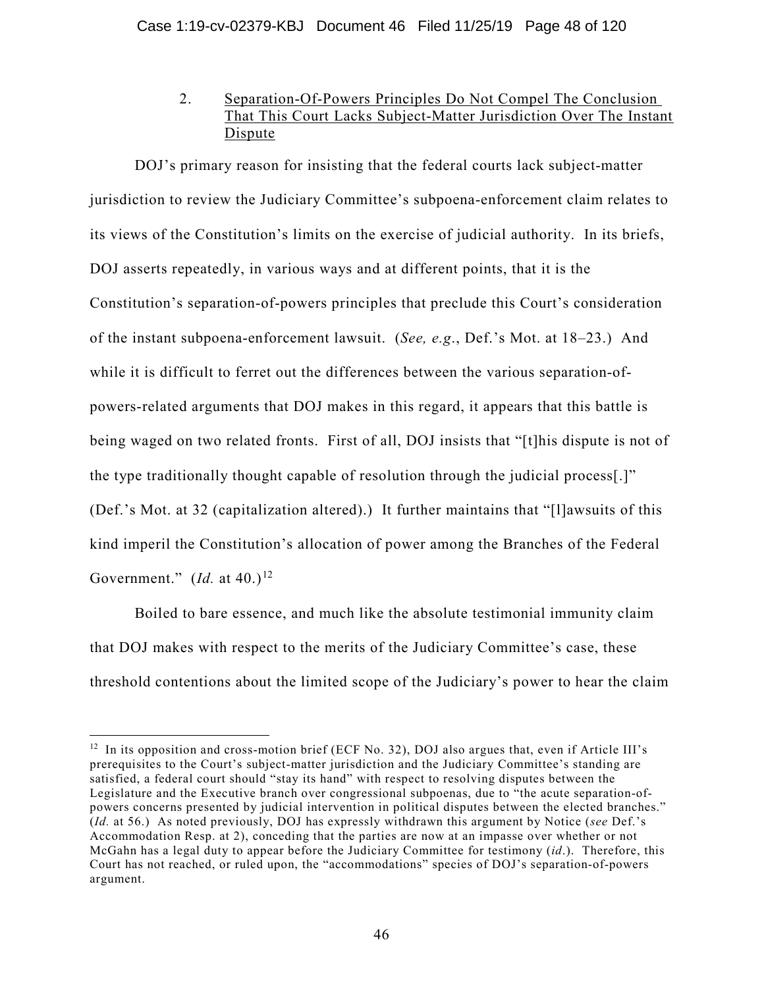2. Separation-Of-Powers Principles Do Not Compel The Conclusion That This Court Lacks Subject-Matter Jurisdiction Over The Instant **Dispute** 

DOJ's primary reason for insisting that the federal courts lack subject-matter jurisdiction to review the Judiciary Committee's subpoena-enforcement claim relates to its views of the Constitution's limits on the exercise of judicial authority. In its briefs, DOJ asserts repeatedly, in various ways and at different points, that it is the Constitution's separation-of-powers principles that preclude this Court's consideration of the instant subpoena-enforcement lawsuit. (*See, e.g*., Def.'s Mot. at 18–23.) And while it is difficult to ferret out the differences between the various separation-ofpowers-related arguments that DOJ makes in this regard, it appears that this battle is being waged on two related fronts. First of all, DOJ insists that "[t]his dispute is not of the type traditionally thought capable of resolution through the judicial process[.]" (Def.'s Mot. at 32 (capitalization altered).) It further maintains that "[l]awsuits of this kind imperil the Constitution's allocation of power among the Branches of the Federal Government." (*Id.* at 40.)<sup>12</sup>

Boiled to bare essence, and much like the absolute testimonial immunity claim that DOJ makes with respect to the merits of the Judiciary Committee's case, these threshold contentions about the limited scope of the Judiciary's power to hear the claim

<span id="page-47-0"></span><sup>&</sup>lt;sup>12</sup> In its opposition and cross-motion brief (ECF No. 32), DOJ also argues that, even if Article III's prerequisites to the Court's subject-matter jurisdiction and the Judiciary Committee's standing are satisfied, a federal court should "stay its hand" with respect to resolving disputes between the Legislature and the Executive branch over congressional subpoenas, due to "the acute separation-ofpowers concerns presented by judicial intervention in political disputes between the elected branches." (*Id.* at 56.) As noted previously, DOJ has expressly withdrawn this argument by Notice (*see* Def.'s Accommodation Resp. at 2), conceding that the parties are now at an impasse over whether or not McGahn has a legal duty to appear before the Judiciary Committee for testimony (*id*.). Therefore, this Court has not reached, or ruled upon, the "accommodations" species of DOJ's separation-of-powers argument.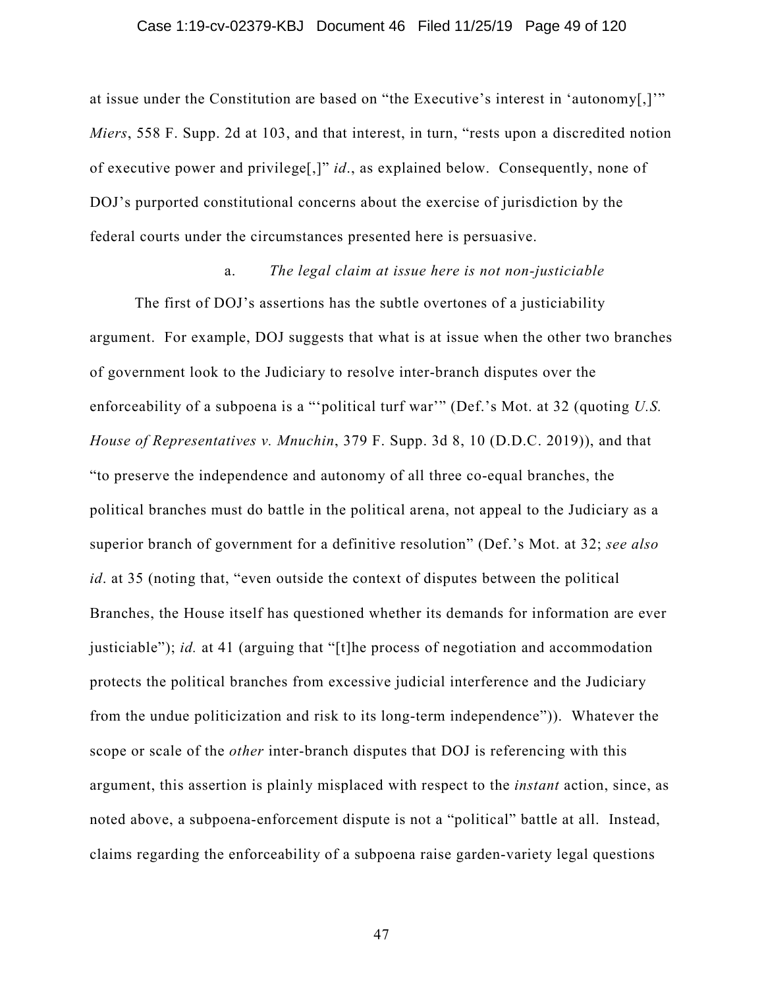## Case 1:19-cv-02379-KBJ Document 46 Filed 11/25/19 Page 49 of 120

at issue under the Constitution are based on "the Executive's interest in 'autonomy[,]'" *Miers*, 558 F. Supp. 2d at 103, and that interest, in turn, "rests upon a discredited notion of executive power and privilege[,]" *id*., as explained below. Consequently, none of DOJ's purported constitutional concerns about the exercise of jurisdiction by the federal courts under the circumstances presented here is persuasive.

# a. *The legal claim at issue here is not non-justiciable*

The first of DOJ's assertions has the subtle overtones of a justiciability argument. For example, DOJ suggests that what is at issue when the other two branches of government look to the Judiciary to resolve inter-branch disputes over the enforceability of a subpoena is a "'political turf war'" (Def.'s Mot. at 32 (quoting *U.S. House of Representatives v. Mnuchin*, 379 F. Supp. 3d 8, 10 (D.D.C. 2019)), and that "to preserve the independence and autonomy of all three co-equal branches, the political branches must do battle in the political arena, not appeal to the Judiciary as a superior branch of government for a definitive resolution" (Def.'s Mot. at 32; *see also id*. at 35 (noting that, "even outside the context of disputes between the political Branches, the House itself has questioned whether its demands for information are ever justiciable"); *id.* at 41 (arguing that "[t]he process of negotiation and accommodation protects the political branches from excessive judicial interference and the Judiciary from the undue politicization and risk to its long-term independence")). Whatever the scope or scale of the *other* inter-branch disputes that DOJ is referencing with this argument, this assertion is plainly misplaced with respect to the *instant* action, since, as noted above, a subpoena-enforcement dispute is not a "political" battle at all. Instead, claims regarding the enforceability of a subpoena raise garden-variety legal questions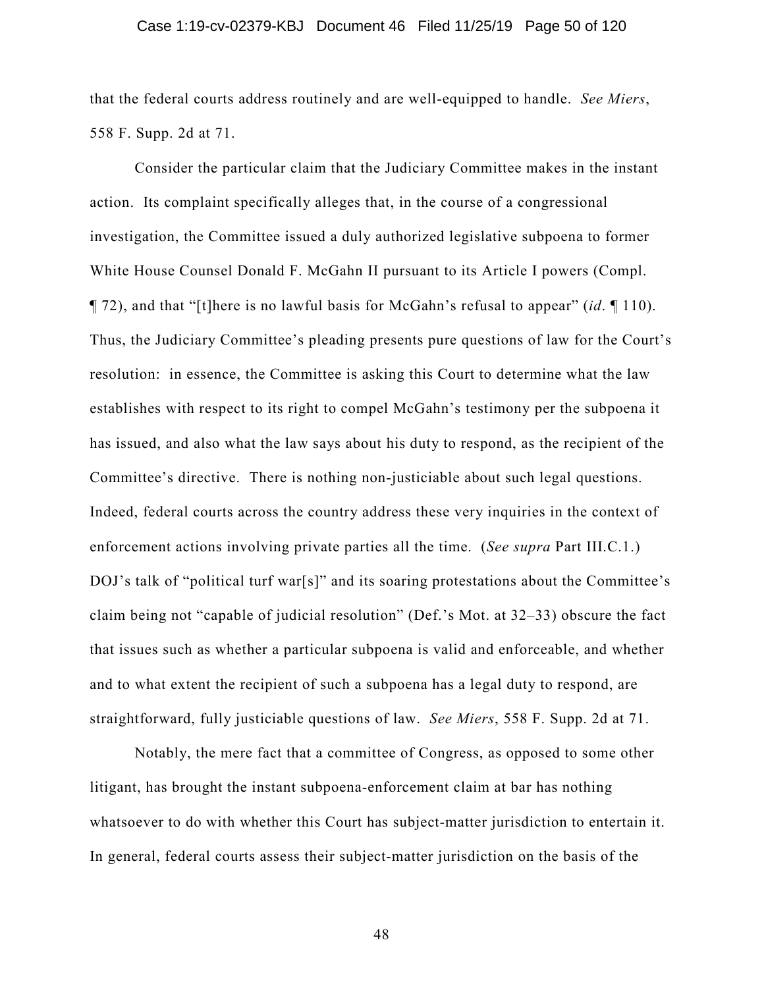#### Case 1:19-cv-02379-KBJ Document 46 Filed 11/25/19 Page 50 of 120

that the federal courts address routinely and are well-equipped to handle. *See Miers*, 558 F. Supp. 2d at 71.

Consider the particular claim that the Judiciary Committee makes in the instant action. Its complaint specifically alleges that, in the course of a congressional investigation, the Committee issued a duly authorized legislative subpoena to former White House Counsel Donald F. McGahn II pursuant to its Article I powers (Compl. ¶ 72), and that "[t]here is no lawful basis for McGahn's refusal to appear" (*id*. ¶ 110). Thus, the Judiciary Committee's pleading presents pure questions of law for the Court's resolution: in essence, the Committee is asking this Court to determine what the law establishes with respect to its right to compel McGahn's testimony per the subpoena it has issued, and also what the law says about his duty to respond, as the recipient of the Committee's directive. There is nothing non-justiciable about such legal questions. Indeed, federal courts across the country address these very inquiries in the context of enforcement actions involving private parties all the time. (*See supra* Part III.C.1.) DOJ's talk of "political turf war[s]" and its soaring protestations about the Committee's claim being not "capable of judicial resolution" (Def.'s Mot. at 32–33) obscure the fact that issues such as whether a particular subpoena is valid and enforceable, and whether and to what extent the recipient of such a subpoena has a legal duty to respond, are straightforward, fully justiciable questions of law. *See Miers*, 558 F. Supp. 2d at 71.

Notably, the mere fact that a committee of Congress, as opposed to some other litigant, has brought the instant subpoena-enforcement claim at bar has nothing whatsoever to do with whether this Court has subject-matter jurisdiction to entertain it. In general, federal courts assess their subject-matter jurisdiction on the basis of the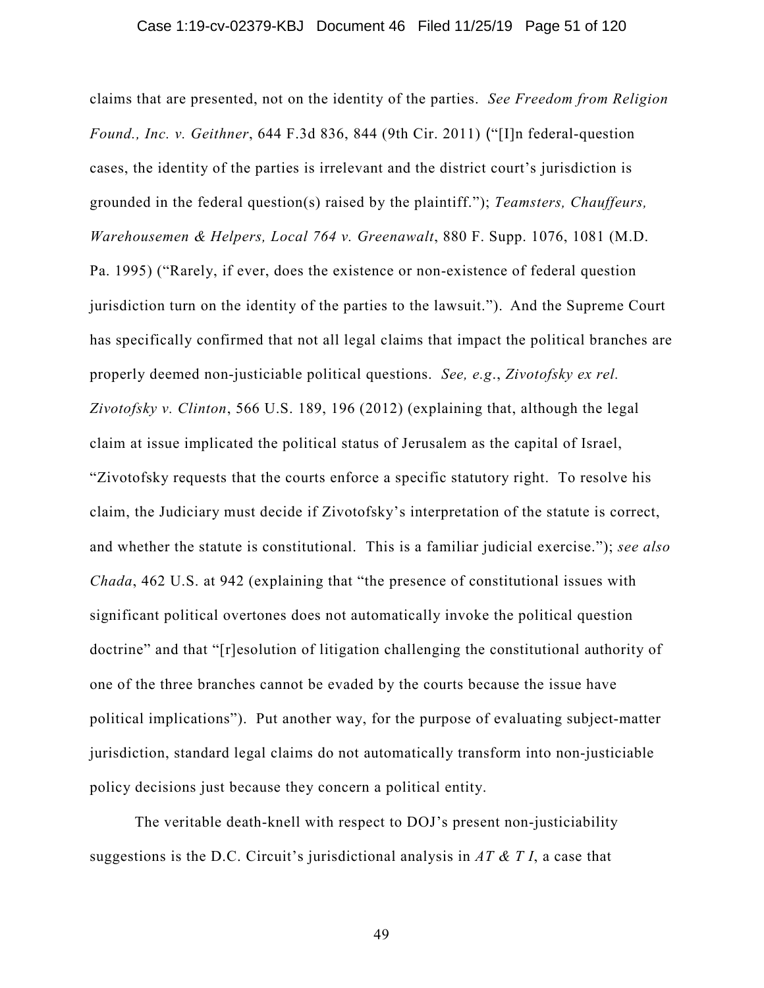claims that are presented, not on the identity of the parties. *See Freedom from Religion Found., Inc. v. Geithner*, 644 F.3d 836, 844 (9th Cir. 2011) ("[I]n federal-question cases, the identity of the parties is irrelevant and the district court's jurisdiction is grounded in the federal question(s) raised by the plaintiff."); *Teamsters, Chauffeurs, Warehousemen & Helpers, Local 764 v. Greenawalt*, 880 F. Supp. 1076, 1081 (M.D. Pa. 1995) ("Rarely, if ever, does the existence or non-existence of federal question jurisdiction turn on the identity of the parties to the lawsuit."). And the Supreme Court has specifically confirmed that not all legal claims that impact the political branches are properly deemed non-justiciable political questions. *See, e.g*., *Zivotofsky ex rel. Zivotofsky v. Clinton*, 566 U.S. 189, 196 (2012) (explaining that, although the legal claim at issue implicated the political status of Jerusalem as the capital of Israel, "Zivotofsky requests that the courts enforce a specific statutory right. To resolve his claim, the Judiciary must decide if Zivotofsky's interpretation of the statute is correct, and whether the statute is constitutional. This is a familiar judicial exercise."); *see also Chada*, 462 U.S. at 942 (explaining that "the presence of constitutional issues with significant political overtones does not automatically invoke the political question doctrine" and that "[r]esolution of litigation challenging the constitutional authority of one of the three branches cannot be evaded by the courts because the issue have political implications"). Put another way, for the purpose of evaluating subject-matter jurisdiction, standard legal claims do not automatically transform into non-justiciable policy decisions just because they concern a political entity.

The veritable death-knell with respect to DOJ's present non-justiciability suggestions is the D.C. Circuit's jurisdictional analysis in *AT & T I*, a case that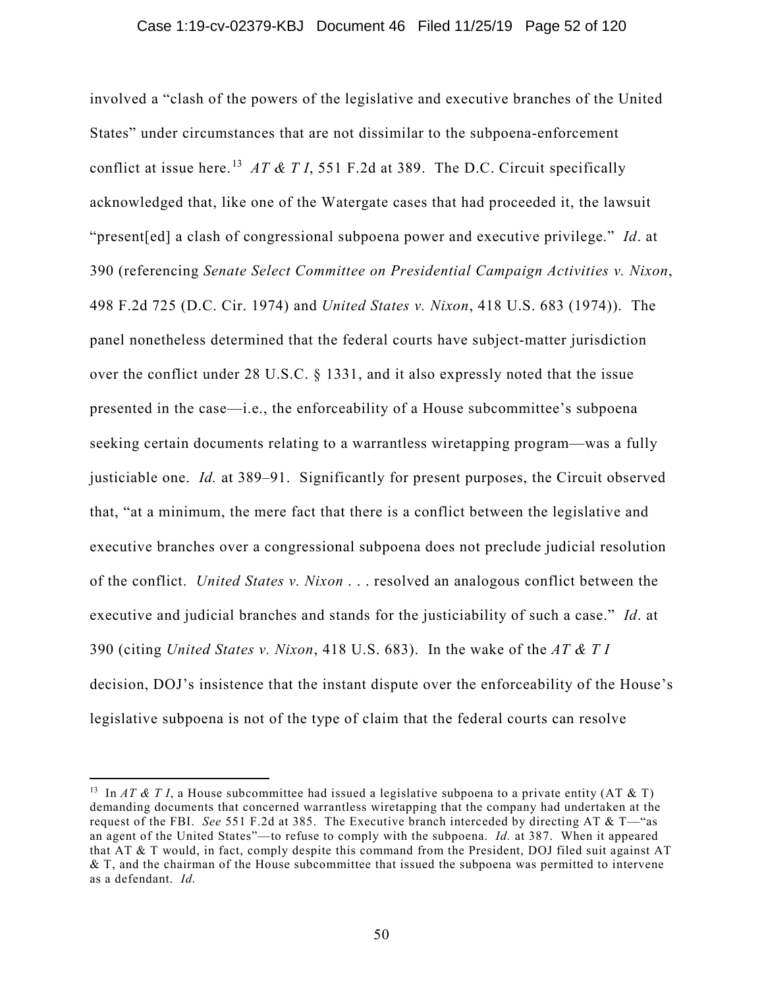involved a "clash of the powers of the legislative and executive branches of the United States" under circumstances that are not dissimilar to the subpoena-enforcement conflict at issue here.<sup>[13](#page-51-0)</sup>  $AT & T1$ , 551 F.2d at 389. The D.C. Circuit specifically acknowledged that, like one of the Watergate cases that had proceeded it, the lawsuit "present[ed] a clash of congressional subpoena power and executive privilege." *Id*. at 390 (referencing *Senate Select Committee on Presidential Campaign Activities v. Nixon*, 498 F.2d 725 (D.C. Cir. 1974) and *United States v. Nixon*, 418 U.S. 683 (1974)). The panel nonetheless determined that the federal courts have subject-matter jurisdiction over the conflict under 28 U.S.C. § 1331, and it also expressly noted that the issue presented in the case—i.e., the enforceability of a House subcommittee's subpoena seeking certain documents relating to a warrantless wiretapping program—was a fully justiciable one. *Id.* at 389–91. Significantly for present purposes, the Circuit observed that, "at a minimum, the mere fact that there is a conflict between the legislative and executive branches over a congressional subpoena does not preclude judicial resolution of the conflict. *United States v. Nixon* . . . resolved an analogous conflict between the executive and judicial branches and stands for the justiciability of such a case." *Id*. at 390 (citing *United States v. Nixon*, 418 U.S. 683). In the wake of the *AT & T I* decision, DOJ's insistence that the instant dispute over the enforceability of the House's legislative subpoena is not of the type of claim that the federal courts can resolve

<span id="page-51-0"></span><sup>&</sup>lt;sup>13</sup> In *AT & T I*, a House subcommittee had issued a legislative subpoena to a private entity (AT & T) demanding documents that concerned warrantless wiretapping that the company had undertaken at the request of the FBI. *See* 551 F.2d at 385. The Executive branch interceded by directing AT & T—"as an agent of the United States"—to refuse to comply with the subpoena. *Id.* at 387. When it appeared that AT & T would, in fact, comply despite this command from the President, DOJ filed suit against AT & T, and the chairman of the House subcommittee that issued the subpoena was permitted to intervene as a defendant. *Id.*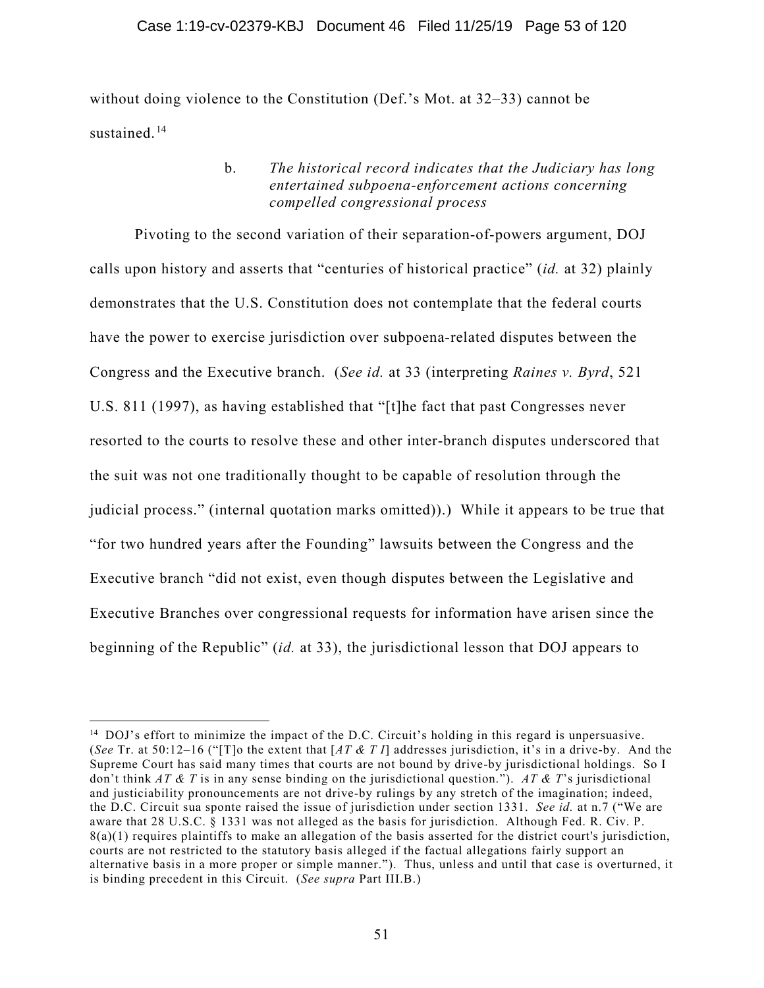without doing violence to the Constitution (Def.'s Mot. at 32–33) cannot be sustained.<sup>[14](#page-52-0)</sup>

# b. *The historical record indicates that the Judiciary has long entertained subpoena-enforcement actions concerning compelled congressional process*

Pivoting to the second variation of their separation-of-powers argument, DOJ calls upon history and asserts that "centuries of historical practice" (*id.* at 32) plainly demonstrates that the U.S. Constitution does not contemplate that the federal courts have the power to exercise jurisdiction over subpoena-related disputes between the Congress and the Executive branch. (*See id.* at 33 (interpreting *Raines v. Byrd*, 521 U.S. 811 (1997), as having established that "[t]he fact that past Congresses never resorted to the courts to resolve these and other inter-branch disputes underscored that the suit was not one traditionally thought to be capable of resolution through the judicial process." (internal quotation marks omitted)).) While it appears to be true that "for two hundred years after the Founding" lawsuits between the Congress and the Executive branch "did not exist, even though disputes between the Legislative and Executive Branches over congressional requests for information have arisen since the beginning of the Republic" (*id.* at 33), the jurisdictional lesson that DOJ appears to

<span id="page-52-0"></span> $14$  DOJ's effort to minimize the impact of the D.C. Circuit's holding in this regard is unpersuasive. (*See* Tr. at 50:12–16 ("[T]o the extent that [*AT & T I*] addresses jurisdiction, it's in a drive-by. And the Supreme Court has said many times that courts are not bound by drive-by jurisdictional holdings. So I don't think *AT & T* is in any sense binding on the jurisdictional question."). *AT & T*'s jurisdictional and justiciability pronouncements are not drive-by rulings by any stretch of the imagination; indeed, the D.C. Circuit sua sponte raised the issue of jurisdiction under section 1331. *See id.* at n.7 ("We are aware that 28 U.S.C. § 1331 was not alleged as the basis for jurisdiction. Although Fed. R. Civ. P.  $8(a)(1)$  requires plaintiffs to make an allegation of the basis asserted for the district court's jurisdiction, courts are not restricted to the statutory basis alleged if the factual allegations fairly support an alternative basis in a more proper or simple manner."). Thus, unless and until that case is overturned, it is binding precedent in this Circuit. (*See supra* Part III.B.)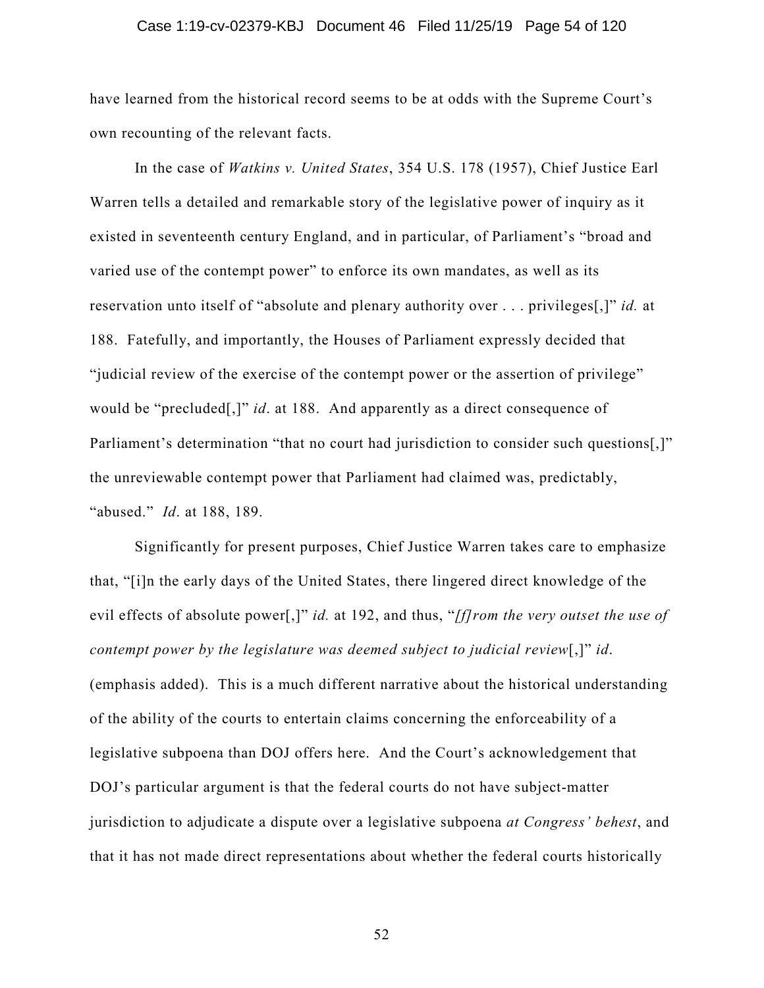## Case 1:19-cv-02379-KBJ Document 46 Filed 11/25/19 Page 54 of 120

have learned from the historical record seems to be at odds with the Supreme Court's own recounting of the relevant facts.

In the case of *Watkins v. United States*, 354 U.S. 178 (1957), Chief Justice Earl Warren tells a detailed and remarkable story of the legislative power of inquiry as it existed in seventeenth century England, and in particular, of Parliament's "broad and varied use of the contempt power" to enforce its own mandates, as well as its reservation unto itself of "absolute and plenary authority over . . . privileges[,]" *id.* at 188. Fatefully, and importantly, the Houses of Parliament expressly decided that "judicial review of the exercise of the contempt power or the assertion of privilege" would be "precluded[,]" *id*. at 188. And apparently as a direct consequence of Parliament's determination "that no court had jurisdiction to consider such questions[,]" the unreviewable contempt power that Parliament had claimed was, predictably, "abused." *Id*. at 188, 189.

Significantly for present purposes, Chief Justice Warren takes care to emphasize that, "[i]n the early days of the United States, there lingered direct knowledge of the evil effects of absolute power[,]" *id.* at 192, and thus, "*[f]rom the very outset the use of contempt power by the legislature was deemed subject to judicial review*[,]" *id*. (emphasis added). This is a much different narrative about the historical understanding of the ability of the courts to entertain claims concerning the enforceability of a legislative subpoena than DOJ offers here. And the Court's acknowledgement that DOJ's particular argument is that the federal courts do not have subject-matter jurisdiction to adjudicate a dispute over a legislative subpoena *at Congress' behest*, and that it has not made direct representations about whether the federal courts historically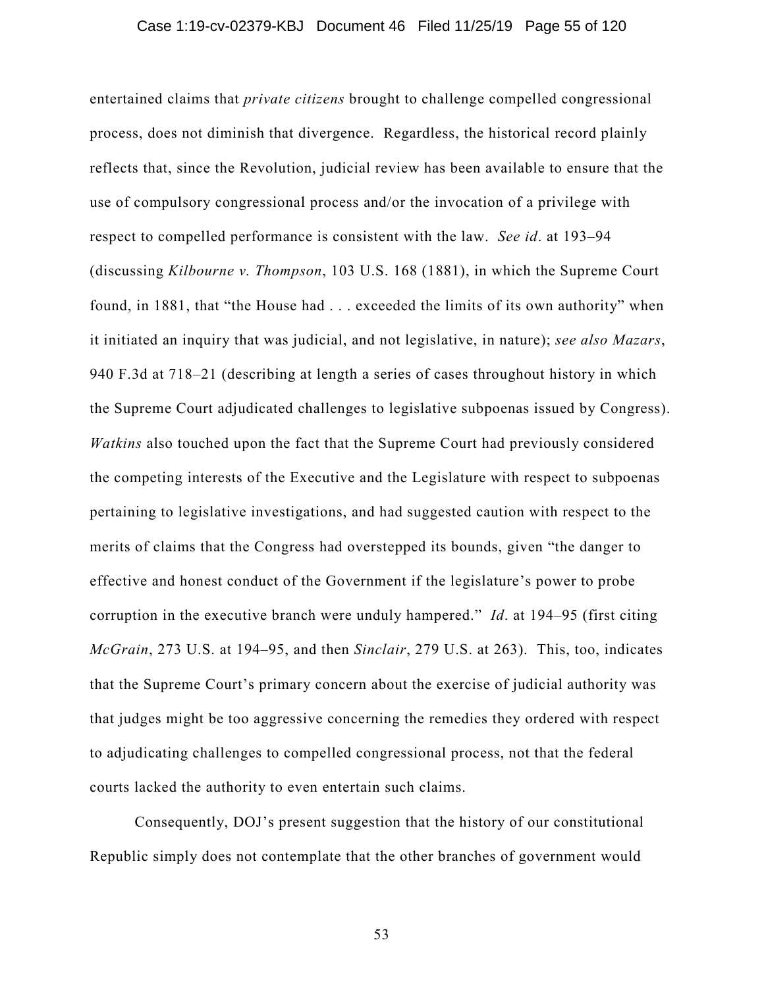#### Case 1:19-cv-02379-KBJ Document 46 Filed 11/25/19 Page 55 of 120

entertained claims that *private citizens* brought to challenge compelled congressional process, does not diminish that divergence. Regardless, the historical record plainly reflects that, since the Revolution, judicial review has been available to ensure that the use of compulsory congressional process and/or the invocation of a privilege with respect to compelled performance is consistent with the law. *See id*. at 193–94 (discussing *Kilbourne v. Thompson*, 103 U.S. 168 (1881), in which the Supreme Court found, in 1881, that "the House had . . . exceeded the limits of its own authority" when it initiated an inquiry that was judicial, and not legislative, in nature); *see also Mazars*, 940 F.3d at 718–21 (describing at length a series of cases throughout history in which the Supreme Court adjudicated challenges to legislative subpoenas issued by Congress). *Watkins* also touched upon the fact that the Supreme Court had previously considered the competing interests of the Executive and the Legislature with respect to subpoenas pertaining to legislative investigations, and had suggested caution with respect to the merits of claims that the Congress had overstepped its bounds, given "the danger to effective and honest conduct of the Government if the legislature's power to probe corruption in the executive branch were unduly hampered." *Id*. at 194–95 (first citing *McGrain*, 273 U.S. at 194–95, and then *Sinclair*, 279 U.S. at 263). This, too, indicates that the Supreme Court's primary concern about the exercise of judicial authority was that judges might be too aggressive concerning the remedies they ordered with respect to adjudicating challenges to compelled congressional process, not that the federal courts lacked the authority to even entertain such claims.

Consequently, DOJ's present suggestion that the history of our constitutional Republic simply does not contemplate that the other branches of government would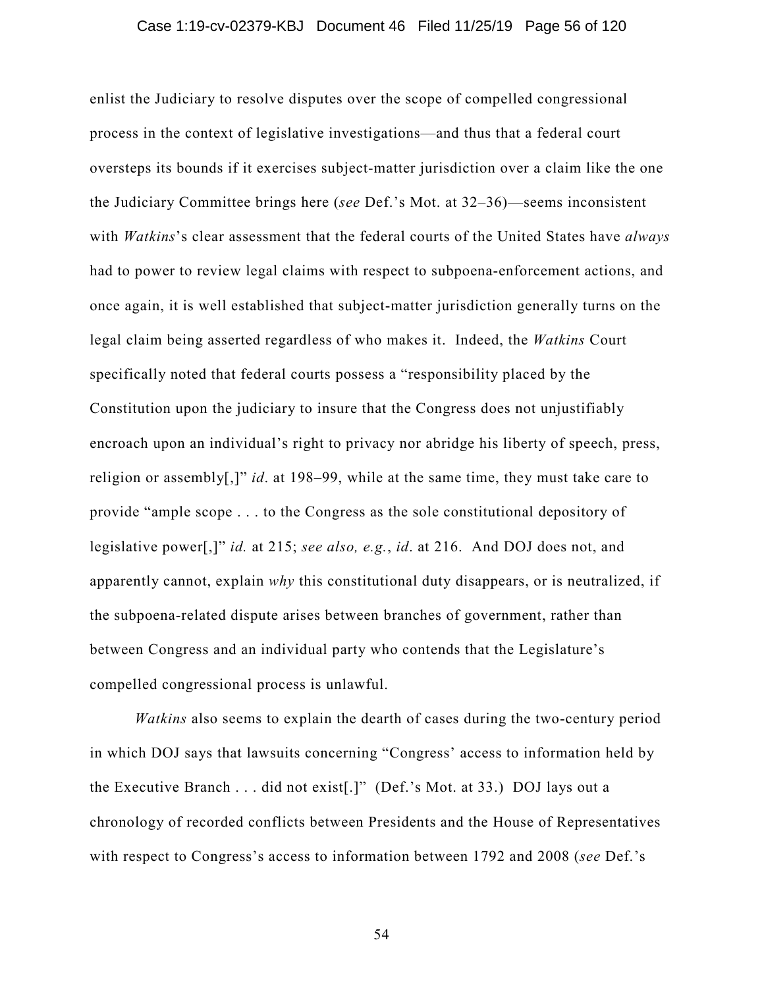#### Case 1:19-cv-02379-KBJ Document 46 Filed 11/25/19 Page 56 of 120

enlist the Judiciary to resolve disputes over the scope of compelled congressional process in the context of legislative investigations—and thus that a federal court oversteps its bounds if it exercises subject-matter jurisdiction over a claim like the one the Judiciary Committee brings here (*see* Def.'s Mot. at 32–36)—seems inconsistent with *Watkins*'s clear assessment that the federal courts of the United States have *always* had to power to review legal claims with respect to subpoena-enforcement actions, and once again, it is well established that subject-matter jurisdiction generally turns on the legal claim being asserted regardless of who makes it. Indeed, the *Watkins* Court specifically noted that federal courts possess a "responsibility placed by the Constitution upon the judiciary to insure that the Congress does not unjustifiably encroach upon an individual's right to privacy nor abridge his liberty of speech, press, religion or assembly[,]" *id*. at 198–99, while at the same time, they must take care to provide "ample scope . . . to the Congress as the sole constitutional depository of legislative power[,]" *id.* at 215; *see also, e.g.*, *id*. at 216. And DOJ does not, and apparently cannot, explain *why* this constitutional duty disappears, or is neutralized, if the subpoena-related dispute arises between branches of government, rather than between Congress and an individual party who contends that the Legislature's compelled congressional process is unlawful.

*Watkins* also seems to explain the dearth of cases during the two-century period in which DOJ says that lawsuits concerning "Congress' access to information held by the Executive Branch . . . did not exist[.]" (Def.'s Mot. at 33.) DOJ lays out a chronology of recorded conflicts between Presidents and the House of Representatives with respect to Congress's access to information between 1792 and 2008 (*see* Def.'s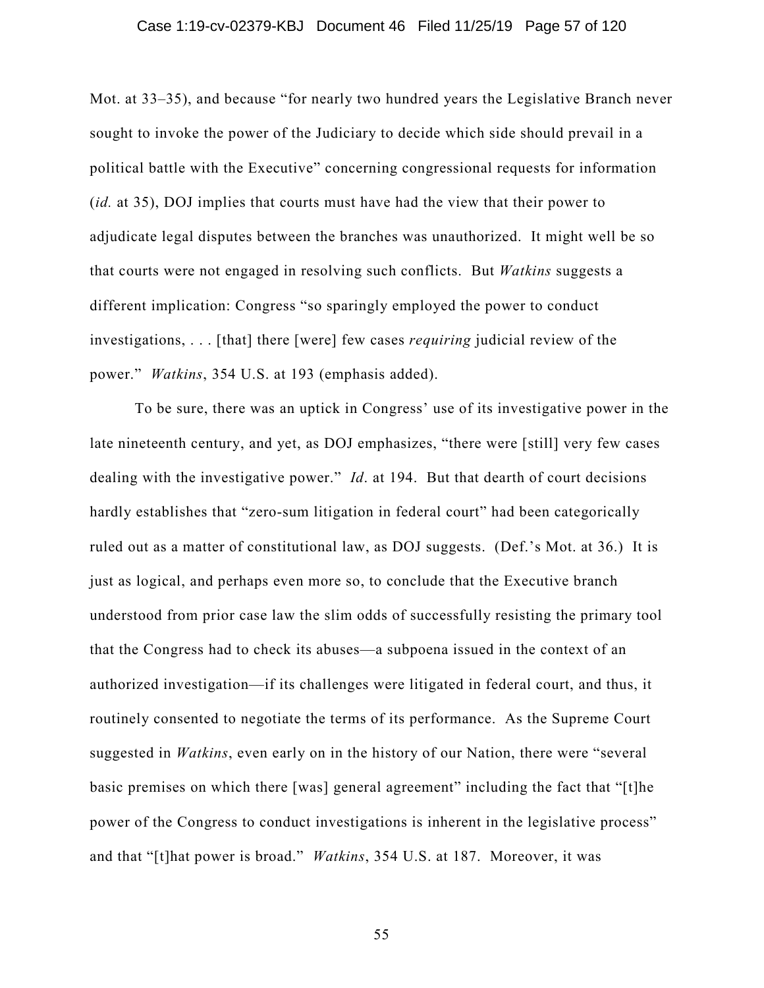#### Case 1:19-cv-02379-KBJ Document 46 Filed 11/25/19 Page 57 of 120

Mot. at 33–35), and because "for nearly two hundred years the Legislative Branch never sought to invoke the power of the Judiciary to decide which side should prevail in a political battle with the Executive" concerning congressional requests for information (*id.* at 35), DOJ implies that courts must have had the view that their power to adjudicate legal disputes between the branches was unauthorized. It might well be so that courts were not engaged in resolving such conflicts. But *Watkins* suggests a different implication: Congress "so sparingly employed the power to conduct investigations, . . . [that] there [were] few cases *requiring* judicial review of the power." *Watkins*, 354 U.S. at 193 (emphasis added).

To be sure, there was an uptick in Congress' use of its investigative power in the late nineteenth century, and yet, as DOJ emphasizes, "there were [still] very few cases dealing with the investigative power." *Id*. at 194. But that dearth of court decisions hardly establishes that "zero-sum litigation in federal court" had been categorically ruled out as a matter of constitutional law, as DOJ suggests. (Def.'s Mot. at 36.) It is just as logical, and perhaps even more so, to conclude that the Executive branch understood from prior case law the slim odds of successfully resisting the primary tool that the Congress had to check its abuses—a subpoena issued in the context of an authorized investigation—if its challenges were litigated in federal court, and thus, it routinely consented to negotiate the terms of its performance. As the Supreme Court suggested in *Watkins*, even early on in the history of our Nation, there were "several basic premises on which there [was] general agreement" including the fact that "[t]he power of the Congress to conduct investigations is inherent in the legislative process" and that "[t]hat power is broad." *Watkins*, 354 U.S. at 187. Moreover, it was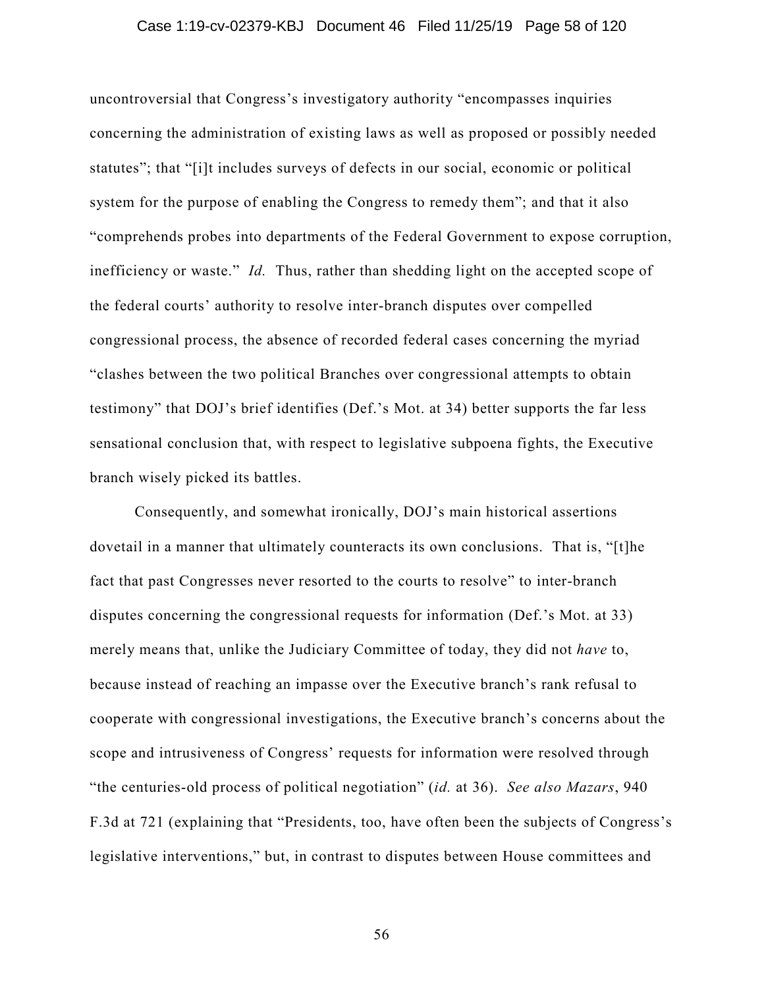## Case 1:19-cv-02379-KBJ Document 46 Filed 11/25/19 Page 58 of 120

uncontroversial that Congress's investigatory authority "encompasses inquiries concerning the administration of existing laws as well as proposed or possibly needed statutes"; that "[i]t includes surveys of defects in our social, economic or political system for the purpose of enabling the Congress to remedy them"; and that it also "comprehends probes into departments of the Federal Government to expose corruption, inefficiency or waste." *Id.* Thus, rather than shedding light on the accepted scope of the federal courts' authority to resolve inter-branch disputes over compelled congressional process, the absence of recorded federal cases concerning the myriad "clashes between the two political Branches over congressional attempts to obtain testimony" that DOJ's brief identifies (Def.'s Mot. at 34) better supports the far less sensational conclusion that, with respect to legislative subpoena fights, the Executive branch wisely picked its battles.

Consequently, and somewhat ironically, DOJ's main historical assertions dovetail in a manner that ultimately counteracts its own conclusions. That is, "[t]he fact that past Congresses never resorted to the courts to resolve" to inter-branch disputes concerning the congressional requests for information (Def.'s Mot. at 33) merely means that, unlike the Judiciary Committee of today, they did not *have* to, because instead of reaching an impasse over the Executive branch's rank refusal to cooperate with congressional investigations, the Executive branch's concerns about the scope and intrusiveness of Congress' requests for information were resolved through "the centuries-old process of political negotiation" (*id.* at 36). *See also Mazars*, 940 F.3d at 721 (explaining that "Presidents, too, have often been the subjects of Congress's legislative interventions," but, in contrast to disputes between House committees and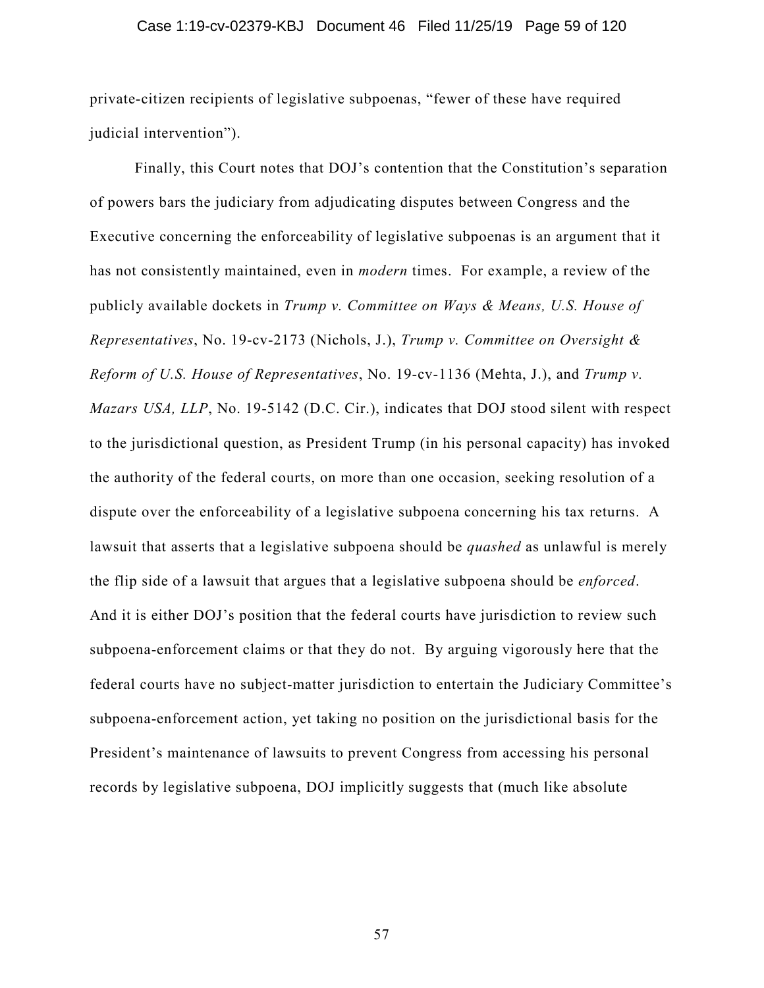#### Case 1:19-cv-02379-KBJ Document 46 Filed 11/25/19 Page 59 of 120

private-citizen recipients of legislative subpoenas, "fewer of these have required judicial intervention").

Finally, this Court notes that DOJ's contention that the Constitution's separation of powers bars the judiciary from adjudicating disputes between Congress and the Executive concerning the enforceability of legislative subpoenas is an argument that it has not consistently maintained, even in *modern* times. For example, a review of the publicly available dockets in *Trump v. Committee on Ways & Means, U.S. House of Representatives*, No. 19-cv-2173 (Nichols, J.), *Trump v. Committee on Oversight & Reform of U.S. House of Representatives*, No. 19-cv-1136 (Mehta, J.), and *Trump v. Mazars USA, LLP*, No. 19-5142 (D.C. Cir.), indicates that DOJ stood silent with respect to the jurisdictional question, as President Trump (in his personal capacity) has invoked the authority of the federal courts, on more than one occasion, seeking resolution of a dispute over the enforceability of a legislative subpoena concerning his tax returns. A lawsuit that asserts that a legislative subpoena should be *quashed* as unlawful is merely the flip side of a lawsuit that argues that a legislative subpoena should be *enforced*. And it is either DOJ's position that the federal courts have jurisdiction to review such subpoena-enforcement claims or that they do not. By arguing vigorously here that the federal courts have no subject-matter jurisdiction to entertain the Judiciary Committee's subpoena-enforcement action, yet taking no position on the jurisdictional basis for the President's maintenance of lawsuits to prevent Congress from accessing his personal records by legislative subpoena, DOJ implicitly suggests that (much like absolute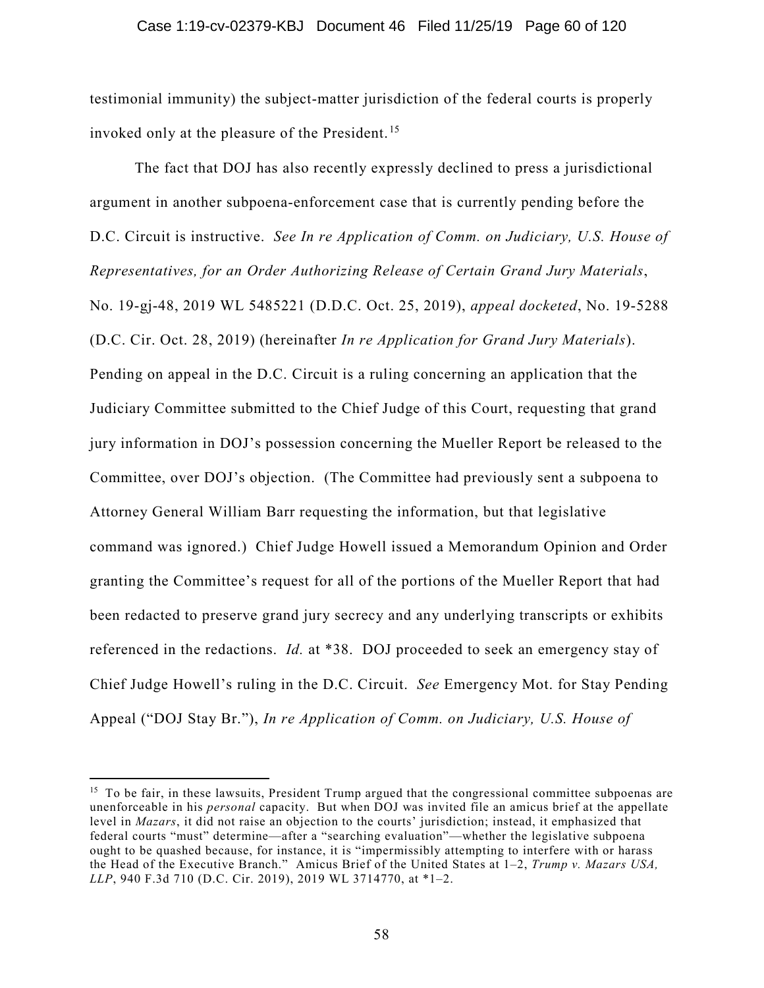### Case 1:19-cv-02379-KBJ Document 46 Filed 11/25/19 Page 60 of 120

testimonial immunity) the subject-matter jurisdiction of the federal courts is properly invoked only at the pleasure of the President.<sup>[15](#page-59-0)</sup>

The fact that DOJ has also recently expressly declined to press a jurisdictional argument in another subpoena-enforcement case that is currently pending before the D.C. Circuit is instructive. *See In re Application of Comm. on Judiciary, U.S. House of Representatives, for an Order Authorizing Release of Certain Grand Jury Materials*, No. 19-gj-48, 2019 WL 5485221 (D.D.C. Oct. 25, 2019), *appeal docketed*, No. 19-5288 (D.C. Cir. Oct. 28, 2019) (hereinafter *In re Application for Grand Jury Materials*). Pending on appeal in the D.C. Circuit is a ruling concerning an application that the Judiciary Committee submitted to the Chief Judge of this Court, requesting that grand jury information in DOJ's possession concerning the Mueller Report be released to the Committee, over DOJ's objection. (The Committee had previously sent a subpoena to Attorney General William Barr requesting the information, but that legislative command was ignored.) Chief Judge Howell issued a Memorandum Opinion and Order granting the Committee's request for all of the portions of the Mueller Report that had been redacted to preserve grand jury secrecy and any underlying transcripts or exhibits referenced in the redactions. *Id.* at \*38. DOJ proceeded to seek an emergency stay of Chief Judge Howell's ruling in the D.C. Circuit. *See* Emergency Mot. for Stay Pending Appeal ("DOJ Stay Br."), *In re Application of Comm. on Judiciary, U.S. House of* 

<span id="page-59-0"></span> $15$  To be fair, in these lawsuits, President Trump argued that the congressional committee subpoenas are unenforceable in his *personal* capacity. But when DOJ was invited file an amicus brief at the appellate level in *Mazars*, it did not raise an objection to the courts' jurisdiction; instead, it emphasized that federal courts "must" determine—after a "searching evaluation"—whether the legislative subpoena ought to be quashed because, for instance, it is "impermissibly attempting to interfere with or harass the Head of the Executive Branch." Amicus Brief of the United States at 1–2, *Trump v. Mazars USA, LLP*, 940 F.3d 710 (D.C. Cir. 2019), 2019 WL 3714770, at \*1–2.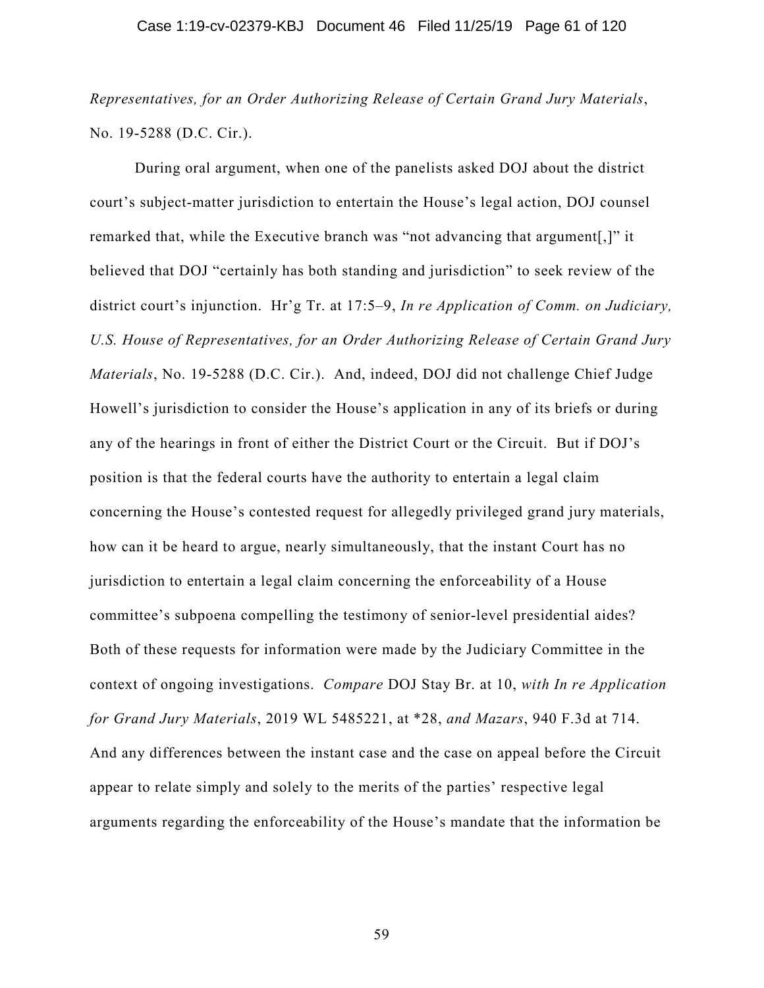*Representatives, for an Order Authorizing Release of Certain Grand Jury Materials*, No. 19-5288 (D.C. Cir.).

During oral argument, when one of the panelists asked DOJ about the district court's subject-matter jurisdiction to entertain the House's legal action, DOJ counsel remarked that, while the Executive branch was "not advancing that argument[,]" it believed that DOJ "certainly has both standing and jurisdiction" to seek review of the district court's injunction. Hr'g Tr. at 17:5–9, *In re Application of Comm. on Judiciary, U.S. House of Representatives, for an Order Authorizing Release of Certain Grand Jury Materials*, No. 19-5288 (D.C. Cir.). And, indeed, DOJ did not challenge Chief Judge Howell's jurisdiction to consider the House's application in any of its briefs or during any of the hearings in front of either the District Court or the Circuit. But if DOJ's position is that the federal courts have the authority to entertain a legal claim concerning the House's contested request for allegedly privileged grand jury materials, how can it be heard to argue, nearly simultaneously, that the instant Court has no jurisdiction to entertain a legal claim concerning the enforceability of a House committee's subpoena compelling the testimony of senior-level presidential aides? Both of these requests for information were made by the Judiciary Committee in the context of ongoing investigations. *Compare* DOJ Stay Br. at 10, *with In re Application for Grand Jury Materials*, 2019 WL 5485221, at \*28, *and Mazars*, 940 F.3d at 714. And any differences between the instant case and the case on appeal before the Circuit appear to relate simply and solely to the merits of the parties' respective legal arguments regarding the enforceability of the House's mandate that the information be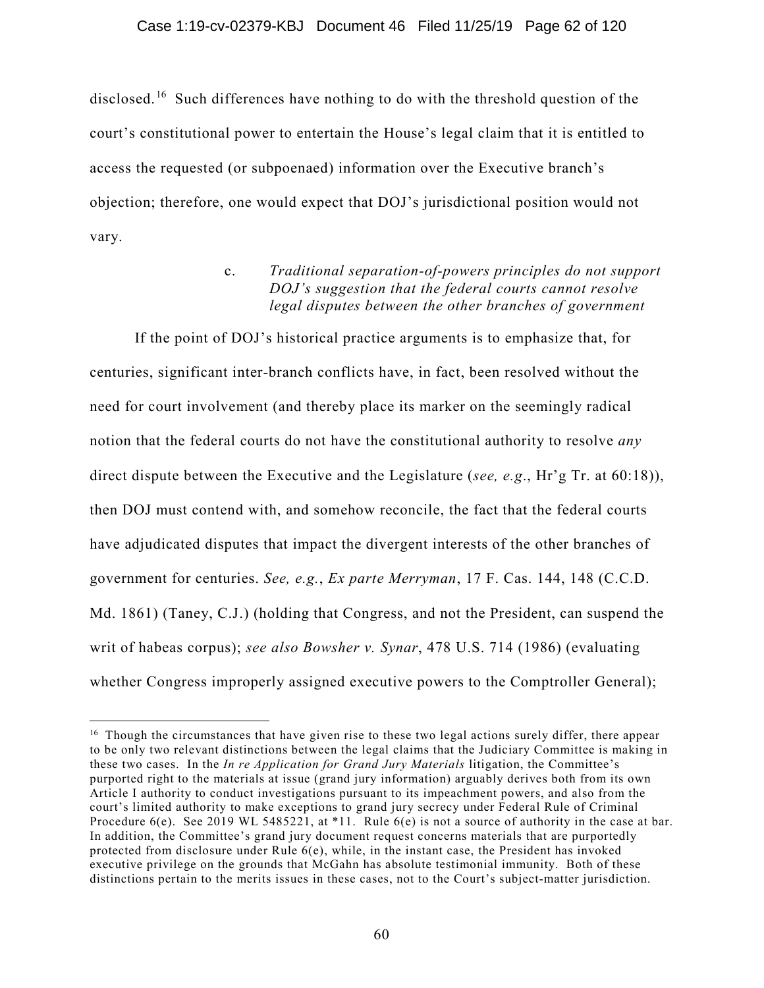# Case 1:19-cv-02379-KBJ Document 46 Filed 11/25/19 Page 62 of 120

disclosed. [16](#page-61-0) Such differences have nothing to do with the threshold question of the court's constitutional power to entertain the House's legal claim that it is entitled to access the requested (or subpoenaed) information over the Executive branch's objection; therefore, one would expect that DOJ's jurisdictional position would not vary.

# c. *Traditional separation-of-powers principles do not support DOJ's suggestion that the federal courts cannot resolve legal disputes between the other branches of government*

If the point of DOJ's historical practice arguments is to emphasize that, for centuries, significant inter-branch conflicts have, in fact, been resolved without the need for court involvement (and thereby place its marker on the seemingly radical notion that the federal courts do not have the constitutional authority to resolve *any* direct dispute between the Executive and the Legislature (*see, e.g*., Hr'g Tr. at 60:18)), then DOJ must contend with, and somehow reconcile, the fact that the federal courts have adjudicated disputes that impact the divergent interests of the other branches of government for centuries. *See, e.g.*, *Ex parte Merryman*, 17 F. Cas. 144, 148 (C.C.D. Md. 1861) (Taney, C.J.) (holding that Congress, and not the President, can suspend the writ of habeas corpus); *see also Bowsher v. Synar*, 478 U.S. 714 (1986) (evaluating whether Congress improperly assigned executive powers to the Comptroller General);

<span id="page-61-0"></span><sup>&</sup>lt;sup>16</sup> Though the circumstances that have given rise to these two legal actions surely differ, there appear to be only two relevant distinctions between the legal claims that the Judiciary Committee is making in these two cases. In the *In re Application for Grand Jury Materials* litigation, the Committee's purported right to the materials at issue (grand jury information) arguably derives both from its own Article I authority to conduct investigations pursuant to its impeachment powers, and also from the court's limited authority to make exceptions to grand jury secrecy under Federal Rule of Criminal Procedure  $6(e)$ . See 2019 WL 5485221, at \*11. Rule  $6(e)$  is not a source of authority in the case at bar. In addition, the Committee's grand jury document request concerns materials that are purportedly protected from disclosure under Rule  $6(e)$ , while, in the instant case, the President has invoked executive privilege on the grounds that McGahn has absolute testimonial immunity. Both of these distinctions pertain to the merits issues in these cases, not to the Court's subject-matter jurisdiction.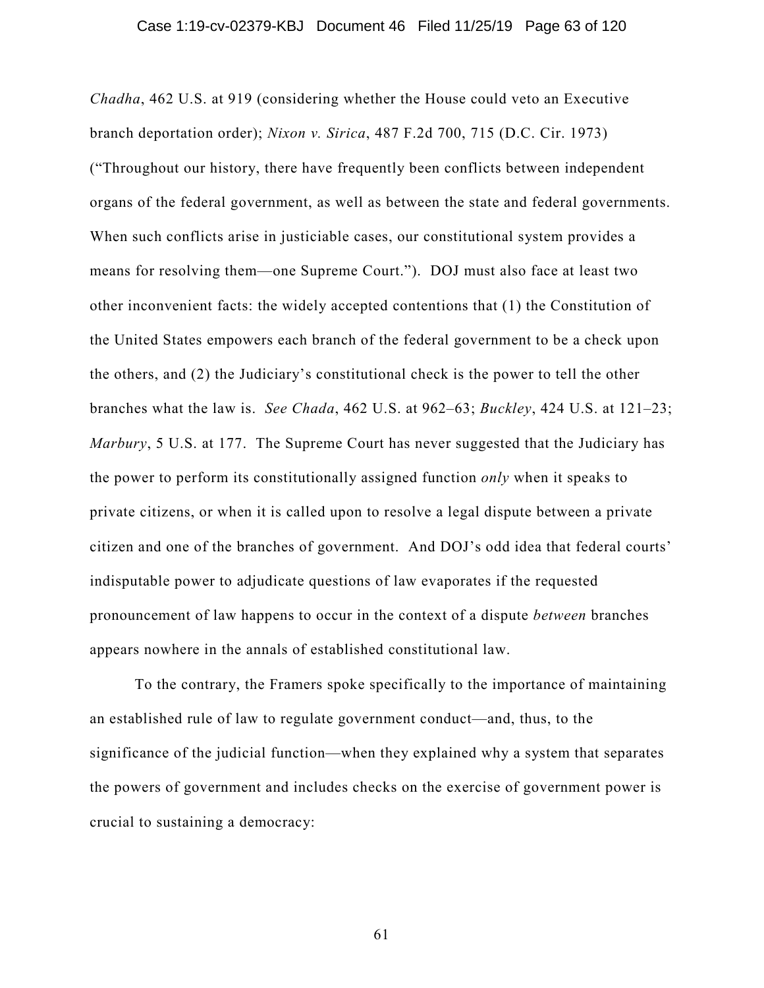*Chadha*, 462 U.S. at 919 (considering whether the House could veto an Executive branch deportation order); *Nixon v. Sirica*, 487 F.2d 700, 715 (D.C. Cir. 1973) ("Throughout our history, there have frequently been conflicts between independent organs of the federal government, as well as between the state and federal governments. When such conflicts arise in justiciable cases, our constitutional system provides a means for resolving them—one Supreme Court."). DOJ must also face at least two other inconvenient facts: the widely accepted contentions that (1) the Constitution of the United States empowers each branch of the federal government to be a check upon the others, and (2) the Judiciary's constitutional check is the power to tell the other branches what the law is. *See Chada*, 462 U.S. at 962–63; *Buckley*, 424 U.S. at 121–23; *Marbury*, 5 U.S. at 177. The Supreme Court has never suggested that the Judiciary has the power to perform its constitutionally assigned function *only* when it speaks to private citizens, or when it is called upon to resolve a legal dispute between a private citizen and one of the branches of government. And DOJ's odd idea that federal courts' indisputable power to adjudicate questions of law evaporates if the requested pronouncement of law happens to occur in the context of a dispute *between* branches appears nowhere in the annals of established constitutional law.

To the contrary, the Framers spoke specifically to the importance of maintaining an established rule of law to regulate government conduct—and, thus, to the significance of the judicial function—when they explained why a system that separates the powers of government and includes checks on the exercise of government power is crucial to sustaining a democracy: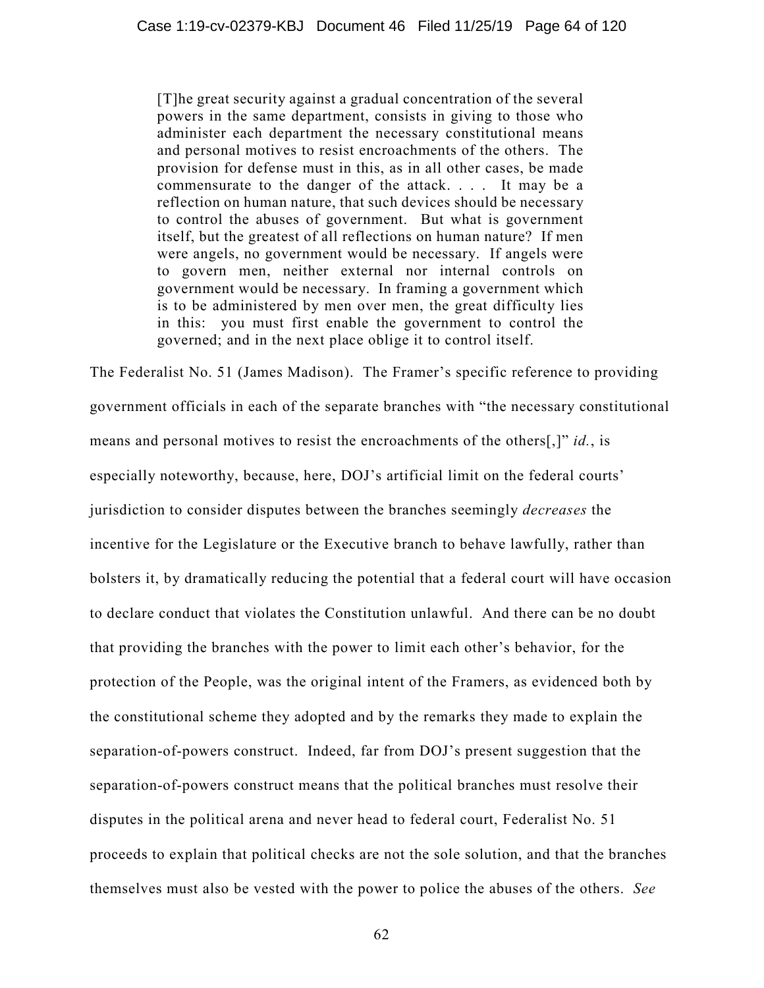[T]he great security against a gradual concentration of the several powers in the same department, consists in giving to those who administer each department the necessary constitutional means and personal motives to resist encroachments of the others. The provision for defense must in this, as in all other cases, be made commensurate to the danger of the attack. . . . It may be a reflection on human nature, that such devices should be necessary to control the abuses of government. But what is government itself, but the greatest of all reflections on human nature? If men were angels, no government would be necessary. If angels were to govern men, neither external nor internal controls on government would be necessary. In framing a government which is to be administered by men over men, the great difficulty lies in this: you must first enable the government to control the governed; and in the next place oblige it to control itself.

The Federalist No. 51 (James Madison). The Framer's specific reference to providing government officials in each of the separate branches with "the necessary constitutional means and personal motives to resist the encroachments of the others[,]" *id.*, is especially noteworthy, because, here, DOJ's artificial limit on the federal courts' jurisdiction to consider disputes between the branches seemingly *decreases* the incentive for the Legislature or the Executive branch to behave lawfully, rather than bolsters it, by dramatically reducing the potential that a federal court will have occasion to declare conduct that violates the Constitution unlawful. And there can be no doubt that providing the branches with the power to limit each other's behavior, for the protection of the People, was the original intent of the Framers, as evidenced both by the constitutional scheme they adopted and by the remarks they made to explain the separation-of-powers construct. Indeed, far from DOJ's present suggestion that the separation-of-powers construct means that the political branches must resolve their disputes in the political arena and never head to federal court, Federalist No. 51 proceeds to explain that political checks are not the sole solution, and that the branches themselves must also be vested with the power to police the abuses of the others. *See*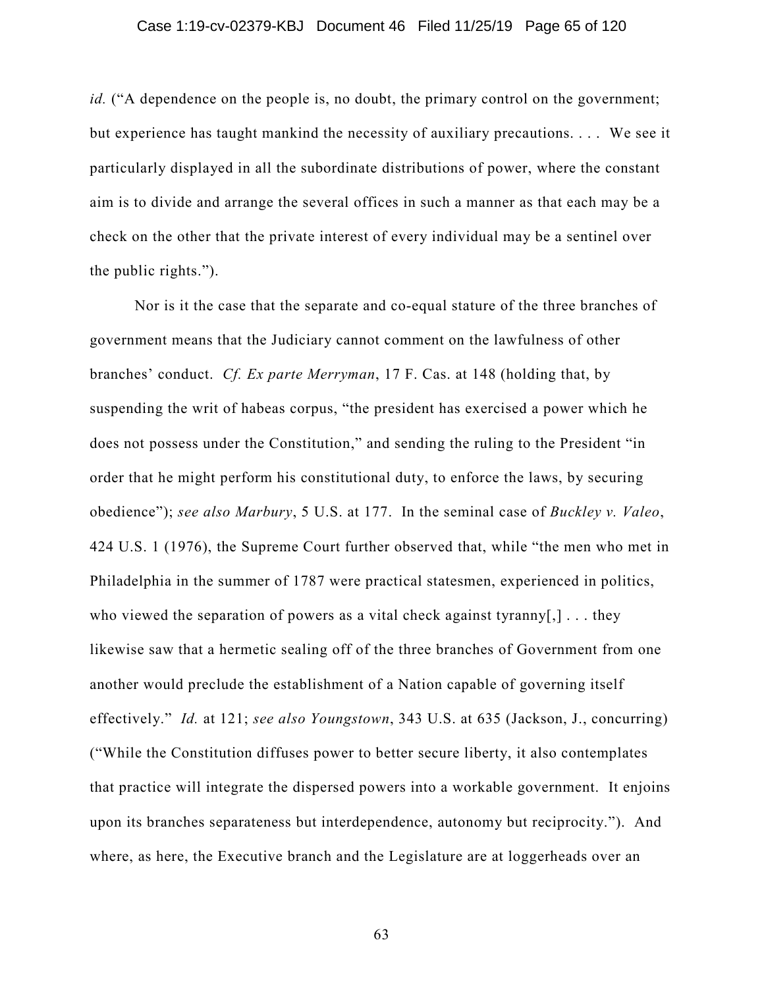#### Case 1:19-cv-02379-KBJ Document 46 Filed 11/25/19 Page 65 of 120

*id.* ("A dependence on the people is, no doubt, the primary control on the government; but experience has taught mankind the necessity of auxiliary precautions. . . . We see it particularly displayed in all the subordinate distributions of power, where the constant aim is to divide and arrange the several offices in such a manner as that each may be a check on the other that the private interest of every individual may be a sentinel over the public rights.").

Nor is it the case that the separate and co-equal stature of the three branches of government means that the Judiciary cannot comment on the lawfulness of other branches' conduct. *Cf. Ex parte Merryman*, 17 F. Cas. at 148 (holding that, by suspending the writ of habeas corpus, "the president has exercised a power which he does not possess under the Constitution," and sending the ruling to the President "in order that he might perform his constitutional duty, to enforce the laws, by securing obedience"); *see also Marbury*, 5 U.S. at 177. In the seminal case of *Buckley v. Valeo*, 424 U.S. 1 (1976), the Supreme Court further observed that, while "the men who met in Philadelphia in the summer of 1787 were practical statesmen, experienced in politics, who viewed the separation of powers as a vital check against tyranny[,]  $\ldots$  they likewise saw that a hermetic sealing off of the three branches of Government from one another would preclude the establishment of a Nation capable of governing itself effectively." *Id.* at 121; *see also Youngstown*, 343 U.S. at 635 (Jackson, J., concurring) ("While the Constitution diffuses power to better secure liberty, it also contemplates that practice will integrate the dispersed powers into a workable government. It enjoins upon its branches separateness but interdependence, autonomy but reciprocity."). And where, as here, the Executive branch and the Legislature are at loggerheads over an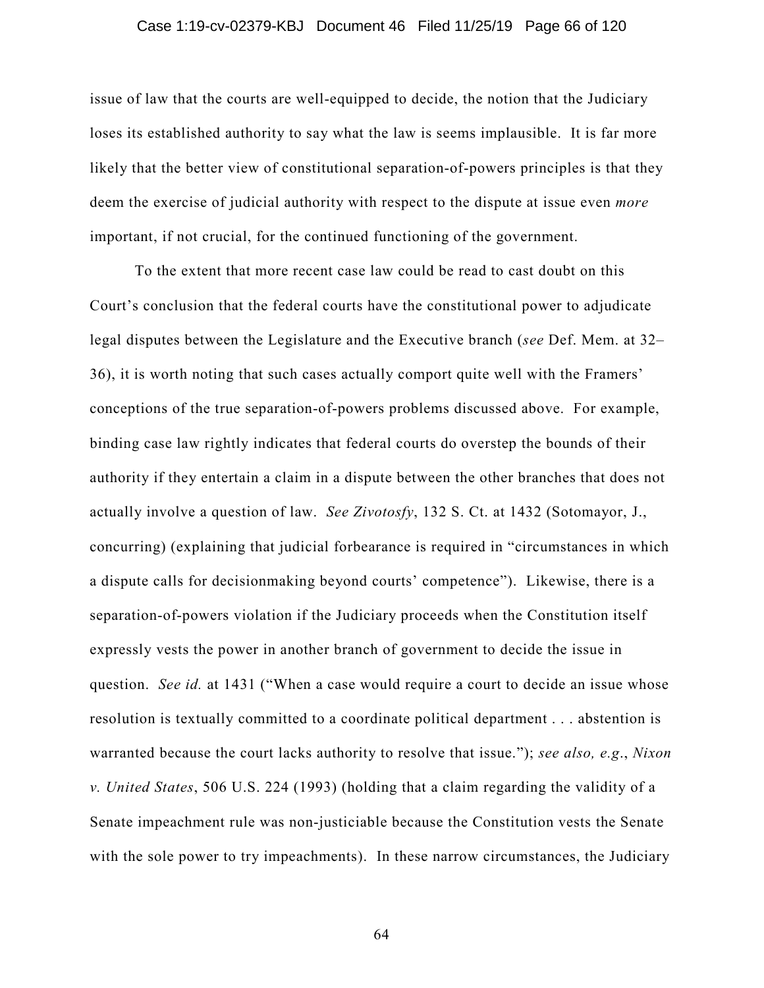#### Case 1:19-cv-02379-KBJ Document 46 Filed 11/25/19 Page 66 of 120

issue of law that the courts are well-equipped to decide, the notion that the Judiciary loses its established authority to say what the law is seems implausible. It is far more likely that the better view of constitutional separation-of-powers principles is that they deem the exercise of judicial authority with respect to the dispute at issue even *more* important, if not crucial, for the continued functioning of the government.

To the extent that more recent case law could be read to cast doubt on this Court's conclusion that the federal courts have the constitutional power to adjudicate legal disputes between the Legislature and the Executive branch (*see* Def. Mem. at 32– 36), it is worth noting that such cases actually comport quite well with the Framers' conceptions of the true separation-of-powers problems discussed above. For example, binding case law rightly indicates that federal courts do overstep the bounds of their authority if they entertain a claim in a dispute between the other branches that does not actually involve a question of law. *See Zivotosfy*, 132 S. Ct. at 1432 (Sotomayor, J., concurring) (explaining that judicial forbearance is required in "circumstances in which a dispute calls for decisionmaking beyond courts' competence"). Likewise, there is a separation-of-powers violation if the Judiciary proceeds when the Constitution itself expressly vests the power in another branch of government to decide the issue in question. *See id.* at 1431 ("When a case would require a court to decide an issue whose resolution is textually committed to a coordinate political department . . . abstention is warranted because the court lacks authority to resolve that issue."); *see also, e.g*., *Nixon v. United States*, 506 U.S. 224 (1993) (holding that a claim regarding the validity of a Senate impeachment rule was non-justiciable because the Constitution vests the Senate with the sole power to try impeachments). In these narrow circumstances, the Judiciary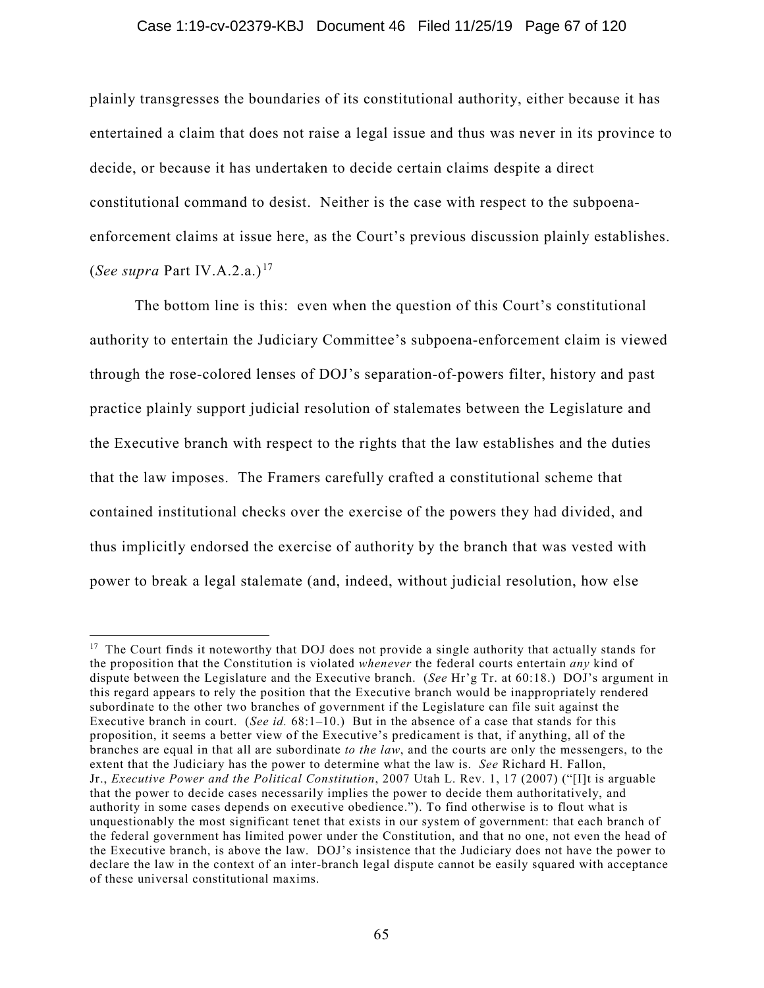### Case 1:19-cv-02379-KBJ Document 46 Filed 11/25/19 Page 67 of 120

plainly transgresses the boundaries of its constitutional authority, either because it has entertained a claim that does not raise a legal issue and thus was never in its province to decide, or because it has undertaken to decide certain claims despite a direct constitutional command to desist. Neither is the case with respect to the subpoenaenforcement claims at issue here, as the Court's previous discussion plainly establishes. (*See supra* Part IV.A.2.a.)<sup>[17](#page-66-0)</sup>

The bottom line is this: even when the question of this Court's constitutional authority to entertain the Judiciary Committee's subpoena-enforcement claim is viewed through the rose-colored lenses of DOJ's separation-of-powers filter, history and past practice plainly support judicial resolution of stalemates between the Legislature and the Executive branch with respect to the rights that the law establishes and the duties that the law imposes. The Framers carefully crafted a constitutional scheme that contained institutional checks over the exercise of the powers they had divided, and thus implicitly endorsed the exercise of authority by the branch that was vested with power to break a legal stalemate (and, indeed, without judicial resolution, how else

<span id="page-66-0"></span><sup>&</sup>lt;sup>17</sup> The Court finds it noteworthy that DOJ does not provide a single authority that actually stands for the proposition that the Constitution is violated *whenever* the federal courts entertain *any* kind of dispute between the Legislature and the Executive branch. (*See* Hr'g Tr. at 60:18.) DOJ's argument in this regard appears to rely the position that the Executive branch would be inappropriately rendered subordinate to the other two branches of government if the Legislature can file suit against the Executive branch in court. (*See id.* 68:1–10.) But in the absence of a case that stands for this proposition, it seems a better view of the Executive's predicament is that, if anything, all of the branches are equal in that all are subordinate *to the law*, and the courts are only the messengers, to the extent that the Judiciary has the power to determine what the law is. *See* Richard H. Fallon, Jr., *Executive Power and the Political Constitution*, 2007 Utah L. Rev. 1, 17 (2007) ("[I]t is arguable that the power to decide cases necessarily implies the power to decide them authoritatively, and authority in some cases depends on executive obedience."). To find otherwise is to flout what is unquestionably the most significant tenet that exists in our system of government: that each branch of the federal government has limited power under the Constitution, and that no one, not even the head of the Executive branch, is above the law. DOJ's insistence that the Judiciary does not have the power to declare the law in the context of an inter-branch legal dispute cannot be easily squared with acceptance of these universal constitutional maxims.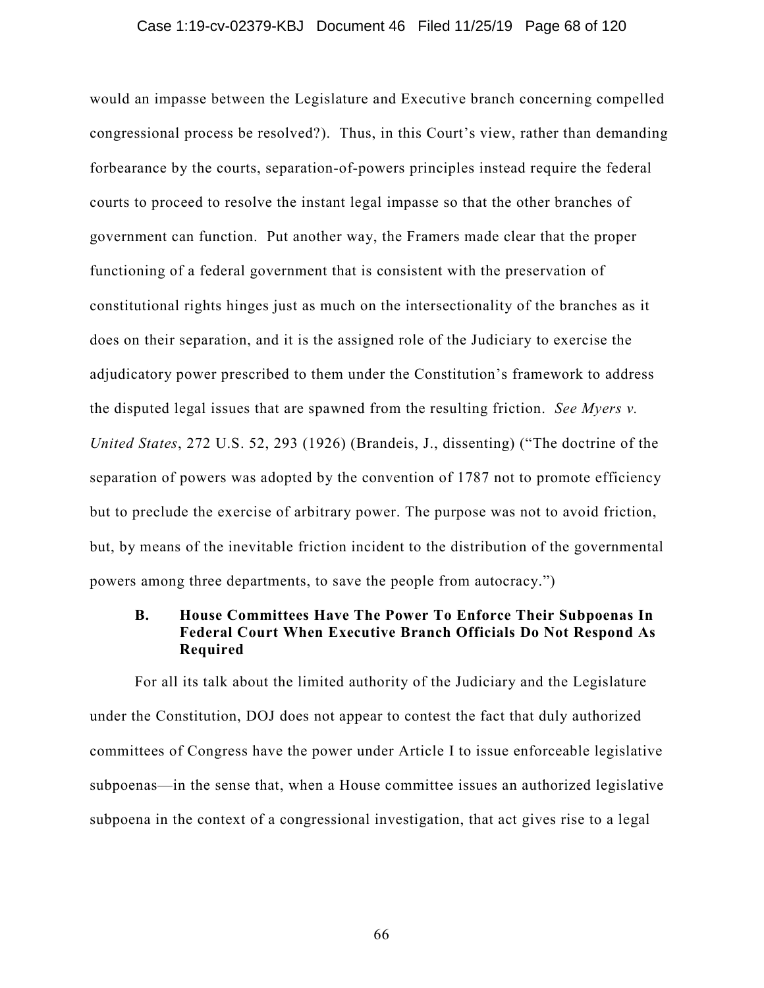#### Case 1:19-cv-02379-KBJ Document 46 Filed 11/25/19 Page 68 of 120

would an impasse between the Legislature and Executive branch concerning compelled congressional process be resolved?). Thus, in this Court's view, rather than demanding forbearance by the courts, separation-of-powers principles instead require the federal courts to proceed to resolve the instant legal impasse so that the other branches of government can function. Put another way, the Framers made clear that the proper functioning of a federal government that is consistent with the preservation of constitutional rights hinges just as much on the intersectionality of the branches as it does on their separation, and it is the assigned role of the Judiciary to exercise the adjudicatory power prescribed to them under the Constitution's framework to address the disputed legal issues that are spawned from the resulting friction. *See Myers v. United States*, 272 U.S. 52, 293 (1926) (Brandeis, J., dissenting) ("The doctrine of the separation of powers was adopted by the convention of 1787 not to promote efficiency but to preclude the exercise of arbitrary power. The purpose was not to avoid friction, but, by means of the inevitable friction incident to the distribution of the governmental powers among three departments, to save the people from autocracy.")

# **B. House Committees Have The Power To Enforce Their Subpoenas In Federal Court When Executive Branch Officials Do Not Respond As Required**

For all its talk about the limited authority of the Judiciary and the Legislature under the Constitution, DOJ does not appear to contest the fact that duly authorized committees of Congress have the power under Article I to issue enforceable legislative subpoenas—in the sense that, when a House committee issues an authorized legislative subpoena in the context of a congressional investigation, that act gives rise to a legal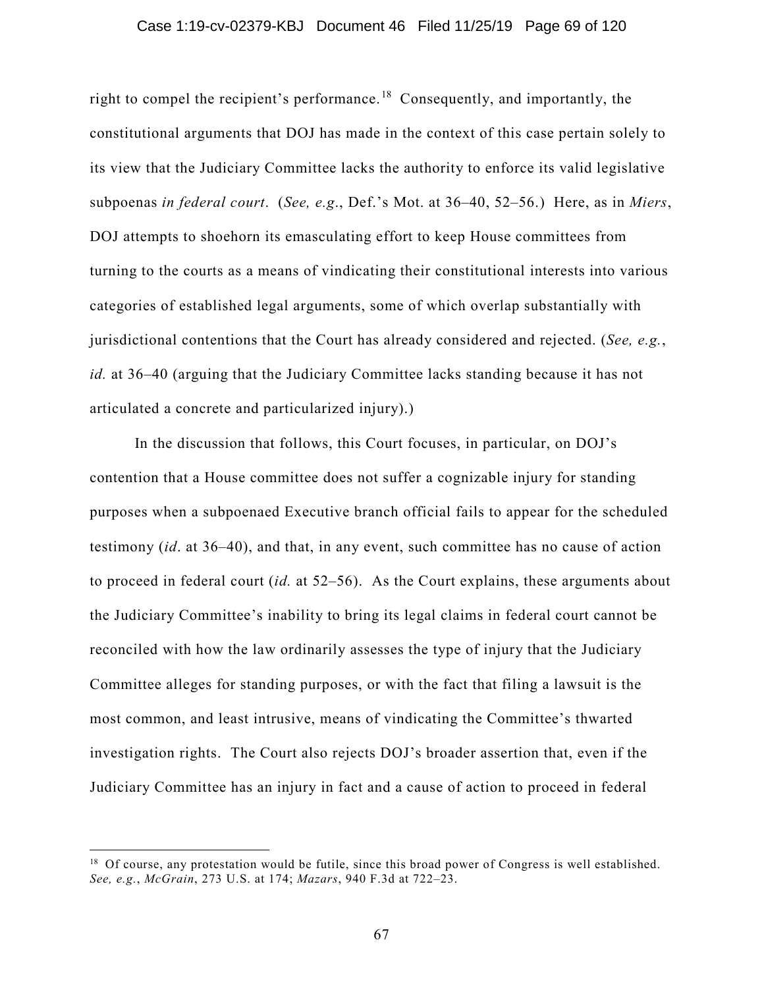## Case 1:19-cv-02379-KBJ Document 46 Filed 11/25/19 Page 69 of 120

right to compel the recipient's performance. [18](#page-68-0) Consequently, and importantly, the constitutional arguments that DOJ has made in the context of this case pertain solely to its view that the Judiciary Committee lacks the authority to enforce its valid legislative subpoenas *in federal court*. (*See, e.g*., Def.'s Mot. at 36–40, 52–56.) Here, as in *Miers*, DOJ attempts to shoehorn its emasculating effort to keep House committees from turning to the courts as a means of vindicating their constitutional interests into various categories of established legal arguments, some of which overlap substantially with jurisdictional contentions that the Court has already considered and rejected. (*See, e.g.*, *id.* at 36–40 (arguing that the Judiciary Committee lacks standing because it has not articulated a concrete and particularized injury).)

In the discussion that follows, this Court focuses, in particular, on DOJ's contention that a House committee does not suffer a cognizable injury for standing purposes when a subpoenaed Executive branch official fails to appear for the scheduled testimony (*id*. at 36–40), and that, in any event, such committee has no cause of action to proceed in federal court (*id.* at 52–56). As the Court explains, these arguments about the Judiciary Committee's inability to bring its legal claims in federal court cannot be reconciled with how the law ordinarily assesses the type of injury that the Judiciary Committee alleges for standing purposes, or with the fact that filing a lawsuit is the most common, and least intrusive, means of vindicating the Committee's thwarted investigation rights. The Court also rejects DOJ's broader assertion that, even if the Judiciary Committee has an injury in fact and a cause of action to proceed in federal

<span id="page-68-0"></span> $18$  Of course, any protestation would be futile, since this broad power of Congress is well established. *See, e.g.*, *McGrain*, 273 U.S. at 174; *Mazars*, 940 F.3d at 722–23.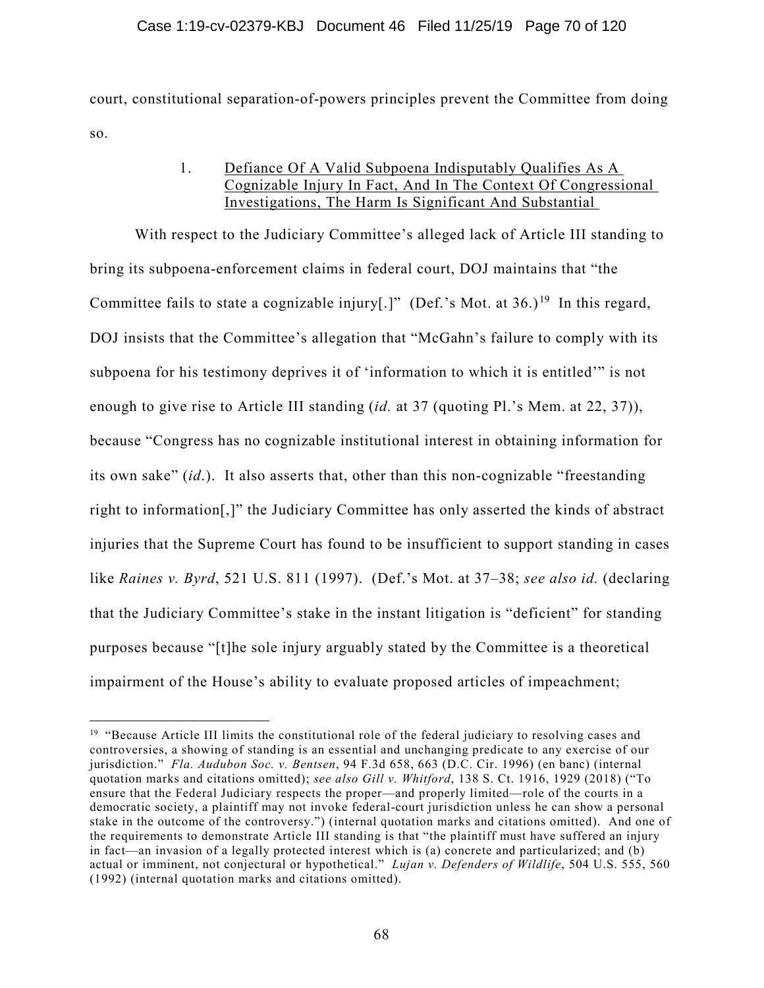court, constitutional separation-of-powers principles prevent the Committee from doing so.

# 1. Defiance Of A Valid Subpoena Indisputably Qualifies As A Cognizable Injury In Fact, And In The Context Of Congressional Investigations, The Harm Is Significant And Substantial

With respect to the Judiciary Committee's alleged lack of Article III standing to bring its subpoena-enforcement claims in federal court, DOJ maintains that "the Committee fails to state a cognizable injury[.]" (Def.'s Mot. at  $36.$ )<sup>19</sup> In this regard, DOJ insists that the Committee's allegation that "McGahn's failure to comply with its subpoena for his testimony deprives it of 'information to which it is entitled'" is not enough to give rise to Article III standing (*id.* at 37 (quoting Pl.'s Mem. at 22, 37)), because "Congress has no cognizable institutional interest in obtaining information for its own sake" (*id*.). It also asserts that, other than this non-cognizable "freestanding right to information[,]" the Judiciary Committee has only asserted the kinds of abstract injuries that the Supreme Court has found to be insufficient to support standing in cases like *Raines v. Byrd*, 521 U.S. 811 (1997). (Def.'s Mot. at 37–38; *see also id.* (declaring that the Judiciary Committee's stake in the instant litigation is "deficient" for standing purposes because "[t]he sole injury arguably stated by the Committee is a theoretical impairment of the House's ability to evaluate proposed articles of impeachment;

<span id="page-69-0"></span> $19$  "Because Article III limits the constitutional role of the federal judiciary to resolving cases and controversies, a showing of standing is an essential and unchanging predicate to any exercise of our jurisdiction." *Fla. Audubon Soc. v. Bentsen*, 94 F.3d 658, 663 (D.C. Cir. 1996) (en banc) (internal quotation marks and citations omitted); *see also Gill v. Whitford*, 138 S. Ct. 1916, 1929 (2018) ("To ensure that the Federal Judiciary respects the proper—and properly limited—role of the courts in a democratic society, a plaintiff may not invoke federal-court jurisdiction unless he can show a personal stake in the outcome of the controversy.") (internal quotation marks and citations omitted). And one of the requirements to demonstrate Article III standing is that "the plaintiff must have suffered an injury in fact—an invasion of a legally protected interest which is (a) concrete and particularized; and (b) actual or imminent, not conjectural or hypothetical." *Lujan v. Defenders of Wildlife*, 504 U.S. 555, 560 (1992) (internal quotation marks and citations omitted).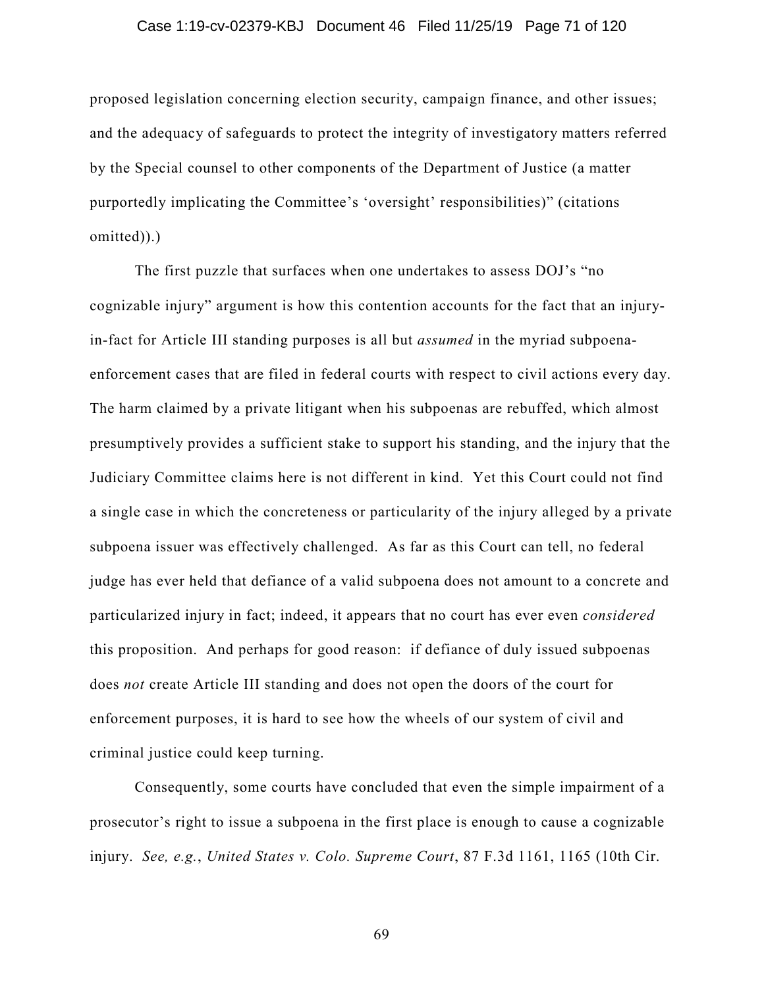## Case 1:19-cv-02379-KBJ Document 46 Filed 11/25/19 Page 71 of 120

proposed legislation concerning election security, campaign finance, and other issues; and the adequacy of safeguards to protect the integrity of investigatory matters referred by the Special counsel to other components of the Department of Justice (a matter purportedly implicating the Committee's 'oversight' responsibilities)" (citations omitted)).)

The first puzzle that surfaces when one undertakes to assess DOJ's "no cognizable injury" argument is how this contention accounts for the fact that an injuryin-fact for Article III standing purposes is all but *assumed* in the myriad subpoenaenforcement cases that are filed in federal courts with respect to civil actions every day. The harm claimed by a private litigant when his subpoenas are rebuffed, which almost presumptively provides a sufficient stake to support his standing, and the injury that the Judiciary Committee claims here is not different in kind. Yet this Court could not find a single case in which the concreteness or particularity of the injury alleged by a private subpoena issuer was effectively challenged. As far as this Court can tell, no federal judge has ever held that defiance of a valid subpoena does not amount to a concrete and particularized injury in fact; indeed, it appears that no court has ever even *considered*  this proposition. And perhaps for good reason: if defiance of duly issued subpoenas does *not* create Article III standing and does not open the doors of the court for enforcement purposes, it is hard to see how the wheels of our system of civil and criminal justice could keep turning.

Consequently, some courts have concluded that even the simple impairment of a prosecutor's right to issue a subpoena in the first place is enough to cause a cognizable injury. *See, e.g.*, *United States v. Colo. Supreme Court*, 87 F.3d 1161, 1165 (10th Cir.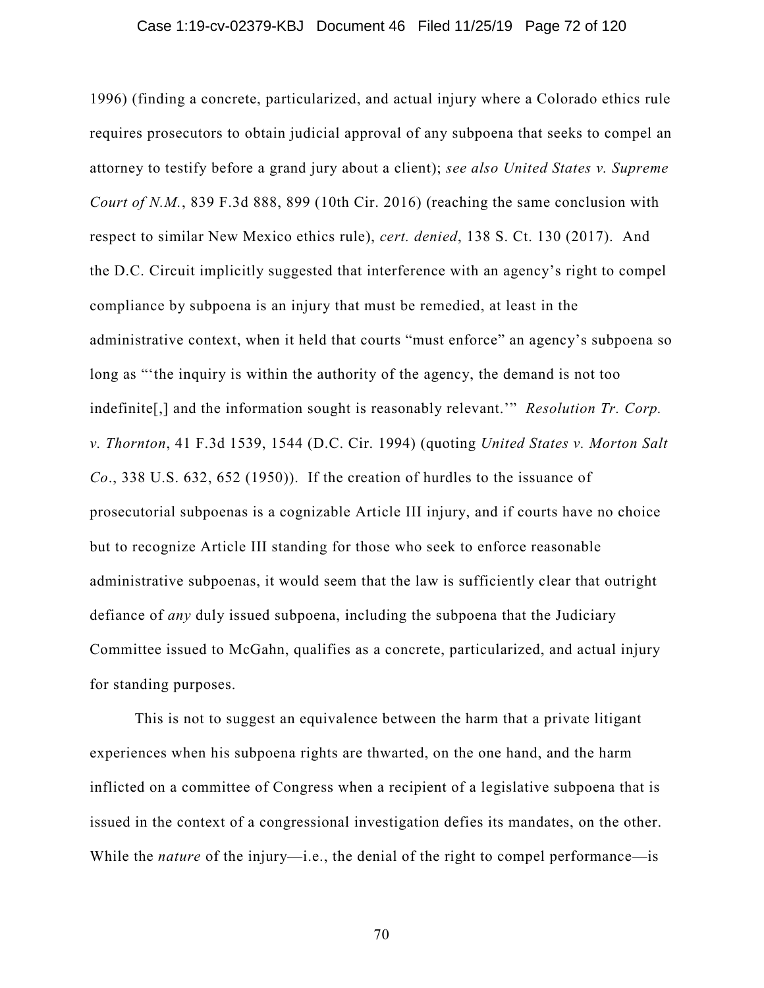#### Case 1:19-cv-02379-KBJ Document 46 Filed 11/25/19 Page 72 of 120

1996) (finding a concrete, particularized, and actual injury where a Colorado ethics rule requires prosecutors to obtain judicial approval of any subpoena that seeks to compel an attorney to testify before a grand jury about a client); *see also United States v. Supreme Court of N.M.*, 839 F.3d 888, 899 (10th Cir. 2016) (reaching the same conclusion with respect to similar New Mexico ethics rule), *cert. denied*, 138 S. Ct. 130 (2017). And the D.C. Circuit implicitly suggested that interference with an agency's right to compel compliance by subpoena is an injury that must be remedied, at least in the administrative context, when it held that courts "must enforce" an agency's subpoena so long as "'the inquiry is within the authority of the agency, the demand is not too indefinite[,] and the information sought is reasonably relevant.'" *Resolution Tr. Corp. v. Thornton*, 41 F.3d 1539, 1544 (D.C. Cir. 1994) (quoting *United States v. Morton Salt Co*., 338 U.S. 632, 652 (1950)). If the creation of hurdles to the issuance of prosecutorial subpoenas is a cognizable Article III injury, and if courts have no choice but to recognize Article III standing for those who seek to enforce reasonable administrative subpoenas, it would seem that the law is sufficiently clear that outright defiance of *any* duly issued subpoena, including the subpoena that the Judiciary Committee issued to McGahn, qualifies as a concrete, particularized, and actual injury for standing purposes.

This is not to suggest an equivalence between the harm that a private litigant experiences when his subpoena rights are thwarted, on the one hand, and the harm inflicted on a committee of Congress when a recipient of a legislative subpoena that is issued in the context of a congressional investigation defies its mandates, on the other. While the *nature* of the injury—i.e., the denial of the right to compel performance—is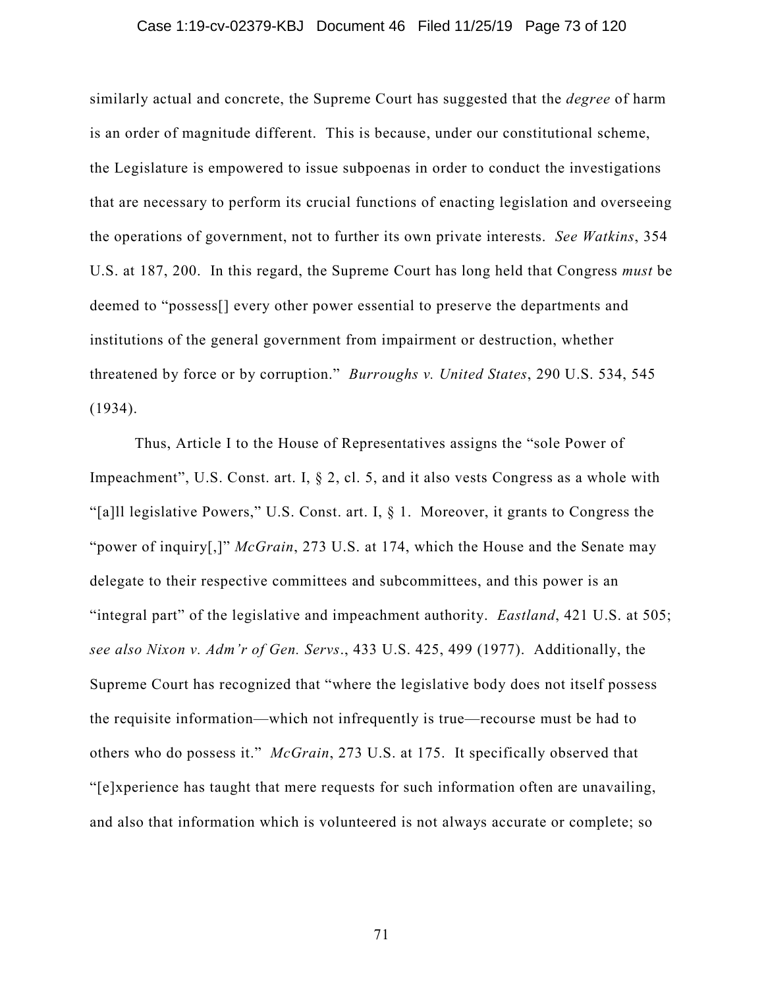## Case 1:19-cv-02379-KBJ Document 46 Filed 11/25/19 Page 73 of 120

similarly actual and concrete, the Supreme Court has suggested that the *degree* of harm is an order of magnitude different. This is because, under our constitutional scheme, the Legislature is empowered to issue subpoenas in order to conduct the investigations that are necessary to perform its crucial functions of enacting legislation and overseeing the operations of government, not to further its own private interests. *See Watkins*, 354 U.S. at 187, 200. In this regard, the Supreme Court has long held that Congress *must* be deemed to "possess[] every other power essential to preserve the departments and institutions of the general government from impairment or destruction, whether threatened by force or by corruption." *Burroughs v. United States*, 290 U.S. 534, 545 (1934).

Thus, Article I to the House of Representatives assigns the "sole Power of Impeachment", U.S. Const. art. I, § 2, cl. 5, and it also vests Congress as a whole with "[a]ll legislative Powers," U.S. Const. art. I, § 1. Moreover, it grants to Congress the "power of inquiry[,]" *McGrain*, 273 U.S. at 174, which the House and the Senate may delegate to their respective committees and subcommittees, and this power is an "integral part" of the legislative and impeachment authority. *Eastland*, 421 U.S. at 505; *see also Nixon v. Adm'r of Gen. Servs*., 433 U.S. 425, 499 (1977). Additionally, the Supreme Court has recognized that "where the legislative body does not itself possess the requisite information—which not infrequently is true—recourse must be had to others who do possess it." *McGrain*, 273 U.S. at 175. It specifically observed that "[e]xperience has taught that mere requests for such information often are unavailing, and also that information which is volunteered is not always accurate or complete; so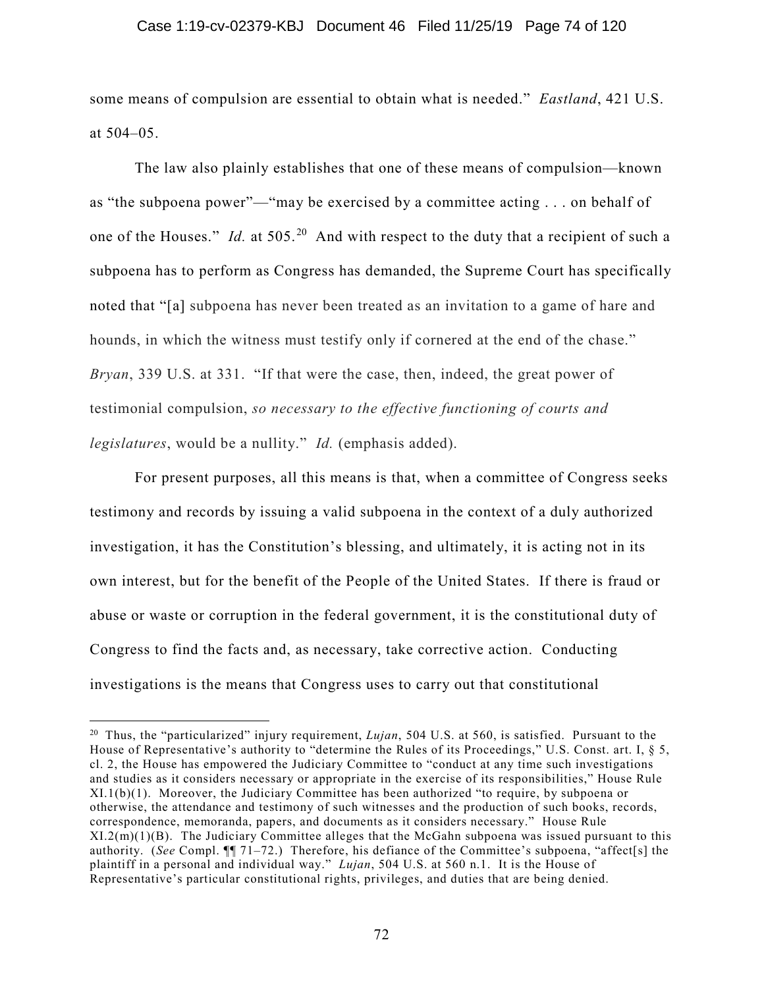## Case 1:19-cv-02379-KBJ Document 46 Filed 11/25/19 Page 74 of 120

some means of compulsion are essential to obtain what is needed." *Eastland*, 421 U.S. at 504–05.

The law also plainly establishes that one of these means of compulsion—known as "the subpoena power"—"may be exercised by a committee acting . . . on behalf of one of the Houses." *Id.* at 505.<sup>[20](#page-73-0)</sup> And with respect to the duty that a recipient of such a subpoena has to perform as Congress has demanded, the Supreme Court has specifically noted that "[a] subpoena has never been treated as an invitation to a game of hare and hounds, in which the witness must testify only if cornered at the end of the chase." *Bryan*, 339 U.S. at 331. "If that were the case, then, indeed, the great power of testimonial compulsion, *so necessary to the effective functioning of courts and legislatures*, would be a nullity." *Id.* (emphasis added).

For present purposes, all this means is that, when a committee of Congress seeks testimony and records by issuing a valid subpoena in the context of a duly authorized investigation, it has the Constitution's blessing, and ultimately, it is acting not in its own interest, but for the benefit of the People of the United States. If there is fraud or abuse or waste or corruption in the federal government, it is the constitutional duty of Congress to find the facts and, as necessary, take corrective action. Conducting investigations is the means that Congress uses to carry out that constitutional

<span id="page-73-0"></span> <sup>20</sup> Thus, the "particularized" injury requirement, *Lujan*, 504 U.S. at 560, is satisfied. Pursuant to the House of Representative's authority to "determine the Rules of its Proceedings," U.S. Const. art. I, § 5, cl. 2, the House has empowered the Judiciary Committee to "conduct at any time such investigations and studies as it considers necessary or appropriate in the exercise of its responsibilities," House Rule XI.1(b)(1). Moreover, the Judiciary Committee has been authorized "to require, by subpoena or otherwise, the attendance and testimony of such witnesses and the production of such books, records, correspondence, memoranda, papers, and documents as it considers necessary." House Rule  $XI.2(m)(1)(B)$ . The Judiciary Committee alleges that the McGahn subpoena was issued pursuant to this authority. (*See* Compl. ¶¶ 71–72.) Therefore, his defiance of the Committee's subpoena, "affect[s] the plaintiff in a personal and individual way." *Lujan*, 504 U.S. at 560 n.1. It is the House of Representative's particular constitutional rights, privileges, and duties that are being denied.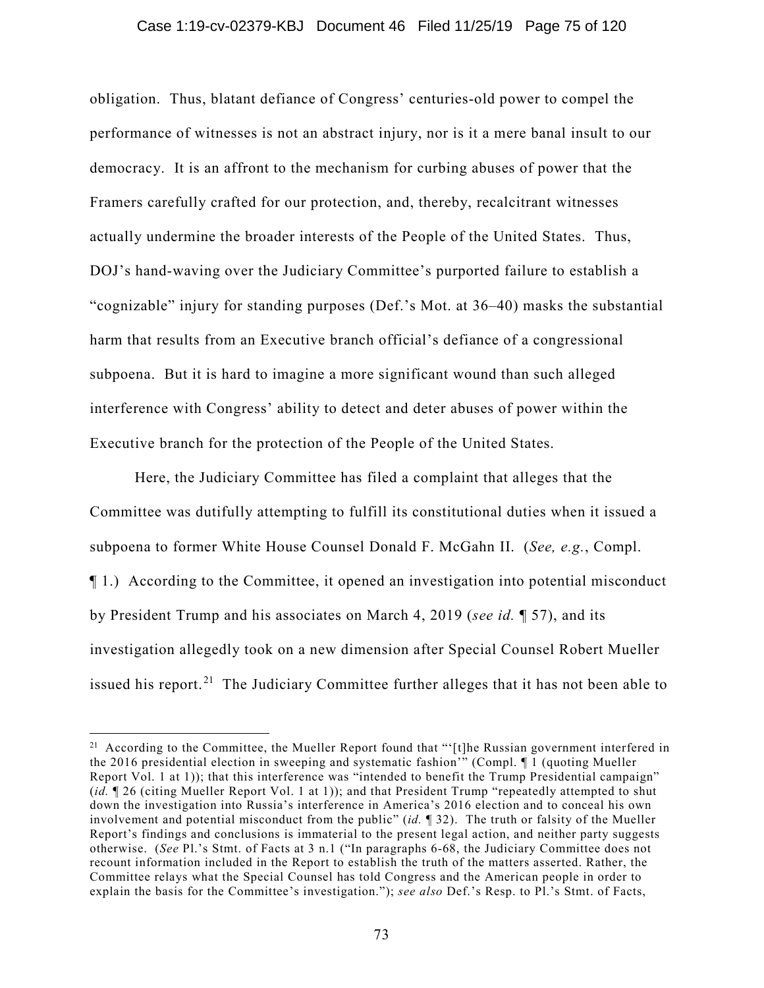## Case 1:19-cv-02379-KBJ Document 46 Filed 11/25/19 Page 75 of 120

obligation. Thus, blatant defiance of Congress' centuries-old power to compel the performance of witnesses is not an abstract injury, nor is it a mere banal insult to our democracy. It is an affront to the mechanism for curbing abuses of power that the Framers carefully crafted for our protection, and, thereby, recalcitrant witnesses actually undermine the broader interests of the People of the United States. Thus, DOJ's hand-waving over the Judiciary Committee's purported failure to establish a "cognizable" injury for standing purposes (Def.'s Mot. at 36–40) masks the substantial harm that results from an Executive branch official's defiance of a congressional subpoena. But it is hard to imagine a more significant wound than such alleged interference with Congress' ability to detect and deter abuses of power within the Executive branch for the protection of the People of the United States.

Here, the Judiciary Committee has filed a complaint that alleges that the Committee was dutifully attempting to fulfill its constitutional duties when it issued a subpoena to former White House Counsel Donald F. McGahn II. (*See, e.g.*, Compl. ¶ 1.) According to the Committee, it opened an investigation into potential misconduct by President Trump and his associates on March 4, 2019 (*see id.* ¶ 57), and its investigation allegedly took on a new dimension after Special Counsel Robert Mueller issued his report.<sup>[21](#page-74-0)</sup> The Judiciary Committee further alleges that it has not been able to

<span id="page-74-0"></span><sup>&</sup>lt;sup>21</sup> According to the Committee, the Mueller Report found that "'[t]he Russian government interfered in the 2016 presidential election in sweeping and systematic fashion'" (Compl. ¶ 1 (quoting Mueller Report Vol. 1 at 1)); that this interference was "intended to benefit the Trump Presidential campaign" (*id.* ¶ 26 (citing Mueller Report Vol. 1 at 1)); and that President Trump "repeatedly attempted to shut down the investigation into Russia's interference in America's 2016 election and to conceal his own involvement and potential misconduct from the public" (*id.* ¶ 32). The truth or falsity of the Mueller Report's findings and conclusions is immaterial to the present legal action, and neither party suggests otherwise. (*See* Pl.'s Stmt. of Facts at 3 n.1 ("In paragraphs 6-68, the Judiciary Committee does not recount information included in the Report to establish the truth of the matters asserted. Rather, the Committee relays what the Special Counsel has told Congress and the American people in order to explain the basis for the Committee's investigation."); *see also* Def.'s Resp. to Pl.'s Stmt. of Facts,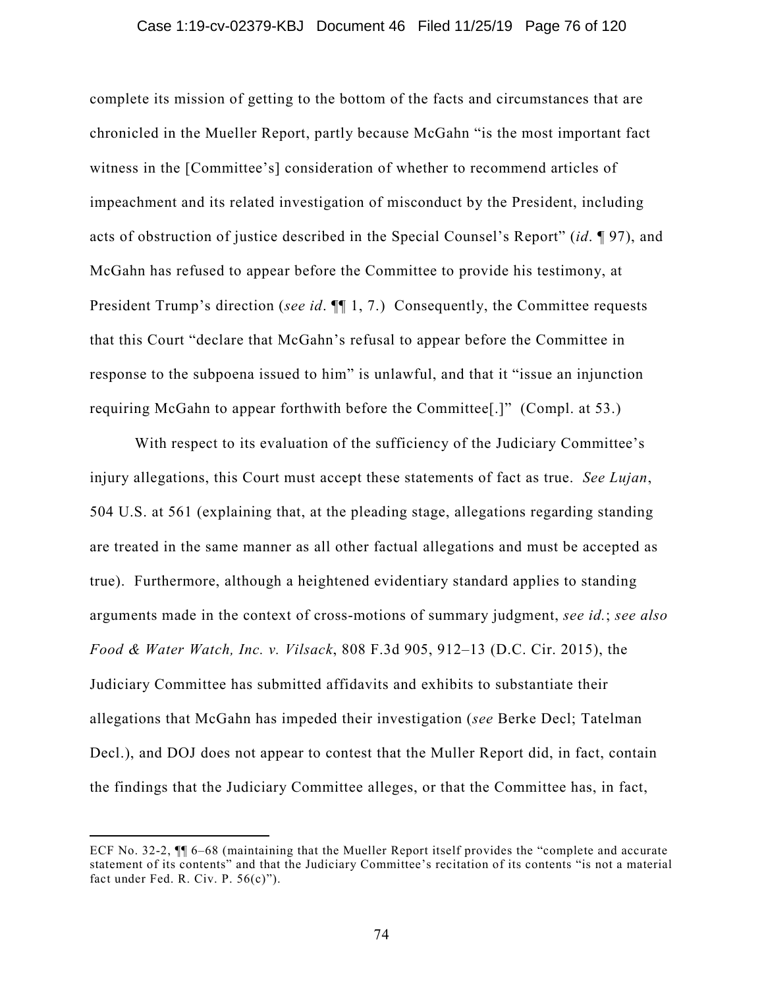## Case 1:19-cv-02379-KBJ Document 46 Filed 11/25/19 Page 76 of 120

complete its mission of getting to the bottom of the facts and circumstances that are chronicled in the Mueller Report, partly because McGahn "is the most important fact witness in the [Committee's] consideration of whether to recommend articles of impeachment and its related investigation of misconduct by the President, including acts of obstruction of justice described in the Special Counsel's Report" (*id*. ¶ 97), and McGahn has refused to appear before the Committee to provide his testimony, at President Trump's direction (*see id*. ¶¶ 1, 7.) Consequently, the Committee requests that this Court "declare that McGahn's refusal to appear before the Committee in response to the subpoena issued to him" is unlawful, and that it "issue an injunction requiring McGahn to appear forthwith before the Committee[.]" (Compl. at 53.)

With respect to its evaluation of the sufficiency of the Judiciary Committee's injury allegations, this Court must accept these statements of fact as true. *See Lujan*, 504 U.S. at 561 (explaining that, at the pleading stage, allegations regarding standing are treated in the same manner as all other factual allegations and must be accepted as true). Furthermore, although a heightened evidentiary standard applies to standing arguments made in the context of cross-motions of summary judgment, *see id.*; *see also Food & Water Watch, Inc. v. Vilsack*, 808 F.3d 905, 912–13 (D.C. Cir. 2015), the Judiciary Committee has submitted affidavits and exhibits to substantiate their allegations that McGahn has impeded their investigation (*see* Berke Decl; Tatelman Decl.), and DOJ does not appear to contest that the Muller Report did, in fact, contain the findings that the Judiciary Committee alleges, or that the Committee has, in fact,

ECF No. 32-2, ¶¶ 6–68 (maintaining that the Mueller Report itself provides the "complete and accurate statement of its contents" and that the Judiciary Committee's recitation of its contents "is not a material fact under Fed. R. Civ. P. 56(c)").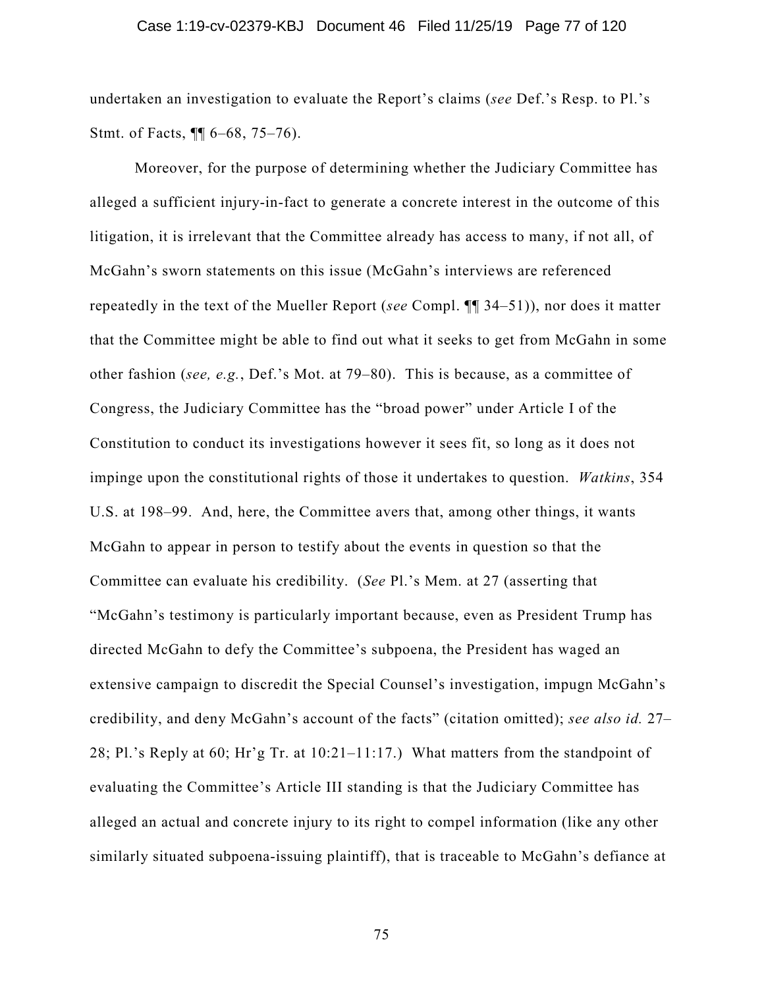## Case 1:19-cv-02379-KBJ Document 46 Filed 11/25/19 Page 77 of 120

undertaken an investigation to evaluate the Report's claims (*see* Def.'s Resp. to Pl.'s Stmt. of Facts, ¶¶ 6–68, 75–76).

Moreover, for the purpose of determining whether the Judiciary Committee has alleged a sufficient injury-in-fact to generate a concrete interest in the outcome of this litigation, it is irrelevant that the Committee already has access to many, if not all, of McGahn's sworn statements on this issue (McGahn's interviews are referenced repeatedly in the text of the Mueller Report (*see* Compl. ¶¶ 34–51)), nor does it matter that the Committee might be able to find out what it seeks to get from McGahn in some other fashion (*see, e.g.*, Def.'s Mot. at 79–80). This is because, as a committee of Congress, the Judiciary Committee has the "broad power" under Article I of the Constitution to conduct its investigations however it sees fit, so long as it does not impinge upon the constitutional rights of those it undertakes to question. *Watkins*, 354 U.S. at 198–99. And, here, the Committee avers that, among other things, it wants McGahn to appear in person to testify about the events in question so that the Committee can evaluate his credibility. (*See* Pl.'s Mem. at 27 (asserting that "McGahn's testimony is particularly important because, even as President Trump has directed McGahn to defy the Committee's subpoena, the President has waged an extensive campaign to discredit the Special Counsel's investigation, impugn McGahn's credibility, and deny McGahn's account of the facts" (citation omitted); *see also id.* 27– 28; Pl.'s Reply at 60; Hr'g Tr. at 10:21–11:17.) What matters from the standpoint of evaluating the Committee's Article III standing is that the Judiciary Committee has alleged an actual and concrete injury to its right to compel information (like any other similarly situated subpoena-issuing plaintiff), that is traceable to McGahn's defiance at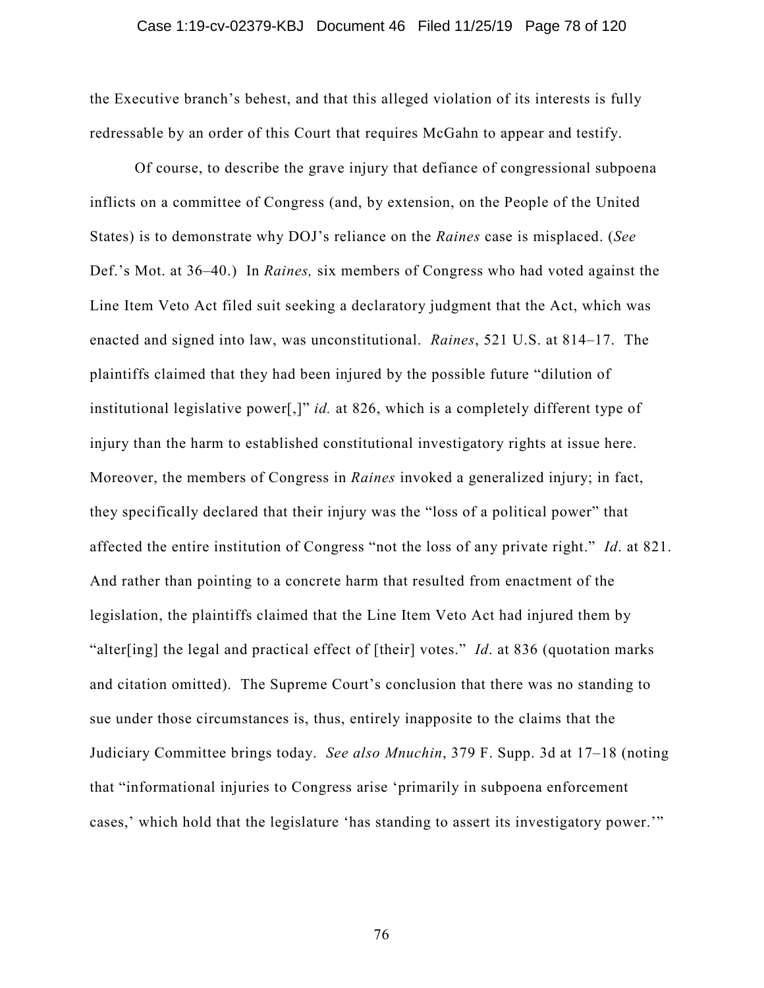## Case 1:19-cv-02379-KBJ Document 46 Filed 11/25/19 Page 78 of 120

the Executive branch's behest, and that this alleged violation of its interests is fully redressable by an order of this Court that requires McGahn to appear and testify.

Of course, to describe the grave injury that defiance of congressional subpoena inflicts on a committee of Congress (and, by extension, on the People of the United States) is to demonstrate why DOJ's reliance on the *Raines* case is misplaced. (*See* Def.'s Mot. at 36–40.) In *Raines,* six members of Congress who had voted against the Line Item Veto Act filed suit seeking a declaratory judgment that the Act, which was enacted and signed into law, was unconstitutional. *Raines*, 521 U.S. at 814–17. The plaintiffs claimed that they had been injured by the possible future "dilution of institutional legislative power[,]" *id.* at 826, which is a completely different type of injury than the harm to established constitutional investigatory rights at issue here. Moreover, the members of Congress in *Raines* invoked a generalized injury; in fact, they specifically declared that their injury was the "loss of a political power" that affected the entire institution of Congress "not the loss of any private right." *Id*. at 821. And rather than pointing to a concrete harm that resulted from enactment of the legislation, the plaintiffs claimed that the Line Item Veto Act had injured them by "alter[ing] the legal and practical effect of [their] votes." *Id.* at 836 (quotation marks and citation omitted). The Supreme Court's conclusion that there was no standing to sue under those circumstances is, thus, entirely inapposite to the claims that the Judiciary Committee brings today. *See also Mnuchin*, 379 F. Supp. 3d at 17–18 (noting that "informational injuries to Congress arise 'primarily in subpoena enforcement cases,' which hold that the legislature 'has standing to assert its investigatory power.'"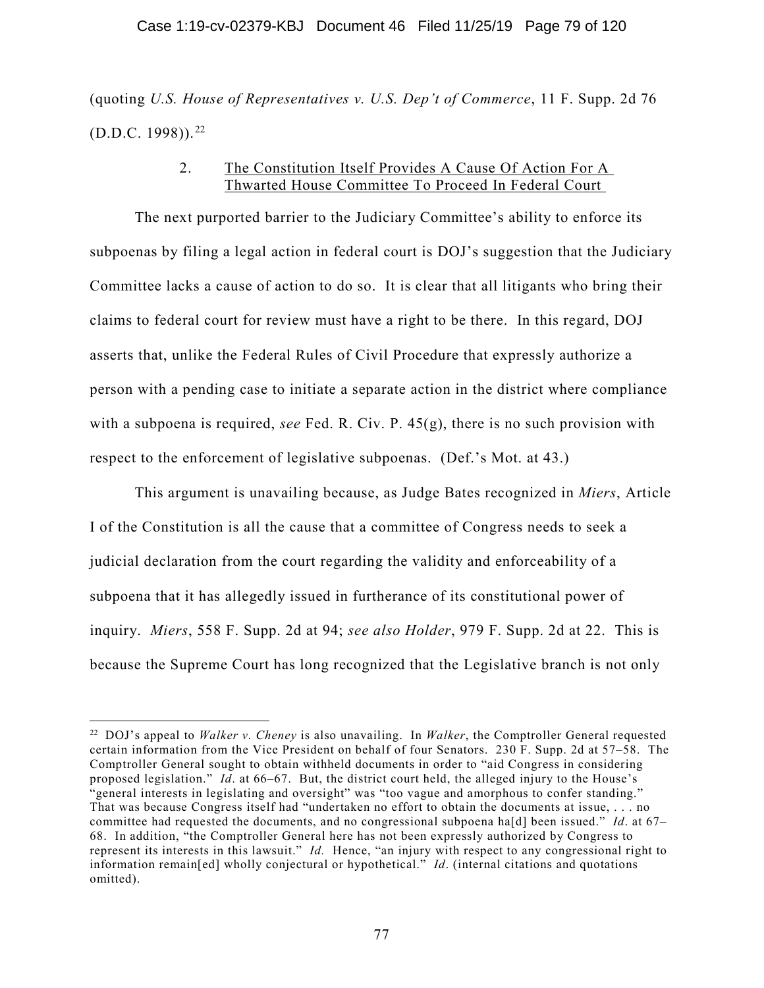(quoting *U.S. House of Representatives v. U.S. Dep't of Commerce*, 11 F. Supp. 2d 76  $(D.D.C. 1998)$ <sup>[22](#page-78-0)</sup>

# 2. The Constitution Itself Provides A Cause Of Action For A Thwarted House Committee To Proceed In Federal Court

The next purported barrier to the Judiciary Committee's ability to enforce its subpoenas by filing a legal action in federal court is DOJ's suggestion that the Judiciary Committee lacks a cause of action to do so. It is clear that all litigants who bring their claims to federal court for review must have a right to be there. In this regard, DOJ asserts that, unlike the Federal Rules of Civil Procedure that expressly authorize a person with a pending case to initiate a separate action in the district where compliance with a subpoena is required, *see* Fed. R. Civ. P. 45(g), there is no such provision with respect to the enforcement of legislative subpoenas. (Def.'s Mot. at 43.)

This argument is unavailing because, as Judge Bates recognized in *Miers*, Article I of the Constitution is all the cause that a committee of Congress needs to seek a judicial declaration from the court regarding the validity and enforceability of a subpoena that it has allegedly issued in furtherance of its constitutional power of inquiry. *Miers*, 558 F. Supp. 2d at 94; *see also Holder*, 979 F. Supp. 2d at 22. This is because the Supreme Court has long recognized that the Legislative branch is not only

<span id="page-78-0"></span> <sup>22</sup> DOJ's appeal to *Walker v. Cheney* is also unavailing. In *Walker*, the Comptroller General requested certain information from the Vice President on behalf of four Senators. 230 F. Supp. 2d at 57–58. The Comptroller General sought to obtain withheld documents in order to "aid Congress in considering proposed legislation." *Id*. at 66–67. But, the district court held, the alleged injury to the House's "general interests in legislating and oversight" was "too vague and amorphous to confer standing." That was because Congress itself had "undertaken no effort to obtain the documents at issue, . . . no committee had requested the documents, and no congressional subpoena ha[d] been issued." *Id*. at 67– 68. In addition, "the Comptroller General here has not been expressly authorized by Congress to represent its interests in this lawsuit." *Id.* Hence, "an injury with respect to any congressional right to information remain[ed] wholly conjectural or hypothetical." *Id*. (internal citations and quotations omitted).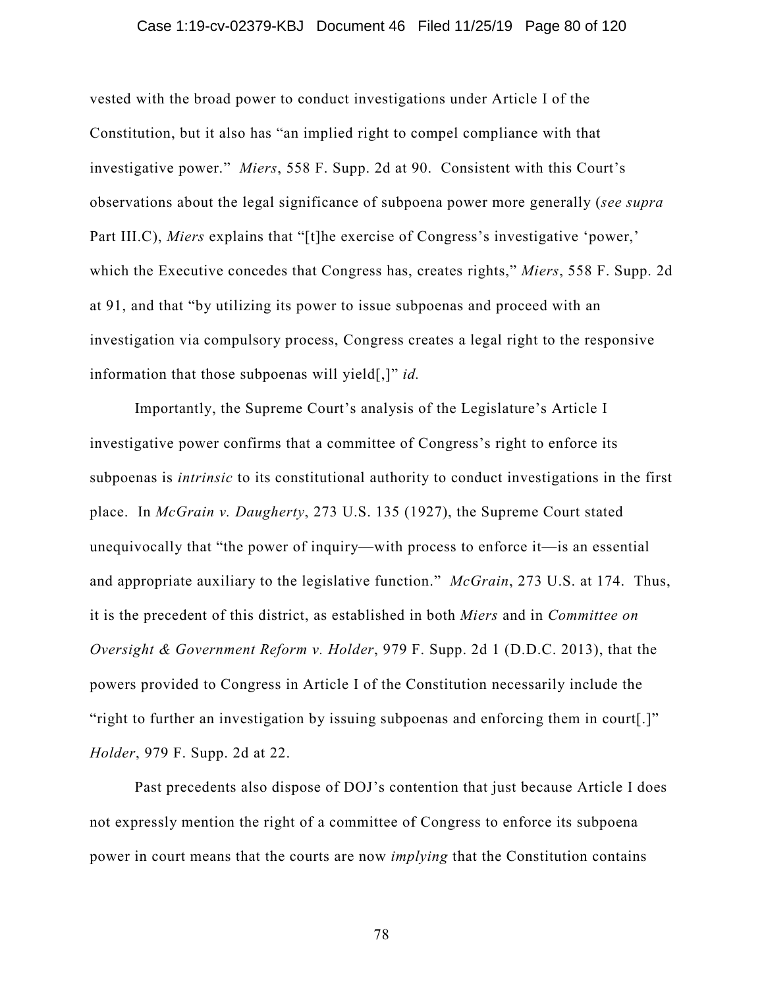## Case 1:19-cv-02379-KBJ Document 46 Filed 11/25/19 Page 80 of 120

vested with the broad power to conduct investigations under Article I of the Constitution, but it also has "an implied right to compel compliance with that investigative power." *Miers*, 558 F. Supp. 2d at 90. Consistent with this Court's observations about the legal significance of subpoena power more generally (*see supra*  Part III.C), *Miers* explains that "[t]he exercise of Congress's investigative 'power,' which the Executive concedes that Congress has, creates rights," *Miers*, 558 F. Supp. 2d at 91, and that "by utilizing its power to issue subpoenas and proceed with an investigation via compulsory process, Congress creates a legal right to the responsive information that those subpoenas will yield[,]" *id.* 

Importantly, the Supreme Court's analysis of the Legislature's Article I investigative power confirms that a committee of Congress's right to enforce its subpoenas is *intrinsic* to its constitutional authority to conduct investigations in the first place. In *McGrain v. Daugherty*, 273 U.S. 135 (1927), the Supreme Court stated unequivocally that "the power of inquiry—with process to enforce it—is an essential and appropriate auxiliary to the legislative function." *McGrain*, 273 U.S. at 174. Thus, it is the precedent of this district, as established in both *Miers* and in *Committee on Oversight & Government Reform v. Holder*, 979 F. Supp. 2d 1 (D.D.C. 2013), that the powers provided to Congress in Article I of the Constitution necessarily include the "right to further an investigation by issuing subpoenas and enforcing them in court[.]" *Holder*, 979 F. Supp. 2d at 22.

Past precedents also dispose of DOJ's contention that just because Article I does not expressly mention the right of a committee of Congress to enforce its subpoena power in court means that the courts are now *implying* that the Constitution contains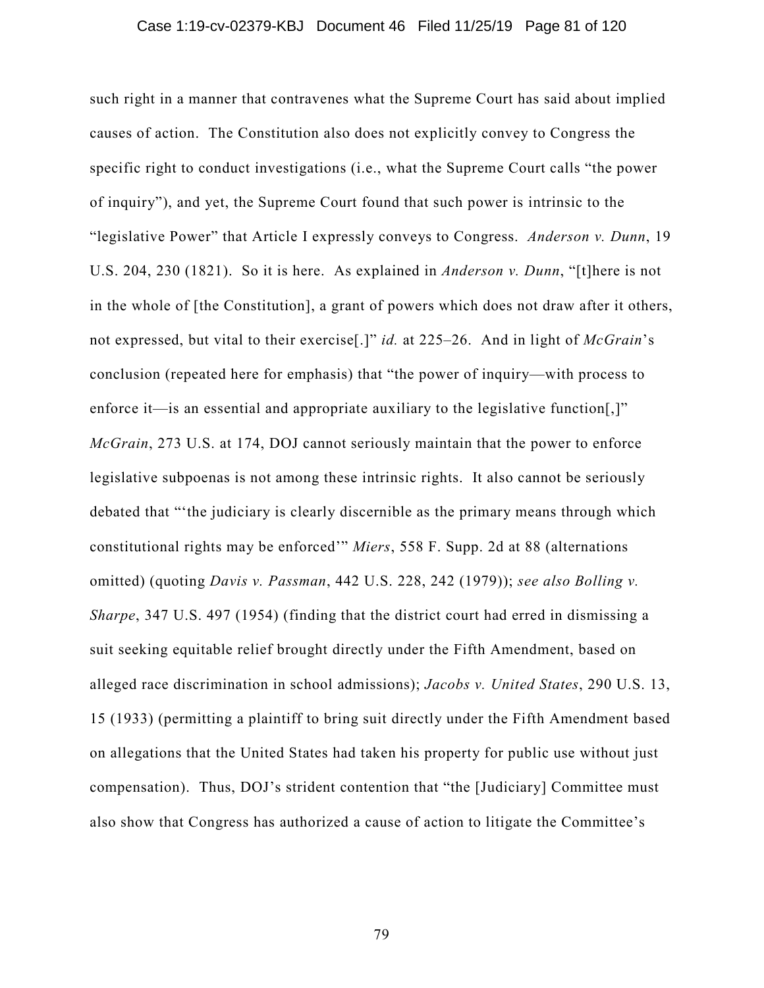## Case 1:19-cv-02379-KBJ Document 46 Filed 11/25/19 Page 81 of 120

such right in a manner that contravenes what the Supreme Court has said about implied causes of action. The Constitution also does not explicitly convey to Congress the specific right to conduct investigations (i.e., what the Supreme Court calls "the power of inquiry"), and yet, the Supreme Court found that such power is intrinsic to the "legislative Power" that Article I expressly conveys to Congress. *Anderson v. Dunn*, 19 U.S. 204, 230 (1821). So it is here. As explained in *Anderson v. Dunn*, "[t]here is not in the whole of [the Constitution], a grant of powers which does not draw after it others, not expressed, but vital to their exercise[.]" *id.* at 225–26. And in light of *McGrain*'s conclusion (repeated here for emphasis) that "the power of inquiry—with process to enforce it—is an essential and appropriate auxiliary to the legislative function.]" *McGrain*, 273 U.S. at 174, DOJ cannot seriously maintain that the power to enforce legislative subpoenas is not among these intrinsic rights. It also cannot be seriously debated that "'the judiciary is clearly discernible as the primary means through which constitutional rights may be enforced'" *Miers*, 558 F. Supp. 2d at 88 (alternations omitted) (quoting *Davis v. Passman*, 442 U.S. 228, 242 (1979)); *see also Bolling v. Sharpe*, 347 U.S. 497 (1954) (finding that the district court had erred in dismissing a suit seeking equitable relief brought directly under the Fifth Amendment, based on alleged race discrimination in school admissions); *Jacobs v. United States*, 290 U.S. 13, 15 (1933) (permitting a plaintiff to bring suit directly under the Fifth Amendment based on allegations that the United States had taken his property for public use without just compensation). Thus, DOJ's strident contention that "the [Judiciary] Committee must also show that Congress has authorized a cause of action to litigate the Committee's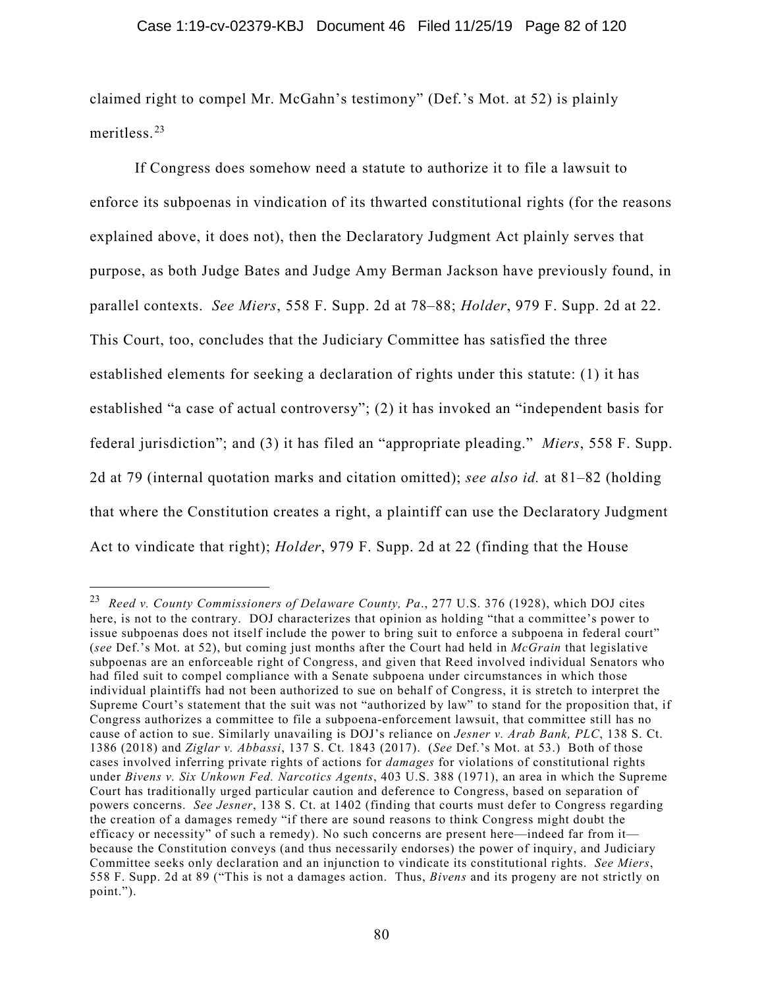claimed right to compel Mr. McGahn's testimony" (Def.'s Mot. at 52) is plainly meritless. [23](#page-81-0)

If Congress does somehow need a statute to authorize it to file a lawsuit to enforce its subpoenas in vindication of its thwarted constitutional rights (for the reasons explained above, it does not), then the Declaratory Judgment Act plainly serves that purpose, as both Judge Bates and Judge Amy Berman Jackson have previously found, in parallel contexts. *See Miers*, 558 F. Supp. 2d at 78–88; *Holder*, 979 F. Supp. 2d at 22. This Court, too, concludes that the Judiciary Committee has satisfied the three established elements for seeking a declaration of rights under this statute: (1) it has established "a case of actual controversy"; (2) it has invoked an "independent basis for federal jurisdiction"; and (3) it has filed an "appropriate pleading." *Miers*, 558 F. Supp. 2d at 79 (internal quotation marks and citation omitted); *see also id.* at 81–82 (holding that where the Constitution creates a right, a plaintiff can use the Declaratory Judgment Act to vindicate that right); *Holder*, 979 F. Supp. 2d at 22 (finding that the House

<span id="page-81-0"></span> <sup>23</sup> *Reed v. County Commissioners of Delaware County, Pa*., 277 U.S. 376 (1928), which DOJ cites here, is not to the contrary. DOJ characterizes that opinion as holding "that a committee's power to issue subpoenas does not itself include the power to bring suit to enforce a subpoena in federal court" (*see* Def.'s Mot. at 52), but coming just months after the Court had held in *McGrain* that legislative subpoenas are an enforceable right of Congress, and given that Reed involved individual Senators who had filed suit to compel compliance with a Senate subpoena under circumstances in which those individual plaintiffs had not been authorized to sue on behalf of Congress, it is stretch to interpret the Supreme Court's statement that the suit was not "authorized by law" to stand for the proposition that, if Congress authorizes a committee to file a subpoena-enforcement lawsuit, that committee still has no cause of action to sue. Similarly unavailing is DOJ's reliance on *Jesner v. Arab Bank, PLC*, 138 S. Ct. 1386 (2018) and *Ziglar v. Abbassi*, 137 S. Ct. 1843 (2017). (*See* Def.'s Mot. at 53.) Both of those cases involved inferring private rights of actions for *damages* for violations of constitutional rights under *Bivens v. Six Unkown Fed. Narcotics Agents*, 403 U.S. 388 (1971), an area in which the Supreme Court has traditionally urged particular caution and deference to Congress, based on separation of powers concerns. *See Jesner*, 138 S. Ct. at 1402 (finding that courts must defer to Congress regarding the creation of a damages remedy "if there are sound reasons to think Congress might doubt the efficacy or necessity" of such a remedy). No such concerns are present here—indeed far from it because the Constitution conveys (and thus necessarily endorses) the power of inquiry, and Judiciary Committee seeks only declaration and an injunction to vindicate its constitutional rights. *See Miers*, 558 F. Supp. 2d at 89 ("This is not a damages action. Thus, *Bivens* and its progeny are not strictly on point.").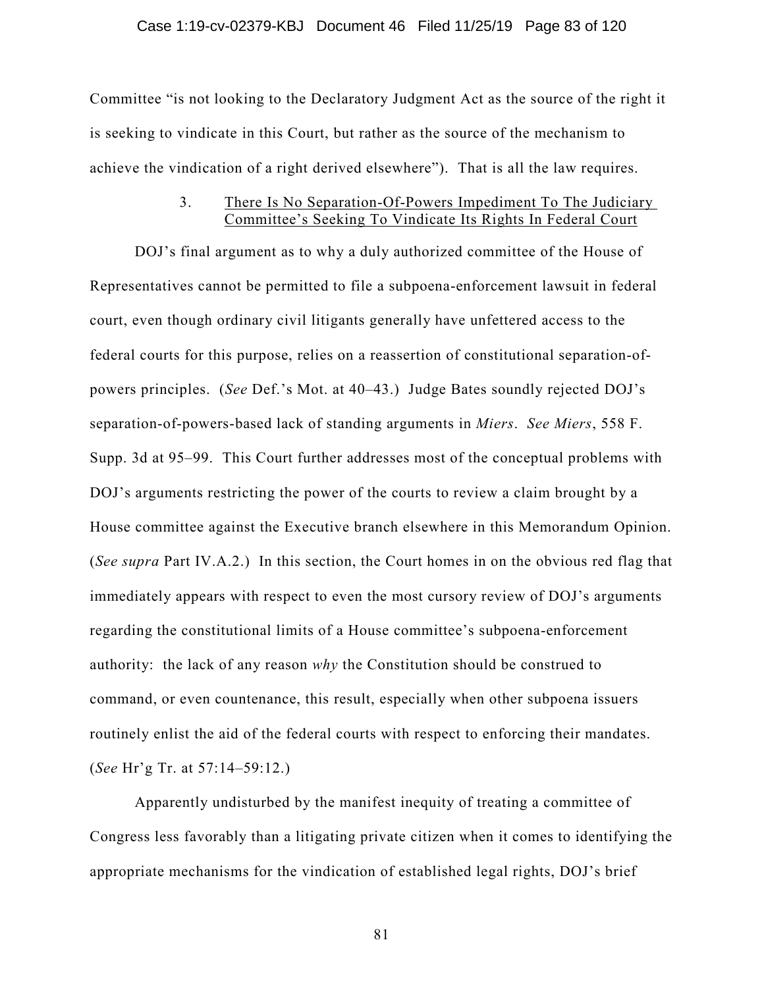## Case 1:19-cv-02379-KBJ Document 46 Filed 11/25/19 Page 83 of 120

Committee "is not looking to the Declaratory Judgment Act as the source of the right it is seeking to vindicate in this Court, but rather as the source of the mechanism to achieve the vindication of a right derived elsewhere"). That is all the law requires.

## 3. There Is No Separation-Of-Powers Impediment To The Judiciary Committee's Seeking To Vindicate Its Rights In Federal Court

DOJ's final argument as to why a duly authorized committee of the House of Representatives cannot be permitted to file a subpoena-enforcement lawsuit in federal court, even though ordinary civil litigants generally have unfettered access to the federal courts for this purpose, relies on a reassertion of constitutional separation-ofpowers principles. (*See* Def.'s Mot. at 40–43.) Judge Bates soundly rejected DOJ's separation-of-powers-based lack of standing arguments in *Miers*. *See Miers*, 558 F. Supp. 3d at 95–99. This Court further addresses most of the conceptual problems with DOJ's arguments restricting the power of the courts to review a claim brought by a House committee against the Executive branch elsewhere in this Memorandum Opinion. (*See supra* Part IV.A.2.) In this section, the Court homes in on the obvious red flag that immediately appears with respect to even the most cursory review of DOJ's arguments regarding the constitutional limits of a House committee's subpoena-enforcement authority: the lack of any reason *why* the Constitution should be construed to command, or even countenance, this result, especially when other subpoena issuers routinely enlist the aid of the federal courts with respect to enforcing their mandates. (*See* Hr'g Tr. at 57:14–59:12.)

Apparently undisturbed by the manifest inequity of treating a committee of Congress less favorably than a litigating private citizen when it comes to identifying the appropriate mechanisms for the vindication of established legal rights, DOJ's brief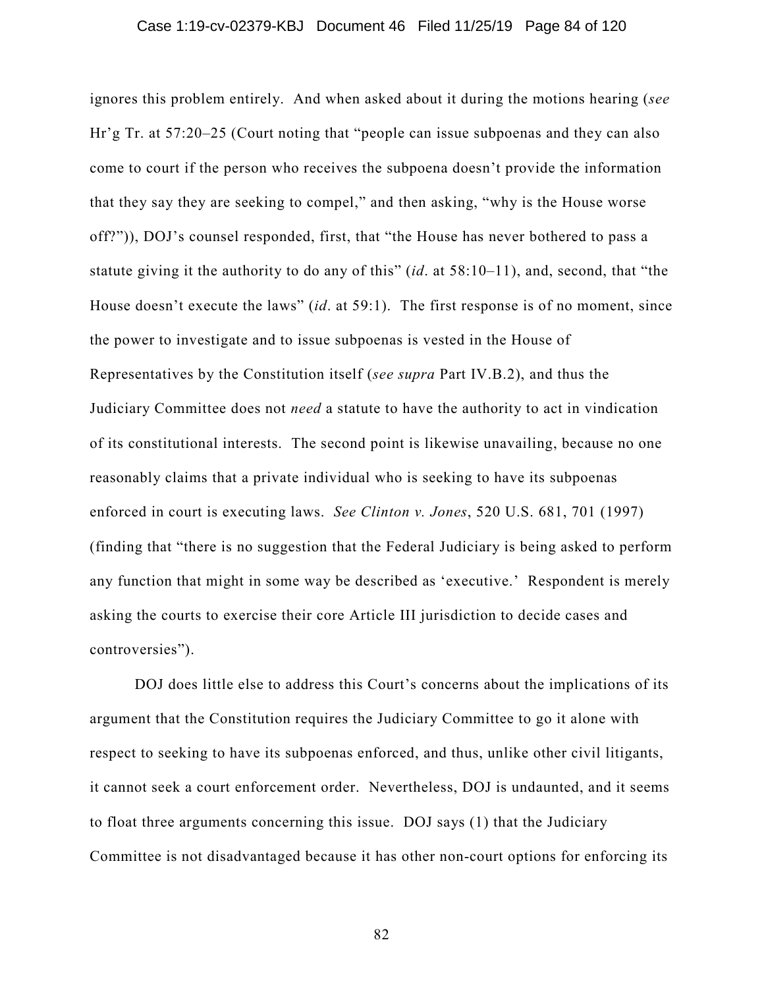## Case 1:19-cv-02379-KBJ Document 46 Filed 11/25/19 Page 84 of 120

ignores this problem entirely. And when asked about it during the motions hearing (*see* Hr'g Tr. at 57:20–25 (Court noting that "people can issue subpoenas and they can also come to court if the person who receives the subpoena doesn't provide the information that they say they are seeking to compel," and then asking, "why is the House worse off?")), DOJ's counsel responded, first, that "the House has never bothered to pass a statute giving it the authority to do any of this" (*id*. at 58:10–11), and, second, that "the House doesn't execute the laws" (*id*. at 59:1). The first response is of no moment, since the power to investigate and to issue subpoenas is vested in the House of Representatives by the Constitution itself (*see supra* Part IV.B.2), and thus the Judiciary Committee does not *need* a statute to have the authority to act in vindication of its constitutional interests. The second point is likewise unavailing, because no one reasonably claims that a private individual who is seeking to have its subpoenas enforced in court is executing laws. *See Clinton v. Jones*, 520 U.S. 681, 701 (1997) (finding that "there is no suggestion that the Federal Judiciary is being asked to perform any function that might in some way be described as 'executive.' Respondent is merely asking the courts to exercise their core Article III jurisdiction to decide cases and controversies").

DOJ does little else to address this Court's concerns about the implications of its argument that the Constitution requires the Judiciary Committee to go it alone with respect to seeking to have its subpoenas enforced, and thus, unlike other civil litigants, it cannot seek a court enforcement order. Nevertheless, DOJ is undaunted, and it seems to float three arguments concerning this issue. DOJ says (1) that the Judiciary Committee is not disadvantaged because it has other non-court options for enforcing its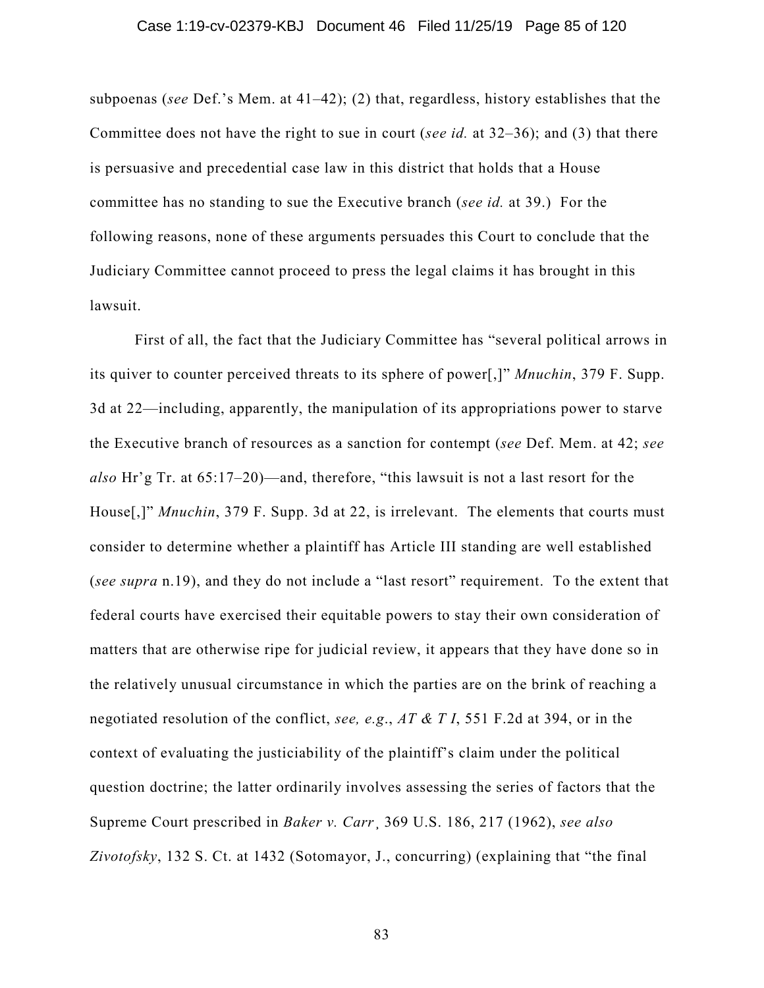subpoenas (*see* Def.'s Mem. at 41–42); (2) that, regardless, history establishes that the Committee does not have the right to sue in court (*see id.* at 32–36); and (3) that there is persuasive and precedential case law in this district that holds that a House committee has no standing to sue the Executive branch (*see id.* at 39.) For the following reasons, none of these arguments persuades this Court to conclude that the Judiciary Committee cannot proceed to press the legal claims it has brought in this lawsuit.

First of all, the fact that the Judiciary Committee has "several political arrows in its quiver to counter perceived threats to its sphere of power[,]" *Mnuchin*, 379 F. Supp. 3d at 22—including, apparently, the manipulation of its appropriations power to starve the Executive branch of resources as a sanction for contempt (*see* Def. Mem. at 42; *see also* Hr'g Tr. at 65:17–20)—and, therefore, "this lawsuit is not a last resort for the House[,]" *Mnuchin*, 379 F. Supp. 3d at 22, is irrelevant. The elements that courts must consider to determine whether a plaintiff has Article III standing are well established (*see supra* n.19), and they do not include a "last resort" requirement. To the extent that federal courts have exercised their equitable powers to stay their own consideration of matters that are otherwise ripe for judicial review, it appears that they have done so in the relatively unusual circumstance in which the parties are on the brink of reaching a negotiated resolution of the conflict, *see, e.g*., *AT & T I*, 551 F.2d at 394, or in the context of evaluating the justiciability of the plaintiff's claim under the political question doctrine; the latter ordinarily involves assessing the series of factors that the Supreme Court prescribed in *Baker v. Carr*¸ 369 U.S. 186, 217 (1962), *see also Zivotofsky*, 132 S. Ct. at 1432 (Sotomayor, J., concurring) (explaining that "the final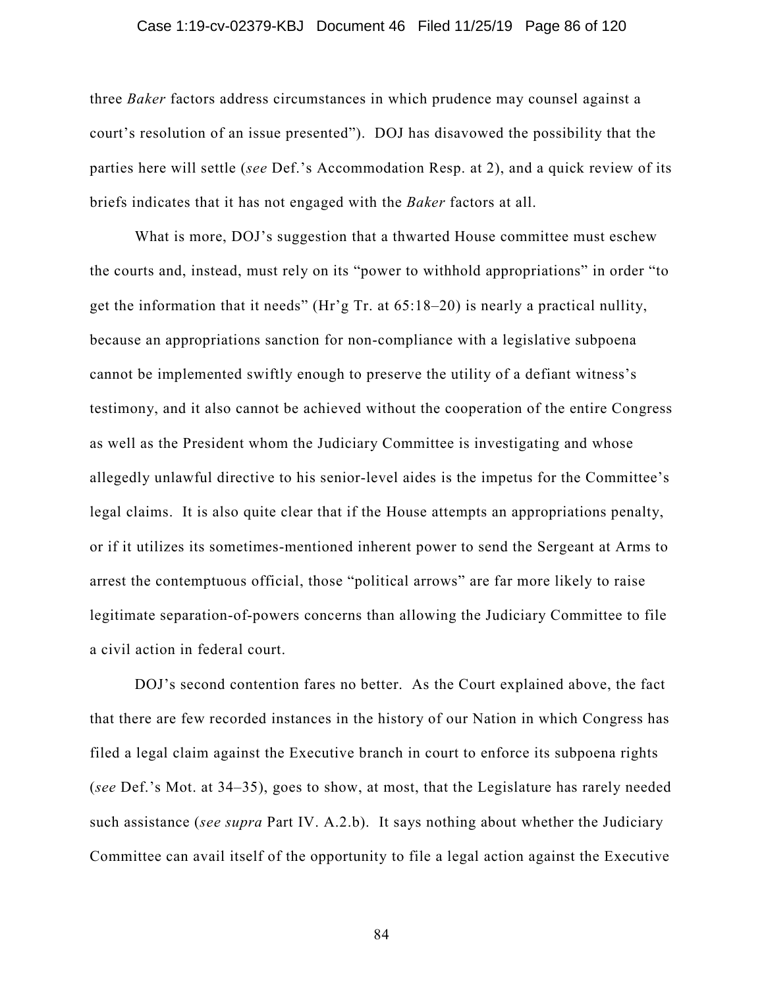## Case 1:19-cv-02379-KBJ Document 46 Filed 11/25/19 Page 86 of 120

three *Baker* factors address circumstances in which prudence may counsel against a court's resolution of an issue presented"). DOJ has disavowed the possibility that the parties here will settle (*see* Def.'s Accommodation Resp. at 2), and a quick review of its briefs indicates that it has not engaged with the *Baker* factors at all.

What is more, DOJ's suggestion that a thwarted House committee must eschew the courts and, instead, must rely on its "power to withhold appropriations" in order "to get the information that it needs" (Hr'g Tr. at 65:18–20) is nearly a practical nullity, because an appropriations sanction for non-compliance with a legislative subpoena cannot be implemented swiftly enough to preserve the utility of a defiant witness's testimony, and it also cannot be achieved without the cooperation of the entire Congress as well as the President whom the Judiciary Committee is investigating and whose allegedly unlawful directive to his senior-level aides is the impetus for the Committee's legal claims. It is also quite clear that if the House attempts an appropriations penalty, or if it utilizes its sometimes-mentioned inherent power to send the Sergeant at Arms to arrest the contemptuous official, those "political arrows" are far more likely to raise legitimate separation-of-powers concerns than allowing the Judiciary Committee to file a civil action in federal court.

DOJ's second contention fares no better. As the Court explained above, the fact that there are few recorded instances in the history of our Nation in which Congress has filed a legal claim against the Executive branch in court to enforce its subpoena rights (*see* Def.'s Mot. at 34–35), goes to show, at most, that the Legislature has rarely needed such assistance (*see supra* Part IV. A.2.b). It says nothing about whether the Judiciary Committee can avail itself of the opportunity to file a legal action against the Executive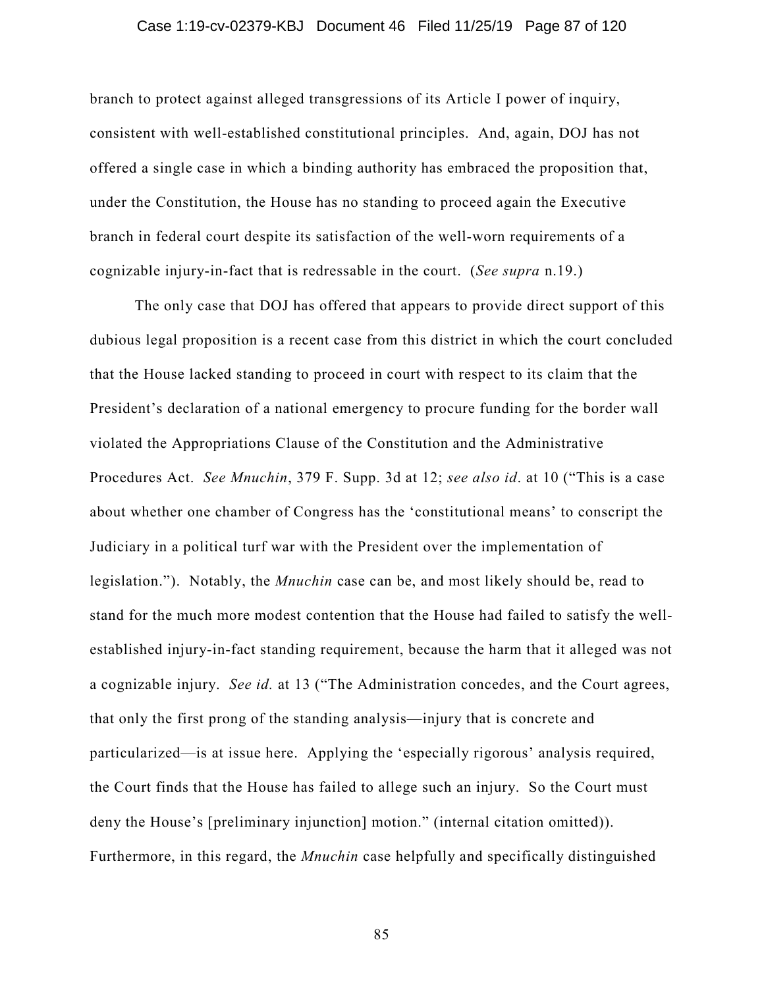## Case 1:19-cv-02379-KBJ Document 46 Filed 11/25/19 Page 87 of 120

branch to protect against alleged transgressions of its Article I power of inquiry, consistent with well-established constitutional principles. And, again, DOJ has not offered a single case in which a binding authority has embraced the proposition that, under the Constitution, the House has no standing to proceed again the Executive branch in federal court despite its satisfaction of the well-worn requirements of a cognizable injury-in-fact that is redressable in the court. (*See supra* n.19.)

The only case that DOJ has offered that appears to provide direct support of this dubious legal proposition is a recent case from this district in which the court concluded that the House lacked standing to proceed in court with respect to its claim that the President's declaration of a national emergency to procure funding for the border wall violated the Appropriations Clause of the Constitution and the Administrative Procedures Act. *See Mnuchin*, 379 F. Supp. 3d at 12; *see also id*. at 10 ("This is a case about whether one chamber of Congress has the 'constitutional means' to conscript the Judiciary in a political turf war with the President over the implementation of legislation."). Notably, the *Mnuchin* case can be, and most likely should be, read to stand for the much more modest contention that the House had failed to satisfy the wellestablished injury-in-fact standing requirement, because the harm that it alleged was not a cognizable injury. *See id.* at 13 ("The Administration concedes, and the Court agrees, that only the first prong of the standing analysis—injury that is concrete and particularized—is at issue here. Applying the 'especially rigorous' analysis required, the Court finds that the House has failed to allege such an injury. So the Court must deny the House's [preliminary injunction] motion." (internal citation omitted)). Furthermore, in this regard, the *Mnuchin* case helpfully and specifically distinguished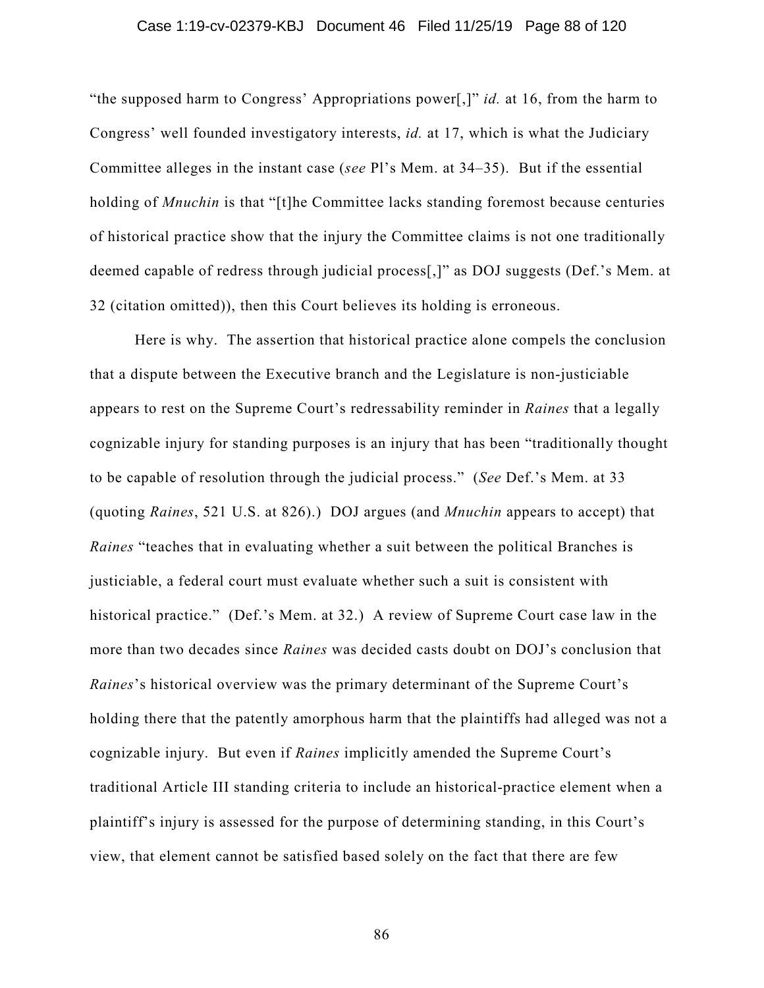## Case 1:19-cv-02379-KBJ Document 46 Filed 11/25/19 Page 88 of 120

"the supposed harm to Congress' Appropriations power[,]" *id.* at 16, from the harm to Congress' well founded investigatory interests, *id.* at 17, which is what the Judiciary Committee alleges in the instant case (*see* Pl's Mem. at 34–35). But if the essential holding of *Mnuchin* is that "[t]he Committee lacks standing foremost because centuries of historical practice show that the injury the Committee claims is not one traditionally deemed capable of redress through judicial process[,]" as DOJ suggests (Def.'s Mem. at 32 (citation omitted)), then this Court believes its holding is erroneous.

Here is why. The assertion that historical practice alone compels the conclusion that a dispute between the Executive branch and the Legislature is non-justiciable appears to rest on the Supreme Court's redressability reminder in *Raines* that a legally cognizable injury for standing purposes is an injury that has been "traditionally thought to be capable of resolution through the judicial process." (*See* Def.'s Mem. at 33 (quoting *Raines*, 521 U.S. at 826).) DOJ argues (and *Mnuchin* appears to accept) that *Raines* "teaches that in evaluating whether a suit between the political Branches is justiciable, a federal court must evaluate whether such a suit is consistent with historical practice." (Def.'s Mem. at 32.) A review of Supreme Court case law in the more than two decades since *Raines* was decided casts doubt on DOJ's conclusion that *Raines*'s historical overview was the primary determinant of the Supreme Court's holding there that the patently amorphous harm that the plaintiffs had alleged was not a cognizable injury. But even if *Raines* implicitly amended the Supreme Court's traditional Article III standing criteria to include an historical-practice element when a plaintiff's injury is assessed for the purpose of determining standing, in this Court's view, that element cannot be satisfied based solely on the fact that there are few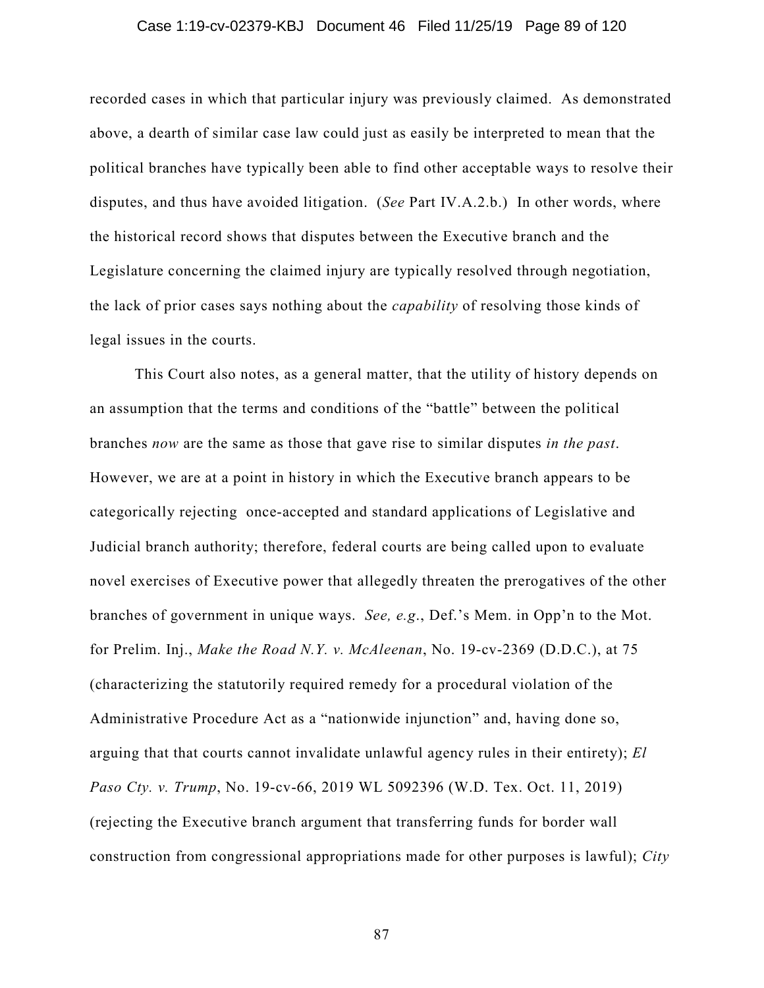## Case 1:19-cv-02379-KBJ Document 46 Filed 11/25/19 Page 89 of 120

recorded cases in which that particular injury was previously claimed. As demonstrated above, a dearth of similar case law could just as easily be interpreted to mean that the political branches have typically been able to find other acceptable ways to resolve their disputes, and thus have avoided litigation. (*See* Part IV.A.2.b.) In other words, where the historical record shows that disputes between the Executive branch and the Legislature concerning the claimed injury are typically resolved through negotiation, the lack of prior cases says nothing about the *capability* of resolving those kinds of legal issues in the courts.

This Court also notes, as a general matter, that the utility of history depends on an assumption that the terms and conditions of the "battle" between the political branches *now* are the same as those that gave rise to similar disputes *in the past*. However, we are at a point in history in which the Executive branch appears to be categorically rejecting once-accepted and standard applications of Legislative and Judicial branch authority; therefore, federal courts are being called upon to evaluate novel exercises of Executive power that allegedly threaten the prerogatives of the other branches of government in unique ways. *See, e.g*., Def.'s Mem. in Opp'n to the Mot. for Prelim. Inj., *Make the Road N.Y. v. McAleenan*, No. 19-cv-2369 (D.D.C.), at 75 (characterizing the statutorily required remedy for a procedural violation of the Administrative Procedure Act as a "nationwide injunction" and, having done so, arguing that that courts cannot invalidate unlawful agency rules in their entirety); *El Paso Cty. v. Trump*, No. 19-cv-66, 2019 WL 5092396 (W.D. Tex. Oct. 11, 2019) (rejecting the Executive branch argument that transferring funds for border wall construction from congressional appropriations made for other purposes is lawful); *City*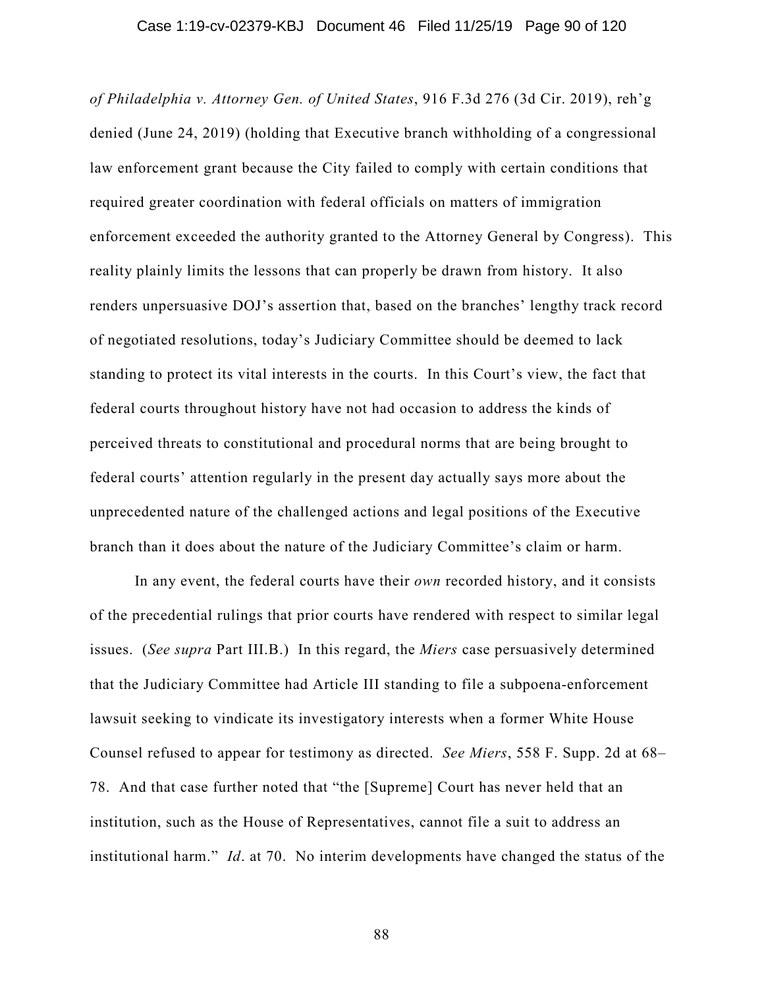*of Philadelphia v. Attorney Gen. of United States*, 916 F.3d 276 (3d Cir. 2019), reh'g denied (June 24, 2019) (holding that Executive branch withholding of a congressional law enforcement grant because the City failed to comply with certain conditions that required greater coordination with federal officials on matters of immigration enforcement exceeded the authority granted to the Attorney General by Congress). This reality plainly limits the lessons that can properly be drawn from history. It also renders unpersuasive DOJ's assertion that, based on the branches' lengthy track record of negotiated resolutions, today's Judiciary Committee should be deemed to lack standing to protect its vital interests in the courts. In this Court's view, the fact that federal courts throughout history have not had occasion to address the kinds of perceived threats to constitutional and procedural norms that are being brought to federal courts' attention regularly in the present day actually says more about the unprecedented nature of the challenged actions and legal positions of the Executive branch than it does about the nature of the Judiciary Committee's claim or harm.

In any event, the federal courts have their *own* recorded history, and it consists of the precedential rulings that prior courts have rendered with respect to similar legal issues. (*See supra* Part III.B.) In this regard, the *Miers* case persuasively determined that the Judiciary Committee had Article III standing to file a subpoena-enforcement lawsuit seeking to vindicate its investigatory interests when a former White House Counsel refused to appear for testimony as directed. *See Miers*, 558 F. Supp. 2d at 68– 78. And that case further noted that "the [Supreme] Court has never held that an institution, such as the House of Representatives, cannot file a suit to address an institutional harm." *Id*. at 70. No interim developments have changed the status of the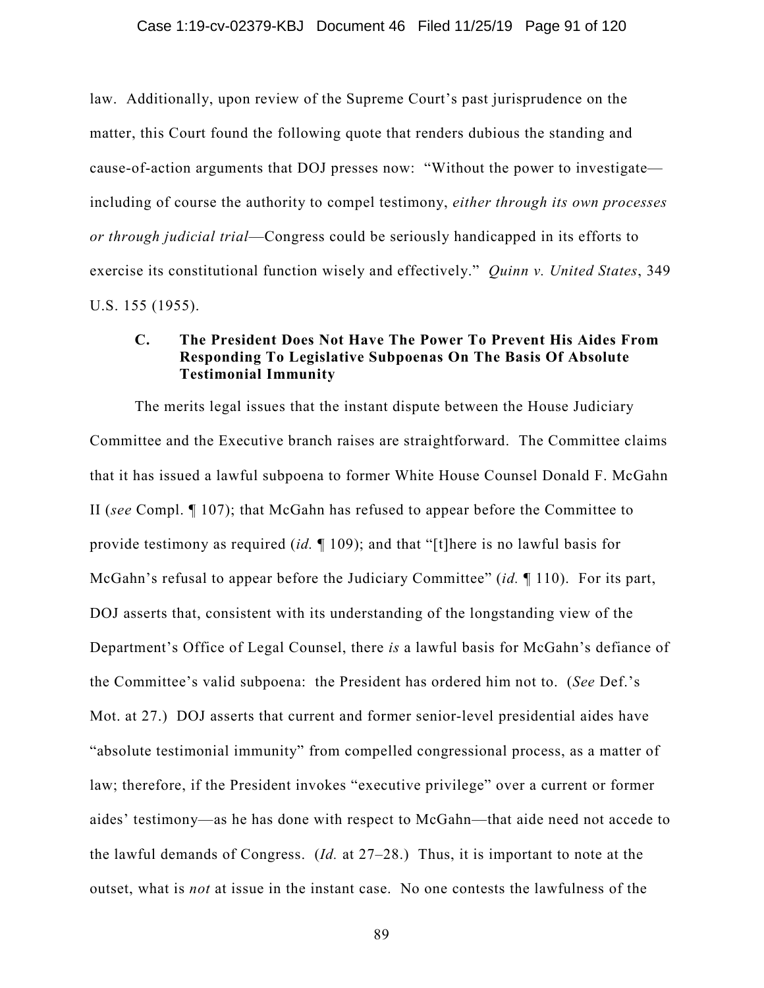law. Additionally, upon review of the Supreme Court's past jurisprudence on the matter, this Court found the following quote that renders dubious the standing and cause-of-action arguments that DOJ presses now: "Without the power to investigate including of course the authority to compel testimony, *either through its own processes or through judicial trial*—Congress could be seriously handicapped in its efforts to exercise its constitutional function wisely and effectively." *Quinn v. United States*, 349 U.S. 155 (1955).

# **C. The President Does Not Have The Power To Prevent His Aides From Responding To Legislative Subpoenas On The Basis Of Absolute Testimonial Immunity**

The merits legal issues that the instant dispute between the House Judiciary Committee and the Executive branch raises are straightforward. The Committee claims that it has issued a lawful subpoena to former White House Counsel Donald F. McGahn II (*see* Compl. ¶ 107); that McGahn has refused to appear before the Committee to provide testimony as required (*id.* ¶ 109); and that "[t]here is no lawful basis for McGahn's refusal to appear before the Judiciary Committee" (*id.* ¶ 110). For its part, DOJ asserts that, consistent with its understanding of the longstanding view of the Department's Office of Legal Counsel, there *is* a lawful basis for McGahn's defiance of the Committee's valid subpoena: the President has ordered him not to. (*See* Def.'s Mot. at 27.) DOJ asserts that current and former senior-level presidential aides have "absolute testimonial immunity" from compelled congressional process, as a matter of law; therefore, if the President invokes "executive privilege" over a current or former aides' testimony—as he has done with respect to McGahn—that aide need not accede to the lawful demands of Congress. (*Id.* at 27–28.) Thus, it is important to note at the outset, what is *not* at issue in the instant case. No one contests the lawfulness of the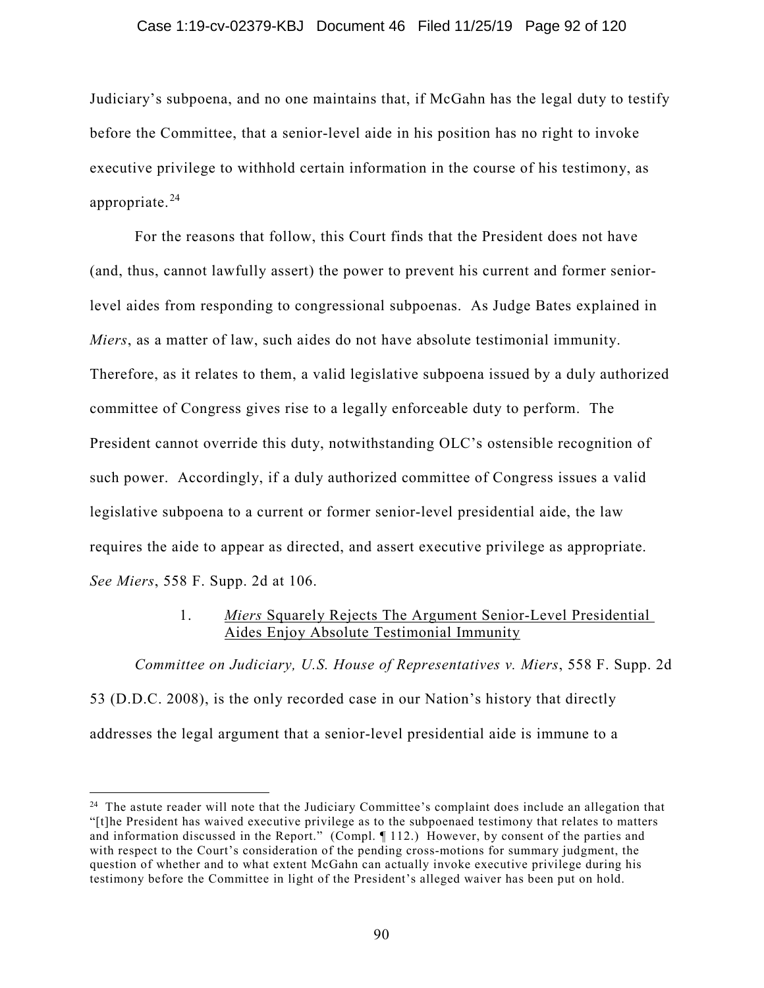## Case 1:19-cv-02379-KBJ Document 46 Filed 11/25/19 Page 92 of 120

Judiciary's subpoena, and no one maintains that, if McGahn has the legal duty to testify before the Committee, that a senior-level aide in his position has no right to invoke executive privilege to withhold certain information in the course of his testimony, as appropriate. [24](#page-91-0)

For the reasons that follow, this Court finds that the President does not have (and, thus, cannot lawfully assert) the power to prevent his current and former seniorlevel aides from responding to congressional subpoenas. As Judge Bates explained in *Miers*, as a matter of law, such aides do not have absolute testimonial immunity. Therefore, as it relates to them, a valid legislative subpoena issued by a duly authorized committee of Congress gives rise to a legally enforceable duty to perform. The President cannot override this duty, notwithstanding OLC's ostensible recognition of such power. Accordingly, if a duly authorized committee of Congress issues a valid legislative subpoena to a current or former senior-level presidential aide, the law requires the aide to appear as directed, and assert executive privilege as appropriate. *See Miers*, 558 F. Supp. 2d at 106.

## 1. *Miers* Squarely Rejects The Argument Senior-Level Presidential Aides Enjoy Absolute Testimonial Immunity

*Committee on Judiciary, U.S. House of Representatives v. Miers*, 558 F. Supp. 2d 53 (D.D.C. 2008), is the only recorded case in our Nation's history that directly addresses the legal argument that a senior-level presidential aide is immune to a

<span id="page-91-0"></span> $24$  The astute reader will note that the Judiciary Committee's complaint does include an allegation that "[t]he President has waived executive privilege as to the subpoenaed testimony that relates to matters and information discussed in the Report." (Compl. 112.) However, by consent of the parties and with respect to the Court's consideration of the pending cross-motions for summary judgment, the question of whether and to what extent McGahn can actually invoke executive privilege during his testimony before the Committee in light of the President's alleged waiver has been put on hold.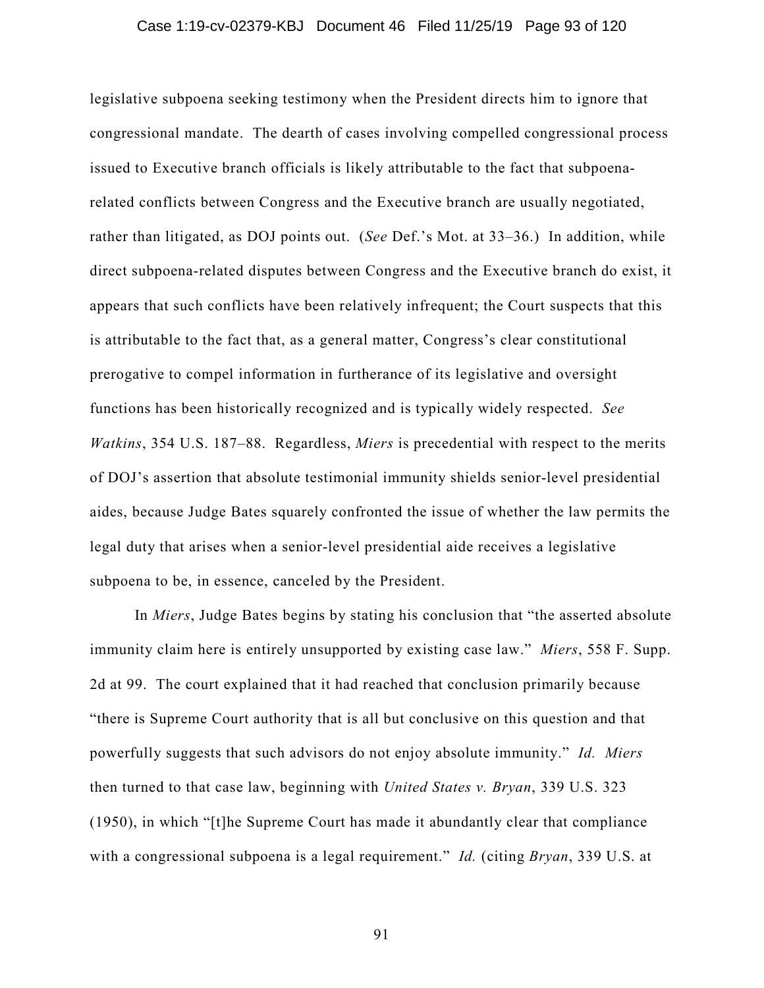## Case 1:19-cv-02379-KBJ Document 46 Filed 11/25/19 Page 93 of 120

legislative subpoena seeking testimony when the President directs him to ignore that congressional mandate. The dearth of cases involving compelled congressional process issued to Executive branch officials is likely attributable to the fact that subpoenarelated conflicts between Congress and the Executive branch are usually negotiated, rather than litigated, as DOJ points out. (*See* Def.'s Mot. at 33–36.) In addition, while direct subpoena-related disputes between Congress and the Executive branch do exist, it appears that such conflicts have been relatively infrequent; the Court suspects that this is attributable to the fact that, as a general matter, Congress's clear constitutional prerogative to compel information in furtherance of its legislative and oversight functions has been historically recognized and is typically widely respected. *See Watkins*, 354 U.S. 187–88. Regardless, *Miers* is precedential with respect to the merits of DOJ's assertion that absolute testimonial immunity shields senior-level presidential aides, because Judge Bates squarely confronted the issue of whether the law permits the legal duty that arises when a senior-level presidential aide receives a legislative subpoena to be, in essence, canceled by the President.

In *Miers*, Judge Bates begins by stating his conclusion that "the asserted absolute immunity claim here is entirely unsupported by existing case law." *Miers*, 558 F. Supp. 2d at 99. The court explained that it had reached that conclusion primarily because "there is Supreme Court authority that is all but conclusive on this question and that powerfully suggests that such advisors do not enjoy absolute immunity." *Id. Miers* then turned to that case law, beginning with *United States v. Bryan*, 339 U.S. 323 (1950), in which "[t]he Supreme Court has made it abundantly clear that compliance with a congressional subpoena is a legal requirement." *Id.* (citing *Bryan*, 339 U.S. at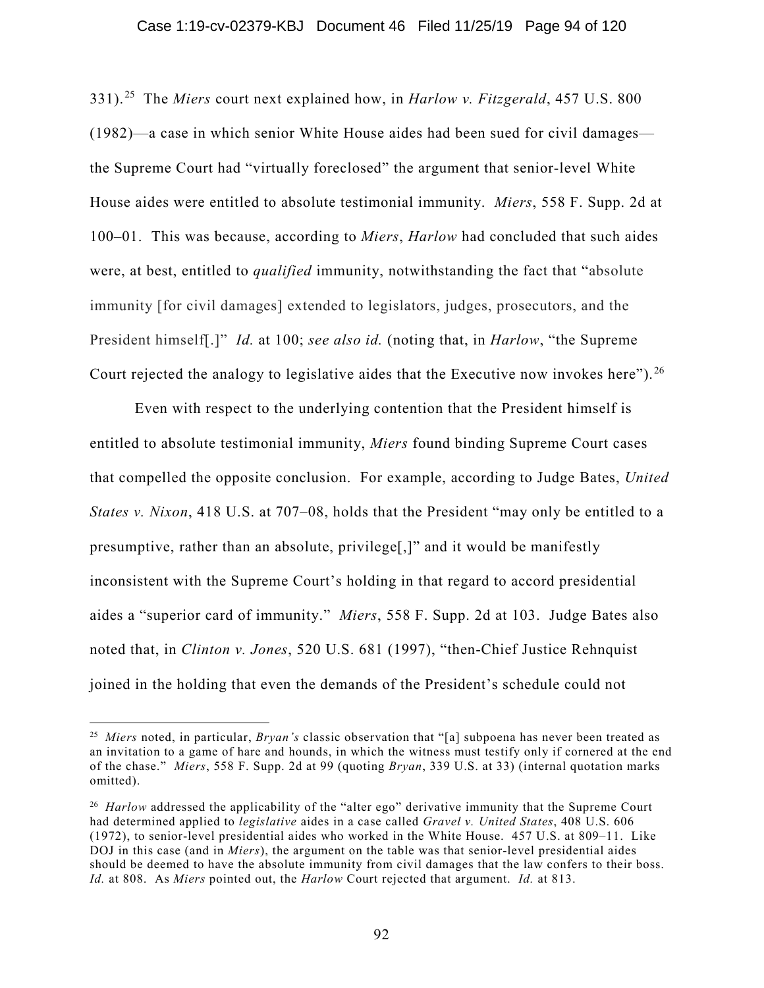## Case 1:19-cv-02379-KBJ Document 46 Filed 11/25/19 Page 94 of 120

331). [25](#page-93-0) The *Miers* court next explained how, in *Harlow v. Fitzgerald*, 457 U.S. 800 (1982)—a case in which senior White House aides had been sued for civil damages the Supreme Court had "virtually foreclosed" the argument that senior-level White House aides were entitled to absolute testimonial immunity. *Miers*, 558 F. Supp. 2d at 100–01. This was because, according to *Miers*, *Harlow* had concluded that such aides were, at best, entitled to *qualified* immunity, notwithstanding the fact that "absolute immunity [for civil damages] extended to legislators, judges, prosecutors, and the President himself[.]" *Id.* at 100; *see also id.* (noting that, in *Harlow*, "the Supreme Court rejected the analogy to legislative aides that the Executive now invokes here").  $^{26}$ 

Even with respect to the underlying contention that the President himself is entitled to absolute testimonial immunity, *Miers* found binding Supreme Court cases that compelled the opposite conclusion. For example, according to Judge Bates, *United States v. Nixon*, 418 U.S. at 707–08, holds that the President "may only be entitled to a presumptive, rather than an absolute, privilege[,]" and it would be manifestly inconsistent with the Supreme Court's holding in that regard to accord presidential aides a "superior card of immunity." *Miers*, 558 F. Supp. 2d at 103. Judge Bates also noted that, in *Clinton v. Jones*, 520 U.S. 681 (1997), "then-Chief Justice Rehnquist joined in the holding that even the demands of the President's schedule could not

<span id="page-93-0"></span> <sup>25</sup> *Miers* noted, in particular, *Bryan's* classic observation that "[a] subpoena has never been treated as an invitation to a game of hare and hounds, in which the witness must testify only if cornered at the end of the chase." *Miers*, 558 F. Supp. 2d at 99 (quoting *Bryan*, 339 U.S. at 33) (internal quotation marks omitted).

<span id="page-93-1"></span><sup>&</sup>lt;sup>26</sup> *Harlow* addressed the applicability of the "alter ego" derivative immunity that the Supreme Court had determined applied to *legislative* aides in a case called *Gravel v. United States*, 408 U.S. 606 (1972), to senior-level presidential aides who worked in the White House. 457 U.S. at 809–11. Like DOJ in this case (and in *Miers*), the argument on the table was that senior-level presidential aides should be deemed to have the absolute immunity from civil damages that the law confers to their boss. *Id.* at 808. As *Miers* pointed out, the *Harlow* Court rejected that argument. *Id.* at 813.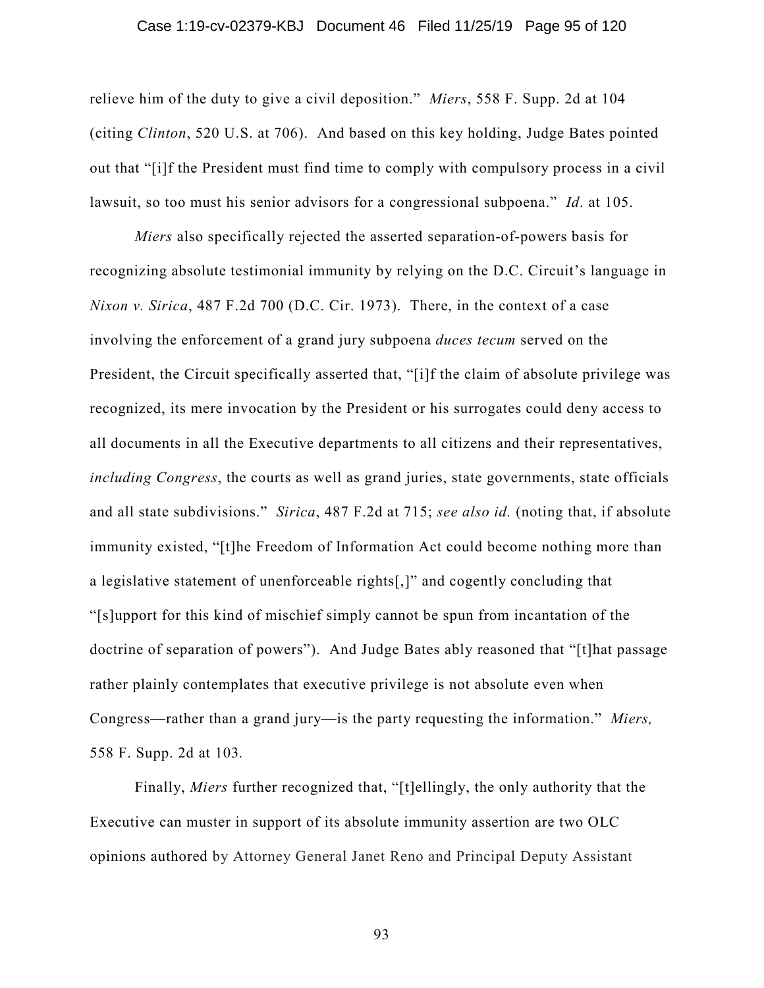## Case 1:19-cv-02379-KBJ Document 46 Filed 11/25/19 Page 95 of 120

relieve him of the duty to give a civil deposition." *Miers*, 558 F. Supp. 2d at 104 (citing *Clinton*, 520 U.S. at 706). And based on this key holding, Judge Bates pointed out that "[i]f the President must find time to comply with compulsory process in a civil lawsuit, so too must his senior advisors for a congressional subpoena." *Id*. at 105.

*Miers* also specifically rejected the asserted separation-of-powers basis for recognizing absolute testimonial immunity by relying on the D.C. Circuit's language in *Nixon v. Sirica*, 487 F.2d 700 (D.C. Cir. 1973). There, in the context of a case involving the enforcement of a grand jury subpoena *duces tecum* served on the President, the Circuit specifically asserted that, "[i]f the claim of absolute privilege was recognized, its mere invocation by the President or his surrogates could deny access to all documents in all the Executive departments to all citizens and their representatives, *including Congress*, the courts as well as grand juries, state governments, state officials and all state subdivisions." *Sirica*, 487 F.2d at 715; *see also id.* (noting that, if absolute immunity existed, "[t]he Freedom of Information Act could become nothing more than a legislative statement of unenforceable rights[,]" and cogently concluding that "[s]upport for this kind of mischief simply cannot be spun from incantation of the doctrine of separation of powers"). And Judge Bates ably reasoned that "[t]hat passage rather plainly contemplates that executive privilege is not absolute even when Congress—rather than a grand jury—is the party requesting the information." *Miers,* 558 F. Supp. 2d at 103*.*

Finally, *Miers* further recognized that, "[t]ellingly, the only authority that the Executive can muster in support of its absolute immunity assertion are two OLC opinions authored by Attorney General Janet Reno and Principal Deputy Assistant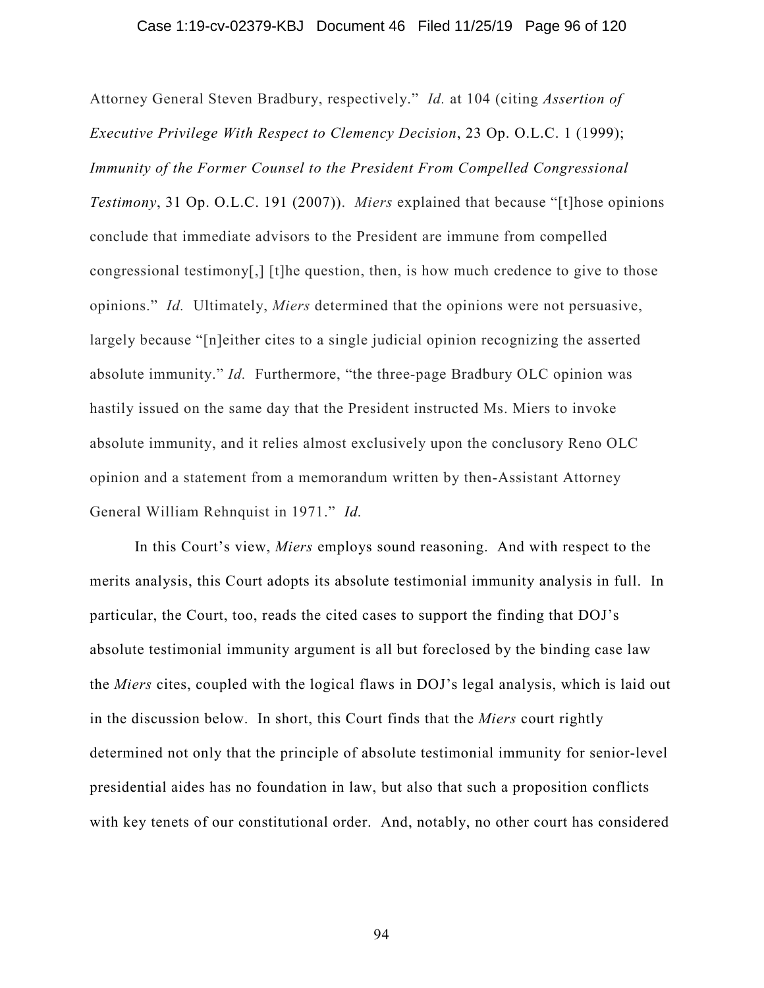#### Case 1:19-cv-02379-KBJ Document 46 Filed 11/25/19 Page 96 of 120

Attorney General Steven Bradbury, respectively." *Id.* at 104 (citing *Assertion of Executive Privilege With Respect to Clemency Decision*, 23 Op. O.L.C. 1 (1999); *Immunity of the Former Counsel to the President From Compelled Congressional Testimony*, 31 Op. O.L.C. 191 (2007)). *Miers* explained that because "[t]hose opinions conclude that immediate advisors to the President are immune from compelled congressional testimony[,] [t]he question, then, is how much credence to give to those opinions." *Id.* Ultimately, *Miers* determined that the opinions were not persuasive, largely because "[n]either cites to a single judicial opinion recognizing the asserted absolute immunity." *Id.* Furthermore, "the three-page Bradbury OLC opinion was hastily issued on the same day that the President instructed Ms. Miers to invoke absolute immunity, and it relies almost exclusively upon the conclusory Reno OLC opinion and a statement from a memorandum written by then-Assistant Attorney General William Rehnquist in 1971." *Id.*

In this Court's view, *Miers* employs sound reasoning. And with respect to the merits analysis, this Court adopts its absolute testimonial immunity analysis in full. In particular, the Court, too, reads the cited cases to support the finding that DOJ's absolute testimonial immunity argument is all but foreclosed by the binding case law the *Miers* cites, coupled with the logical flaws in DOJ's legal analysis, which is laid out in the discussion below. In short, this Court finds that the *Miers* court rightly determined not only that the principle of absolute testimonial immunity for senior-level presidential aides has no foundation in law, but also that such a proposition conflicts with key tenets of our constitutional order. And, notably, no other court has considered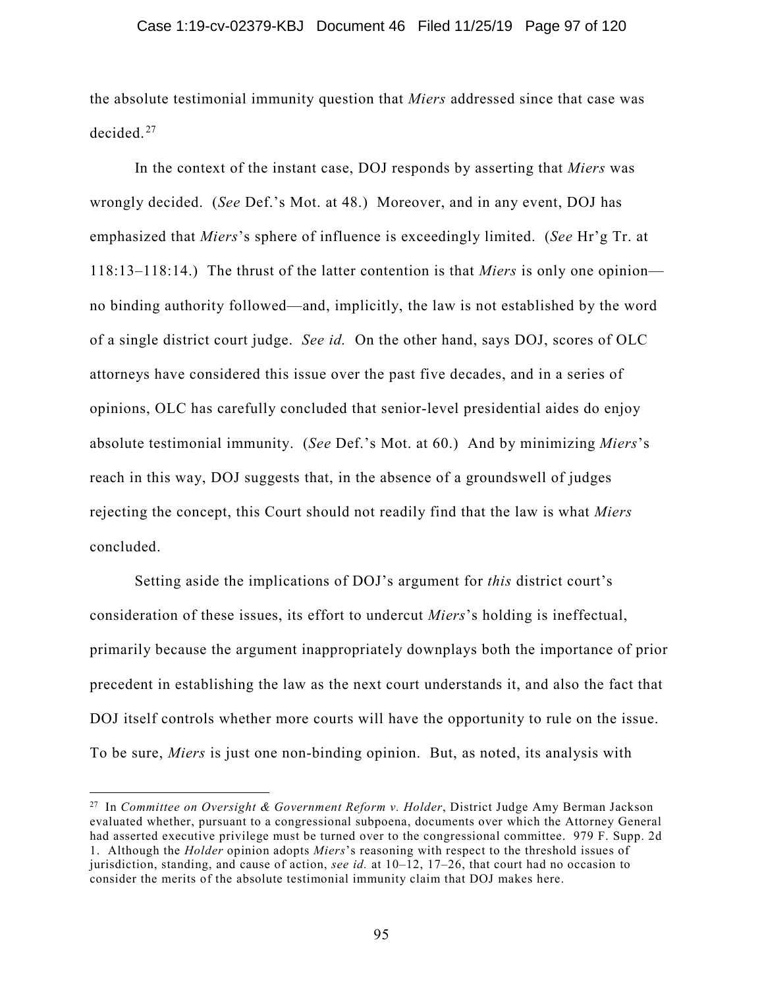the absolute testimonial immunity question that *Miers* addressed since that case was decided. [27](#page-96-0)

In the context of the instant case, DOJ responds by asserting that *Miers* was wrongly decided. (*See* Def.'s Mot. at 48.) Moreover, and in any event, DOJ has emphasized that *Miers*'s sphere of influence is exceedingly limited. (*See* Hr'g Tr. at 118:13–118:14.) The thrust of the latter contention is that *Miers* is only one opinion no binding authority followed—and, implicitly, the law is not established by the word of a single district court judge. *See id.* On the other hand, says DOJ, scores of OLC attorneys have considered this issue over the past five decades, and in a series of opinions, OLC has carefully concluded that senior-level presidential aides do enjoy absolute testimonial immunity. (*See* Def.'s Mot. at 60.) And by minimizing *Miers*'s reach in this way, DOJ suggests that, in the absence of a groundswell of judges rejecting the concept, this Court should not readily find that the law is what *Miers* concluded.

Setting aside the implications of DOJ's argument for *this* district court's consideration of these issues, its effort to undercut *Miers*'s holding is ineffectual, primarily because the argument inappropriately downplays both the importance of prior precedent in establishing the law as the next court understands it, and also the fact that DOJ itself controls whether more courts will have the opportunity to rule on the issue. To be sure, *Miers* is just one non-binding opinion. But, as noted, its analysis with

<span id="page-96-0"></span> <sup>27</sup> In *Committee on Oversight & Government Reform v. Holder*, District Judge Amy Berman Jackson evaluated whether, pursuant to a congressional subpoena, documents over which the Attorney General had asserted executive privilege must be turned over to the congressional committee. 979 F. Supp. 2d 1. Although the *Holder* opinion adopts *Miers*'s reasoning with respect to the threshold issues of jurisdiction, standing, and cause of action, *see id.* at 10–12, 17–26, that court had no occasion to consider the merits of the absolute testimonial immunity claim that DOJ makes here.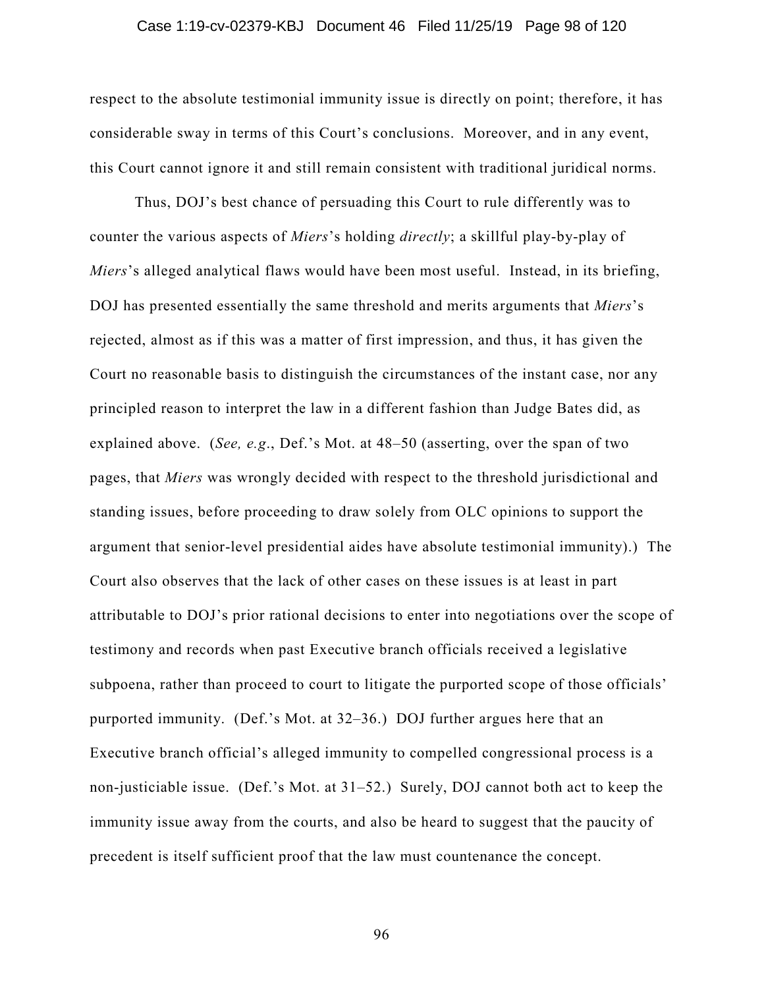## Case 1:19-cv-02379-KBJ Document 46 Filed 11/25/19 Page 98 of 120

respect to the absolute testimonial immunity issue is directly on point; therefore, it has considerable sway in terms of this Court's conclusions. Moreover, and in any event, this Court cannot ignore it and still remain consistent with traditional juridical norms.

Thus, DOJ's best chance of persuading this Court to rule differently was to counter the various aspects of *Miers*'s holding *directly*; a skillful play-by-play of *Miers*'s alleged analytical flaws would have been most useful. Instead, in its briefing, DOJ has presented essentially the same threshold and merits arguments that *Miers*'s rejected, almost as if this was a matter of first impression, and thus, it has given the Court no reasonable basis to distinguish the circumstances of the instant case, nor any principled reason to interpret the law in a different fashion than Judge Bates did, as explained above. (*See, e.g*., Def.'s Mot. at 48–50 (asserting, over the span of two pages, that *Miers* was wrongly decided with respect to the threshold jurisdictional and standing issues, before proceeding to draw solely from OLC opinions to support the argument that senior-level presidential aides have absolute testimonial immunity).) The Court also observes that the lack of other cases on these issues is at least in part attributable to DOJ's prior rational decisions to enter into negotiations over the scope of testimony and records when past Executive branch officials received a legislative subpoena, rather than proceed to court to litigate the purported scope of those officials' purported immunity. (Def.'s Mot. at 32–36.) DOJ further argues here that an Executive branch official's alleged immunity to compelled congressional process is a non-justiciable issue. (Def.'s Mot. at 31–52.) Surely, DOJ cannot both act to keep the immunity issue away from the courts, and also be heard to suggest that the paucity of precedent is itself sufficient proof that the law must countenance the concept.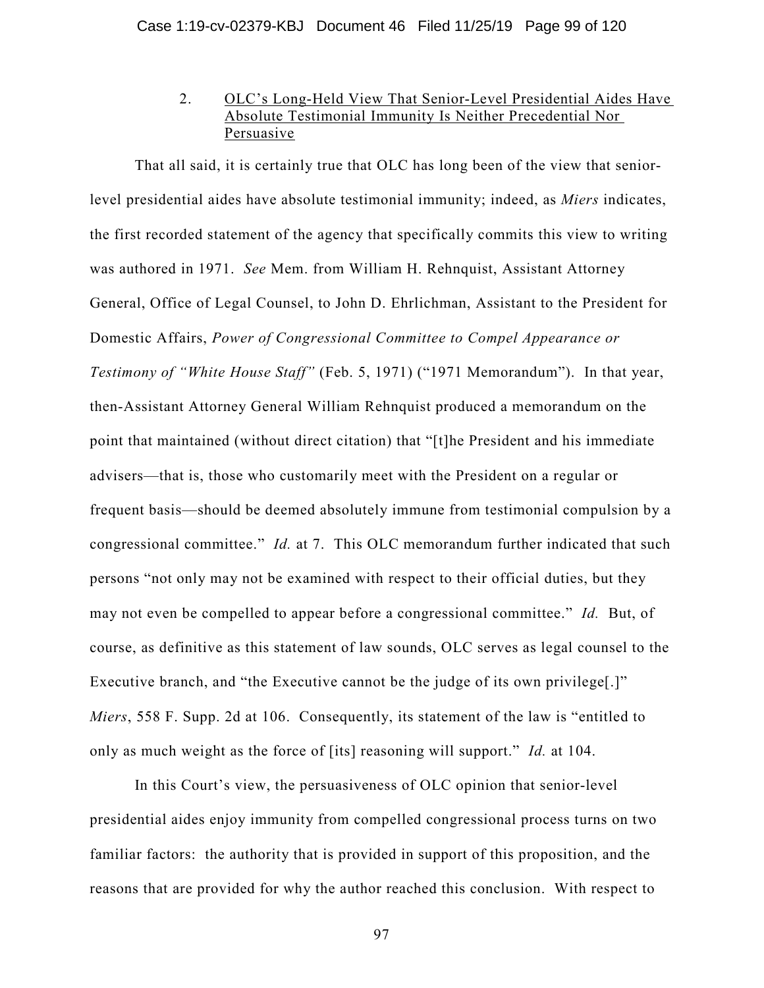2. OLC's Long-Held View That Senior-Level Presidential Aides Have Absolute Testimonial Immunity Is Neither Precedential Nor Persuasive

That all said, it is certainly true that OLC has long been of the view that seniorlevel presidential aides have absolute testimonial immunity; indeed, as *Miers* indicates, the first recorded statement of the agency that specifically commits this view to writing was authored in 1971. *See* Mem. from William H. Rehnquist, Assistant Attorney General, Office of Legal Counsel, to John D. Ehrlichman, Assistant to the President for Domestic Affairs, *Power of Congressional Committee to Compel Appearance or Testimony of "White House Staff"* (Feb. 5, 1971) ("1971 Memorandum"). In that year, then-Assistant Attorney General William Rehnquist produced a memorandum on the point that maintained (without direct citation) that "[t]he President and his immediate advisers—that is, those who customarily meet with the President on a regular or frequent basis—should be deemed absolutely immune from testimonial compulsion by a congressional committee." *Id.* at 7. This OLC memorandum further indicated that such persons "not only may not be examined with respect to their official duties, but they may not even be compelled to appear before a congressional committee." *Id.* But, of course, as definitive as this statement of law sounds, OLC serves as legal counsel to the Executive branch, and "the Executive cannot be the judge of its own privilege[.]" *Miers*, 558 F. Supp. 2d at 106. Consequently, its statement of the law is "entitled to only as much weight as the force of [its] reasoning will support." *Id.* at 104.

In this Court's view, the persuasiveness of OLC opinion that senior-level presidential aides enjoy immunity from compelled congressional process turns on two familiar factors: the authority that is provided in support of this proposition, and the reasons that are provided for why the author reached this conclusion. With respect to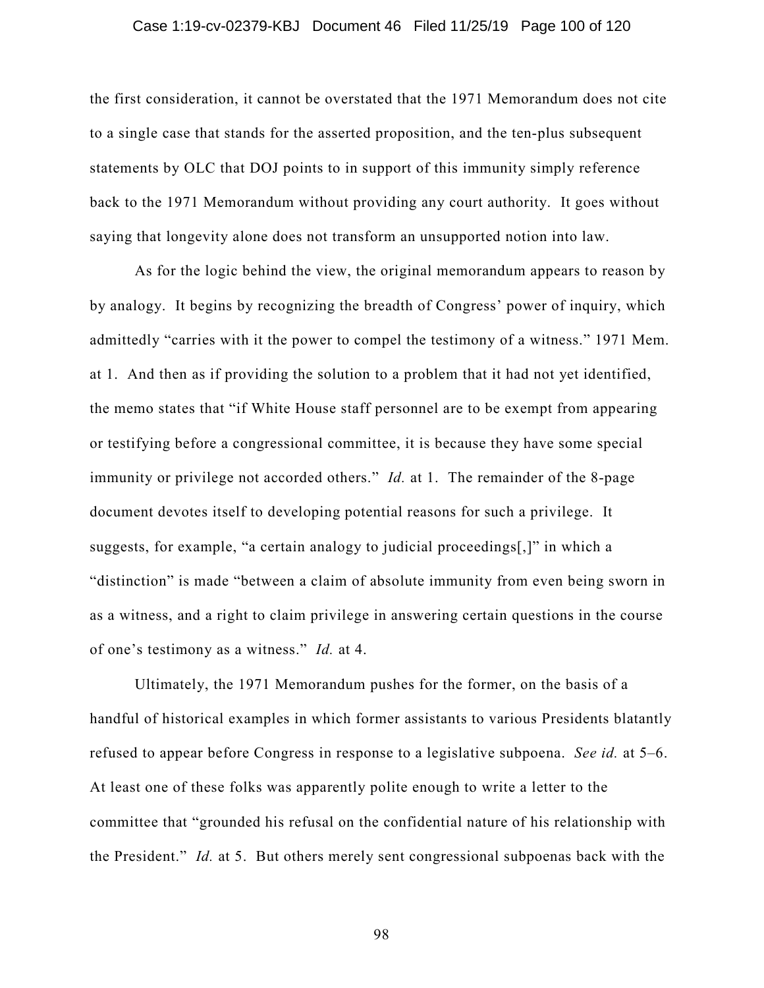## Case 1:19-cv-02379-KBJ Document 46 Filed 11/25/19 Page 100 of 120

the first consideration, it cannot be overstated that the 1971 Memorandum does not cite to a single case that stands for the asserted proposition, and the ten-plus subsequent statements by OLC that DOJ points to in support of this immunity simply reference back to the 1971 Memorandum without providing any court authority. It goes without saying that longevity alone does not transform an unsupported notion into law.

As for the logic behind the view, the original memorandum appears to reason by by analogy. It begins by recognizing the breadth of Congress' power of inquiry, which admittedly "carries with it the power to compel the testimony of a witness." 1971 Mem. at 1. And then as if providing the solution to a problem that it had not yet identified, the memo states that "if White House staff personnel are to be exempt from appearing or testifying before a congressional committee, it is because they have some special immunity or privilege not accorded others." *Id.* at 1. The remainder of the 8-page document devotes itself to developing potential reasons for such a privilege. It suggests, for example, "a certain analogy to judicial proceedings[,]" in which a "distinction" is made "between a claim of absolute immunity from even being sworn in as a witness, and a right to claim privilege in answering certain questions in the course of one's testimony as a witness." *Id.* at 4.

Ultimately, the 1971 Memorandum pushes for the former, on the basis of a handful of historical examples in which former assistants to various Presidents blatantly refused to appear before Congress in response to a legislative subpoena. *See id.* at 5–6. At least one of these folks was apparently polite enough to write a letter to the committee that "grounded his refusal on the confidential nature of his relationship with the President." *Id.* at 5. But others merely sent congressional subpoenas back with the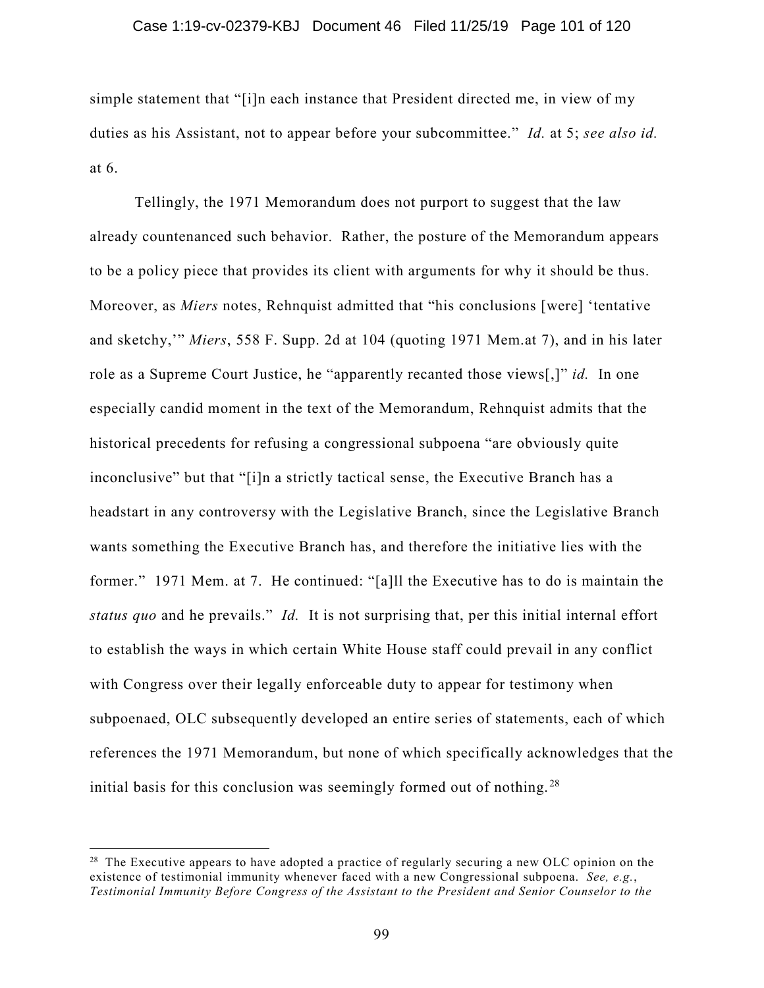## Case 1:19-cv-02379-KBJ Document 46 Filed 11/25/19 Page 101 of 120

simple statement that "[i]n each instance that President directed me, in view of my duties as his Assistant, not to appear before your subcommittee." *Id.* at 5; *see also id.*  at 6.

Tellingly, the 1971 Memorandum does not purport to suggest that the law already countenanced such behavior. Rather, the posture of the Memorandum appears to be a policy piece that provides its client with arguments for why it should be thus. Moreover, as *Miers* notes, Rehnquist admitted that "his conclusions [were] 'tentative and sketchy,'" *Miers*, 558 F. Supp. 2d at 104 (quoting 1971 Mem.at 7), and in his later role as a Supreme Court Justice, he "apparently recanted those views[,]" *id.* In one especially candid moment in the text of the Memorandum, Rehnquist admits that the historical precedents for refusing a congressional subpoena "are obviously quite inconclusive" but that "[i]n a strictly tactical sense, the Executive Branch has a headstart in any controversy with the Legislative Branch, since the Legislative Branch wants something the Executive Branch has, and therefore the initiative lies with the former." 1971 Mem. at 7. He continued: "[a]ll the Executive has to do is maintain the *status quo* and he prevails." *Id.* It is not surprising that, per this initial internal effort to establish the ways in which certain White House staff could prevail in any conflict with Congress over their legally enforceable duty to appear for testimony when subpoenaed, OLC subsequently developed an entire series of statements, each of which references the 1971 Memorandum, but none of which specifically acknowledges that the initial basis for this conclusion was seemingly formed out of nothing.<sup>28</sup>

<span id="page-100-0"></span><sup>&</sup>lt;sup>28</sup> The Executive appears to have adopted a practice of regularly securing a new OLC opinion on the existence of testimonial immunity whenever faced with a new Congressional subpoena. *See, e.g.*, *Testimonial Immunity Before Congress of the Assistant to the President and Senior Counselor to the*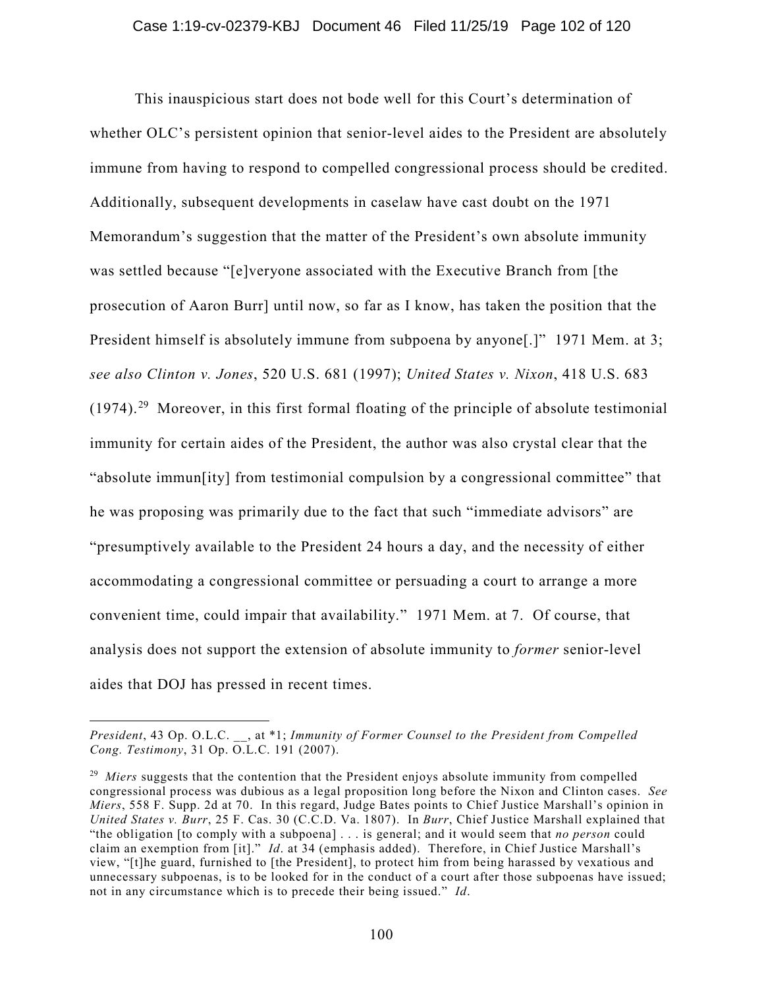This inauspicious start does not bode well for this Court's determination of whether OLC's persistent opinion that senior-level aides to the President are absolutely immune from having to respond to compelled congressional process should be credited. Additionally, subsequent developments in caselaw have cast doubt on the 1971 Memorandum's suggestion that the matter of the President's own absolute immunity was settled because "[e]veryone associated with the Executive Branch from [the prosecution of Aaron Burr] until now, so far as I know, has taken the position that the President himself is absolutely immune from subpoena by anyone[.]" 1971 Mem. at 3; *see also Clinton v. Jones*, 520 U.S. 681 (1997); *United States v. Nixon*, 418 U.S. 683  $(1974).$ <sup>[29](#page-101-0)</sup> Moreover, in this first formal floating of the principle of absolute testimonial immunity for certain aides of the President, the author was also crystal clear that the "absolute immun[ity] from testimonial compulsion by a congressional committee" that he was proposing was primarily due to the fact that such "immediate advisors" are "presumptively available to the President 24 hours a day, and the necessity of either accommodating a congressional committee or persuading a court to arrange a more convenient time, could impair that availability." 1971 Mem. at 7. Of course, that analysis does not support the extension of absolute immunity to *former* senior-level aides that DOJ has pressed in recent times.

 $\overline{a}$ 

*President*, 43 Op. O.L.C. \_\_, at \*1; *Immunity of Former Counsel to the President from Compelled Cong. Testimony*, 31 Op. O.L.C. 191 (2007).

<span id="page-101-0"></span><sup>&</sup>lt;sup>29</sup> Miers suggests that the contention that the President enjoys absolute immunity from compelled congressional process was dubious as a legal proposition long before the Nixon and Clinton cases. *See Miers*, 558 F. Supp. 2d at 70. In this regard, Judge Bates points to Chief Justice Marshall's opinion in *United States v. Burr*, 25 F. Cas. 30 (C.C.D. Va. 1807). In *Burr*, Chief Justice Marshall explained that "the obligation [to comply with a subpoena] . . . is general; and it would seem that *no person* could claim an exemption from [it]." *Id*. at 34 (emphasis added). Therefore, in Chief Justice Marshall's view, "[t]he guard, furnished to [the President], to protect him from being harassed by vexatious and unnecessary subpoenas, is to be looked for in the conduct of a court after those subpoenas have issued; not in any circumstance which is to precede their being issued." *Id*.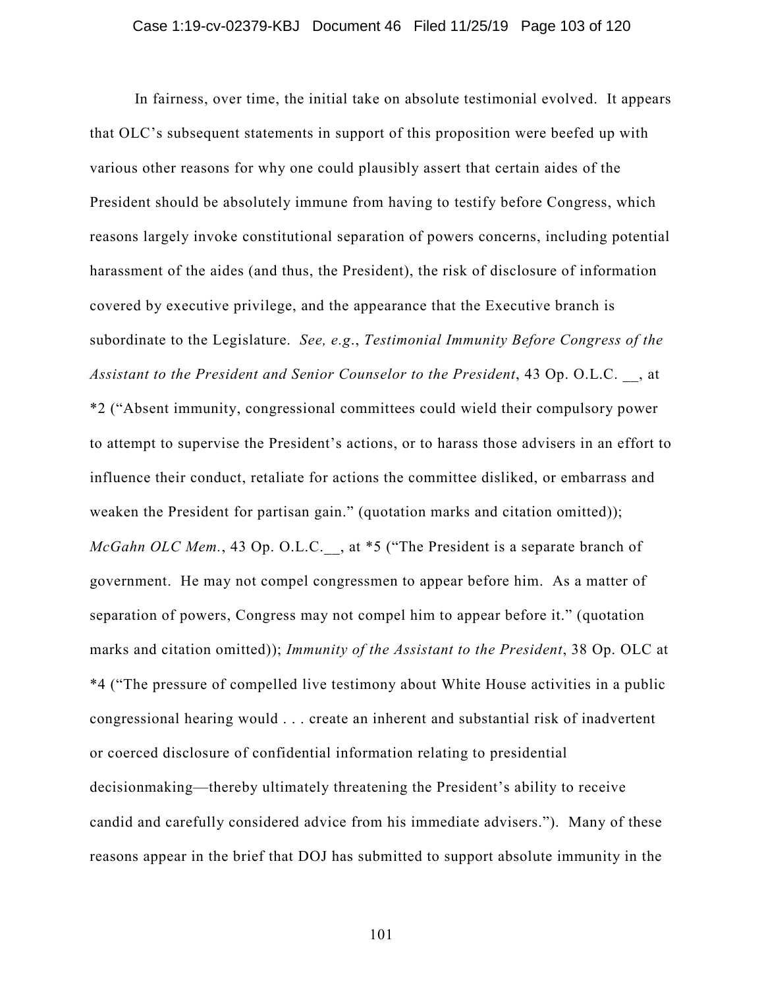In fairness, over time, the initial take on absolute testimonial evolved. It appears that OLC's subsequent statements in support of this proposition were beefed up with various other reasons for why one could plausibly assert that certain aides of the President should be absolutely immune from having to testify before Congress, which reasons largely invoke constitutional separation of powers concerns, including potential harassment of the aides (and thus, the President), the risk of disclosure of information covered by executive privilege, and the appearance that the Executive branch is subordinate to the Legislature. *See, e.g*., *Testimonial Immunity Before Congress of the Assistant to the President and Senior Counselor to the President*, 43 Op. O.L.C. \_\_, at \*2 ("Absent immunity, congressional committees could wield their compulsory power to attempt to supervise the President's actions, or to harass those advisers in an effort to influence their conduct, retaliate for actions the committee disliked, or embarrass and weaken the President for partisan gain." (quotation marks and citation omitted)); *McGahn OLC Mem.*, 43 Op. O.L.C. , at \*5 ("The President is a separate branch of government. He may not compel congressmen to appear before him. As a matter of separation of powers, Congress may not compel him to appear before it." (quotation marks and citation omitted)); *Immunity of the Assistant to the President*, 38 Op. OLC at \*4 ("The pressure of compelled live testimony about White House activities in a public congressional hearing would . . . create an inherent and substantial risk of inadvertent or coerced disclosure of confidential information relating to presidential decisionmaking—thereby ultimately threatening the President's ability to receive candid and carefully considered advice from his immediate advisers."). Many of these reasons appear in the brief that DOJ has submitted to support absolute immunity in the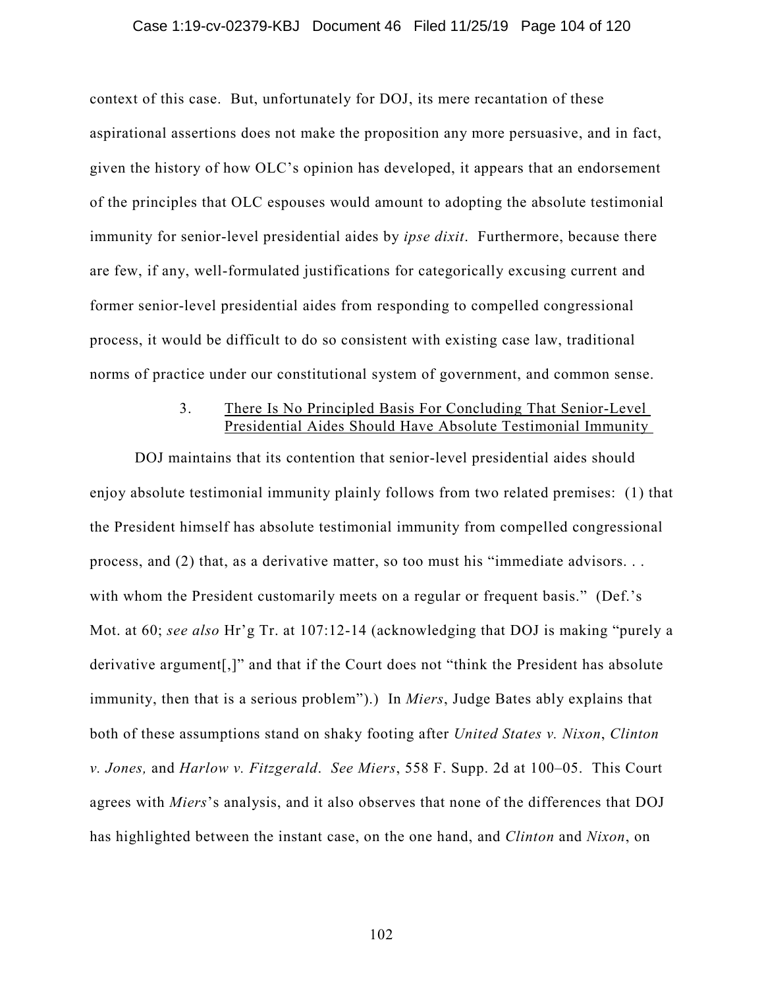## Case 1:19-cv-02379-KBJ Document 46 Filed 11/25/19 Page 104 of 120

context of this case. But, unfortunately for DOJ, its mere recantation of these aspirational assertions does not make the proposition any more persuasive, and in fact, given the history of how OLC's opinion has developed, it appears that an endorsement of the principles that OLC espouses would amount to adopting the absolute testimonial immunity for senior-level presidential aides by *ipse dixit*. Furthermore, because there are few, if any, well-formulated justifications for categorically excusing current and former senior-level presidential aides from responding to compelled congressional process, it would be difficult to do so consistent with existing case law, traditional norms of practice under our constitutional system of government, and common sense.

# 3. There Is No Principled Basis For Concluding That Senior-Level Presidential Aides Should Have Absolute Testimonial Immunity

DOJ maintains that its contention that senior-level presidential aides should enjoy absolute testimonial immunity plainly follows from two related premises: (1) that the President himself has absolute testimonial immunity from compelled congressional process, and (2) that, as a derivative matter, so too must his "immediate advisors. . . with whom the President customarily meets on a regular or frequent basis." (Def.'s Mot. at 60; *see also* Hr'g Tr. at 107:12-14 (acknowledging that DOJ is making "purely a derivative argument[,]" and that if the Court does not "think the President has absolute immunity, then that is a serious problem").) In *Miers*, Judge Bates ably explains that both of these assumptions stand on shaky footing after *United States v. Nixon*, *Clinton v. Jones,* and *Harlow v. Fitzgerald*. *See Miers*, 558 F. Supp. 2d at 100–05. This Court agrees with *Miers*'s analysis, and it also observes that none of the differences that DOJ has highlighted between the instant case, on the one hand, and *Clinton* and *Nixon*, on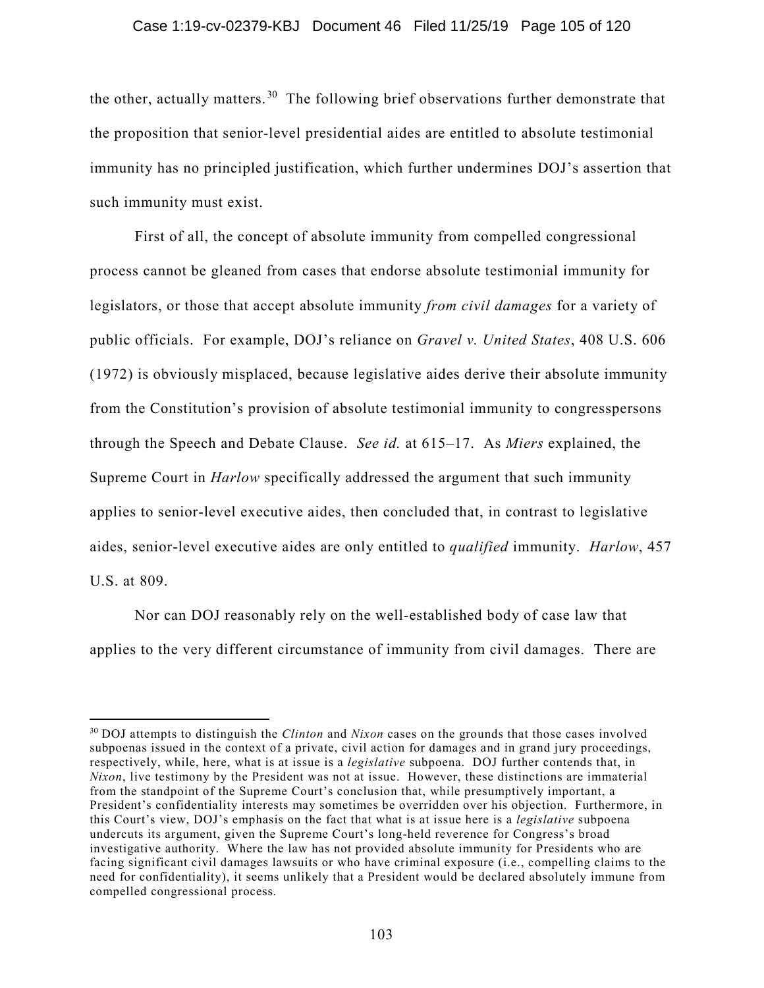## Case 1:19-cv-02379-KBJ Document 46 Filed 11/25/19 Page 105 of 120

the other, actually matters. [30](#page-104-0) The following brief observations further demonstrate that the proposition that senior-level presidential aides are entitled to absolute testimonial immunity has no principled justification, which further undermines DOJ's assertion that such immunity must exist.

First of all, the concept of absolute immunity from compelled congressional process cannot be gleaned from cases that endorse absolute testimonial immunity for legislators, or those that accept absolute immunity *from civil damages* for a variety of public officials. For example, DOJ's reliance on *Gravel v. United States*, 408 U.S. 606 (1972) is obviously misplaced, because legislative aides derive their absolute immunity from the Constitution's provision of absolute testimonial immunity to congresspersons through the Speech and Debate Clause. *See id.* at 615–17. As *Miers* explained, the Supreme Court in *Harlow* specifically addressed the argument that such immunity applies to senior-level executive aides, then concluded that, in contrast to legislative aides, senior-level executive aides are only entitled to *qualified* immunity. *Harlow*, 457 U.S. at 809.

Nor can DOJ reasonably rely on the well-established body of case law that applies to the very different circumstance of immunity from civil damages. There are

<span id="page-104-0"></span> <sup>30</sup> DOJ attempts to distinguish the *Clinton* and *Nixon* cases on the grounds that those cases involved subpoenas issued in the context of a private, civil action for damages and in grand jury proceedings, respectively, while, here, what is at issue is a *legislative* subpoena. DOJ further contends that, in *Nixon*, live testimony by the President was not at issue. However, these distinctions are immaterial from the standpoint of the Supreme Court's conclusion that, while presumptively important, a President's confidentiality interests may sometimes be overridden over his objection. Furthermore, in this Court's view, DOJ's emphasis on the fact that what is at issue here is a *legislative* subpoena undercuts its argument, given the Supreme Court's long-held reverence for Congress's broad investigative authority. Where the law has not provided absolute immunity for Presidents who are facing significant civil damages lawsuits or who have criminal exposure (i.e., compelling claims to the need for confidentiality), it seems unlikely that a President would be declared absolutely immune from compelled congressional process.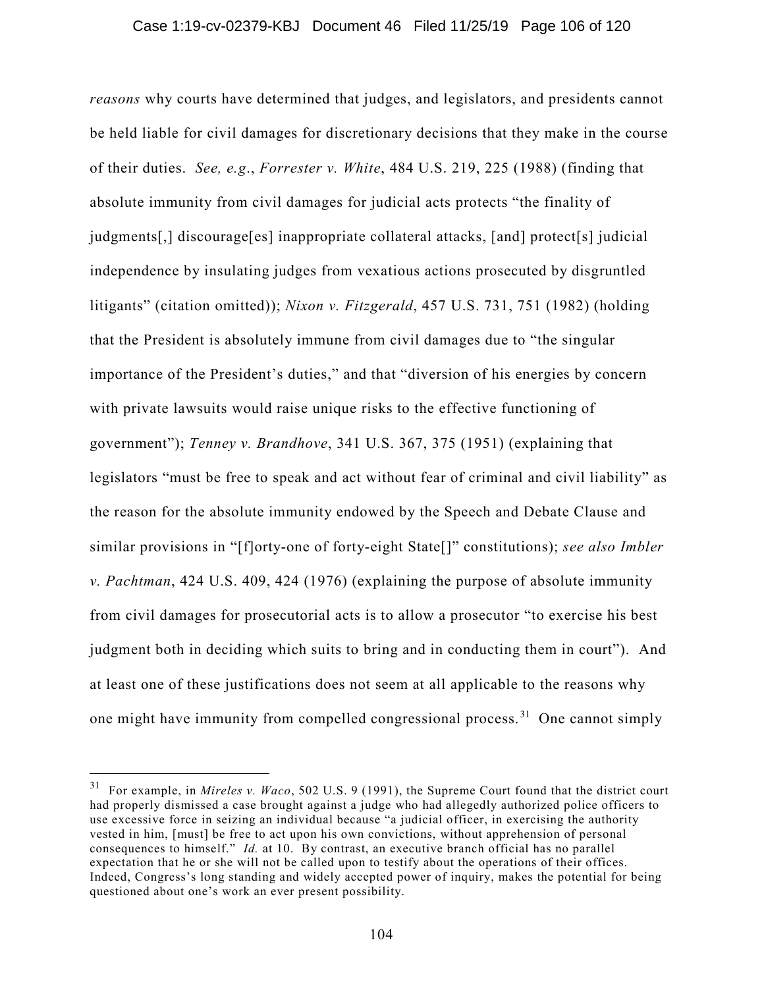*reasons* why courts have determined that judges, and legislators, and presidents cannot be held liable for civil damages for discretionary decisions that they make in the course of their duties. *See, e.g*., *Forrester v. White*, 484 U.S. 219, 225 (1988) (finding that absolute immunity from civil damages for judicial acts protects "the finality of judgments[,] discourage[es] inappropriate collateral attacks, [and] protect[s] judicial independence by insulating judges from vexatious actions prosecuted by disgruntled litigants" (citation omitted)); *Nixon v. Fitzgerald*, 457 U.S. 731, 751 (1982) (holding that the President is absolutely immune from civil damages due to "the singular importance of the President's duties," and that "diversion of his energies by concern with private lawsuits would raise unique risks to the effective functioning of government"); *Tenney v. Brandhove*, 341 U.S. 367, 375 (1951) (explaining that legislators "must be free to speak and act without fear of criminal and civil liability" as the reason for the absolute immunity endowed by the Speech and Debate Clause and similar provisions in "[f]orty-one of forty-eight State[]" constitutions); *see also Imbler v. Pachtman*, 424 U.S. 409, 424 (1976) (explaining the purpose of absolute immunity from civil damages for prosecutorial acts is to allow a prosecutor "to exercise his best judgment both in deciding which suits to bring and in conducting them in court"). And at least one of these justifications does not seem at all applicable to the reasons why one might have immunity from compelled congressional process. [31](#page-105-0) One cannot simply

<span id="page-105-0"></span> <sup>31</sup> For example, in *Mireles v. Waco*, 502 U.S. 9 (1991), the Supreme Court found that the district court had properly dismissed a case brought against a judge who had allegedly authorized police officers to use excessive force in seizing an individual because "a judicial officer, in exercising the authority vested in him, [must] be free to act upon his own convictions, without apprehension of personal consequences to himself." *Id.* at 10. By contrast, an executive branch official has no parallel expectation that he or she will not be called upon to testify about the operations of their offices. Indeed, Congress's long standing and widely accepted power of inquiry, makes the potential for being questioned about one's work an ever present possibility.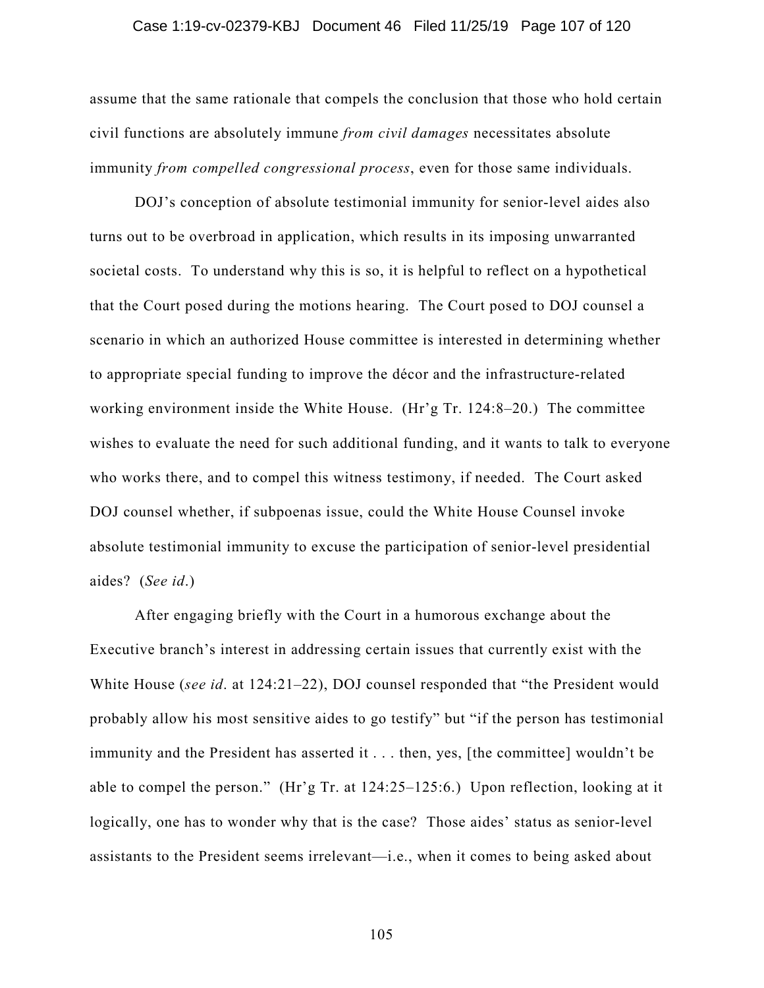## Case 1:19-cv-02379-KBJ Document 46 Filed 11/25/19 Page 107 of 120

assume that the same rationale that compels the conclusion that those who hold certain civil functions are absolutely immune *from civil damages* necessitates absolute immunity *from compelled congressional process*, even for those same individuals.

DOJ's conception of absolute testimonial immunity for senior-level aides also turns out to be overbroad in application, which results in its imposing unwarranted societal costs. To understand why this is so, it is helpful to reflect on a hypothetical that the Court posed during the motions hearing. The Court posed to DOJ counsel a scenario in which an authorized House committee is interested in determining whether to appropriate special funding to improve the décor and the infrastructure-related working environment inside the White House. (Hr'g Tr. 124:8–20.) The committee wishes to evaluate the need for such additional funding, and it wants to talk to everyone who works there, and to compel this witness testimony, if needed. The Court asked DOJ counsel whether, if subpoenas issue, could the White House Counsel invoke absolute testimonial immunity to excuse the participation of senior-level presidential aides? (*See id*.)

After engaging briefly with the Court in a humorous exchange about the Executive branch's interest in addressing certain issues that currently exist with the White House (*see id*. at 124:21–22), DOJ counsel responded that "the President would probably allow his most sensitive aides to go testify" but "if the person has testimonial immunity and the President has asserted it . . . then, yes, [the committee] wouldn't be able to compel the person." (Hr'g Tr. at 124:25–125:6.) Upon reflection, looking at it logically, one has to wonder why that is the case? Those aides' status as senior-level assistants to the President seems irrelevant—i.e., when it comes to being asked about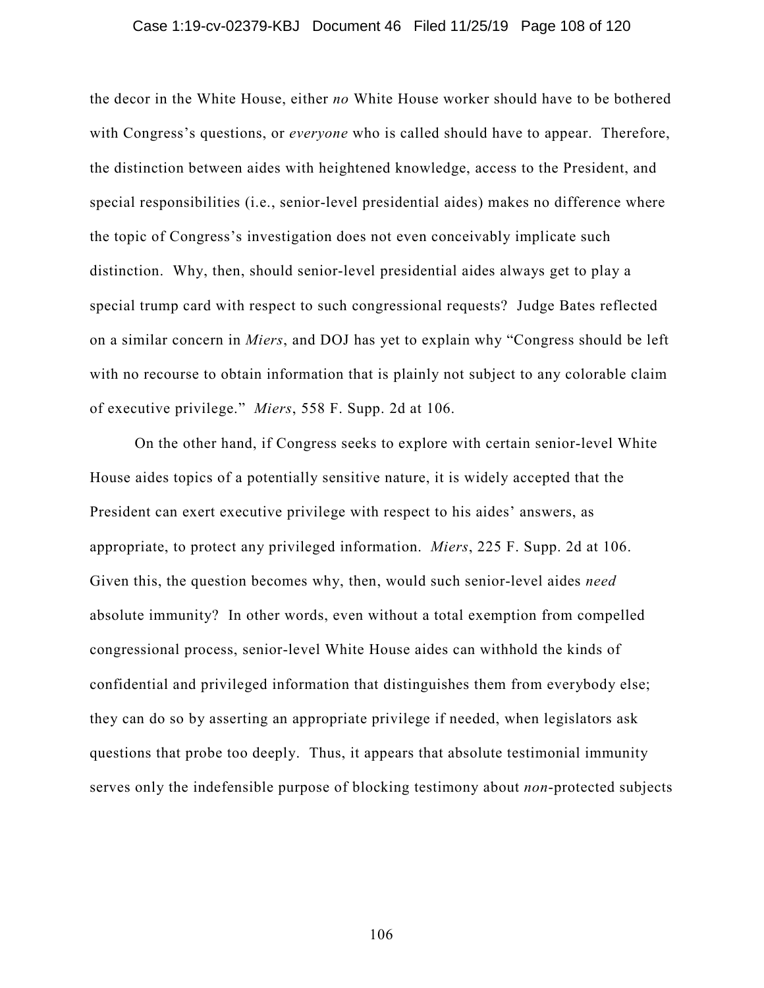## Case 1:19-cv-02379-KBJ Document 46 Filed 11/25/19 Page 108 of 120

the decor in the White House, either *no* White House worker should have to be bothered with Congress's questions, or *everyone* who is called should have to appear. Therefore, the distinction between aides with heightened knowledge, access to the President, and special responsibilities (i.e., senior-level presidential aides) makes no difference where the topic of Congress's investigation does not even conceivably implicate such distinction. Why, then, should senior-level presidential aides always get to play a special trump card with respect to such congressional requests? Judge Bates reflected on a similar concern in *Miers*, and DOJ has yet to explain why "Congress should be left with no recourse to obtain information that is plainly not subject to any colorable claim of executive privilege." *Miers*, 558 F. Supp. 2d at 106.

On the other hand, if Congress seeks to explore with certain senior-level White House aides topics of a potentially sensitive nature, it is widely accepted that the President can exert executive privilege with respect to his aides' answers, as appropriate, to protect any privileged information. *Miers*, 225 F. Supp. 2d at 106. Given this, the question becomes why, then, would such senior-level aides *need* absolute immunity? In other words, even without a total exemption from compelled congressional process, senior-level White House aides can withhold the kinds of confidential and privileged information that distinguishes them from everybody else; they can do so by asserting an appropriate privilege if needed, when legislators ask questions that probe too deeply. Thus, it appears that absolute testimonial immunity serves only the indefensible purpose of blocking testimony about *non*-protected subjects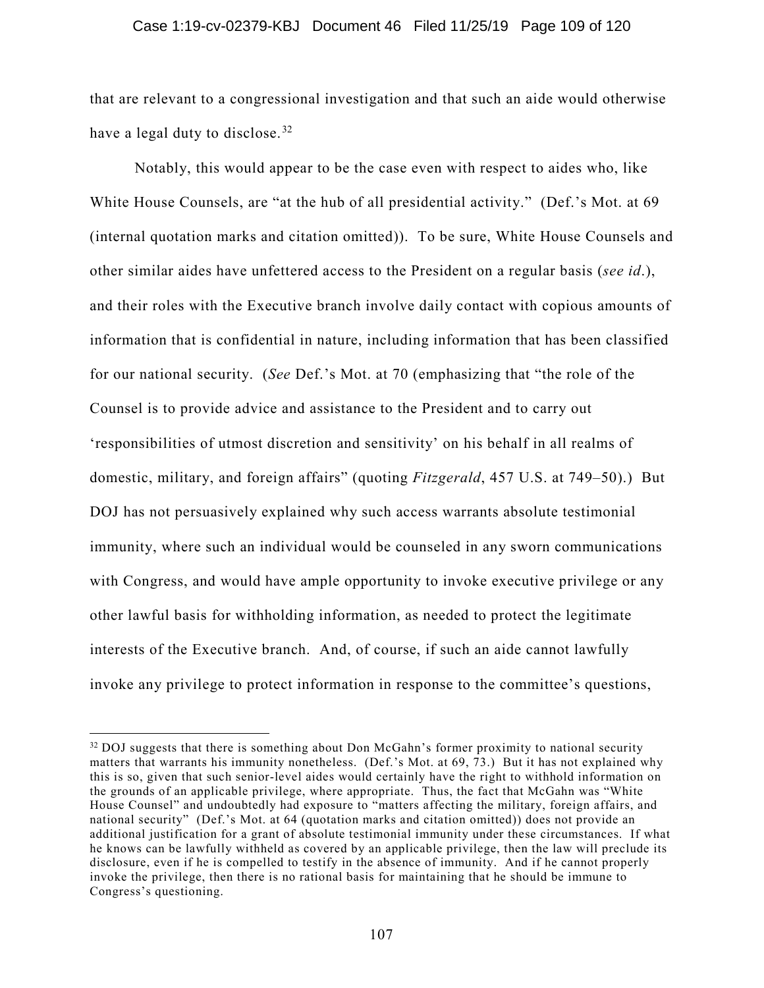## Case 1:19-cv-02379-KBJ Document 46 Filed 11/25/19 Page 109 of 120

that are relevant to a congressional investigation and that such an aide would otherwise have a legal duty to disclose. [32](#page-108-0)

Notably, this would appear to be the case even with respect to aides who, like White House Counsels, are "at the hub of all presidential activity." (Def.'s Mot. at 69 (internal quotation marks and citation omitted)). To be sure, White House Counsels and other similar aides have unfettered access to the President on a regular basis (*see id*.), and their roles with the Executive branch involve daily contact with copious amounts of information that is confidential in nature, including information that has been classified for our national security. (*See* Def.'s Mot. at 70 (emphasizing that "the role of the Counsel is to provide advice and assistance to the President and to carry out 'responsibilities of utmost discretion and sensitivity' on his behalf in all realms of domestic, military, and foreign affairs" (quoting *Fitzgerald*, 457 U.S. at 749–50).) But DOJ has not persuasively explained why such access warrants absolute testimonial immunity, where such an individual would be counseled in any sworn communications with Congress, and would have ample opportunity to invoke executive privilege or any other lawful basis for withholding information, as needed to protect the legitimate interests of the Executive branch. And, of course, if such an aide cannot lawfully invoke any privilege to protect information in response to the committee's questions,

<span id="page-108-0"></span> $32$  DOJ suggests that there is something about Don McGahn's former proximity to national security matters that warrants his immunity nonetheless. (Def.'s Mot. at 69, 73.) But it has not explained why this is so, given that such senior-level aides would certainly have the right to withhold information on the grounds of an applicable privilege, where appropriate. Thus, the fact that McGahn was "White House Counsel" and undoubtedly had exposure to "matters affecting the military, foreign affairs, and national security" (Def.'s Mot. at 64 (quotation marks and citation omitted)) does not provide an additional justification for a grant of absolute testimonial immunity under these circumstances. If what he knows can be lawfully withheld as covered by an applicable privilege, then the law will preclude its disclosure, even if he is compelled to testify in the absence of immunity. And if he cannot properly invoke the privilege, then there is no rational basis for maintaining that he should be immune to Congress's questioning.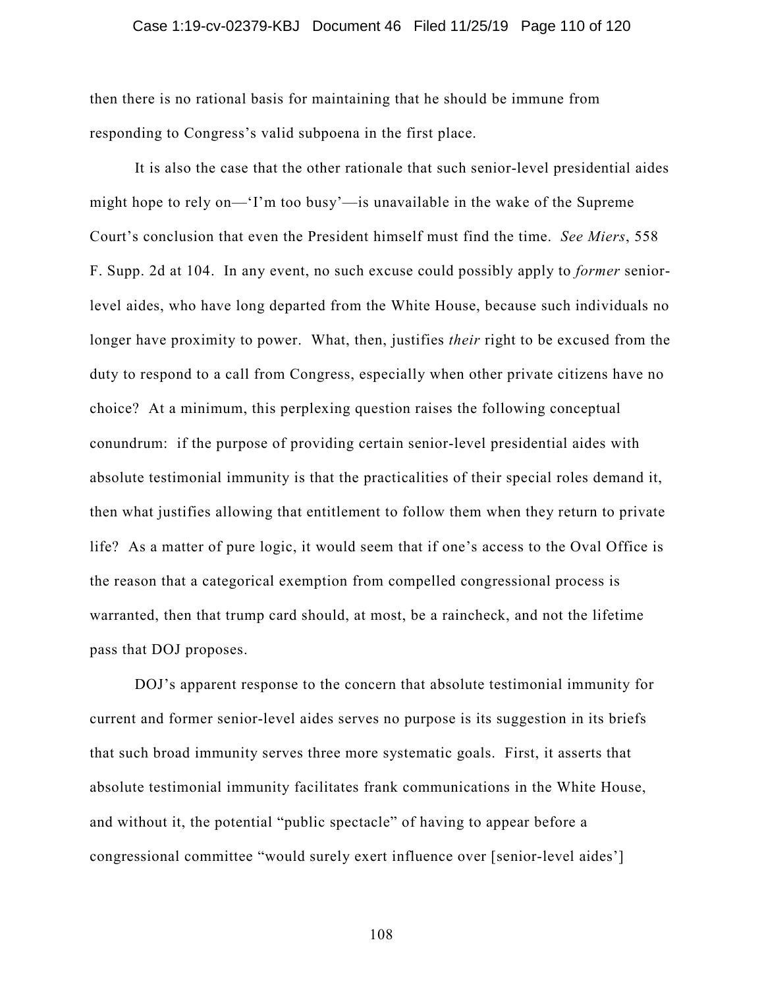### Case 1:19-cv-02379-KBJ Document 46 Filed 11/25/19 Page 110 of 120

then there is no rational basis for maintaining that he should be immune from responding to Congress's valid subpoena in the first place.

It is also the case that the other rationale that such senior-level presidential aides might hope to rely on—'I'm too busy'—is unavailable in the wake of the Supreme Court's conclusion that even the President himself must find the time. *See Miers*, 558 F. Supp. 2d at 104. In any event, no such excuse could possibly apply to *former* seniorlevel aides, who have long departed from the White House, because such individuals no longer have proximity to power. What, then, justifies *their* right to be excused from the duty to respond to a call from Congress, especially when other private citizens have no choice? At a minimum, this perplexing question raises the following conceptual conundrum: if the purpose of providing certain senior-level presidential aides with absolute testimonial immunity is that the practicalities of their special roles demand it, then what justifies allowing that entitlement to follow them when they return to private life? As a matter of pure logic, it would seem that if one's access to the Oval Office is the reason that a categorical exemption from compelled congressional process is warranted, then that trump card should, at most, be a raincheck, and not the lifetime pass that DOJ proposes.

DOJ's apparent response to the concern that absolute testimonial immunity for current and former senior-level aides serves no purpose is its suggestion in its briefs that such broad immunity serves three more systematic goals. First, it asserts that absolute testimonial immunity facilitates frank communications in the White House, and without it, the potential "public spectacle" of having to appear before a congressional committee "would surely exert influence over [senior-level aides']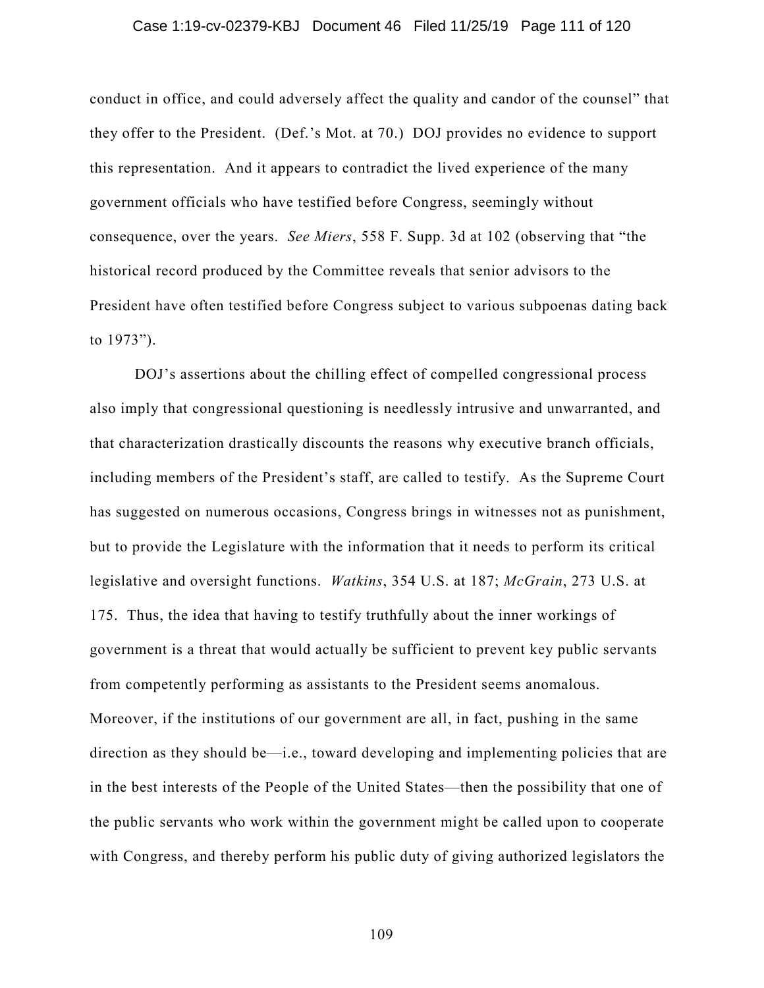### Case 1:19-cv-02379-KBJ Document 46 Filed 11/25/19 Page 111 of 120

conduct in office, and could adversely affect the quality and candor of the counsel" that they offer to the President. (Def.'s Mot. at 70.) DOJ provides no evidence to support this representation. And it appears to contradict the lived experience of the many government officials who have testified before Congress, seemingly without consequence, over the years. *See Miers*, 558 F. Supp. 3d at 102 (observing that "the historical record produced by the Committee reveals that senior advisors to the President have often testified before Congress subject to various subpoenas dating back to 1973").

DOJ's assertions about the chilling effect of compelled congressional process also imply that congressional questioning is needlessly intrusive and unwarranted, and that characterization drastically discounts the reasons why executive branch officials, including members of the President's staff, are called to testify. As the Supreme Court has suggested on numerous occasions, Congress brings in witnesses not as punishment, but to provide the Legislature with the information that it needs to perform its critical legislative and oversight functions. *Watkins*, 354 U.S. at 187; *McGrain*, 273 U.S. at 175. Thus, the idea that having to testify truthfully about the inner workings of government is a threat that would actually be sufficient to prevent key public servants from competently performing as assistants to the President seems anomalous. Moreover, if the institutions of our government are all, in fact, pushing in the same direction as they should be—i.e., toward developing and implementing policies that are in the best interests of the People of the United States—then the possibility that one of the public servants who work within the government might be called upon to cooperate with Congress, and thereby perform his public duty of giving authorized legislators the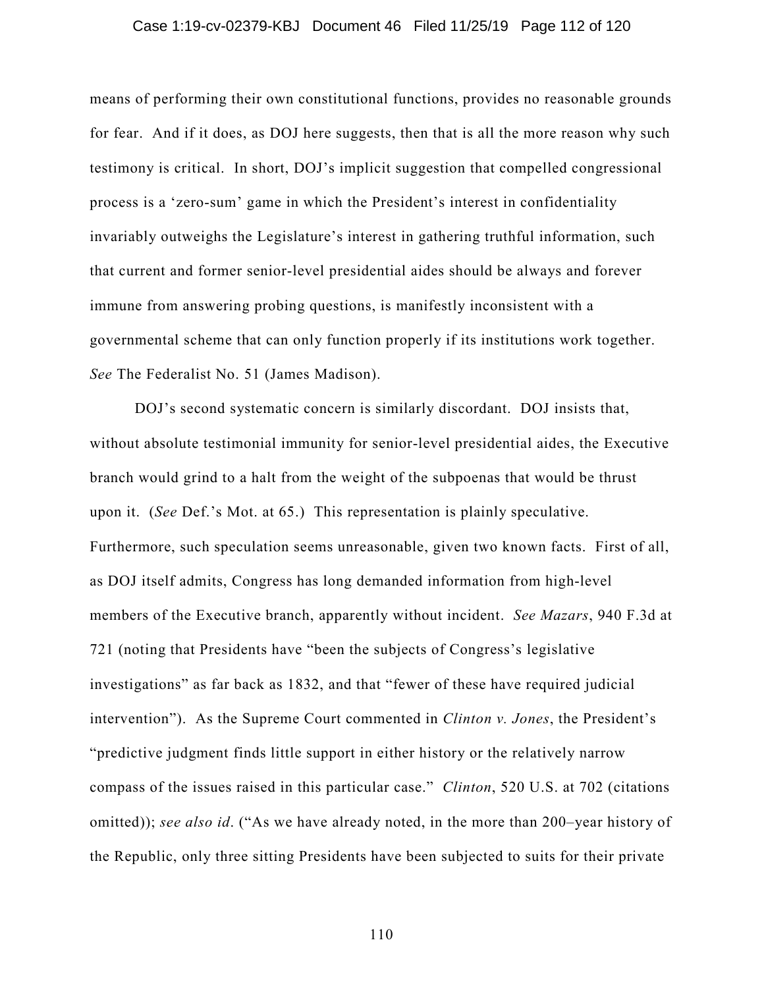# Case 1:19-cv-02379-KBJ Document 46 Filed 11/25/19 Page 112 of 120

means of performing their own constitutional functions, provides no reasonable grounds for fear. And if it does, as DOJ here suggests, then that is all the more reason why such testimony is critical. In short, DOJ's implicit suggestion that compelled congressional process is a 'zero-sum' game in which the President's interest in confidentiality invariably outweighs the Legislature's interest in gathering truthful information, such that current and former senior-level presidential aides should be always and forever immune from answering probing questions, is manifestly inconsistent with a governmental scheme that can only function properly if its institutions work together. *See* The Federalist No. 51 (James Madison).

DOJ's second systematic concern is similarly discordant. DOJ insists that, without absolute testimonial immunity for senior-level presidential aides, the Executive branch would grind to a halt from the weight of the subpoenas that would be thrust upon it. (*See* Def.'s Mot. at 65.) This representation is plainly speculative. Furthermore, such speculation seems unreasonable, given two known facts. First of all, as DOJ itself admits, Congress has long demanded information from high-level members of the Executive branch, apparently without incident. *See Mazars*, 940 F.3d at 721 (noting that Presidents have "been the subjects of Congress's legislative investigations" as far back as 1832, and that "fewer of these have required judicial intervention"). As the Supreme Court commented in *Clinton v. Jones*, the President's "predictive judgment finds little support in either history or the relatively narrow compass of the issues raised in this particular case." *Clinton*, 520 U.S. at 702 (citations omitted)); *see also id*. ("As we have already noted, in the more than 200–year history of the Republic, only three sitting Presidents have been subjected to suits for their private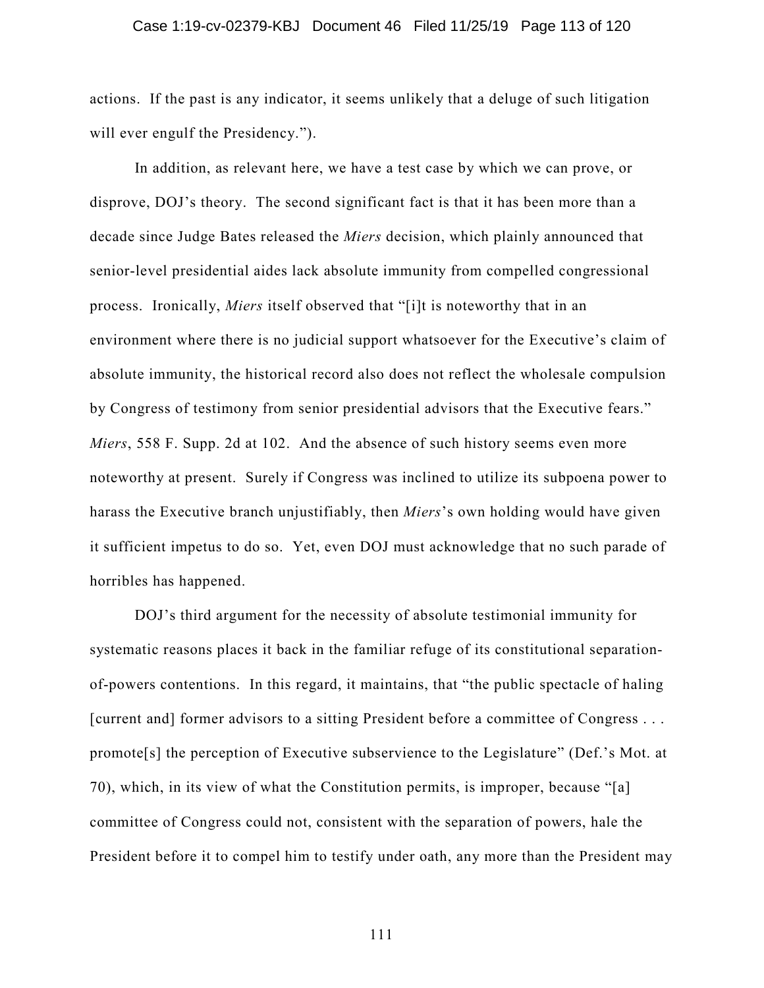### Case 1:19-cv-02379-KBJ Document 46 Filed 11/25/19 Page 113 of 120

actions. If the past is any indicator, it seems unlikely that a deluge of such litigation will ever engulf the Presidency.").

In addition, as relevant here, we have a test case by which we can prove, or disprove, DOJ's theory. The second significant fact is that it has been more than a decade since Judge Bates released the *Miers* decision, which plainly announced that senior-level presidential aides lack absolute immunity from compelled congressional process. Ironically, *Miers* itself observed that "[i]t is noteworthy that in an environment where there is no judicial support whatsoever for the Executive's claim of absolute immunity, the historical record also does not reflect the wholesale compulsion by Congress of testimony from senior presidential advisors that the Executive fears." *Miers*, 558 F. Supp. 2d at 102. And the absence of such history seems even more noteworthy at present. Surely if Congress was inclined to utilize its subpoena power to harass the Executive branch unjustifiably, then *Miers*'s own holding would have given it sufficient impetus to do so. Yet, even DOJ must acknowledge that no such parade of horribles has happened.

DOJ's third argument for the necessity of absolute testimonial immunity for systematic reasons places it back in the familiar refuge of its constitutional separationof-powers contentions. In this regard, it maintains, that "the public spectacle of haling [current and] former advisors to a sitting President before a committee of Congress . . . promote[s] the perception of Executive subservience to the Legislature" (Def.'s Mot. at 70), which, in its view of what the Constitution permits, is improper, because "[a] committee of Congress could not, consistent with the separation of powers, hale the President before it to compel him to testify under oath, any more than the President may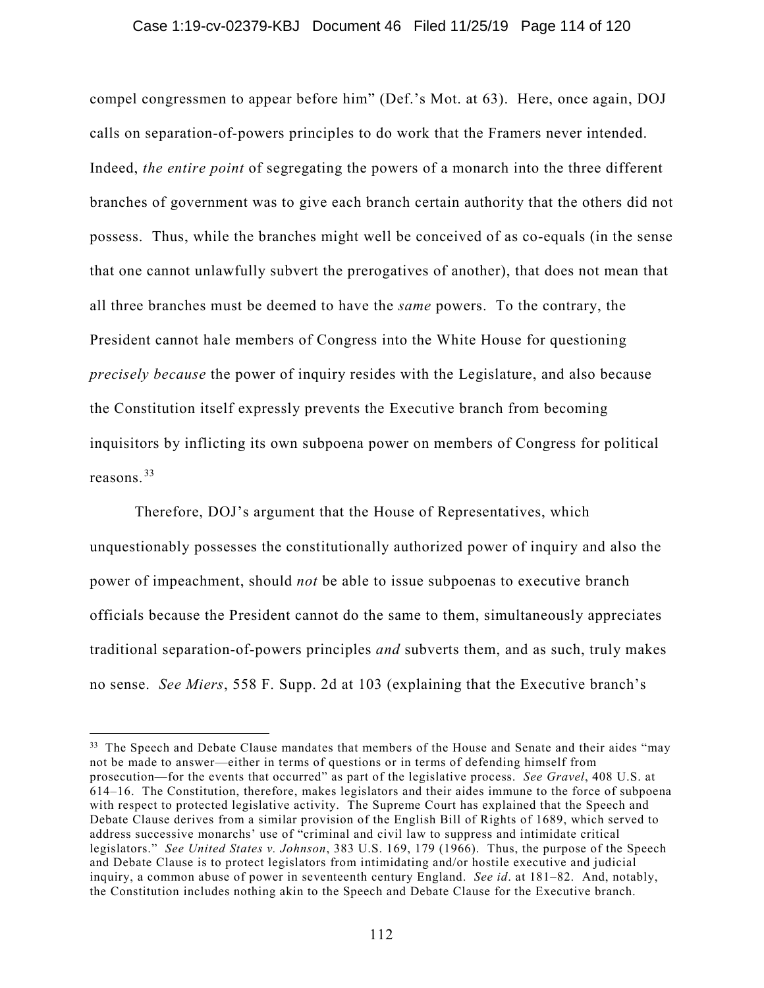## Case 1:19-cv-02379-KBJ Document 46 Filed 11/25/19 Page 114 of 120

compel congressmen to appear before him" (Def.'s Mot. at 63). Here, once again, DOJ calls on separation-of-powers principles to do work that the Framers never intended. Indeed, *the entire point* of segregating the powers of a monarch into the three different branches of government was to give each branch certain authority that the others did not possess. Thus, while the branches might well be conceived of as co-equals (in the sense that one cannot unlawfully subvert the prerogatives of another), that does not mean that all three branches must be deemed to have the *same* powers. To the contrary, the President cannot hale members of Congress into the White House for questioning *precisely because* the power of inquiry resides with the Legislature, and also because the Constitution itself expressly prevents the Executive branch from becoming inquisitors by inflicting its own subpoena power on members of Congress for political reasons. [33](#page-113-0) 

Therefore, DOJ's argument that the House of Representatives, which unquestionably possesses the constitutionally authorized power of inquiry and also the power of impeachment, should *not* be able to issue subpoenas to executive branch officials because the President cannot do the same to them, simultaneously appreciates traditional separation-of-powers principles *and* subverts them, and as such, truly makes no sense. *See Miers*, 558 F. Supp. 2d at 103 (explaining that the Executive branch's

<span id="page-113-0"></span><sup>&</sup>lt;sup>33</sup> The Speech and Debate Clause mandates that members of the House and Senate and their aides "may not be made to answer—either in terms of questions or in terms of defending himself from prosecution—for the events that occurred" as part of the legislative process. *See Gravel*, 408 U.S. at 614–16. The Constitution, therefore, makes legislators and their aides immune to the force of subpoena with respect to protected legislative activity. The Supreme Court has explained that the Speech and Debate Clause derives from a similar provision of the English Bill of Rights of 1689, which served to address successive monarchs' use of "criminal and civil law to suppress and intimidate critical legislators." *See United States v. Johnson*, 383 U.S. 169, 179 (1966). Thus, the purpose of the Speech and Debate Clause is to protect legislators from intimidating and/or hostile executive and judicial inquiry, a common abuse of power in seventeenth century England. *See id*. at 181–82. And, notably, the Constitution includes nothing akin to the Speech and Debate Clause for the Executive branch.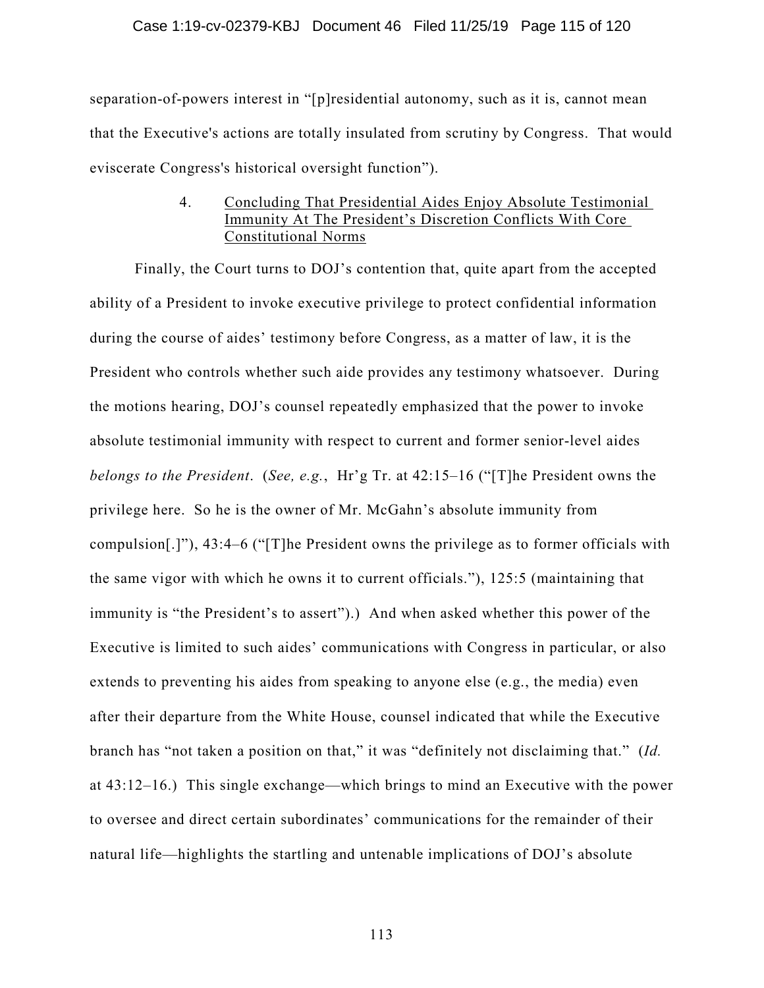# Case 1:19-cv-02379-KBJ Document 46 Filed 11/25/19 Page 115 of 120

separation-of-powers interest in "[p]residential autonomy, such as it is, cannot mean that the Executive's actions are totally insulated from scrutiny by Congress. That would eviscerate Congress's historical oversight function").

# 4. Concluding That Presidential Aides Enjoy Absolute Testimonial Immunity At The President's Discretion Conflicts With Core Constitutional Norms

Finally, the Court turns to DOJ's contention that, quite apart from the accepted ability of a President to invoke executive privilege to protect confidential information during the course of aides' testimony before Congress, as a matter of law, it is the President who controls whether such aide provides any testimony whatsoever. During the motions hearing, DOJ's counsel repeatedly emphasized that the power to invoke absolute testimonial immunity with respect to current and former senior-level aides *belongs to the President*. (*See, e.g.*, Hr'g Tr. at 42:15–16 ("[T]he President owns the privilege here. So he is the owner of Mr. McGahn's absolute immunity from compulsion[.]"), 43:4–6 ("[T]he President owns the privilege as to former officials with the same vigor with which he owns it to current officials."), 125:5 (maintaining that immunity is "the President's to assert").) And when asked whether this power of the Executive is limited to such aides' communications with Congress in particular, or also extends to preventing his aides from speaking to anyone else (e.g., the media) even after their departure from the White House, counsel indicated that while the Executive branch has "not taken a position on that," it was "definitely not disclaiming that." (*Id.*  at 43:12–16.) This single exchange—which brings to mind an Executive with the power to oversee and direct certain subordinates' communications for the remainder of their natural life—highlights the startling and untenable implications of DOJ's absolute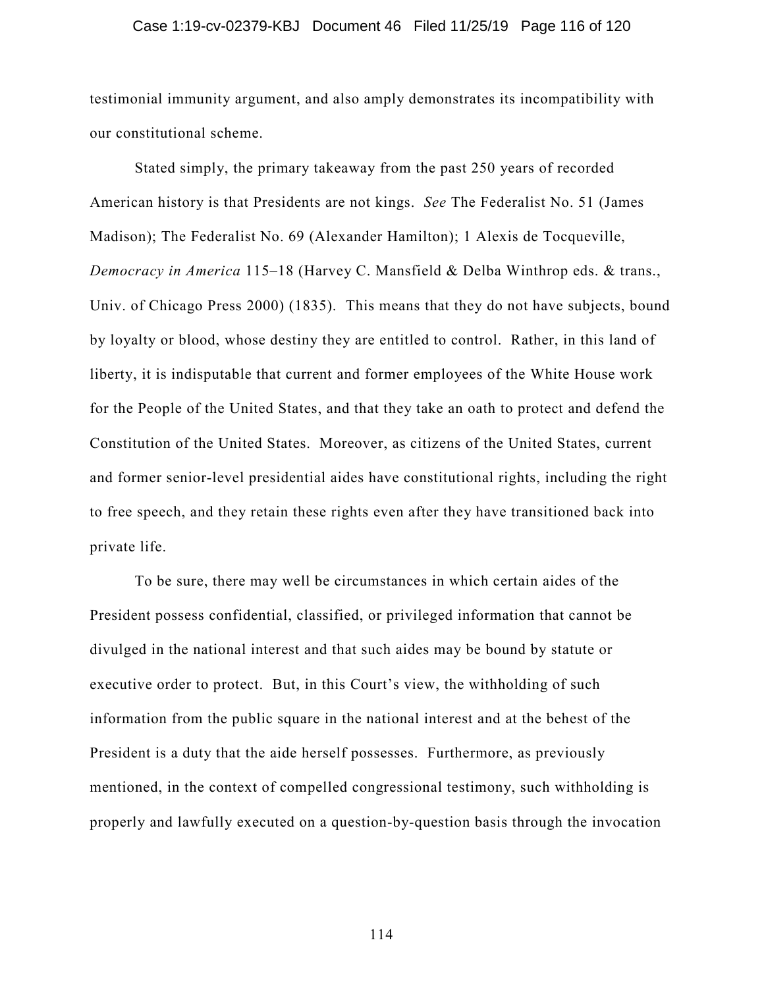### Case 1:19-cv-02379-KBJ Document 46 Filed 11/25/19 Page 116 of 120

testimonial immunity argument, and also amply demonstrates its incompatibility with our constitutional scheme.

Stated simply, the primary takeaway from the past 250 years of recorded American history is that Presidents are not kings. *See* The Federalist No. 51 (James Madison); The Federalist No. 69 (Alexander Hamilton); 1 Alexis de Tocqueville, *Democracy in America* 115–18 (Harvey C. Mansfield & Delba Winthrop eds. & trans., Univ. of Chicago Press 2000) (1835). This means that they do not have subjects, bound by loyalty or blood, whose destiny they are entitled to control. Rather, in this land of liberty, it is indisputable that current and former employees of the White House work for the People of the United States, and that they take an oath to protect and defend the Constitution of the United States. Moreover, as citizens of the United States, current and former senior-level presidential aides have constitutional rights, including the right to free speech, and they retain these rights even after they have transitioned back into private life.

To be sure, there may well be circumstances in which certain aides of the President possess confidential, classified, or privileged information that cannot be divulged in the national interest and that such aides may be bound by statute or executive order to protect. But, in this Court's view, the withholding of such information from the public square in the national interest and at the behest of the President is a duty that the aide herself possesses. Furthermore, as previously mentioned, in the context of compelled congressional testimony, such withholding is properly and lawfully executed on a question-by-question basis through the invocation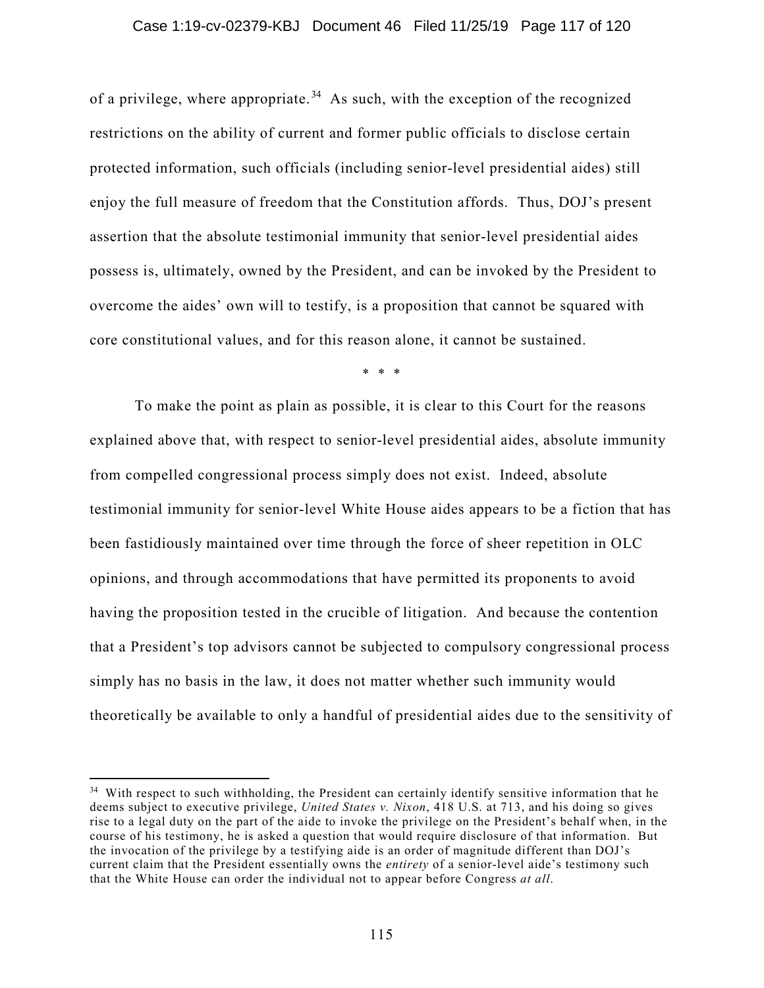of a privilege, where appropriate.<sup>34</sup> As such, with the exception of the recognized restrictions on the ability of current and former public officials to disclose certain protected information, such officials (including senior-level presidential aides) still enjoy the full measure of freedom that the Constitution affords. Thus, DOJ's present assertion that the absolute testimonial immunity that senior-level presidential aides possess is, ultimately, owned by the President, and can be invoked by the President to overcome the aides' own will to testify, is a proposition that cannot be squared with core constitutional values, and for this reason alone, it cannot be sustained.

\* \* \*

To make the point as plain as possible, it is clear to this Court for the reasons explained above that, with respect to senior-level presidential aides, absolute immunity from compelled congressional process simply does not exist. Indeed, absolute testimonial immunity for senior-level White House aides appears to be a fiction that has been fastidiously maintained over time through the force of sheer repetition in OLC opinions, and through accommodations that have permitted its proponents to avoid having the proposition tested in the crucible of litigation. And because the contention that a President's top advisors cannot be subjected to compulsory congressional process simply has no basis in the law, it does not matter whether such immunity would theoretically be available to only a handful of presidential aides due to the sensitivity of

<span id="page-116-0"></span><sup>&</sup>lt;sup>34</sup> With respect to such withholding, the President can certainly identify sensitive information that he deems subject to executive privilege, *United States v. Nixon*, 418 U.S. at 713, and his doing so gives rise to a legal duty on the part of the aide to invoke the privilege on the President's behalf when, in the course of his testimony, he is asked a question that would require disclosure of that information. But the invocation of the privilege by a testifying aide is an order of magnitude different than DOJ's current claim that the President essentially owns the *entirety* of a senior-level aide's testimony such that the White House can order the individual not to appear before Congress *at all*.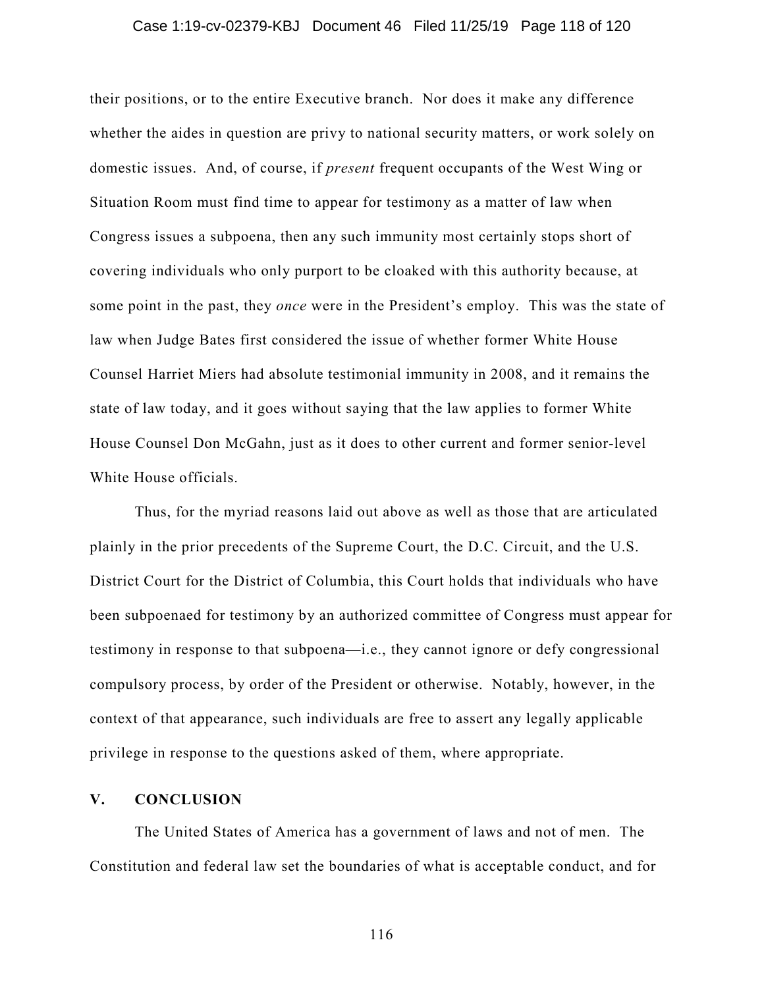# Case 1:19-cv-02379-KBJ Document 46 Filed 11/25/19 Page 118 of 120

their positions, or to the entire Executive branch. Nor does it make any difference whether the aides in question are privy to national security matters, or work solely on domestic issues. And, of course, if *present* frequent occupants of the West Wing or Situation Room must find time to appear for testimony as a matter of law when Congress issues a subpoena, then any such immunity most certainly stops short of covering individuals who only purport to be cloaked with this authority because, at some point in the past, they *once* were in the President's employ. This was the state of law when Judge Bates first considered the issue of whether former White House Counsel Harriet Miers had absolute testimonial immunity in 2008, and it remains the state of law today, and it goes without saying that the law applies to former White House Counsel Don McGahn, just as it does to other current and former senior-level White House officials.

Thus, for the myriad reasons laid out above as well as those that are articulated plainly in the prior precedents of the Supreme Court, the D.C. Circuit, and the U.S. District Court for the District of Columbia, this Court holds that individuals who have been subpoenaed for testimony by an authorized committee of Congress must appear for testimony in response to that subpoena—i.e., they cannot ignore or defy congressional compulsory process, by order of the President or otherwise. Notably, however, in the context of that appearance, such individuals are free to assert any legally applicable privilege in response to the questions asked of them, where appropriate.

# **V. CONCLUSION**

The United States of America has a government of laws and not of men. The Constitution and federal law set the boundaries of what is acceptable conduct, and for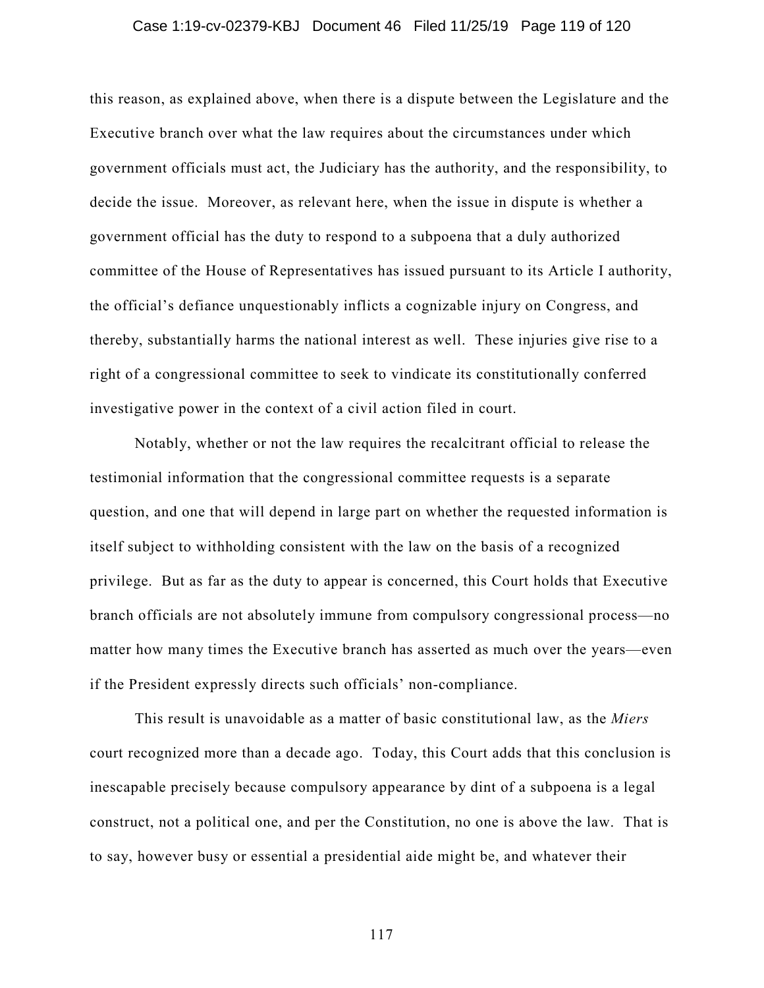# Case 1:19-cv-02379-KBJ Document 46 Filed 11/25/19 Page 119 of 120

this reason, as explained above, when there is a dispute between the Legislature and the Executive branch over what the law requires about the circumstances under which government officials must act, the Judiciary has the authority, and the responsibility, to decide the issue. Moreover, as relevant here, when the issue in dispute is whether a government official has the duty to respond to a subpoena that a duly authorized committee of the House of Representatives has issued pursuant to its Article I authority, the official's defiance unquestionably inflicts a cognizable injury on Congress, and thereby, substantially harms the national interest as well. These injuries give rise to a right of a congressional committee to seek to vindicate its constitutionally conferred investigative power in the context of a civil action filed in court.

Notably, whether or not the law requires the recalcitrant official to release the testimonial information that the congressional committee requests is a separate question, and one that will depend in large part on whether the requested information is itself subject to withholding consistent with the law on the basis of a recognized privilege. But as far as the duty to appear is concerned, this Court holds that Executive branch officials are not absolutely immune from compulsory congressional process—no matter how many times the Executive branch has asserted as much over the years—even if the President expressly directs such officials' non-compliance.

This result is unavoidable as a matter of basic constitutional law, as the *Miers* court recognized more than a decade ago. Today, this Court adds that this conclusion is inescapable precisely because compulsory appearance by dint of a subpoena is a legal construct, not a political one, and per the Constitution, no one is above the law. That is to say, however busy or essential a presidential aide might be, and whatever their